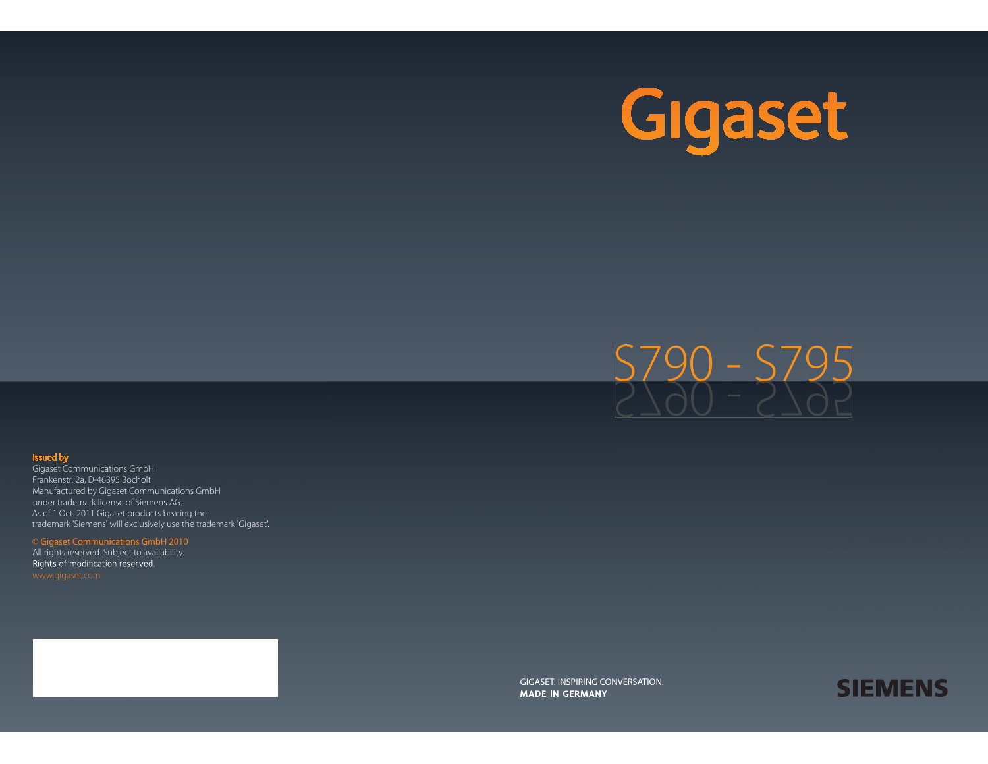



#### Issued by

Gigaset Communications GmbH Frankenstr. 2a, D-46395 Bocholt Manufactured by Gigaset Communications GmbH under trademark license of Siemens AG. As of 1 Oct. 2011 Gigaset products bearing the trademark 'Siemens' will exclusively use the trademark 'Gigaset'.

#### © Gigaset Communications GmbH 2010

All rights reserved. Subject to availability. Rights of modification reserved.

> GIGASET. INSPIRING CONVERSATION. **MADE IN GERMANY**

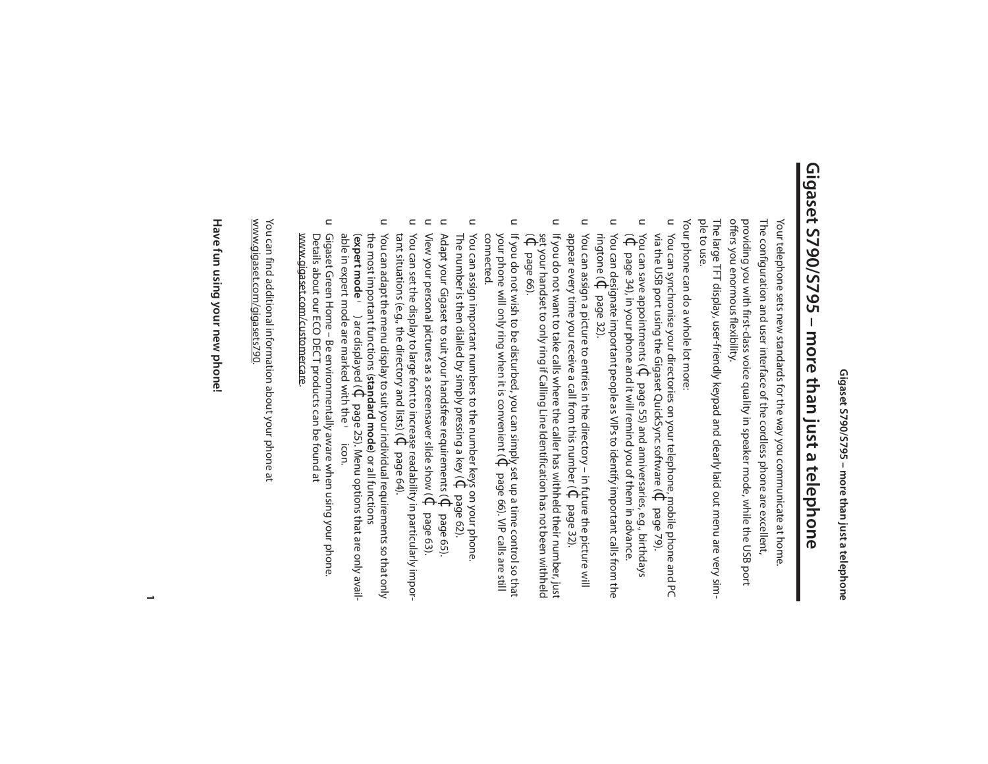## **Gigaset S790/S795 – more than just a telephone** Gigaset S790/S795 – more than just a telephone

The configuration and user interface of the cordless phone are excellent, Your telephone sets new standards for the way you communicate at home The configuration and user interface of the cordless phone are excellent, Your telephone sets new standards for the way you communicate at home.

offers you enormous flexibility. providing you with first-class voice quality in speaker mode, while the USB port offers you enormous flexibility. providing you with first-class voice quality in speaker mode, while the USB port

The large TFT display, user-friendly keypad and clearly laid out menu are very sim-<br>ple to use. The large TFT display, user-friendly keypad and clearly laid out menu are very sim-

Your phone can do a whole lot more: Your phone can do a whole lot more:

- $\subset$ via the USB port using the Gigaset QuickSync software ( You can synchronise your directories on your telephone, mobile phone and PC  $\Theta$ page 79).
- $\subset$ You can save appointments ( $\Theta$ page 55) and anniversaries, e.g., birthdays
- $\widehat{\Theta}$ page 34), in your phone and it will remind you of them in advance.  $\subset$ ringtone ( You can designate important people as VIPs to identify important calls from the  $\Theta$ page 32).
- $\subset$ appear every time you receive a call from this number ( You can assign a picture to entries in the directory – in future the picture will  $\Theta$ page 32).
- u If you do not want to take calls where the caller has withheld their number, just  $\widehat{\Theta}$ set your handset to only ring if Calling Line Identification has not been withheld If you do not want to take calls where the caller has withheld their number, just page 66).
- $\subset$ your phone will only ring when it is convenient ( If you do not wish to be disturbed, you can simply set up a time control so that If you do not wish to be disturbed, you can simply set up a time control so that<br>your phone will only ring when it is convenient ( $\Phi$  page 66). VIP calls are still page 66). VIP calls are still connected.
- $\subset$ The number is then dialled by simply pressing a key ( You can assign important numbers to the number keys on your phone.  $\leftrightarrow$ page 62).
- $\subset$ Adapt your Gigaset to suit your handsfree requirements ( $\cdot \Theta$ page 65).
- $\subset$ View your personal pictures as a screensaver slide show ( $\Theta$ page 63).
- $\subset$ tant situations (e.g., the directory and lists) ( You can set the display to large font to increase readability in particularly impor-  $\Theta$ page 64).
- $\subset$ able in expert mode are marked with the You can adapt the menu display to suit your individual requirements so that only the most important functions (standard mode) or all functions<br>(expert mode ● ) are displayed (↓ page 25). Menu options that are only available in expert mode are marked with the • icon. the most important functions ( You can adapt the menu display to suit your individual requirements so that only **expert mode**•) are displayed (¢**standard mode**) or all functions page 25). Menu options that are only availicon.
- $\subset$ Gigaset Green Home – Be environmentally aware when using your phone Details about our ECO DECT products can be found at<br><u>www.gigaset.com/customercare</u>. www.gigaset.com/customercare Details about our ECO DECT products can be found at Gigaset Green Home – Be environmentally aware when using your phone.

www.gigaset.com/gigasets790 You can find additional information about your phone at You can find additional information about your phone at<br><u>www.gigaset.com/gigasets790</u>.

## Have fun using your new phone! **Have fun using your new phone!**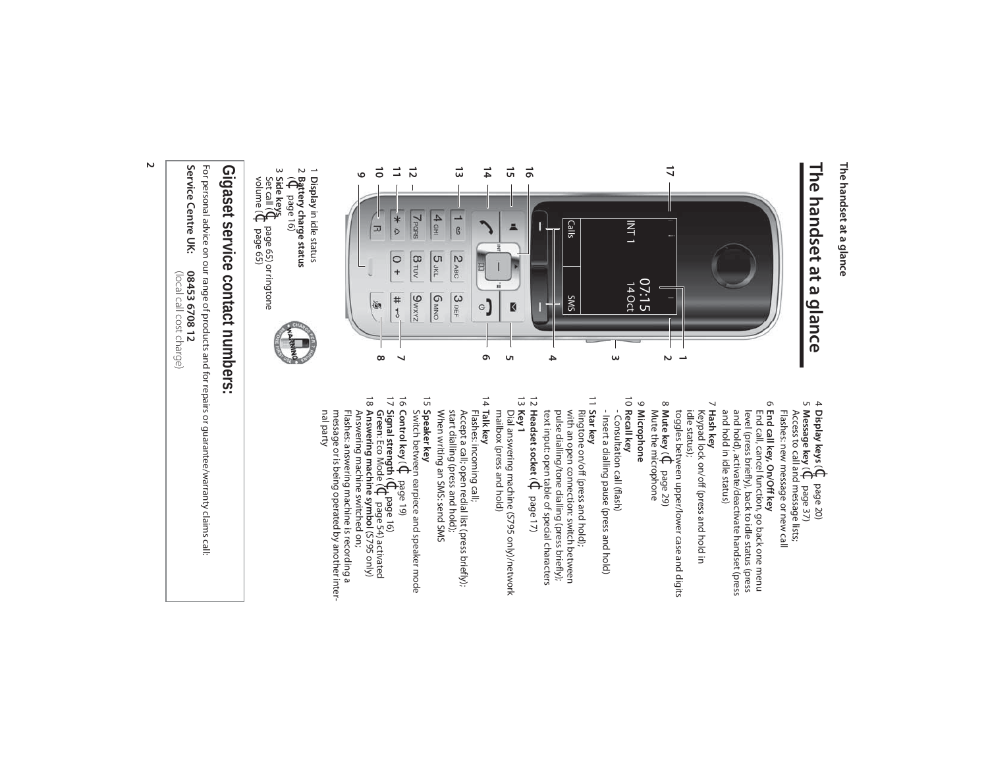#### The handset at a glance **The handset at a glance**

## **The handset at a glance** The handset at a glance



- in idle status
- 1 **Display**<br>2 **Battery**<br>2 **Battery Battery charge status**
- page 16)
- 3 Set call ( **Side keys** ¢page 65) or ringtone
- volume ( $\leftrightarrow$ page 65)

## Gigaset service contact numbers: **Gigaset service contact numbers:**

For personal advice on our range of products and for repairs or guarantee/warranty claims call: For personal advice on our range of products and for repairs or guarantee/warranty claims call:

Service Centre UK: **Service Centre UK: 08453 6708 12** 08453 6708 12<br>(local call cost charge)

è€ page 20)

4

**Uገ** 

- **Display keys** (**Message key**  $\widetilde{\Theta}$ page 37)
- Flashes: new message or new call Flashes: new message or new call Access to call and message lists;
- 6 **End call key, On/Off key**<br>End call, cancel function, go back one menu<br>level (press briefly), back to idle status (press and hold), activate/deactivate handset (press<br>and hold in idle status) and hold in idle status) and hold), activate/deactivate handset (press level (press briefly), back to idle status (press End call, cancel function, go back one menu **End call key, On/Off key**
- 7 **Hash key** Keypad lock on/off (press and hold in
- toggles between upper/lower case and digits idle status); 8 **Mute key**  $\hat{\Theta}$ page 29)
- Mute the microphone
- 9 Microphone **Microphone**  $\vec{0}$ **Recall key**
- Insert a dialling pause (press and hold) **Star key** - Insert a dialling pause (press and hold) - Consultation call (flash) Consultation call (flash)
- 12  $\equiv$ with an open connection: switch between text input: open table of special characters pulse dialling/tone dialling (press briefly); with an open connection: switch between Ringtone on/off (press and hold);
- **Headset socket** $\widehat{\Theta}$ page 17) 13 **Key 1**
- 14 Dial answering machine (S795 only)/network<br>mailbox (press and hold) mailbox (press and hold) Dial answering machine (S795 only)/network
- Flashes: incoming call; **Talk key**
- Accept a call; open redial list (press briefly);<br>start dialling (press and hold); When writing an SMS: send SMS When writing an SMS: send SMS start dialling (press and hold); Accept a call; open redial list (press briefly);
- Switch between earpiece and speaker mode **Speaker key**
- 15 16 **Control key** ( $\Theta$ page 19)
- 17 **Signal strength**  $\widehat{\Theta}$ page 16)
- **Green**: Eco Mode ( $\Theta^t$ page 54) activated **Answering machine symbol** (S795 only) Answering machine switched on;

18

nal party message or is being operated by another inter-Flashes: answering machine is recording a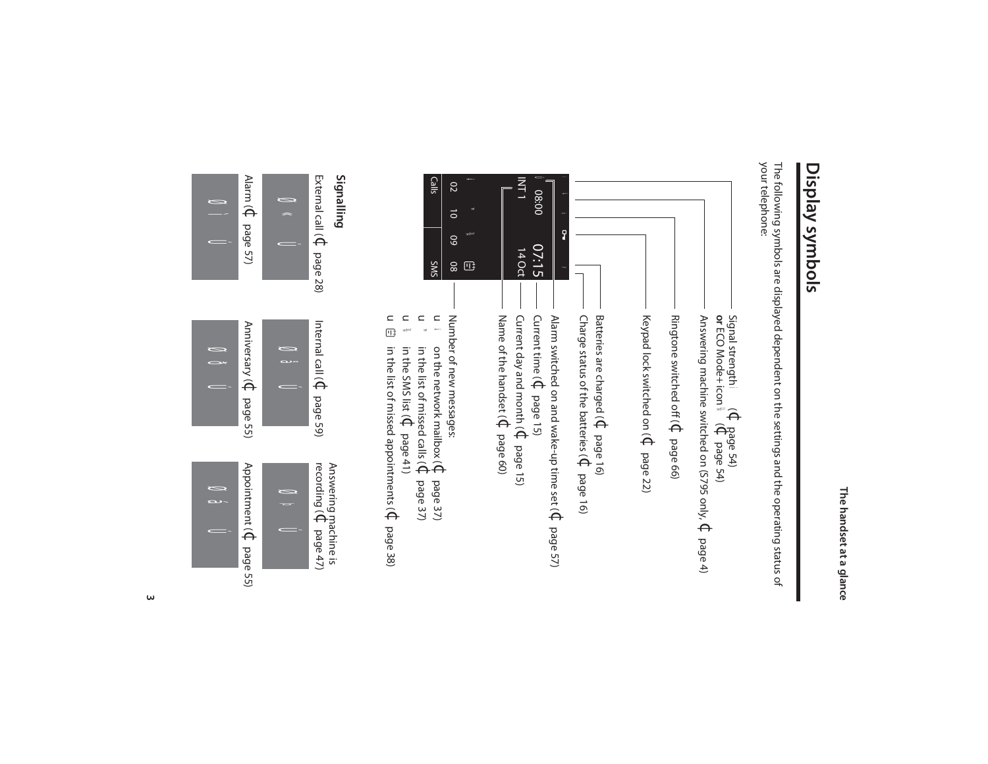### Display symbols **Display symbols**

The following symbols are displayed dependent on the settings and the operating status of<br>your telephone: your telephone: The following symbols are displayed dependent on the settings and the operating status of





ØðÚ

ØìÚ

 $\omega$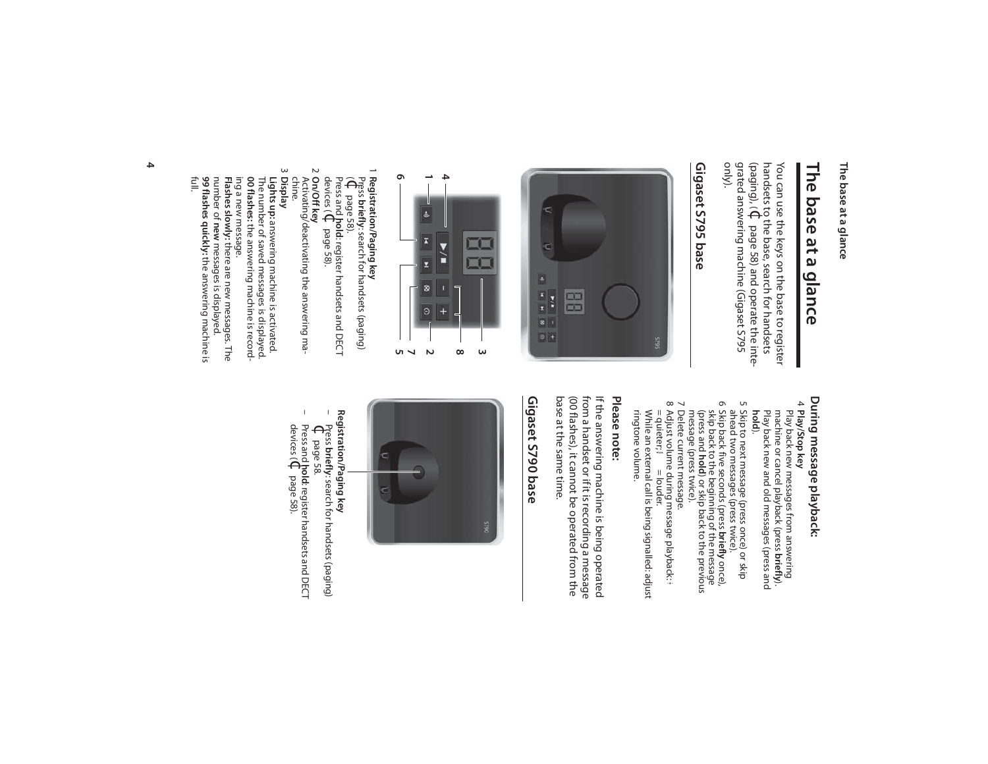#### The base at a glance **The base at a glance**

## **The base at a glance**  The base at a glance

grated answering machine (Gigaset S795<br>only). grated answering machine (Gigaset S795 (paging), (¢handsets to the base, search for handsets You can use the keys on the base to register You can use the keys on the base to register page 58) and operate the inte-

#### Gigaset S795 base **Gigaset S795 base**





#### 1 Registration/Paging key **Registration/Paging key**

Press **briefly**: search for handsets (paging)  $\widehat{\Theta}$ page 58).

Press and **hold**: register handsets and DECT devices (¢page 58).

2 **On/Off key** Activating/deactivating the answering ma-

## chine.

3 **Display Lights up:** answering machine is activated.<br>The number of saved messages is displayed. answering machine is activated.

**Flashes slowly:** ing a new message. ing a new message. 00 flashes: the answering machine is record-The number of saved messages is displayed. the answering machine is recordthere are new messages. The

**Flashes slowly:** there are new messages. The<br>number of **new** messages is displayed.<br>**99 flashes quickly:** the answering machine is **new** messages is displayed. **99 flashes quickly:** the answering machine is full.

## During message playback: **During message playback:**

#### 4 Play/Stop key **Play/Stop key**

- machine or cancel playback (press Play back new messages from answering **briefly**). **hold** ). Play back new and old messages (press and
- 5 Skip to next message (press once) or skip ahead two messages (press twice).
- 6 Skip back five seconds (press **briefly** once), (press and skip back to the beginning of the message **hold**) or skip back to the previous
- message (press twice). 7 Delete current message.
- 8 Adjust volume during message playback: Adjust volume during message playback: ÷<br>= quieter; ☎ = louder.
- ringtone volume. ringtone volume. While an external call is being signalled: adjust

#### Please note: **Please note:**

from a handset or if it is recording a message<br>(00 flashes), it cannot be operated from the base at the same time. base at the same time. (00 flashes), it cannot be operated from the from a handset or if it is recording a message If the answering machine is being operated If the answering machine is being operated

#### Gigaset S790 base **Gigaset S790 base**



– Press **Registration/Paging key briefly**: search for handsets (paging)  $\Theta$ 

page 58. – Press and **hold**: register handsets and DECT devices ( $\Theta_i$ page 58).

 $\mathbf{I}$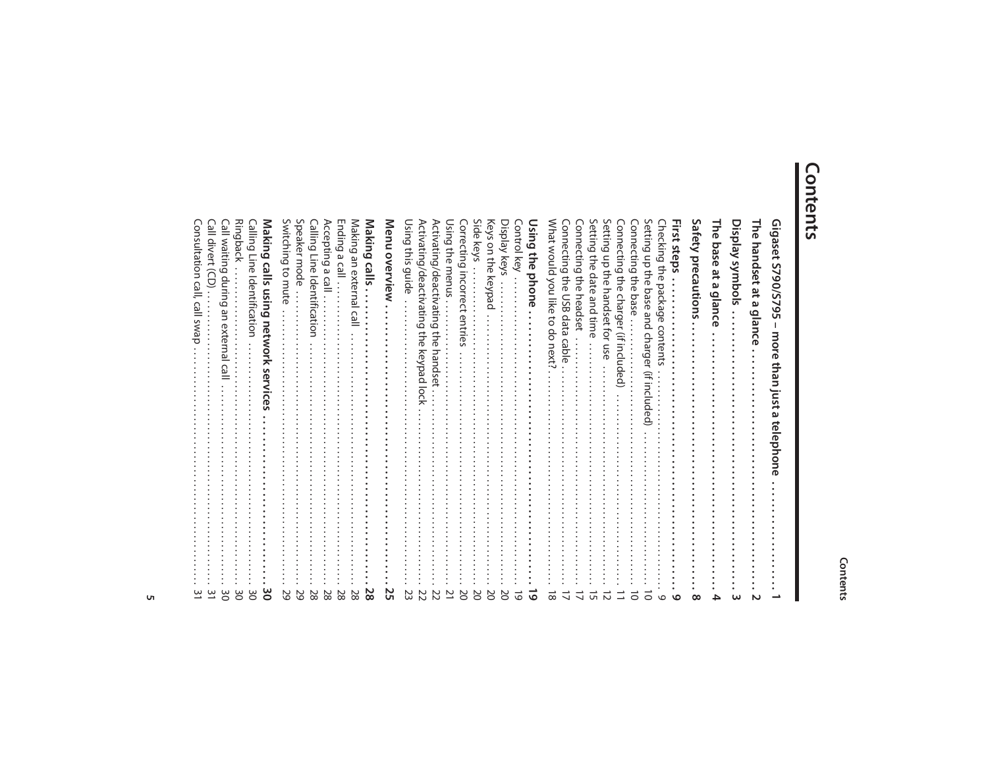#### Contents

## **Contents**

| <b>Consultation</b><br>swa                                                        |
|-----------------------------------------------------------------------------------|
| Call divert<br>Ô                                                                  |
| Ringback<br>Call waitin<br>durin<br>ه<br>āη<br>exte<br>ھ<br>≌<br>ω<br>0           |
| Calling Line<br>Identification                                                    |
| Making<br>calls using<br>network<br><b>Service</b>                                |
| Switching<br>to mute<br>≌                                                         |
| Speaker mode<br>७                                                                 |
| Calling Line<br>Identifica<br>Ition<br>$\infty$                                   |
| Accepting<br>$\omega$<br>Cal<br>N<br>$\infty$                                     |
| Ending<br>ڡ<br>$\overline{C}$<br>∞                                                |
| Making<br>an externa<br>റ<br>نە                                                   |
| Making<br>calls<br>ထ                                                              |
| Menu overview<br>Uτ                                                               |
| Using<br>siu;<br>guide<br>ω                                                       |
| Activating/deactivating<br>the<br>keypad<br>$\overline{5}$                        |
| Activating/deactivating<br>the<br>handse                                          |
| Using the<br>menus                                                                |
| Correcting<br>Incorrec<br>entries<br>N                                            |
| Side<br>keys                                                                      |
| Keys<br>on the<br>keypa<br>≏                                                      |
| Display<br>keys                                                                   |
| <b>Control</b><br>key                                                             |
| Using the<br>phone                                                                |
| Mhat would<br>you like<br>đ<br>90<br>next<br>∞                                    |
| <b>Connecting</b><br>the<br><b>USB</b><br>data<br>g                               |
| Connecting the<br>headset                                                         |
| Setting the date<br>and time                                                      |
| Setting<br>등<br>당.<br>handset<br>đ<br>Sn<br>ወ                                     |
| Connecting the<br>charger<br>$\widehat{=}$<br>Included)                           |
| Connecting the<br>base                                                            |
| Setting<br>up the<br>base<br>and<br>charger<br>≘<br>₹<br>$\bar{\mathsf{s}}$<br>ΘÓ |
| Checking the<br>packa<br>ه<br>$\sigma$<br>con<br>ಸ<br>コ                           |
| First steps                                                                       |
| Safety<br>precautions                                                             |
| Γhe<br>base<br>ă<br>ΩJ<br>glanc                                                   |
| slodmys ynnbols                                                                   |
|                                                                                   |
| 있<br>handset<br>ă<br>glance                                                       |
| Gigaset<br><b>S790/S7</b><br><u>وی</u><br>more than just a<br>telephone           |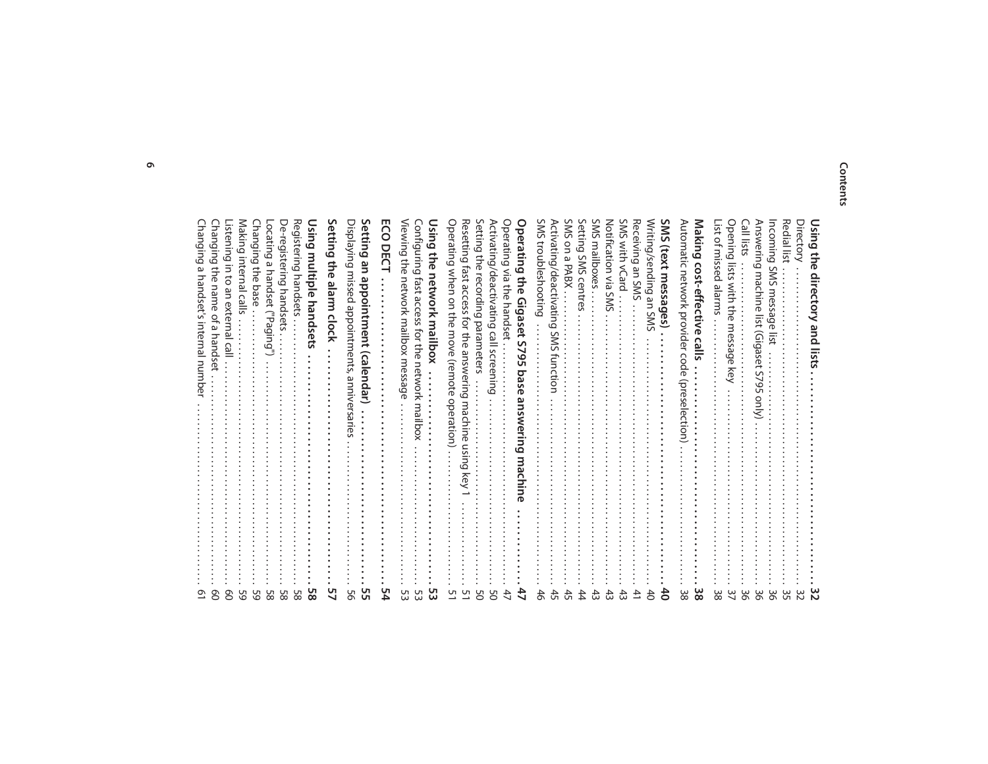#### **Contents**

| <b>Changing</b><br>മ<br>handset<br>S<br>internal<br>uunu<br>ᠥ<br>ሟ                |
|-----------------------------------------------------------------------------------|
| Changing the<br>name<br>₽<br>മ<br>hands                                           |
| istening in to<br>an externa<br>S<br>თ                                            |
| Making internal<br>calls<br>UT.                                                   |
| Changing the<br>base<br>$\sqrt{ }$                                                |
| ocating a handset<br>("Paging<br>ப                                                |
| De-registering<br>handse                                                          |
| Registering handsets                                                              |
| Using<br>multiple handsets                                                        |
| ietting<br><b>Supe</b><br>minn<br>clock                                           |
| Displaying missed appointments, anniversaries                                     |
| ietting<br>٩E<br>appointment<br>(calendar)                                        |
| S<br>U<br>m<br>≏                                                                  |
| /iewing the<br>network mailbox message                                            |
| Configuring<br>1se1<br>access<br>for the<br>network<br>mailbox                    |
| Using<br>당<br>이<br>network mailbox                                                |
| Operating<br>when on the<br>move (remote<br>operation)                            |
| Resetting fast<br>access<br>for the answering<br>macl<br>hine<br>buisn<br>Κe      |
| ietting<br>the<br>recording<br>parameters                                         |
| Activating/deactivating call screening                                            |
| Operating<br>via the handset                                                      |
| Operating the<br>Gigaset<br>S<br>O<br>Űπ<br>bas<br>ወ<br>answeri<br>الا<br>machine |
| SWS<br>troubleshooting                                                            |
| <b>Activating</b><br>/deactivatin<br>ه<br><b>SMS</b><br>function                  |
| SWS<br>$\mathsf{S}$<br>ڡ<br><b>PABX</b>                                           |
| <b>Setting</b><br><b>SWS</b><br>centres                                           |
| SWS<br>mailboxes                                                                  |
| Notification via<br><b>SWS</b>                                                    |
| SMS<br>with<br>VCard                                                              |
| Receiving an SMS                                                                  |
| Writing/sending an<br><b>SWS</b>                                                  |
| ŠŅ<br>(text<br>messages)                                                          |
| Automatic network provider code<br>(preselection                                  |
| Making<br>cost-effective<br>calls                                                 |
| -ist of missed<br>suuue                                                           |
| <b>Dening</b><br>lists<br>with the<br>message<br>key                              |
| Call lists                                                                        |
| Answering<br>machine<br>$\frac{1}{2}$<br>(Gigaset<br>S<br>2<br>Uп<br>(Vlno        |
| ncoming<br>S<br><b>SM</b><br>messag<br><b>D</b><br>등                              |
| Redial lis                                                                        |
| <b>Directory</b>                                                                  |
| Using<br>$\Rightarrow$<br>ወ<br>directory and lists                                |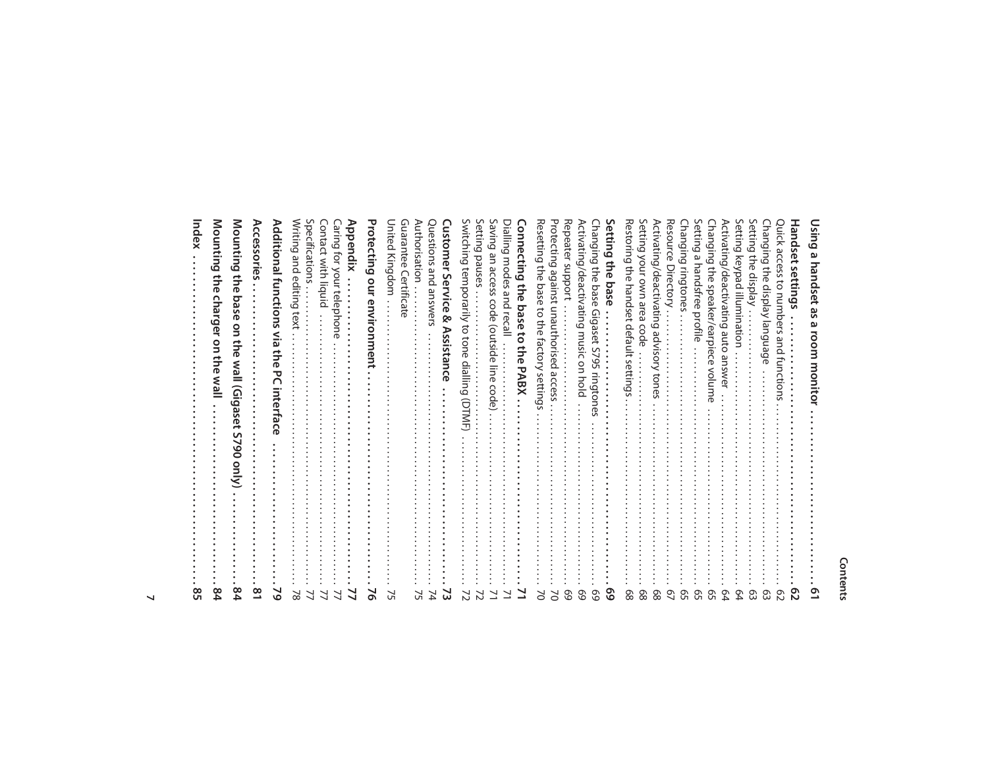#### **Contents**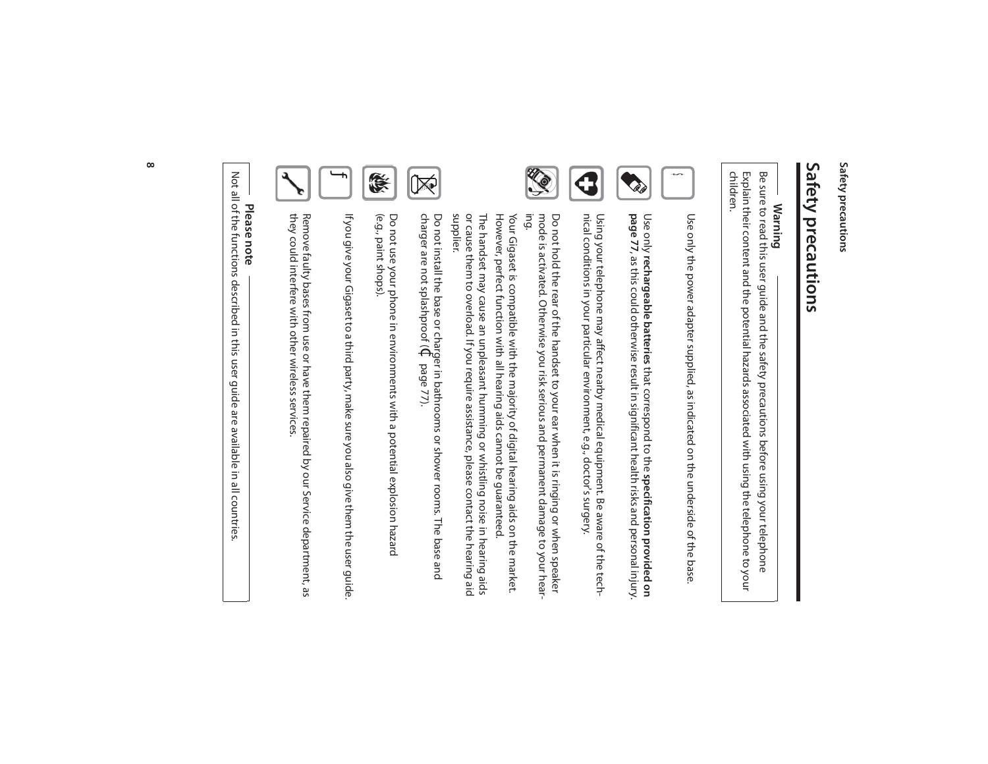Safety precautions **Safety precautions**

## Safety precautions **Safety precautions**

## **Warning**

children. Explain their content and the potential hazards associated with using the telephone to your Be sure to read this user guide and the safety precautions before using your telephone Explain their content and the potential hazards associated with using the telephone to your Be sure to read this user guide and the safety precautions before using your telephone



Use only the power adapter supplied, as indicated on the underside of the base Use only the power adapter supplied, as indicated on the underside of the base.



Using your telephone may affect nearby medical equipment. Be aware of the tech-<br>nical conditions in your particular environment, e.g., doctor's surgery. nical conditions in your particular environment, e.g., doctor's surgery. Using your telephone may affect nearby medical equipment. Be aware of the techUse only rechargeable batteries that correspond to the specification provided on<br>page 77, as this could otherwise result in significant health risks and personal injury.

**rechargeable batteries** that correspond to the **specification provided on page 77**, as this could otherwise result in significant health risks and personal injury.



mode is activated. Otherwise you risk serious and permanent damage to your hear<sup>.</sup><br>ing. mode is activated. Otherwise you risk serious and permanent damage to your hear-Do not hold the rear of the handset to your ear when it is ringing or when speaker Do not hold the rear of the handset to your ear when it is ringing or when speaker

However, perfect function with all hearing aids cannot be guaranteed. However, perfect function with all hearing aids cannot be guaranteed. Your Gigaset is compatible with the majority of digital hearing aids on the market. Your Gigaset is compatible with the majority of digital hearing aids on the market.

or cause them to overload. If you require assistance, please contact the hearing aid<br>supplier. The handset may cause an unpleasant humming or whistling noise in hearing aids or cause them to overload. If you require assistance, please contact the hearing aid The handset may cause an unpleasant humming or whistling noise in hearing aids



 $\mathbb{R}$ 



(e.g., paint shops). (e.g., paint shops). Do not use your phone in environments with a potential explosion hazard

Do not use your phone in environments with a potential explosion hazard

If you give your Gigaset to a third party, make sure you also give them the user guide. If you give your Gigaset to a third party, make sure you also give them the user guide.



Remove faulty bases from use or have them repaired by our Service department, as<br>they could interfere with other wireless services. they could interfere with other wireless services. Remove faulty bases from use or have them repaired by our Service department, as

## **Please note**

Not all of the functions described in this user guide are available in all countries Not all of the functions described in this user guide are available in all countries.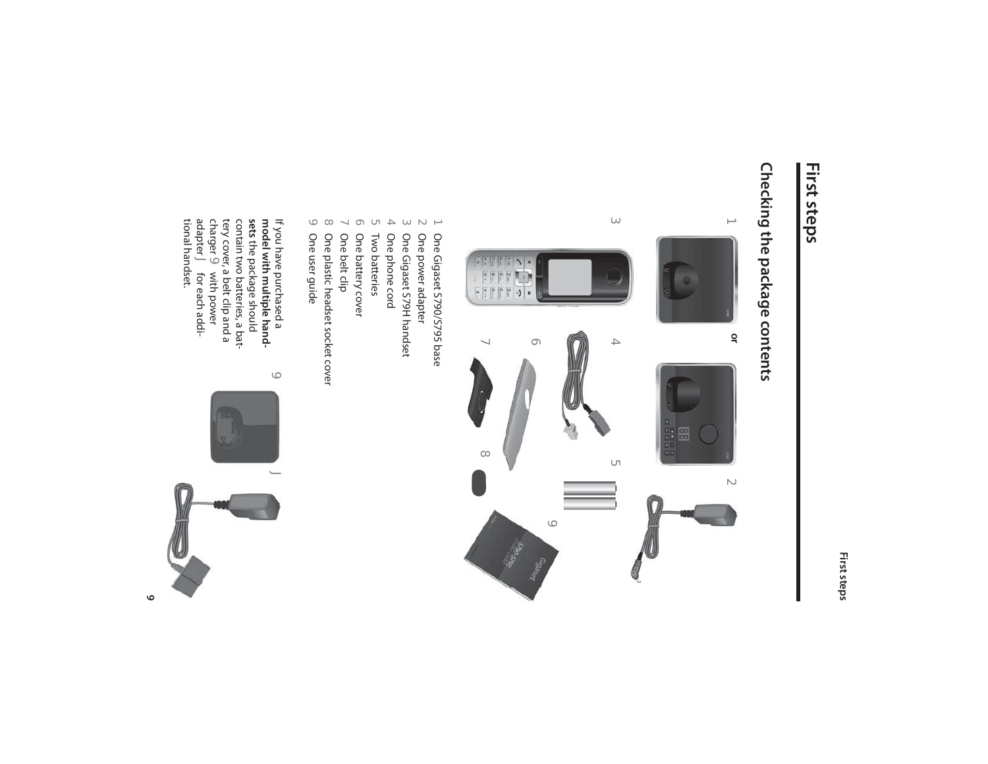#### **First steps**

## Checking the package contents **Checking the package contents**



- One Gigaset S790/S795 base
- One power adapter
- $\cup$   $\cup$   $\cup$   $\rightarrow$   $\cup$ One Gigaset S79H handset
	- One phone cord
- Two batteries
- One battery cover
- $\vee$
- One belt clip
- 8 One plastic headset socket cover One plastic headset socket cover
- $\ominus$  One user guide One user guide

 $\circlearrowleft$ 

If you have purchased a<br>**model with multiple hand-**<br>**sets** the package should<br>contain two batteries, a bat**model with multiple hand-**If you have purchased a the package should charger tery cover, a belt clip and a contain two batteries, a bat- $\circ$  with power adapter J for each additional handset.

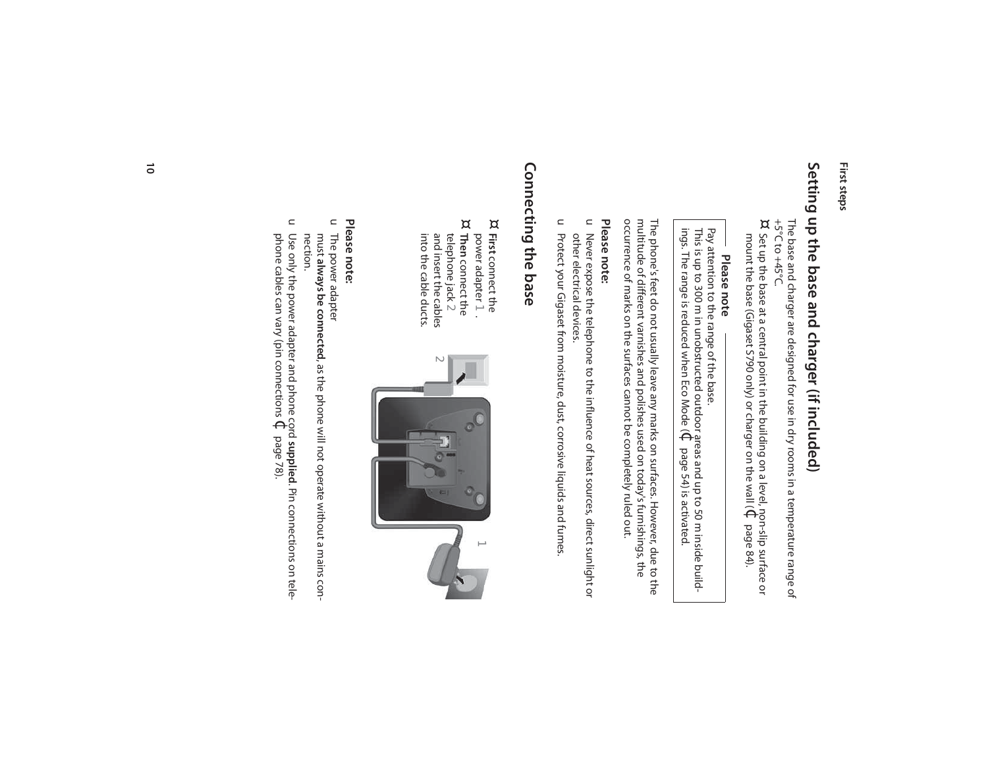## Setting up the base and charger (if included) **Setting up the base and charger (if included)**

The base and charger are designed for use in dry rooms in a temperature range of +5°C to +45°C. The base and charger are designed for use in dry rooms in a temperature range of

mount the base (Gigaset S790 only) or charger on the wall ( Set up the base at a central point in the building on a level, non-slip surface or  $\Theta$ page 84).

¤

## **Please note**

ings. The range is reduced when Eco Mode ( This is up to 300 m in unobstructed outdoor areas and up to 50 m inside build-Pay attention to the range of the base. Pay attention to the range of the base.<br>This is up to 300 m in unobstructed outdoor areas and up to 50 m inside build-<br>ings. The range is reduced when Eco Mode ( $\Phi$  page 54) is activated. page 54) is activated.

occurrence of marks on the surfaces cannot be completely ruled out. multitude of different varnishes and polishes used on today's furnishings, the The phone's feet do not usually leave any marks on surfaces. However, due to the occurrence of marks on the surfaces cannot be completely ruled out. multitude of different varnishes and polishes used on today's furnishings, the The phone's feet do not usually leave any marks on surfaces. However, due to the

#### Please note: **Please note:**

- u Never expose the telephone to the influence of heat sources, direct sunlight or other electrical devices. other electrical devices. Never expose the telephone to the influence of heat sources, direct sunlight or
- u Protect your Gigaset from moisture, dust, corrosive liquids and fumes. Protect your Gigaset from moisture, dust, corrosive liquids and fumes.

## Connecting the base **Connecting the base**

- ¤ **First** connect the power adapter 1 . power adapter 1. connect the
- ¤ **Then** connect the into the cable ducts. and insert the cables telephone jack  $\geq$ into the cable ducts. and insert the cables telephone jack  $2$ connect the



#### Please note: **Please note:**

- $\mathrel{\square}$ The power adapter The power adapter
- must always be connected, as the phone will not operate without a mains con**always be connected**, as the phone will not operate without a mains connection.
- $\subset$ Use only the power adapter and phone cord **supplied**. Pin connections on telephone cables can vary (pin connections  $\Theta$ page 78).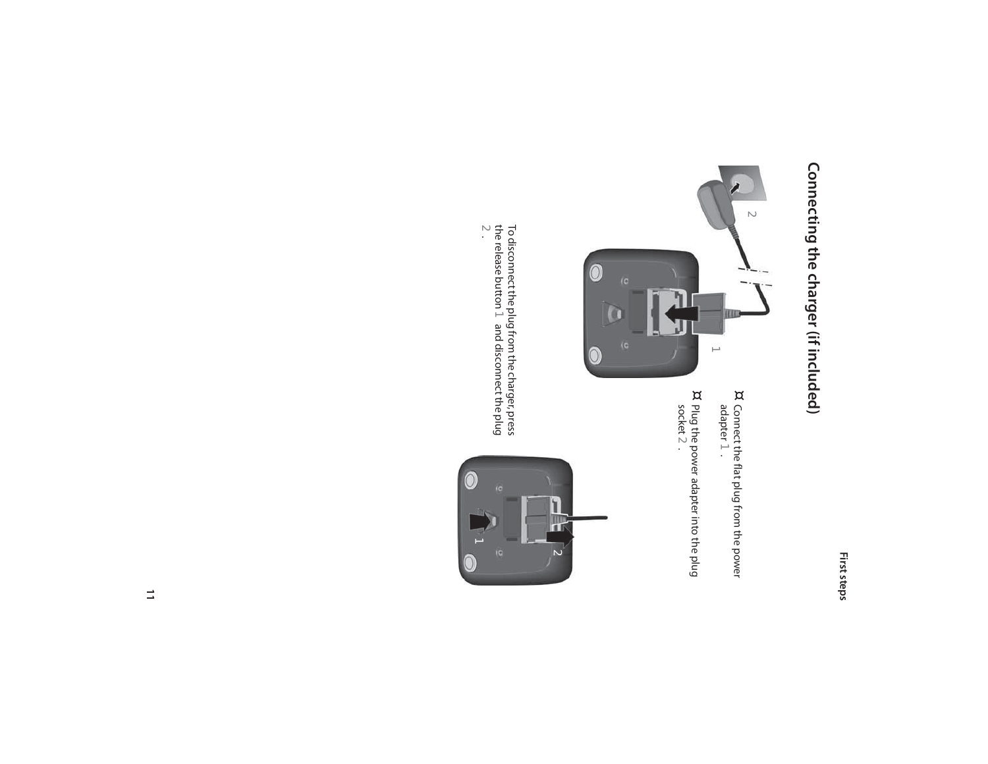## Connecting the charger (if included) **Connecting the charger (if included)**



¤ adapter Connect the flat plug from the power  $\overrightarrow{ }$ 

¤ socket Plug the power adapter into the plug  $\overline{\mathcal{C}}$ 

the release button To disconnect the plug from the charger, press 1 and disconnect the plug To disconnect the plug from the charger, press<br>the release button  $\, 1\,$  and disconnect the plug<br> $2.$ 

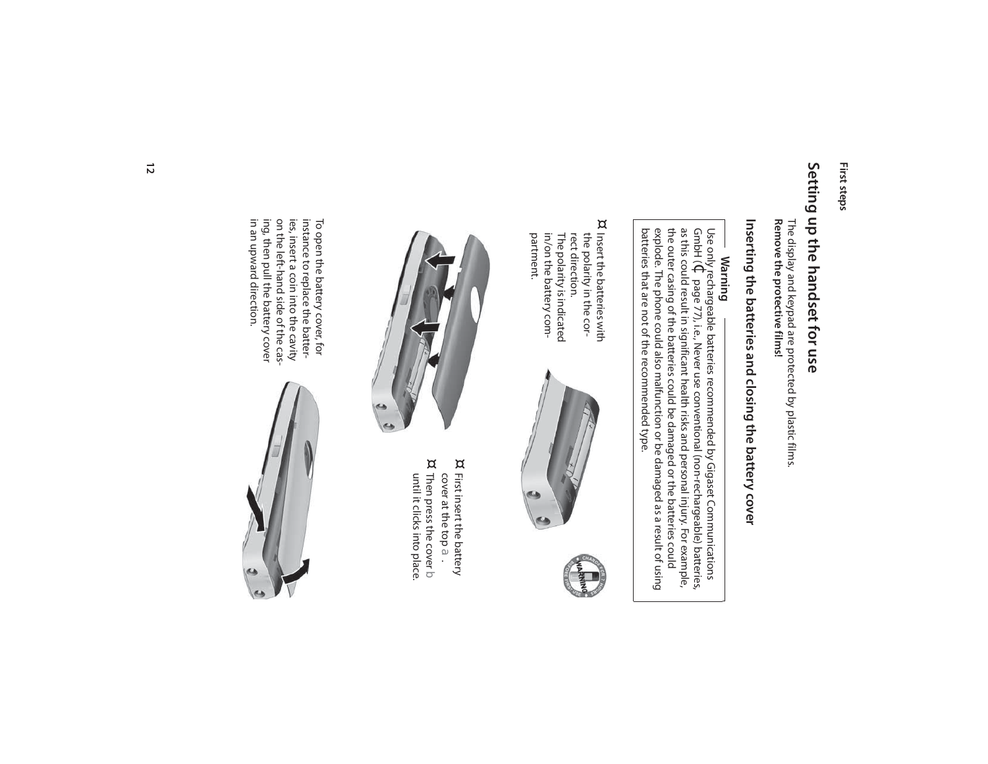## Setting up the handset for use **Setting up the handset for use**

The display and keypad are protected by plastic films.<br>Remove the protective films! **Remove the protective films!** The display and keypad are protected by plastic films.

## Inserting the batteries and closing the battery cover **Inserting the batteries and closing the battery cover**

### **Warning**

batteries that are not of the recommended type. batteries that are not of the recommended type. explode. The phone could also malfunction or be damaged as a result of using the outer casing of the batteries could as this could result in significant health risks and personal injury. For example, GmbH ( Use only rechargeable batteries recommended by Gigaset Communications  $\Theta$ page 77), i.e., Never use conventional (non-rechargeable) batteries, be damaged or the batteries could

¤ the polarity in the cor-Insert the batteries with The polarity is indicated<br>in/on the battery com-<br>partment. in/on the battery com-The polarity is indicated rect direction. rect direction. the polarity in the cor-Insert the batteries with





¤ First insert the battery cover at the top First insert the battery cover at the top a.  $^{\alpha}$  Then press the cover  $\mathfrak d$ <br>until it clicks into place. Then press the cover  $\triangleright$ 

until it clicks into place.

in an upward direction. in an upward direction. ing, then pull the battery cover ing, then pull the battery cover on the left-hand side of the cason the left-hand side of the casies, insert a coin into the cavity ies, insert a coin into the cavity instance to replace the batterinstance to replace the batter-To open the battery cover, for To open the battery cover, for

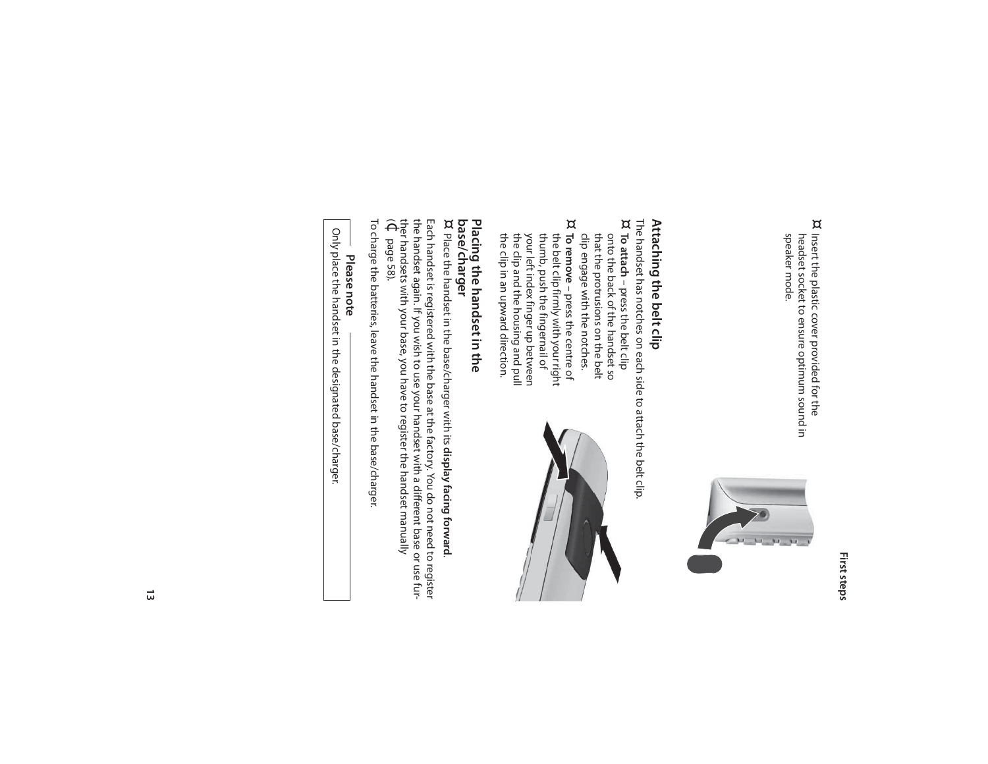¤ Insert the plastic cover provided for the speaker mode. headset socket to ensure optimum sound in speaker mode. headset socket to ensure optimum sound in Insert the plastic cover provided for the



### Attaching the belt clip **Attaching the belt clip**

- The handset has notches on each side to attach the belt clip<br>¤ To attach oress the belt clip The handset has notches on each side to attach the belt clip.
- clip engage with the notches. that the protrusions on the belt onto the back of the handset so **To attach**clip engage with the notches. that the protrusions on the belt onto the back of the handset so – press the belt clip
- ¤ the clip and the housing and pull<br>the clip in an upward direction. your left index finger up between thumb, push the fingernail of the belt clip firmly with your right the clip in an upward direction. the clip and the housing and pull your left index finger up between thumb, push the fingernail of the belt clip firmly with your right **To remove**– press the centre of



## Placing the handset in the **Placing the handset in the**

## **base/charger**

**base/charger**<br>¤ Place the handset in the base/charger with its **display facing forward**. Place the handset in the base/charger with its **display facing forward**.

the handset again. If you wish to use your handset with a different base or use fur-Each handset is registered with the base at the factory. You do not need to register  $\widehat{\Theta}$ ther handsets with your base, you have to register the handset manually the handset again. If you wish to use your handset with a different base or use fur-Each handset is registered with the base at the factory. You do not need to register page 58).

To charge the batteries, leave the handset in the base/charger. To charge the batteries, leave the handset in the base/charger.

## **Please note**

Only place the handset in the designated base/charger. Only place the handset in the designated base/charger.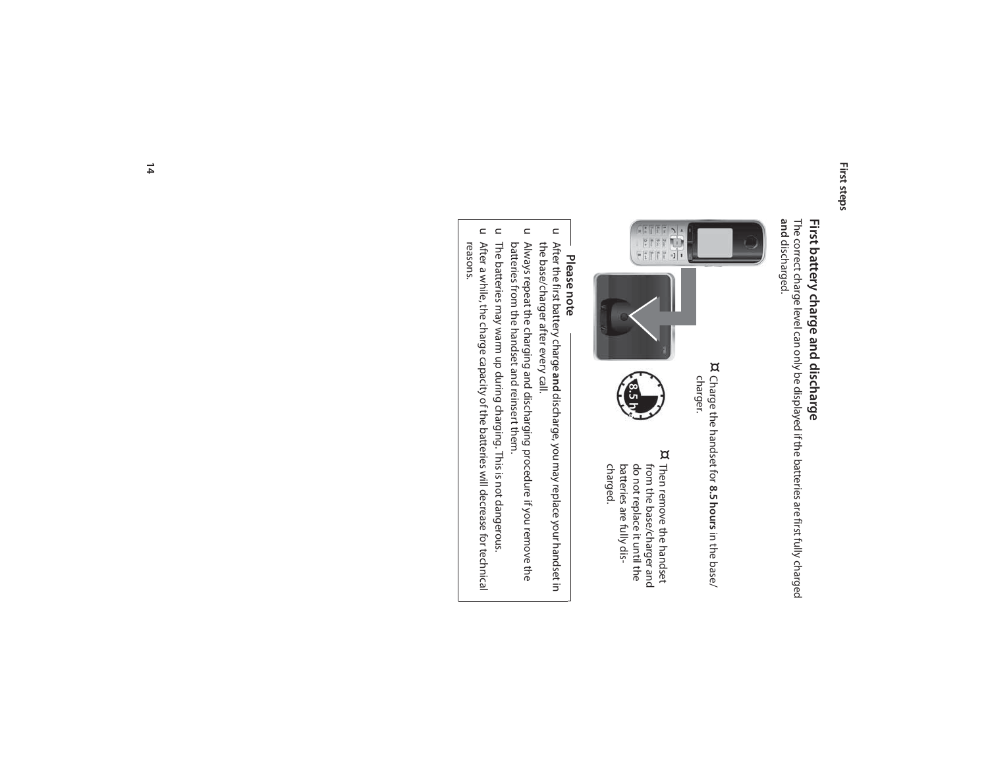## First battery charge and discharge **First battery charge and discharge**

The correct charge level can only be displayed if the batteries are first fully charged<br>**and** discharged. The correct charge level can only be displayed if the batteries are first fully charged discharged.



¤ Charge the handset for 8.5 hours in the base/ Charge the handset for **8.5 hours** in the base/ charger.



¤ charged. Then remove the handset batteries are fully disdo not replace it until the from the base/charger and batteries are fully disdo not replace it until the from the base/charger and Then remove the handset

## **Please note**

- u After the first battery charge and discharge, you may replace your handset in the base/charger after every call. the base/charger after every call. After the first battery charge **and** discharge, you may replace your handset in
- $\subset$ Always repeat the charging and discharging procedure if you remove the<br>batteries from the handset and reinsert them. batteries from the handset and reinsert them. Always repeat the charging and discharging procedure if you remove the
- $\subset$ The batteries may warm up during charging. This is not dangerous. The batteries may warm up during charging. This is not dangerous.
- $\subset$ After a while, the charge capacity of the batteries will decrease for technical<br>reasons. After a while, the charge capacity of the batteries will decrease for technical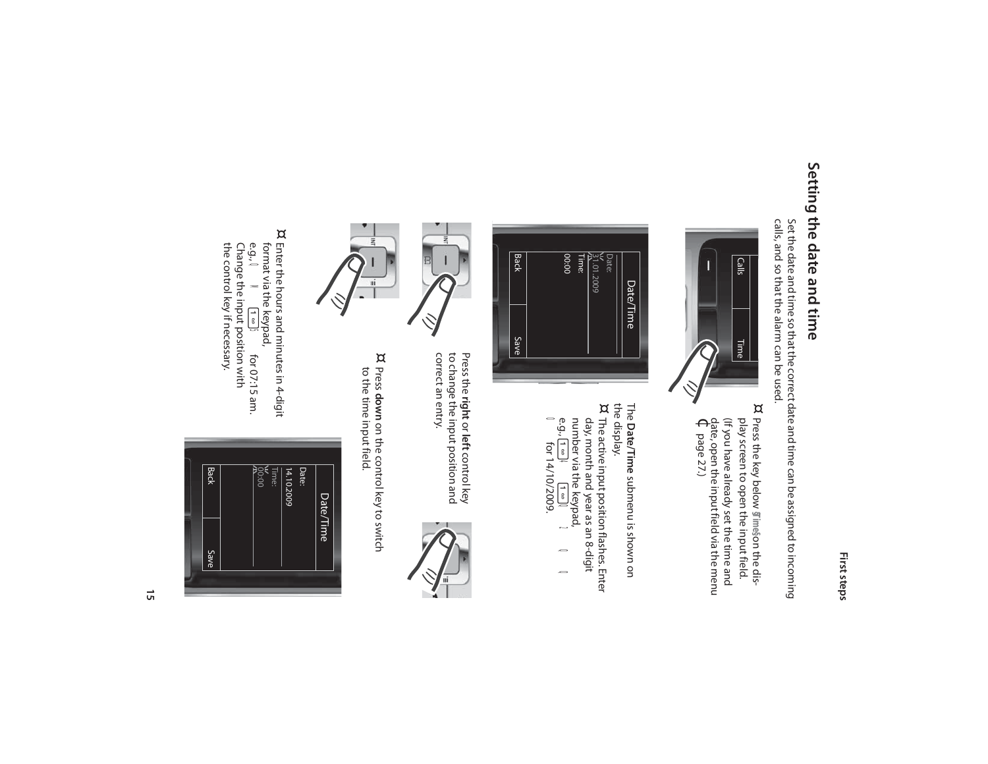## Setting the date and time **Setting the date and time**

Set the date and time so that the correct date and time can be assigned to incoming<br>calls, and so that the alarm can be used. calls, and so that the alarm can be used. Set the date and time so that the correct date and time can be assigned to incoming



(If you have already set the time and play screen to open the input field.  $\Theta$ date, open the input field via the menu (If you have already set the time and play screen to open the input field. Press the key below page 27.) **§Time§**on the dis-



The **Date/Time** submenu is shown on ¤ The active input position flashes. Enter the display. The active input position flashes. Enter

day, month and year as an 8-digit<br>number via the keypad,<br> $e.g.,\boxed{1\Rightarrow}\mathbf{Q}$   $\mathbf{Z}$   $\mathbf{Q}$   $\mathbf{Q}$   $\mathbf{Q}$ O for 14/10/2009. number via the keypad, day, month and year as an 8-digit U4UQ2QQ 0<br>0



correct an entry. to change the input position and correct an entry. to change the input position and Press the right or left control key Press the **right**or **left** control key



Press **down** on the control key to switch to the time input field.

¤



¤ Enter the hours and minutes in 4-digit<br>format via the keypad,<br>e.g.,  $\Omega$  **M**  $\overline{1 \cdot \omega}$  5 for 07:15 am. Change the input position with<br>the control key if necessary. the control key if necessary. Change the input position with format via the keypad, **ONVIE** 

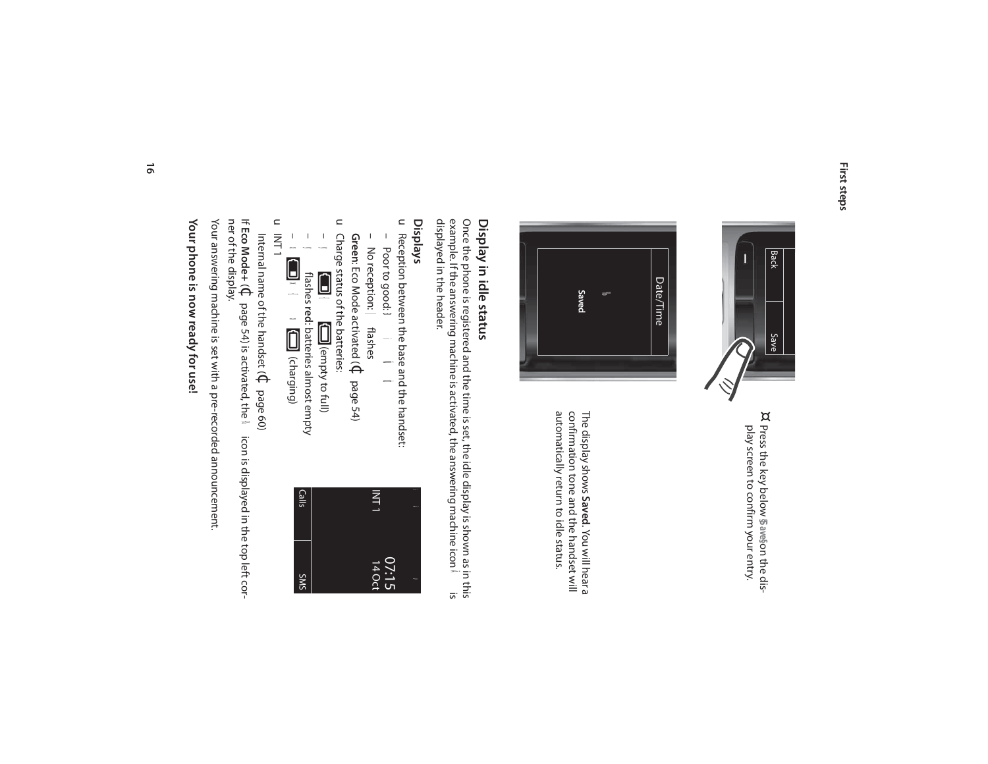

¤ Press the key below Saveson the display screen to confirm your entry. play screen to confirm your entry. Press the key below **§Save§** on the dis-



automatically return to idle status. The display shows Saved. You will hear a<br>confirmation tone and the handset will<br>of the particle of the mandset will automatically return to idle status. confirmation tone and the handset will The display shows **Saved**. You will hear a

#### Display in idle status **Display in idle status**

displayed in the header. displayed in the header. example. If the answering machine is activated, the answering machine icon Once the phone is registered and the time is set, the idle display is shown as in this Ãis

#### **Displays**

u Reception between the base and the handset:<br>
– Poor to good: **□ i Ñ Ô** Reception between the base and the handset:

> i Ã

 $\breve{\phantom{1}}$ 

07:15 14 Oct

INT 1

– No reception: – Poor to good: No reception: | flashes Poorto good:<sup>1</sup> ÐiÑÒ

**Green**: Eco Mode activated ( $\mathbb{C}$ page 54)

u Charge status of the batteries: Charge status of the batteries:



**Jx** ×{<br>N∩ **x** 

Calls

SMS

 $\subset$ INT 1

Internal name of the handset (  $\Theta$ page 60)

If **Eco Mode+** (¢page 54) is activated, the  $\mathbf{v}_i$  icon is displayed in the top left corner of the display.

Your answering machine is set with a pre-recorded announcement. Your answering machine is set with a pre-recorded announcement.

Your phone is now ready for use! **Your phone is now ready for use!**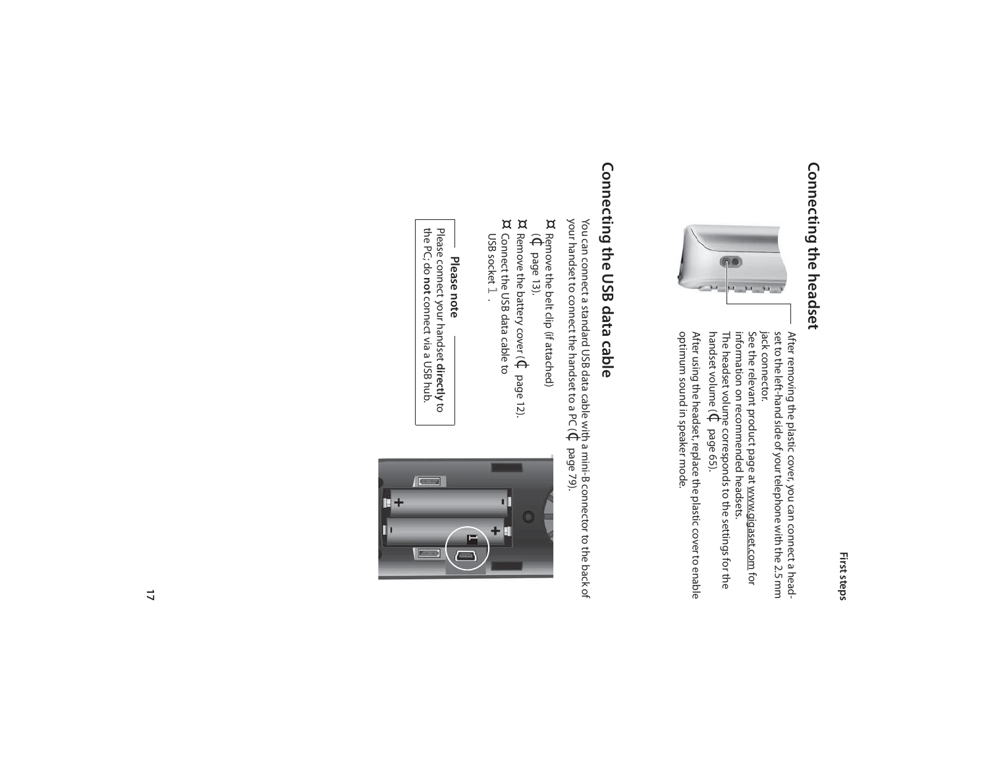## Connecting the headset **Connecting the headset**



jack connector. After removing the plastic cover, you can connect a head-<br>set to the left-hand side of your telephone with the 2.5 mm See the relevant product page at www.gigaset.com jack connector. set to the left-hand side of your telephone with the 2.5 mm After removing the plastic cover, you can connect a head-

See the relevant product page at <u>www.gigaset.com</u> for<br>information on recommended headsets. handset volume ( The headset volume corresponds to the settings for the information on recommended headsets.  $\Theta$ page 65).

optimum sound in speaker mode. After using the headset, replace the plastic cover to enable optimum sound in speaker mode. After using the headset, replace the plastic cover to enable

## Connecting the USB data cable **Connecting the USB data cable**

your handset to connect the handset to a PC ( You can connect a standard USB data cable with a mini-B connector to the back of  $\Theta$ page 79).

- ¤<br>¤e<del>n</del> Remove the belt clip (if attached)
- page 13).
- ¤ Remove the battery cover ( $\Theta$ page 12). ¤ Connect the USB data cable to
- USB socket  $\overrightarrow{ }$

**Please note** Please connect your handset **directly** $\overline{\texttt{c}}$ the PC; do **not**connect via a USB hub.

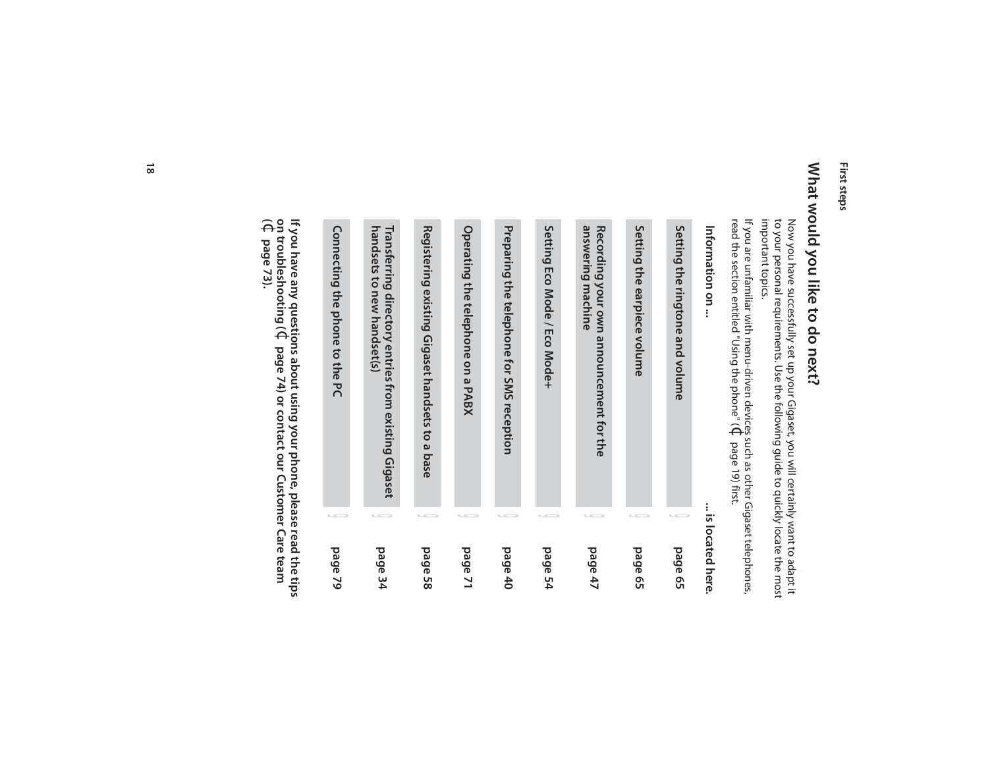## What would you like to do next? **What would you like to do next?**

Now you have successfully set up your Gigaset, you will certainly want to adapt it<br>to your personal requirements. Use the following guide to quickly locate the most<br>important topics. important topics. to your personal requirements. Use the following guide to quickly locate the most Now you have successfully set up your Gigaset, you will certainly want to adapt it

read the section entitled "Using the phone" ( If you are unfamiliar with menu-driven devices such as other Gigaset telephones, If you are unfamiliar with menu-driven devices such as other Gigaset telephones,<br>read the section entitled "Using the phone" ( $\mathfrak Q$  page 19) first. page 19) first.

| Connecting the phone to the PC | handsets to new handset(s)<br>Transferring directory entries from existing Gigaset | Registering existing Gigaset handsets to a base | Operating the telephone on a PABX | Preparing the telephone for SMS reception | Setting Eco Mode / Eco Mode+ | answering machine<br>Recording your own announcement for the | Setting the earpiece volume | Setting the ringtone and volume | Information on   |
|--------------------------------|------------------------------------------------------------------------------------|-------------------------------------------------|-----------------------------------|-------------------------------------------|------------------------------|--------------------------------------------------------------|-----------------------------|---------------------------------|------------------|
|                                |                                                                                    |                                                 |                                   |                                           |                              |                                                              |                             |                                 |                  |
| page 79                        | page 34                                                                            | page 58                                         | page 71                           | bage 40                                   | page 54                      | page 47                                                      | page 65                     | page 65                         | is located here. |

**on troubleshooting ( If you have any questions about using your phone, please read the tips**   $\Theta$ **page 74) or contact our Customer Care team**  ¢**( page 73).**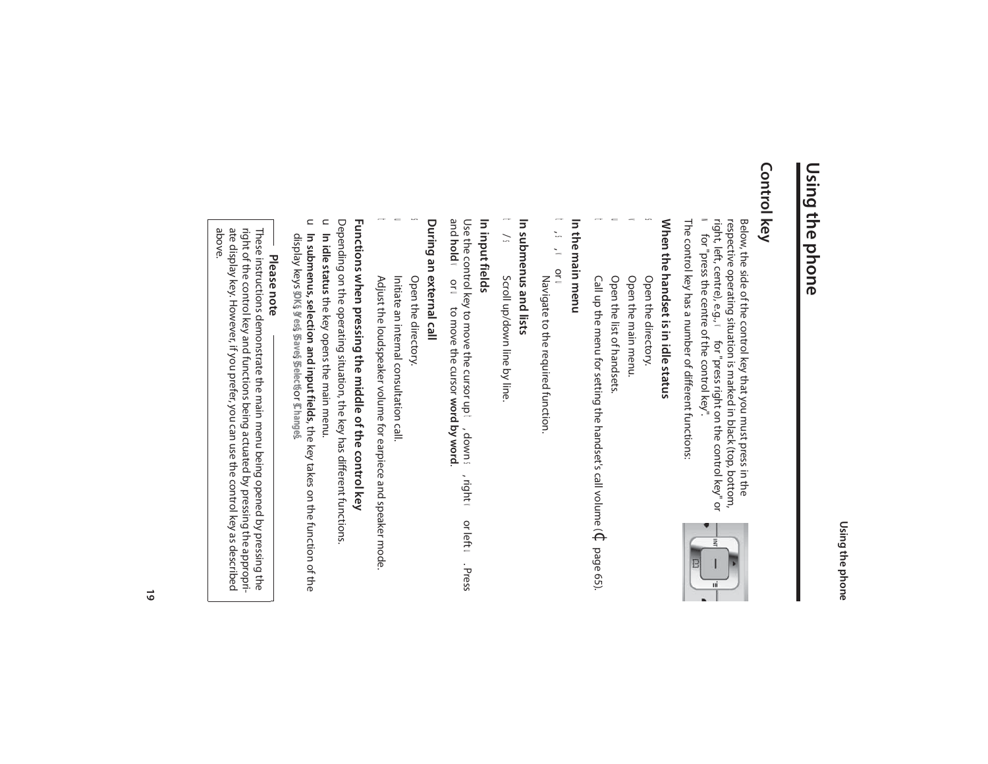## **Control key**

right, left, centre), e.g., respective operating situation is marked in black (top, bottom, Below, the side of the control key that you must press in the Below, the side of the control key that you must press in the respective operating situation is marked in black (top, bottom, right, left, centre), e.g.,  $\bm{\mathsf{v}}$  for "press right on the control key" or wight, left, cent for "press right on the control key" or w for "press the centre of the control key".

The control key has a number of different functions: The control key has a number of different functions:

## When the handset is inidle status **When the handset is in idle status**

- s Open the directory. Open the directory.
- $\leq$ v Open the main menu. Open the main menu.
- u Open the list of handsets. Open the list of handsets.
- $\mathbf{C}$ t
- Call up the menu for setting the handset's call volume (  $\mathbb C$ Call up the menu for setting the handset's call volume ( $\Phi$  page 65).

#### In the main menu **In the main menu**

- t , s, v or u
- Navigate to the required function. Navigate to the required function.

### In submenus and lists **In submenus and lists**

t  $\overline{\mathbf{y}}$ Scroll up/down line by line. Scroll up/down line by line

#### In input fields **In input fields**

Use the control key to move the cursor up t, down s, right **v** or left **u.** Press and **hold**  $\blacktriangleleft$ or u to move the cursor **word by word**.

### During an external call **During an external call**

- s Open the directory. Open the directory.
- u Initiate an internal consultation call. Initiate an internal consultation call.
- Adjust the loudspeaker volume for earpiece and speaker mode. Adjust the loudspeaker volume for earpiece and speaker mode.

d.

C

## Functions when pressing the middle of the control key **Functions when pressing the middle of the control key**

Depending on the operating situation, the key has different functions Depending on the operating situation, the key has different functions.

- u In idle status the key opens the main menu. **In idle status** the key opens the main menu.  $\subset$
- **In submenus, selection and input fields**, the key takes on the function of the display keys **§OK§**, **§Yes§**, **§Save§**, **§Select§**or **§Change§**.

## **Please note**

ate display key. However, if you prefer, you can use the control key as described<br>above. These instructions demonstrate the main menu being opened by pressing the<br>right of the control key and functions being actuated by pressing the appropriate display key. However, if you prefer, you can use the control key as described right of the control key and functions being actuated by pressing the appropri-These instructions demonstrate the main menu being opened by pressing the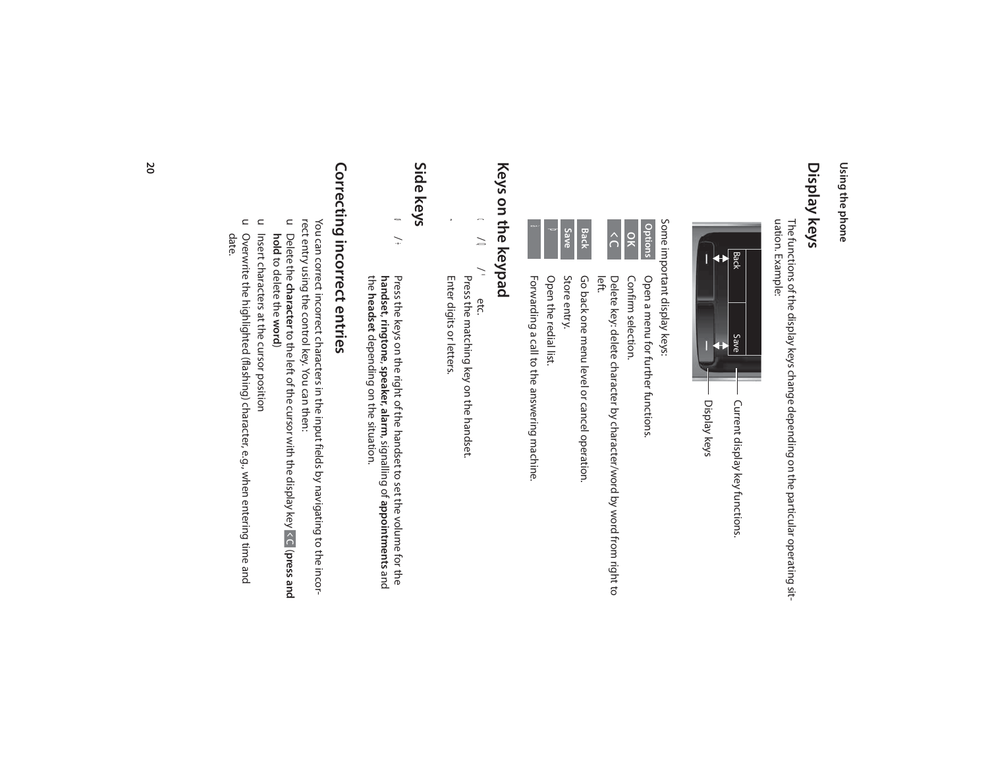#### Display keys **Display keys**

The functions of the display keys change depending on the particular operating sit-<br>uation. Example: uation. Example: The functions of the display keys change depending on the particular operating sit-



Some important display keys: Some important display keys:

|--|--|--|

Confirm selection.

Confirm selection.

Open a menu for further functions.

Open a menu for further functions.

left. Delete key: delete character by character/word by word from right to Delete key: delete character by character/word by word from right to



Open the redial list. Open the redial list.

Forwarding a call to the answering machine. Forwarding a call to the answering machine.

## Keys on the keypad **Keys on the keypad**

c/ Q/ \*etc.

Press the matching key on the handset.

Enter digits or letters. Enter digits or letters.

~

## **Side keys**

ø / ÷ **handset** Press the keys on the right of the handset to set the volume for the , **ringtone**, **speaker**, **alarm**, signalling of **appointments** and the **headset**depending on the situation.

## Correcting incorrect entries **Correcting incorrect entries**

rect entry using the control key. You can then: You can correct incorrect characters in the input fields by navigating to the incorrect entry using the control key. You can then: You can correct incorrect characters in the input fields by navigating to the incor-

- $\subset$ Delete the **character** to the left of the cursor with the display key (**press and hold** to delete the **word**)
- u Insert characters at the cursor position Insert characters at the cursor position
- u Overwrite the highlighted (flashing) character, e.g., when entering time and date. Overwrite the highlighted (flashing) character, e.g., when entering time and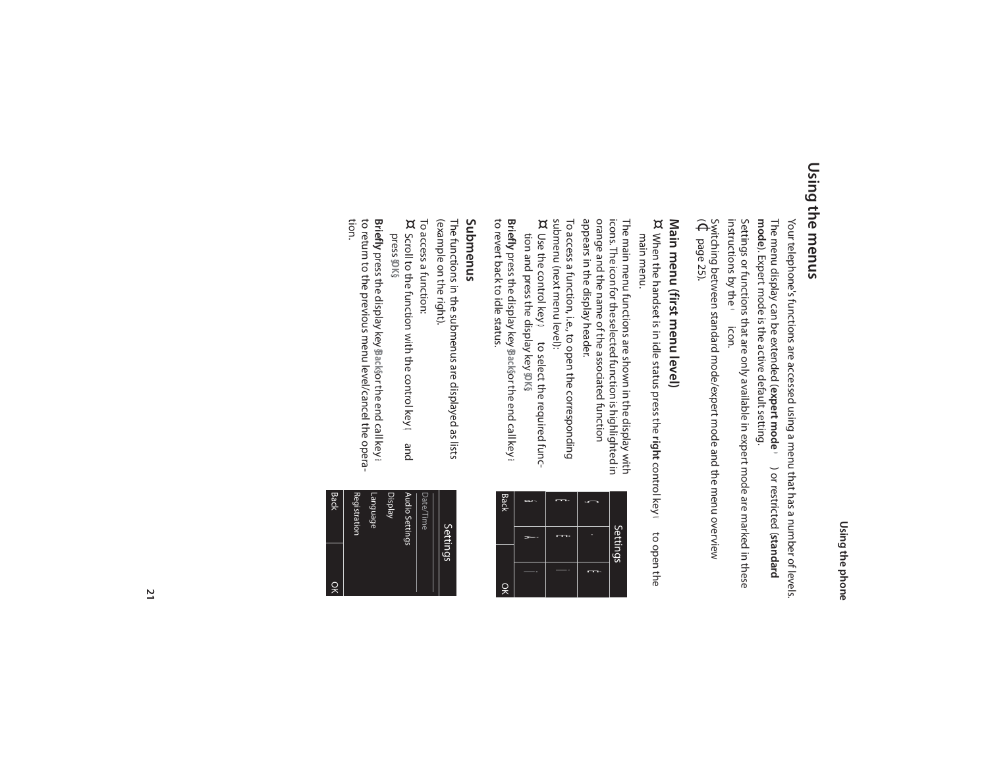#### Using the menus **Using the menus**

Your telephone's functions are accessed using a menu that has a number of levels. mode). Expert mode is the active default setting. The menu display can be extended (expert mode (b) or restricted (standard **mode**). Expert mode is the active default setting. The menu display can be extended ( Your telephone's functions are accessed using a menu that has a number of levels. **expert mode** •) or restricted (**standard** 

instructions by the Settings or functions that are only available in expert mode are marked in these Settings or functions that are only available in expert mode are marked in these<br>instructions by the ● icon.

 $\widehat{\Theta}$ Switching between standard mode/expert mode and the menu overview page 25).

## **Main menu (first menu level)**

Main menu (first menu level)<br>¤ When the handset is in idle status press the right control key  $\bf v$  to open the When the handset is in idle status press the right control key **v**  to open the main menu.

The main menu functions are shown in the display with<br>icons. The icon for the selected function is highlighted in<br>orange and the name of the associated function orange and the name of the associated function icons. The icon for the selected function is highlighted in The main menu functions are shown in the display with

appears in the display header. appears in the display header.

submenu (next menu level):<br>¤ Use the control key ➡ to select the required func-To access a function, i.e., to open the corresponding submenu (next menu level): To access a function, i.e., to open the corresponding

tion and press the display key DK\$ tion and press the display key **§OK§**. Use the control key p to select the required func-

to revert back to idle status. **Briefly** press the display key pack sorthe end call key to revert back to idle status. press the display key **§Back§**or the end call key a

## **Submenus**

(example on the right). The functions in the submenus are displayed as lists (example on the right). The functions in the submenus are displayed as lists

- To access a function:
- ¤ Scroll to the function with the control key **q** and press **§OK§**.

**Briefly** press the display key packsor the end call key press the display key **§Back§** or the end call key a to return to the previous menu level/cancel the opera-<br>tion. to return to the previous menu level/cancel the opera-

| Back | T) | К) |          |
|------|----|----|----------|
|      | μβ |    | Settings |
| 잊    |    | Щ  |          |

| Settings            |
|---------------------|
| Date/Time           |
| Audio Settings      |
| Display             |
| Language            |
| <b>Registration</b> |
| <b>Back</b><br>òK   |
|                     |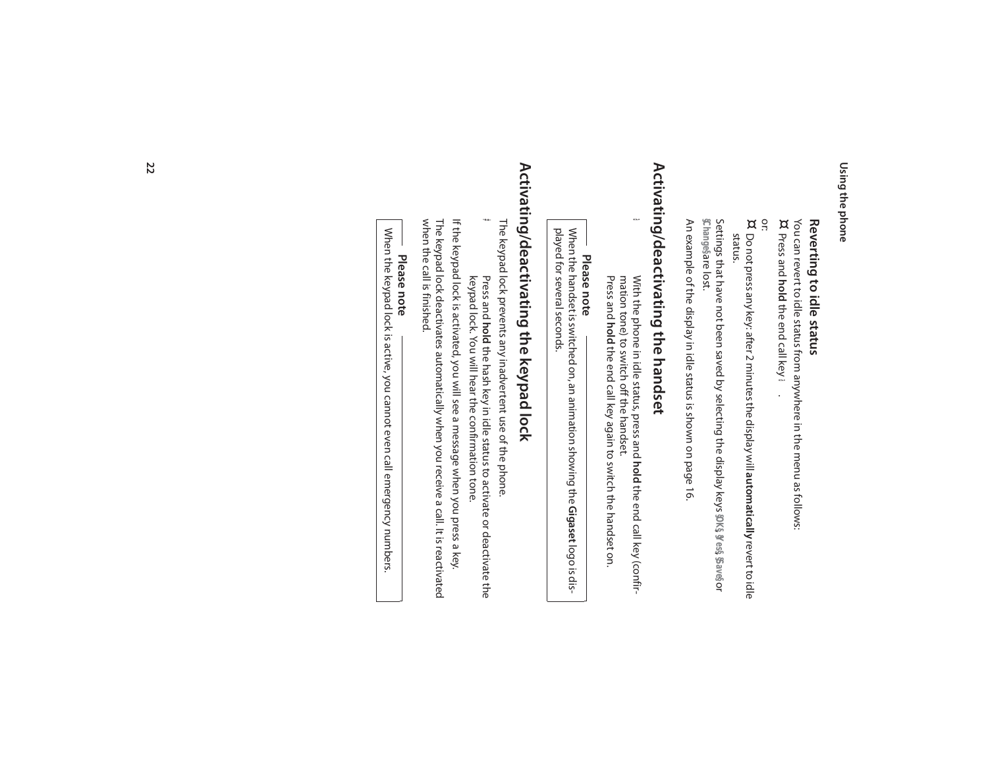## Reverting to idle status **Reverting to idle status**

¤ You can revert to idle status from anywhere in the menu as follows: Press and **hold** the end call key a.

or:

¤ Do not press any key: after 2 minutes the display will automatically revert to idle Do not press any key: after 2 minutes the display will **automatically** revert to idle status.

**Changesare lost. §Change§** are lost. Settings that have not been saved by selecting the display keys **§OK§**, **§Yes§**, **§Save§**or

An example of the display in idle status is shown on page 16. An example of the display in idle status is shown on page 16.

## Activating/deactivating the handset **Activating/deactivating the handset**

a

With the phone in idle status, press and hold the end call key (confir-Press and hold the end call key again to switch the handset on. mation tone) to switch off the handset: mation tone) to switch off the handset. With the phone in idle status, press and **hold** the end call key again to switch the handset on. **hold** the end call key (confir-

## **Please note**

played for several seconds. When the handset is switched on, an animation showing the Gigaset logo is displayed for several seconds. When the handset is switched on, an animation showing the **Gigaset** logo is dis-

## Activating/deactivating the keypad lock **Activating/deactivating the keypad lock**

The keypad lock prevents any inadvertent use of the phone The keypad lock prevents any inadvertent use of the phone.

# keypad lock. You will hear the confirmation tone. Press and hold the hash key in idle status to activate or deactivate the keypad lock. You will hear the confirmation tone. **hold** the hash key in idle status to activate or deactivate the

when the call is finished. The keypad lock deactivates automatically when you receive a call. It is reactivated If the keypad lock is activated, you will see a message when you press a key. when the call is finished. The keypad lock deactivates automatically when you receive a call. It is reactivated If the keypad lock is activated, you will see a message when you press a key.

## **Please note**

When the keypad lock is active, you cannot even call emergency numbers. When the keypad lock is active, you cannot even call emergency numbers.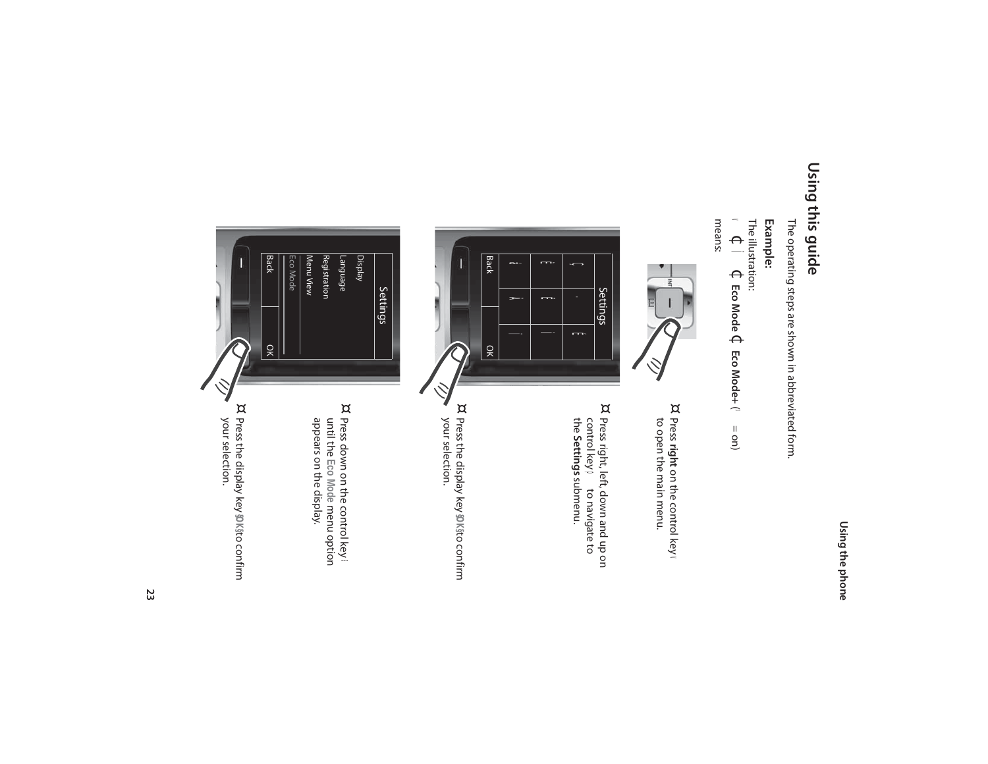#### Using this guide **Using this guide**

The operating steps are shown in abbreviated form. The operating steps are shown in abbreviated form.

#### **Example:**

 $\blacktriangleleft$ The illustration:  $\Theta$ Ï $\Theta$ **Eco Mode** ¢**Eco Mode+** (³ = on)

means:



¤

Press **right** on the control key  $\blacktriangleleft$ to open the main menu.



control key<br>the **Setting** 

**Settings** submenu.

Press right, left, down and up on p to navigate to

¤ Press the display key **§OK§** to confirm your selection.



Press down on the control key **い** until the **Eco Mode** menu option appears on the display.

¤ Press the display key **@K**§to confirm<br>your selection. Press the display key **§OK§** to confirm your selection.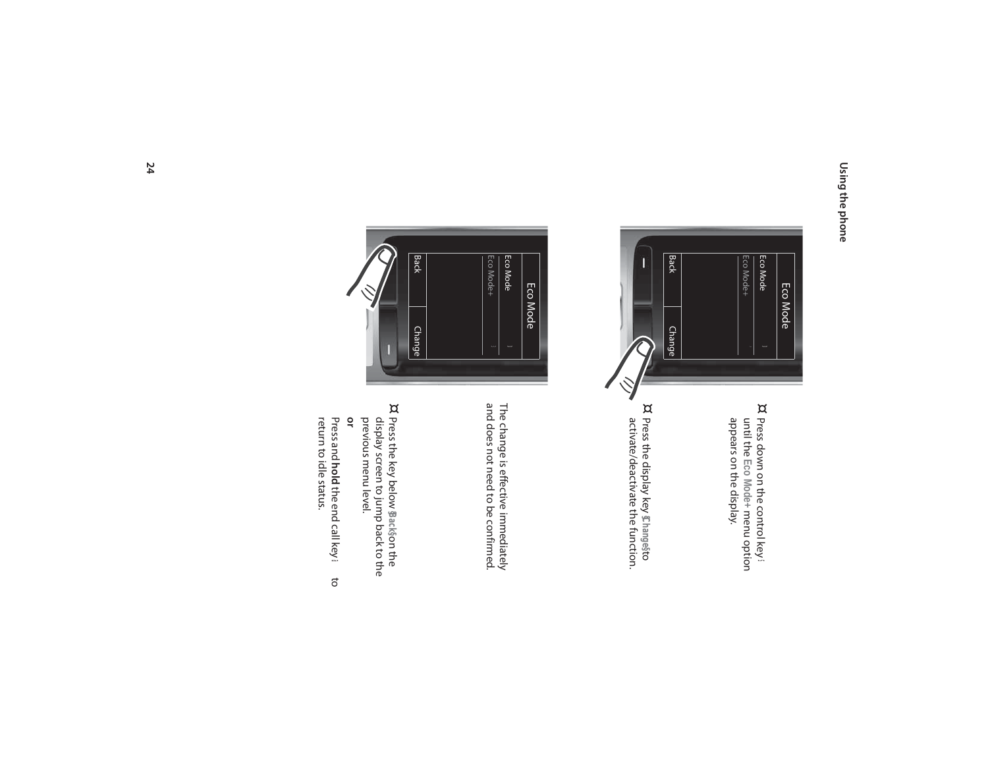

- ¤ Press down on the control key **s** until the **Eco Mode+** menu option appears on the display.
- ¤ Press the display key **§Change§** to activate/deactivate the function.



The change is effective immediately<br>and does not need to be confirmed. and does not need to be confirmed. The change is effective immediately

¤ Press the key below **§Back§** on the **or** previous menu level. display screen to jump back to the

Press and **hold** the end call key **a** to<br>return to idle status. hold the end call key a to return to idle status.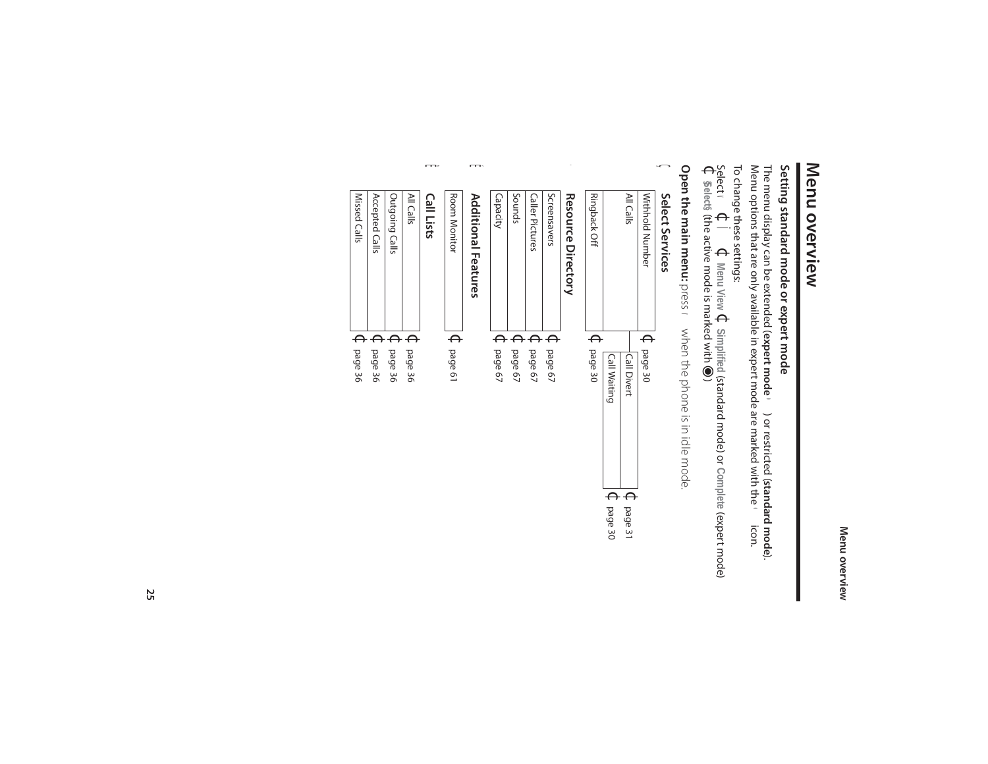#### Menu overview **Menu overview**

## Setting standard mode or expert mode **Setting standard mode or expert mode**

The menu display can be extended ( **expert mode**•) or restricted (**standard mode**). Menu options that are only available in expert mode are marked with the •icon.

## To change these settings:

Select  $\blacktriangleleft$  $\Theta$ Ï $\Theta$ **Menu View** $\Theta$ **Simplified** (standard mode) or **Complete** (expert mode)  $\Theta$ **§Select§** (the active mode is marked with  $\bigcirc$ )

**Open the main menu:** press **v** when the phone is in idle mode. **Open the main menu:** press ven the phone is in idle mode.

#### Ç Select Services **Select Services**

| $\mathbb{C}$ page 30<br>$\mathsf{C}$ page 30<br><b>Call Divert</b><br><b>Call Waiting</b> |
|-------------------------------------------------------------------------------------------|
|                                                                                           |

Screensavers Caller Pictures

Caller Pictures

Sounds

Capacity

 $\Theta$ 

 $\Theta$ 

 $\Theta$ 

page 67

page 67

page 67

#### **h** Room M **Additional Features Additional Features**

| ROOM MONITOR<br>ຸ |  |
|-------------------|--|
| page o            |  |

#### Ê **Call Lists**

| Missed Calls<br>All Calls<br>Outgoing Calls<br>Accepted Calls<br>$\Theta$<br>$\epsilon$<br>$\epsilon$<br>$\leftrightarrow$<br>page 36<br>page 36<br>page 36<br>page 36 |  |
|------------------------------------------------------------------------------------------------------------------------------------------------------------------------|--|
|                                                                                                                                                                        |  |
|                                                                                                                                                                        |  |
|                                                                                                                                                                        |  |
|                                                                                                                                                                        |  |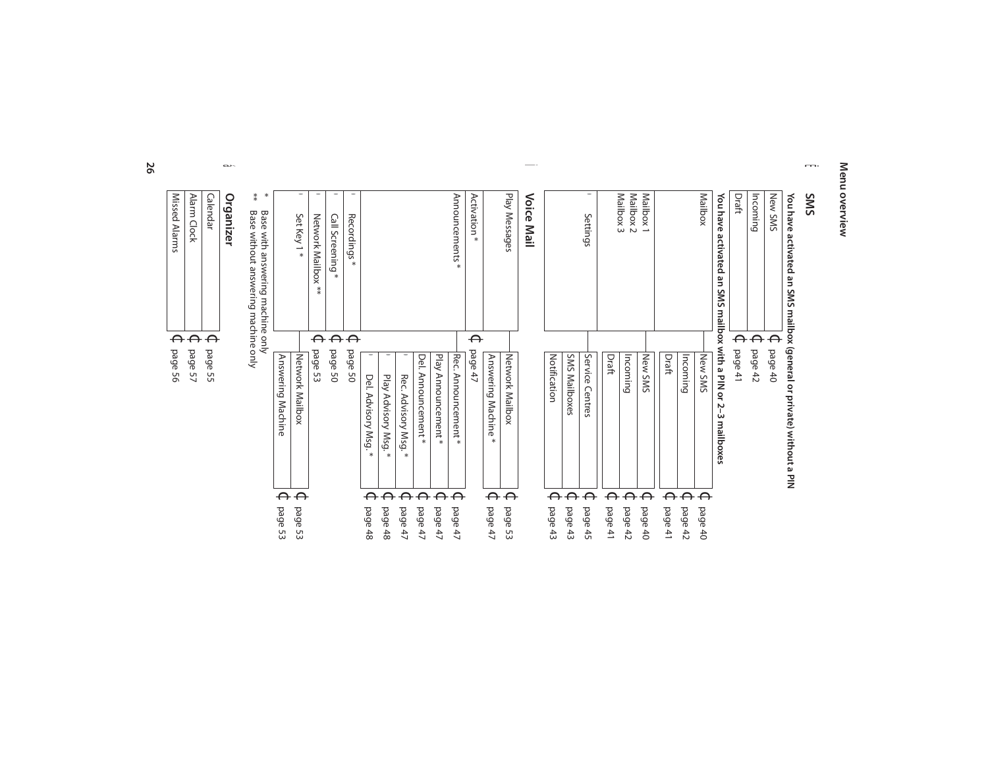#### Menu overview **Menu overview**

#### Ë **SMS**

# **You have activated an SMS mailbox (general or private) without a PIN**

| <b>a</b> ded<br><b>abed</b> | page 50<br>page 53<br>Network Mailbox<br>Answering Machine | $\Theta$<br>⊖ | ●<br>٠<br>Base with answering machine only<br>Set Key 1*<br>Network Mailbox **<br>Call Screening<br>$\ast$ | $\ast$ |
|-----------------------------|------------------------------------------------------------|---------------|------------------------------------------------------------------------------------------------------------|--------|
|                             | <b>a</b> bed<br>SO                                         | $\Theta$      | $\bullet$<br>Recordings*                                                                                   |        |
|                             | Del. Advisory Msg.<br>$\ast$                               |               |                                                                                                            |        |
|                             | 0<br>Play Advisory Msg.*                                   |               |                                                                                                            |        |
|                             | Rec.<br>Advisory Msg.<br>$\ast$                            |               |                                                                                                            |        |
|                             | Del. Announcement *                                        |               |                                                                                                            |        |
|                             | Play Announcement<br>$\ast$                                |               |                                                                                                            |        |
|                             | Rec. Announcement *                                        |               | Announcements <sup>*</sup>                                                                                 |        |
|                             | page 47                                                    | ⊖             | Activation<br>$\ast$                                                                                       |        |
| ⊖                           | Answering Machine<br>$*$                                   |               |                                                                                                            |        |
| ⊖                           | Network Mailbox                                            |               | Play Messages                                                                                              |        |
|                             |                                                            |               | Voice Mail                                                                                                 |        |
|                             | Notification                                               |               |                                                                                                            |        |
|                             | <b>SMS Mailboxes</b>                                       |               |                                                                                                            |        |
| ⊖                           | Service<br>Centres                                         |               | Settings                                                                                                   |        |
| A                           | Draft                                                      |               |                                                                                                            |        |
|                             | Incoming                                                   |               | Mailbox 3<br>Mailbox <sub>2</sub>                                                                          |        |
| ⊖                           | New SMS                                                    |               | Mailbox <sub>1</sub>                                                                                       |        |
|                             | Draft                                                      |               |                                                                                                            |        |
|                             | Incoming                                                   |               |                                                                                                            |        |
|                             | New SMS                                                    |               | Mailbox                                                                                                    |        |
|                             | activated an SMS mailbox with a PIN or 2-3 mailboxes       |               | You have                                                                                                   |        |
|                             | page 41                                                    | ╒             | Draft                                                                                                      |        |
|                             | page $42$                                                  |               | Incoming                                                                                                   |        |
|                             | page40                                                     |               | New SMS                                                                                                    |        |

Ì

⇒\* Base with answering inactime only<br>\*\* Base without answering machine only \*\* Base without answering machine only

#### á **Organizer**

| page 56 | Missed Alarms |
|---------|---------------|
| page 57 | Alarm Clock   |
| page 55 | Calendar      |
|         |               |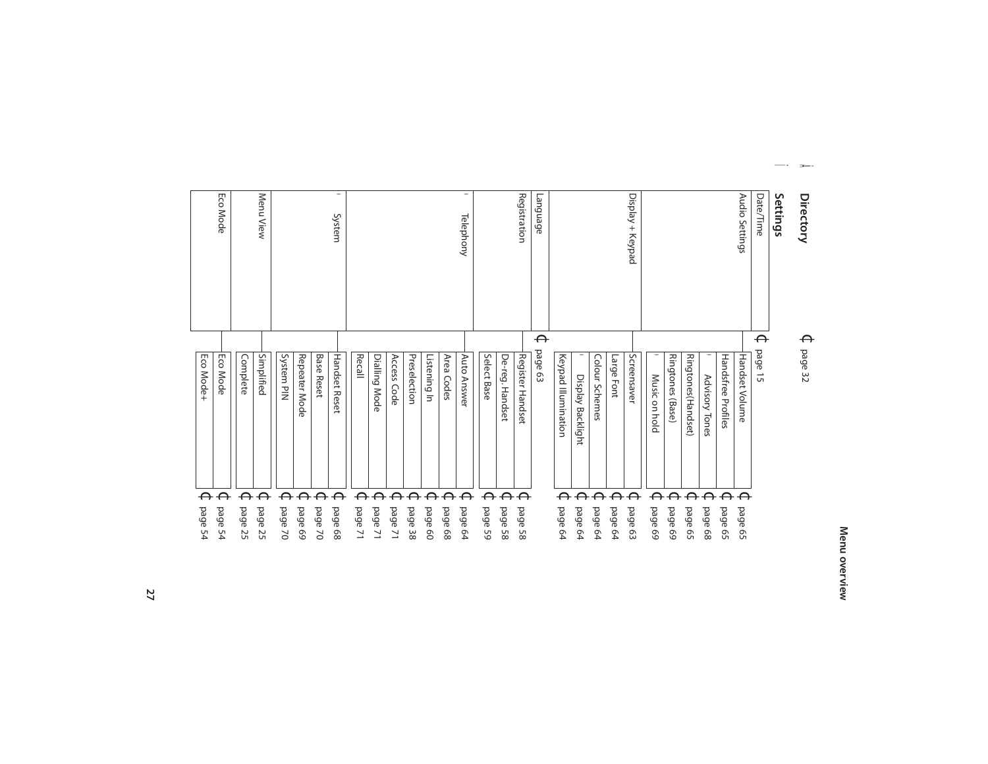### **Directory**

Â

#### $\Theta$ page 32

#### Ï **Settings**

| Settings               |                       |                                   |
|------------------------|-----------------------|-----------------------------------|
| Date/Time              | ⊖<br>page 15          |                                   |
| Audio Settings         | Handset Volume        | ⊖<br>page 65                      |
|                        | Handsfree Profiles    | $\Theta$<br>page 65               |
|                        | Advisory Tones        | ⊖<br><b>abed</b><br>89            |
|                        | Ringtones(Handset)    | ⊖<br>page 65                      |
|                        | Ringtones<br>(Base)   | $\Theta$<br><b>a</b> Sed<br>69    |
|                        | Music on hold         | ⊖<br>bage 69                      |
| Display + Keypad       | Screensaver           | $\leftrightarrow$<br>page 63      |
|                        | Large Font            | $\Theta$<br>page 64               |
|                        | Colour Schemes        | ⊖<br>page 64                      |
|                        | Display Backlight     | $\Theta$<br>page 64               |
|                        | Keypad Illumination   | ⊖<br>page 64                      |
| anguage                | $\Theta$<br>page 63   |                                   |
| Registration           | Register Handset      | $\Theta$<br>page 58               |
|                        | De-reg.<br>Handset    | $\Theta$<br><b>a</b> ded<br>85    |
|                        | Select Base           | ⊖<br><b>abed</b><br>99            |
| $\bullet$<br>Telephony | <b>Auto</b><br>Answer | ⊖<br><b>a</b> ded<br>64           |
|                        | Area Codes            | ⊖<br>page 68                      |
|                        | Listening In          | $\Theta$<br><b>abed</b><br>8      |
|                        | Preselection          | $\Theta$<br><b>abed</b><br>38     |
|                        | Access Code           | ⊖<br><b>a</b> ded<br>$\geq$       |
|                        | Dialling Mode         | ⊖<br><b>bed</b><br>$\geq$         |
|                        | Recall                | $\Theta$<br><b>a</b> ded<br>コ     |
| $\bullet$<br>System    | <b>Handset Reset</b>  | $\Theta$<br>page 68               |
|                        | <b>Base Reset</b>     | $\Theta$<br><b>abed</b><br>$\geq$ |
|                        | Repeater Mode         | $\Theta$<br>bage 69               |
|                        | System PIN            | ⊖<br><b>abed</b><br>$\geq$        |
| Menu View              | Simplified            | $\Theta$<br>page 25               |
|                        | Complete              | ⊖<br><b>abed</b><br>25            |
| Eco Mode               | Eco Mode              | $\Theta$<br><b>abed</b><br>54     |

**27**

Eco Mode+

 $\Theta$ 

page 54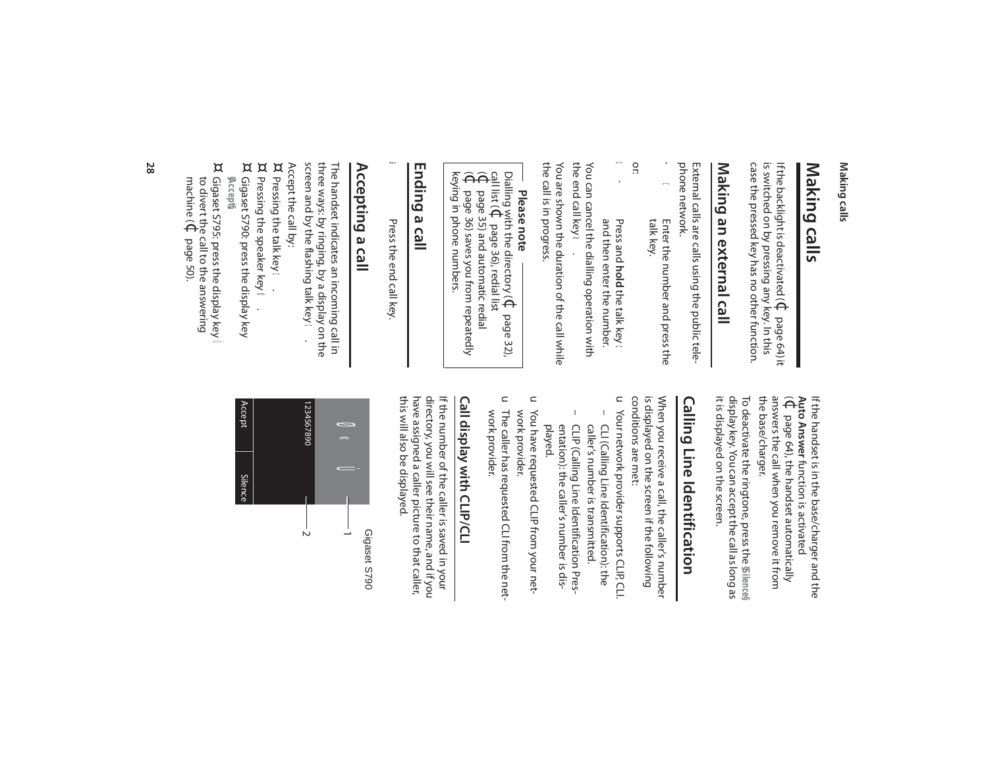#### Making calls **Making calls**

#### Making calls **Making calls**

case the pressed key has no other function. case the pressed key has no other function. is switched on by pressing any key. In this is switched on by pressing any key. In this If the backlight is deactivated (  $\Theta$ page 64) it

## Making an external call **Making an external call**

phone network. phone network. External calls are calls using the public tele-External calls are calls using the public tele-

- $\frac{\imath}{\Omega}$ Enter the number and press the<br>talk key. Enter the number and press the
- or:
- **ิ**<br>≀ Press and **hold** the talk key  $\boldsymbol{\mathsf{\Omega}}$ and then enter the number. You can cancel the dialling operation with

You are shown the duration of the call while You are shown the duration of the call while You can cancel the dialling operation with<br>the end call key **a** . the end call key

the call is in progress. the call is in progress.

## **Please note**

Dialling with the directory ( $\mathbb G$ page 32),  $\begin{array}{c} \mathbf{call} \ \mathbf{list} \ \mathbf{f} \ \mathbf{e} \ \mathbf{e} \ \mathbf{e} \ \mathbf{f} \ \mathbf{e} \ \mathbf{e} \ \mathbf{f} \ \mathbf{f} \ \mathbf{e} \ \mathbf{f} \ \mathbf{f} \ \mathbf{f} \ \mathbf{f} \ \mathbf{f} \ \mathbf{f} \ \mathbf{f} \ \mathbf{f} \ \mathbf{f} \ \mathbf{f} \ \mathbf{f} \ \mathbf{f} \ \mathbf{f} \ \mathbf{f} \ \mathbf{f} \ \mathbf{f} \ \mathbf{f} \ \mathbf{f} \ \mathbf$ page 36), redial list

- page 35) and automatic redial
- page 36) saves you from repeatedly
- keying in phone numbers.

#### Ending a call **Ending a call**

Press the end call key Press the end call key.

a

#### Accepting a call **Accepting a call**

three ways: by ringing, by a display on the<br>screen and by the flashing talk key ← . screen and by the flashing talk key three ways: by ringing, by a display on the The handset indicates an incoming call in The handset indicates an incoming call in

- Accept the call by: Pressing the talk key
- ¤  $\ddot{\mathbf{0}}$ ¤
- ¤ Pressing the speaker key Gigaset S790: press the display key Pressing the speaker key **d**.
- **§Accept§** . ¤
- Gigaset S795: press the display key Gigaset S795: press the display key machine ( to divert the call to the answering  $\Theta$ page 50).

the base/charger. answers the call when you remove it from the base/charger. answers the call when you remove it from  $\widehat{\Theta}$ **Auto Answer** If the handset is in the base/charger and the If the handset is in the base/charger and the page 64), the handset automatically function is activated

it is displayed on the screen. display key. You can accept the call as long as it is displayed on the screen. display key. You can accept the call as long as **§Silence§** To deactivate the ringtone, press the

## **Calling Line Identification Calling Line Identification**

conditions are met: is displayed on the screen if the following When you receive a call, the caller's number conditions are met: is displayed on the screen if the following When you receive a call, the caller's number

- $\subset$ Your network provider supports CLIP, CLI.  $\overline{1}$ – CLI (Calling Line Identification): the Your network provider supports CLIP, CLI. caller's number is transmitted. CLI (Calling Line Identification): the caller's number is transmitted.
- $\mathbf{I}$ – CLIP (Calling Line Identification Pres-CLIP (Calling Line Identification Presentation): the caller's number is dis-<br>played. entation): the caller's number is dis-
- $\subset$ work provider. You have requested CLIP from your network provider. You have requested CLIP from your net-
- u The caller has requested CLI from the network provider. work provider. The caller has requested CLI from the net-

## **Call display with CLIP/CLI** Call display with CLIP/CL

this will also be displayed. have assigned a caller picture to that caller, directory, you will see their name, and if you this will also be displayed. have assigned a caller picture to that caller, directory, you will see their name, and if you If the number of the caller is saved in your If the number of the caller is saved in your

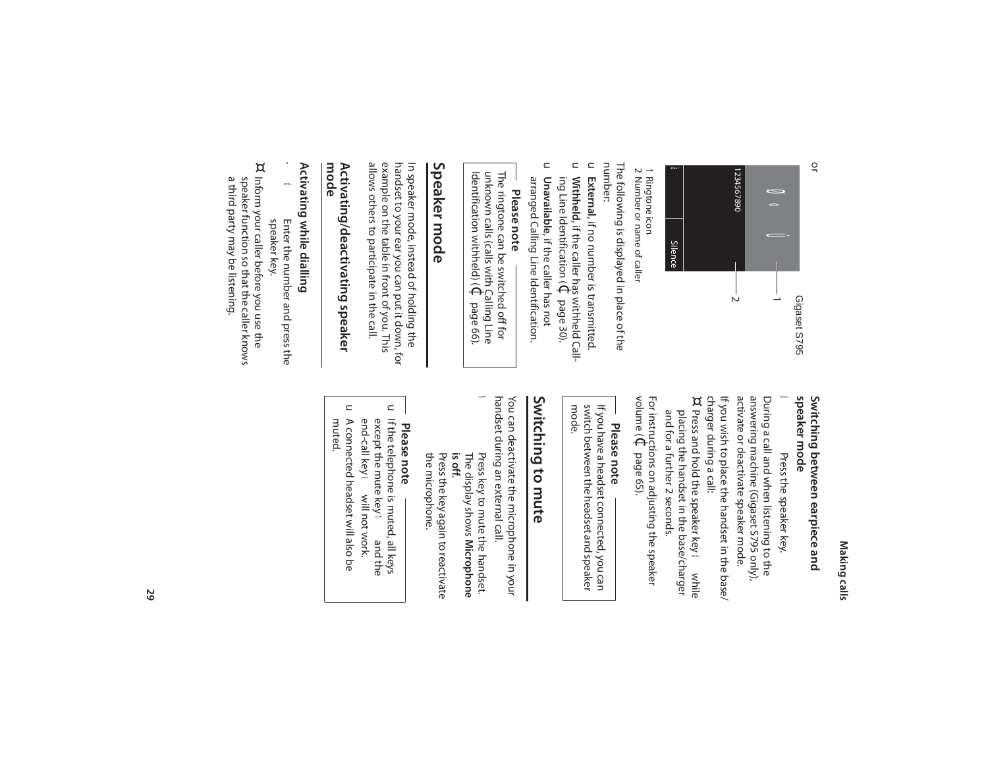#### Making calls **Making calls**



#### 1 Ringtone icon Ringtone icon

1 Ringtone icon<br>2 Number or name of caller 2 Number or name of caller

The following is displayed in place of the<br>number: The following is displayed in place of the

- $\subset$ External, if no number is transmitted. , if no number is transmitted.
- $\subset$ Unavailable, if the caller has not **Unavailable**, if the caller has not ing Line Identification (**Withheld**, if the caller has withheld Call- $\Theta$ page 30).
- $\subset$ arranged Calling Line Identification. arranged Calling Line Identification.

**Please note** Identification withheld) ( unknown calls (calls with Calling Line The ringtone can be switched off for  $\Theta$ page 66).

#### Speaker mode **Speaker mode**

allows others to participate in the call. allows others to participate in the call. example on the table in front of you. This example on the table in front of you. This handset to your ear you can put it down, for handset to your ear you can put it down, for In speaker mode, instead of holding the In speaker mode, instead of holding the

## Activating/deactivating speaker<br>mode **Activating/deactivating speaker**

### Activating while dialling **Activating while dialling**

Enter the number and press the Enter the number and press the

 $\frac{\nu}{\Omega}$ 

¤ Inform your caller before you use the speaker function so that the caller knows speaker function so that the caller knows Inform your caller before you use the speaker key. speaker key.

a third party may be listening.

a third party may be listening.

#### speaker mode Switching between earpiece and **speaker mode Switching between earpiece and**

#### $\Omega$ Press the speaker key. Press the speaker key.

activate or deactivate speaker mode. answering machine (Gigaset S795 only), During a call and when listening to the activate or deactivate speaker mode. answering machine (Gigaset S795 only), During a call and when listening to the

If you wish to place the handset in the base/ ¤ charger during a call: If you wish to place the handset in the base/

and for a further 2 seconds. placing the handset in the base/charger and for a further 2 seconds. placing the handset in the base/charger Press and hold the speaker key d while

volume ( For instructions on adjusting the speaker  $\Theta$ page 65).

### **Please note**

mode. switch between the headset and speaker If you have a headset connected, you can switch between the headset and speaker If you have a headset connected, you can

### Switching to mute **Switching to mute**

handset during an external call. handset during an external call. You can deactivate the microphone in your You can deactivate the microphone in your

**is off**. The display shows Press key to mute the handset. Press key to mute the handset. **Microphone** 

h

the microphone. the microphone. Press the key again to reactivate Press the key again to reactivate

## **Please note**

- $\mathrel{\square}$ If the telephone is muted, all keys end-call key a will not work. except the mute key end-call key except the mute key If the telephone is muted, all keys a will not work. **h** and the and the
- $\subset$ muted. A connected headset will also be A connected headset will also be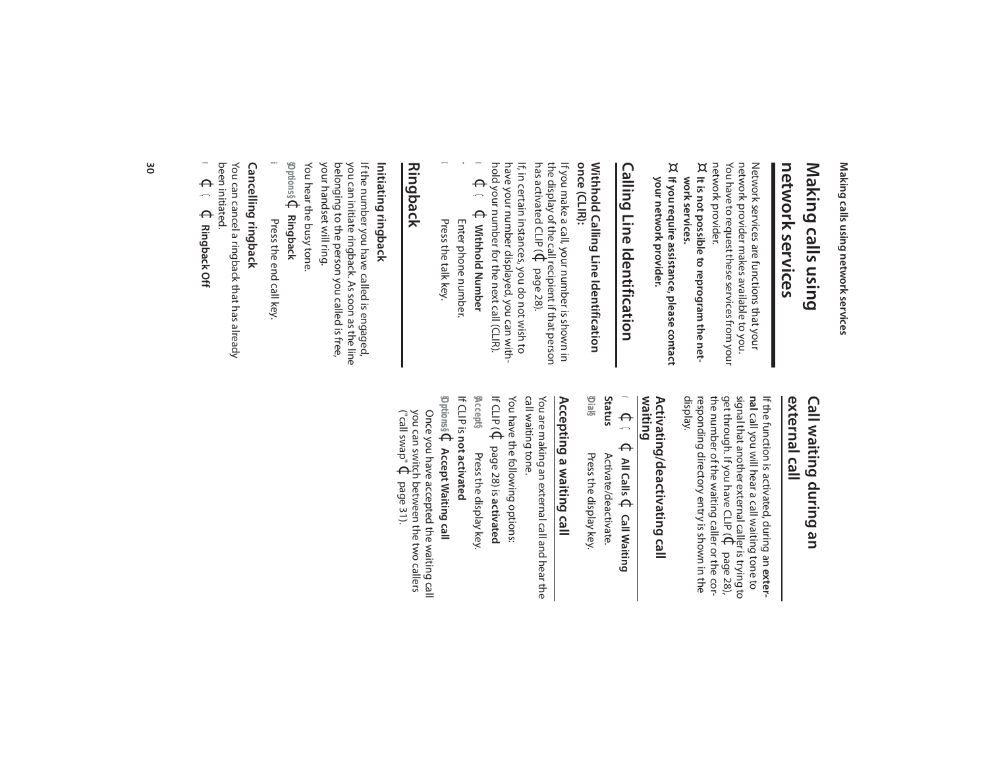Making calls using network services **Making calls using network services**

#### **network services** network services Making calls using **Making calls using**

network provider. You have to request these services from your You have to request these services from your network provider makes available to you. network provider makes available to you. Network services are functions that your Network services are functions that your

- network provider.<br>¤ It is not possible to reprogram the network services. **work services. It is not possible to reprogram the net-**
- $^{\alpha}$  If you require assistance, please contact your network provider. **your network provider. If you require assistance, please contact**

## Calling Line Identification **Calling Line Identification**

#### once (CLIR): **once (CLIR):** Withhold Calling Line Identification **Withhold Calling Line Identification**

has activated CLIP ( the display of the call recipient if that person If you make a call, your number is shown in If you make a call, your number is shown in  $\Theta$ page 28).

have your number displayed, you can with-<br>hold your number for the next call (CLIR).<br>▼ ← ← Withhold Number hold your number for the next call (CLIR). have your number displayed, you can with-If, in certain instances, you do not wish to If, in certain instances, you do not wish to

- $\blacktriangleleft$ Ç  $\Theta$ **Withhold Number**
- Enter phone number. Press the talk key. Enter phone number. Press the talk key.

~

c

## **Ringback**

#### Initiating ringback **Initiating ringback**

You hear the busy tone. your handset will ring. your handset will ring. belonging to the person you called is free, belonging to the person you called is free, you can initiate ringback. As soon as the line you can initiate ringback. As soon as the line If the number you have called is engaged, If the number you have called is engaged,

**§Options§**  $\Theta$ **Ringback**

a Press the end call key. Press the end call key.

#### Cancelling ringback **Cancelling ringback**

 $\blacktriangleleft$ been initiated. been initiated. You can cancel a ringback that has already You can cancel a ringback that has already  $\Theta$ Ç  $\Theta$ **Ringback Off**

#### external call Call waiting during an **external call Call waiting during an**

responding directory entry is shown in the<br>display. the number of the waiting caller or the cornal call you will hear a call waiting tone to If the function is activated, during an exterresponding directory entry is shown in the the number of the waiting caller or the cor get through. If you have CLIP ( signal that another external caller is trying to If the function is activated, during an call you will hear a call waiting tone to  $\Theta$ page 28),

## Activating/deactivating call<br>waiting **Activating/deactivating call**

|              | v ⊄ ç ⊄ ∧lı calis<br>$\Theta$<br><b>Call Waiting</b> |
|--------------|------------------------------------------------------|
| Status       | Activate/deactivate.                                 |
| <u>yial§</u> | Press the display key.                               |

## Accepting a waiting call **Accepting a waiting call**

call waiting tone. If CLIP ( You have the following options: call waiting tone. You are making an external call and hear the You are making an external call and hear the  $\Theta$ page 28) is **activated**

**§Accept§** Press the display key. Press the display key.

If CLIP is **not activated**

**§Options§** $\Theta$ **Accept Waiting call**

Once you have accepted the waiting call ("call swap" you can switch between the two callers Once you have accepted the waiting call  $\Theta$ page 31).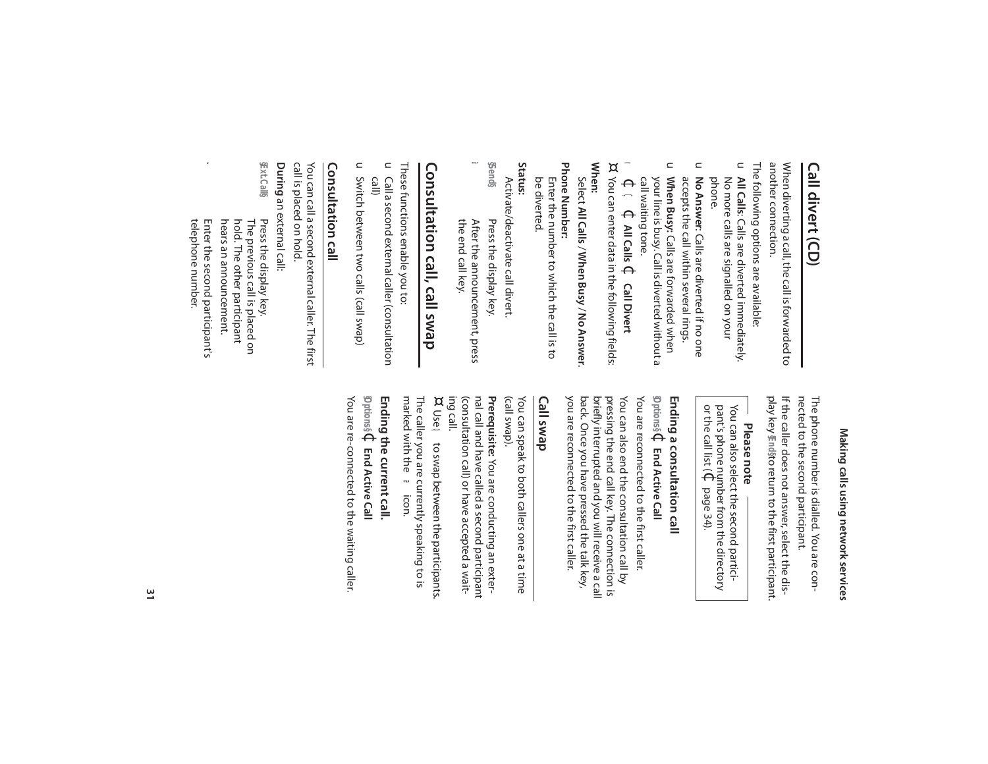#### Call divert (CD) **Call divert (CD)**

another connection. another connection. When diverting a call, the call is forwarded to When diverting a call, the call is forwarded to

- $\subset$ The following options are available: The following options are available: No more calls are signalled on your<br>phone. No more calls are signalled on your **All Calls**: Calls are diverted immediately.
- $\subset$ accepts the call within several rings. No Answer: Calls are diverted if no one accepts the call within several rings. : Calls are diverted if no one
- u When Busy: Calls are forwarded when your line is busy. Call is diverted without a call waiting tone. your line is busy. Call is diverted without a **When Busy:** Calls are forwarded when
- $\blacktriangleleft$  $\Theta$ Ç  $\Theta$ **All Calls** ¢ **Call Divert**

¤ You can enter data in the following fields: You can enter data in the following fields: **When:**

- Select **All Calls** / **When Busy** / **No Answer**Select All Calls / When Busy / No Answer.
- Phone Number: **Phone Number:** Enter the number to which the call is to<br>be diverted. Enter the number to which the call is to

**Status:**

- Activate/deactivate call divert Activate/deactivate call divert.
- **§Send§** a After the announcement, press<br>the end call key. Press the display key. the end call key. After the announcement, press Press the display key.

## Consultation call, call swap **Consultation call, call swap**

These functions enable you to: These functions enable you to:

- $\subset$ call) Call a second external caller (consultation Call a second external caller (consultation
- u Switch between two calls (call swap) Switch between two calls (call swap)

#### Consultation call **Consultation call**

call is placed on hold. call is placed on hold. You can call a second external caller. The first You can call a second external caller. The first

During an external call: an external call:

- **§Ext.Call§** Press the display key.<br>The previous call is placed on<br>hold. The other participant hears an announcement. hears an announcement. hold. The other participant The previous call is placed on Press the display key.
- $\mathbf{r}$ telephone number. Enter the second participant's telephone number. Enter the second participant's

## Making calls using network services **Making calls using network services**

nected to the second participant. The phone number is dialled. You are connected to the second participant. The phone number is dialled. You are con-

If the caller does not answer, select the display key If the caller does not answer, select the dis-**§End§**to return to the first participant.

### **Please note**

You can also select the second particior the call list ( pant's phone number from the directory You can also select the second partici-  $\Theta$ page 34).

## **Ending a consultation call**

**§Options§**  $\Theta$ **End Active Call** You are reconnected to the first caller.

you are reconnected to the first caller. back. Once you have pressed the talk key, pressing the end call key. The connection is You can also end the consultation call by you are reconnected to the first caller. back. Once you have pressed the talk key, briefly interrupted and you will receive a call briefly interrupted and you will receive a call pressing the end call key. The connection is You can also end the consultation call by You are reconnected to the first caller

#### **Call swap**

(call swap). You can speak to both callers one at a time You can speak to both callers one at a time

nal call and have called a second participant Prerequisite: You are conducting an extering call. (consultation call) or have accepted a wait-(consultation call) or have accepted a waitnal call and have called a second participant **Prerequisite:** You are conducting an exter-

¤ Use q to swap between the participants. The caller you are currently speaking to is

marked with the æicon.

#### **Ending the current call.**  $\Theta$

You are re-connected to the waiting caller. You are re-connected to the waiting caller. **§Options§ End Active Call**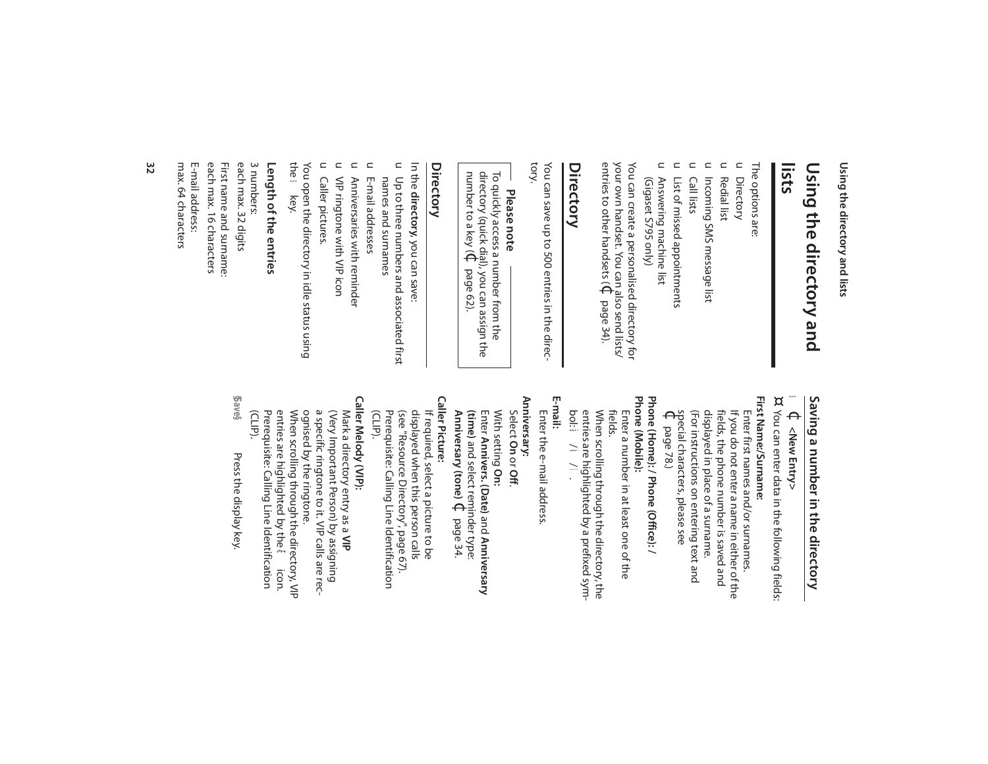Using the directory and lists **Using the directory and lists**

### **lists** Using the directory and **Using the directory and**

The options are: The options are:

- $\subset$ Directory
- $\subset$ Redial list
- $\subset$ Incoming SMS message list Incoming SMS message list
- $\subset$ Call lists
- $\subset$  $\subset$ List of missed appointments List of missed appointments
- Answering machine list (Vigaset S795 only) (Gigaset S795 only) Answering machine list

entries to other handsets ( your own handset. You can also send lists/ You can create a personalised directory for  $\Theta$ page 34).

### **Directory**

You can save up to 500 entries in the direc-<br>tory. You can save up to 500 entries in the direc-

## **Please note**

To quickly access a number from the number to a key ( directory (quick dial), you can assign the To quickly access a number from the  $\Theta$ page 62).

#### **Directory**

In the directory, you can save: **directory**, you can save:

- u Up to three numbers and associated first names and surnames names and surnames Up to three numbers and associated first
- E-mail addresses E-mail addresses

 $\subset$ 

- $\subset$ Anniversaries with reminder Anniversaries with reminder
- **VIP ringtone with VIP icon** VIP ringtone with VIP icon

 $\subset$ 

 $\subset$ Caller pictures. Caller pictures.

the You open the directory in idle status using s key.

#### Length of the entries **Length of the entries**

First name and surname:<br>each max. 16 characters max. 64 characters max. 64 characters E-mail address: E-mail address: each max. 16 characters First name and surname: each max. 32 digits each max. 32 digits 3 numbers:

## Saving a number in the directory **Saving a number in the directory**

- s **↓ <New Entry> <New Entry>**
- ¤ You can enter data in the following fields: You can enter data in the following fields:
- Phone (Home): / Phone (Office): /<br>Phone (Mobile): First Name:/Surname: **Phone (Home): / Phone (Office): / First Name:/Surname:** (For instructions on entering text and displayed in place of a surname. fields, the phone number is saved and If you do not enter a name in either of the  $\Theta$ special characters, please see (For instructions on entering text and displayed in place of a surname. fields, the phone number is saved and If you do not enter a name in either of the Enter first names and/or surnames. Enter first names and/or surnames. page 78.)
- **Phone (Mobile):**
- Enter a number in at least one of the<br>fields. When scrolling through the directory, the entries are highlighted by a prefixed sym-When scrolling through the directory, the Enter a number in at least one of the
- bol: ä/ **E-mail:**

k/l.

- Enter the e-mail address. Enter the e-mail address.
- Anniversary: **Anniversary:**
- Select **On**or **Off**.
- With setting With setting On: Enter Annivers. (Date) and Anniversary **Annivers. (Date)** and **Anniversary**
- **(time)** and select reminder type: **Anniversary (tone)** $\Theta$ page 34.
- **Caller Picture: Caller Picture:**
- displayed when this person calls<br>(see "Resource Directory", page 67).<br>Prerequisite: Calling Line Identification<br>(CLIP). If required, select a picture to be Prerequisite: Calling Line Identification (see "Resource Directory", page 67). displayed when this person calls If required, select a picture to be
- Caller Melody (VIP): **Caller Melody (VIP):**
- Prerequisite: Calling Line Identification<br>(CLIP). ognised by the ringtone. a specific ringtone to it. VIP calls are rec-(Very Important Person) by assigning Mark a directory entry as a VIP Prerequisite: Calling Line Identification entries are highlighted by the When scrolling through the directory, VIP ognised by the ringtone. a specific ringtone to it. VIP calls are rec- (Very Important Person) by assigning Mark a directory entry as a **VIP** Æicon.
- **§Save§** Press the display key. Press the display key.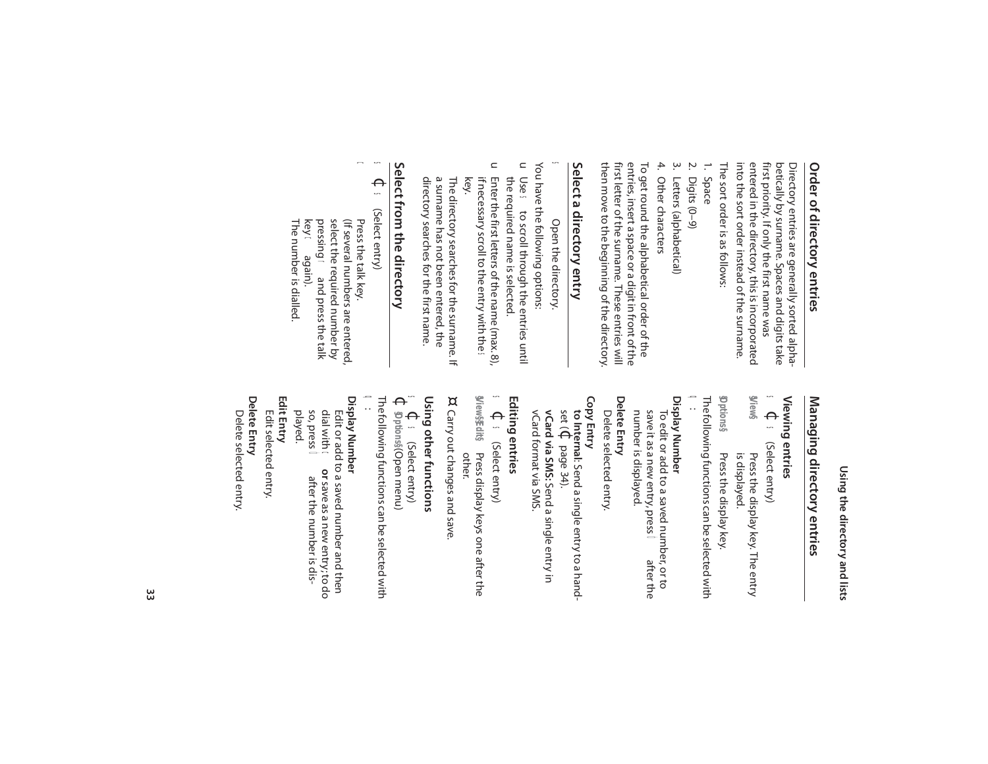## **Order of directory entries** Order of directory entries

into the sort order instead of the surname. into the sort order instead of the surname. entered in the directory, this is incorporated entered in the directory, this is incorporated first priority. If only the first name was first priority. If only the first name was betically by surname. Spaces and digits take betically by surname. Spaces and digits take Directory entries are generally sorted alpha-Directory entries are ge nerally sorted alpha-

The sort order is as follows: The sort order is as follows:

- 2. Digits (0–9) 1. Space
- Ņ. Digits  $(0-9)$
- $\dot{\mathbf{z}}$ 3. Letters (alphabetical) Letters (alphabetical)
- 4. Other characters 4. Other characters

entries, insert a space or a digit in front of the<br>first letter of the surname. These entries will then move to the beginning of the directory then move to the beginning of the directory. first letter of the surname. These entries will entries, insert a space or a digit in front of the To get round the alphabetical order of the To get round the alphabetical order of the

### Select a directory entry **Select a directory entry**

s Open the directory. Open the directory

- You have the following options: You have the following options:
- $\subset$ the required name is selected. the required name is selected. Use sto scroll through the entries until
- $\subset$ if necessary scroll to the entry with the Enter the first letters of the name (max. 8), Enter the first letters of the name (max.8),<br>if necessary scroll to the entry with the <del>≤</del> key.

a surname has not been entered, the directory searches for the first name. directory searches for the first name. a surname has not been entered, the The directory searches for the surname. If The directory searches for the surname. If

## Select trom the directory **Select from the directory**

#### s  $\Theta$ s (Select entry) (Select entry)

 $\boldsymbol{\mathsf{\Omega}}$ 

c Press the talk key. select the required number by (If several numbers are entered) Press the talk key. key G pressing select the required number by (If several numbers are entered, again). rand press the talk

The number is dialled.

The number is dialled.

## Using the directory and lists **Using the directory and lists**

## Managing directory entries **Managing directory entries**

#### **Viewing entries**  Viewing entries<br>Viewing entries

**§View§** s (Select entry) (Select entry) Press the display key. The entry Press the display key. The entry

s

is displayed. Press the display key. is displayed.

**§Options§** The following functions can be selected with Press the display key.

#### $\Omega$ :

Display Number **Display Number**  number is displayed. save it as a new entry, press To edit or add to a saved number, or to number is displayed. save it as a new entry, press To edit or add to a saved number, or to after the

#### Delete Entry **Delete Entry**

Delete selected entry Delete selected entry.

#### **Copy Entry**

vCard format via SMS. vCard via SMS: Send a single entry in vCard format via SMS. **vCard via SMS: to Internal**set ( $\Theta$ page 34). : Send a single entry to a hand-Send a single entry in

## **Editing entries**

s  $\Theta$ s (Select entry)

**g/iew\$fdit\$ @iew\$fieli\$ Press display keys one after the** Press display keys one after the<br>other.

¤ Carry out changes and save Carry out changes and save.

#### s **Using other functions**  Using other functions<br> $\epsilon \in \mathbb{C}$  select entry)

s (Select entry)

 $\Theta$ **§Options§** (Open menu)

The following functions can be selected with

#### Display Number **Display Number**   $\mathbf{a}$

Delete Entry **Delete Entry Edit Entry**  played. Edit selected entry. Edit or add to a saved number and then Edit selected entry. so, press Ódial with Edit or add to a saved number and then  $\boldsymbol{\mathsf{\Omega}}$ after the number is dis**or** save as a new entry; to do after the number is dis-

Delete selected entry. Delete selected entry.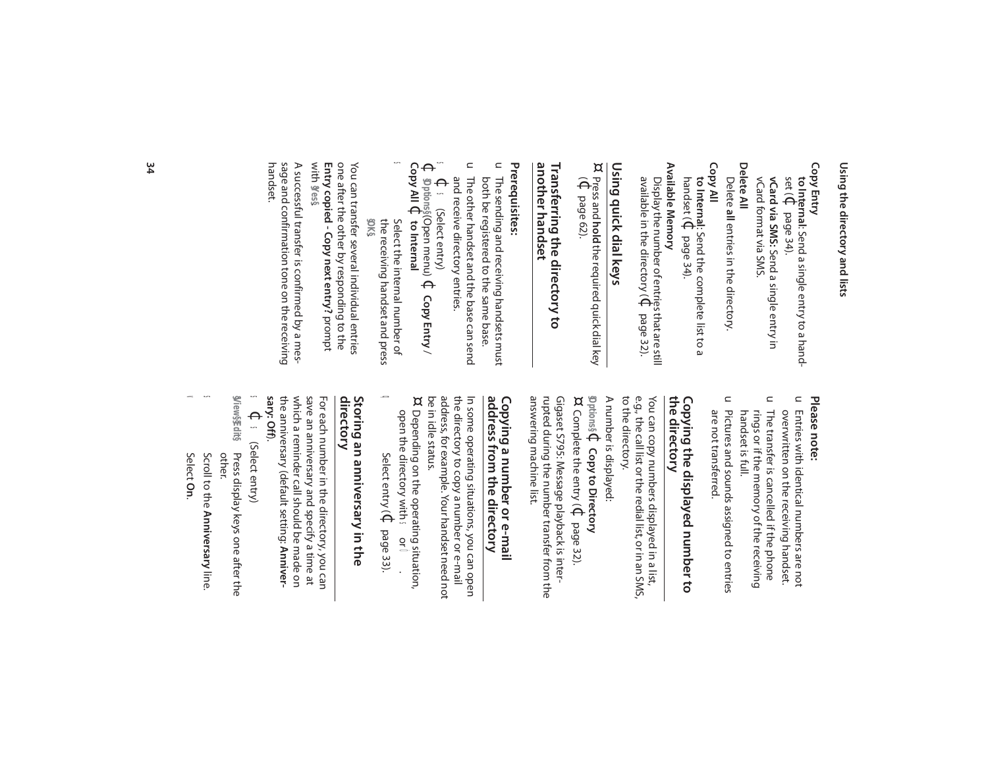### Using the directory and lists **Using the directory and lists**

#### **Copy Entry**

vCard via SMS: Send a single entry in **vCard via SMS:** Send a single entry in set (¢**to Internal**: Send a single entry to a handpage 34).

vCard format via SMS. vCard format via SMS.

**Delete All** Delete all entries in the directory. **all** entries in the directory.

#### **Copy All**

**to Internal**: Send the complete list to a handset ( $\mathbb{C}$ page 34).

#### Available Memory **Available Memory**

available in the directory ( Display the number of entries that are still  $\Theta$ page 32).

#### <u>Using quick dial keys</u> **Using quick dial keys**

¤<br>¤e<br>¤ Press and **hold** the required quick dial key page 62).

#### another handset **another handset** Transferring the directory to **Transferring the directory to**

#### Prerequisites: **Prerequisites:**

u The sending and receiving handsets must both be registered to the same base. both be registered to the same base. The sending and receiving handsets must

u The other handset and the base can send and receive directory entries. and receive directory entries. The other handset and the base can send

 $\leftrightarrow$ n  $\Theta$ s (Select entry) **§Options§** (Open menu) $\Theta$ 

s **Copy All** ¢Select the internal number of Select the internal number of **to Internal Copy Entry** /

the receiving handset and press **§OK§** . the receiving handset and press

with Entry copied - Copy next entry? prompt **Entry copied - Copy next entry?**  one after the other by responding to the one after the other by responding to the You can transfer several individual entries You can transfer several individual entries **§Yes§**.

handset. sage and confirmation tone on the receiving sage and confirmation tone on the receiving A successful transfer is confirmed by a mes-A successful transfer is confirmed by a mes-

#### Please note: **Please note:**

- $\subset$ Entries with identical numbers are not overwritten on the receiving handset. overwritten on the receiving handset. Entries with identical numbers are not
- $\subset$ The transfer is cancelled if the phone rings or if the memory of the receiving handset is full. handset is full. rings or if the memory of the receiving The transfer is cancelled if the phone
- $\subset$ Pictures and sounds assigned to entries are not transferred. are not transferred. Pictures and sounds assigned to entries

#### the directory **the directory** Copying the displayed number to **Copying the displayed number to**

to the directory. You can copy numbers displayed in a list,<br>e.g., the call list or the redial list, or in an SMS, to the directory. e.g., the call list or the redial list, or in an SMS, You can copy numbers displayed in a list,

A number is displayed: A number is displayed:  $\Theta$ 

**§Options§ Copy to Directory** ¤ Complete the entry ( $\mathbf \Phi$ page 32).

answering machine list. Gigaset S795: Message playback is inter-<br>rupted during the number transfer from the answering machine list. rupted during the number transfer from the Gigaset S795: Message playback is inter-

#### address trom the directory Copying a number or e-mai **address from the directory Copying a number or e-mail**

the directory to copy a number or e-mail<br>address, for example. Your handset need not In some operating situations, you can open ¤ be in idle status. address, for example. Your handset need not the directory to copy a number or e-mail In some operating situations, you can open

open the directory with Depending on the operation, sor Ó.

Select entry ( $\Theta$ page 33).

 $\Omega$ 

## **directory Storing an anniversary in the**

the anniversary (default setting: which a reminder call should be made on save an anniversary and specify a time at For each number in the directory, you can For each number in the directory, you can<br>save an anniversary and specify a time at<br>which a reminder call should be made on<br>the anniversary (default setting: **Anniversary: Off**).

s  $\Theta$ s (Select entry)

**Wiew§Edit§ @Iew\$fieli\$ Press display keys one after the** Press display keys one after the<br>other.

- s Scroll to the Anniversary line **Anniversary** line.
- $\epsilon$ Select **On**.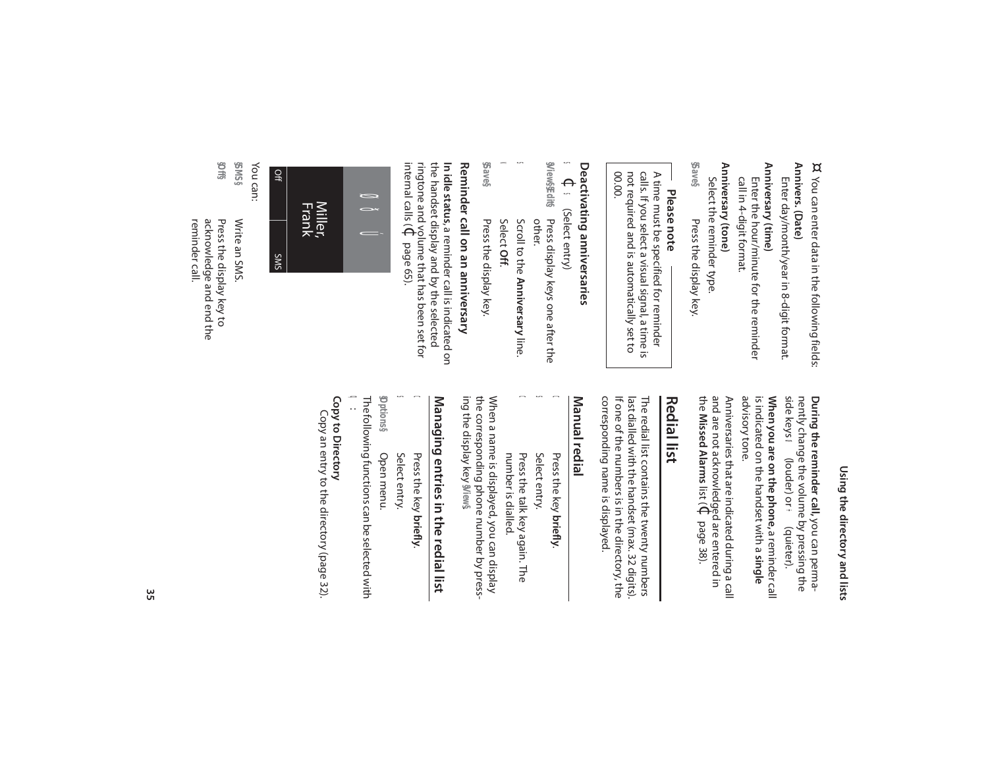Using the directory and lists **Using the directory and lists**

**During the reminder call,**

nently change the volume by pressing the

nently change the volume by pressing the During the reminder call, you can perma-

side keys

ø

**When you are on the phone,**

is indicated on the handset with a **single**

is indicated on the handset with a single When you are on the phone, a reminder call

advisory tone.

advisory tone.

a reminder call

(louder) or ÷ (quieter).

you can perma-

¤ You can enter data in the following fields: You can enter data in the following fields:

Annivers. (Date) **Annivers. (Date)** Enter day/month/year in 8-digit format. Enter day/month/year in 8-digit format.

Anniversary (time) **Anniversary (time)** call in 4-digit format. call in 4-digit format. Enter the hour/minute for the reminder Enter the hour/minute for the reminder

**Anniversary (tone)**

Anniversary (tone) Select the reminder type. Select the reminder type.

**§Save§** Press the display key. Press the display key.

**Please note**

00.00. not required and is automatically set to calls. If you select a visual signal, a time is A time must be specified for reminder not required and is automatically set to calls. If you select a visual signal, a time is A time must be specified for reminder

## **Deactivating anniversaries** Deactivating anniversaries<br>Deactivating anniversaries

s Select entry) (Select entry)

**§View§ §Edit§** Press display keys one after the<br>other. Press display keys one after the

- s Scroll to the **Anniversary**line.
- v Select **Off**.
- **§Save§** Press the display key. Press the display key

## Reminder call on an anniversary **Reminder call on an anniversary**

internal calls ( ringtone and volume that has been set for the handset display and by the selected In idle status, a reminder call is indicated on **In idle status** , a reminder call is indicated on  $\Theta$ page 65).



**§SMS§**

reminder call. acknowledge and end the Press the display key to Write an SMS. reminder call. acknowledge and end the Press the display key to Write an SMS.

**§Off§**

Anniversaries that are indicated during a call the and are not acknowledged are entered in Anniversaries that are indicated during a call **Missed Alarms** list (¢page 38).

## **Redial list**

corresponding name is displayed The redial list contains the twenty numbers<br>last dialled with the handset (max. 32 digits).<br>If one of the numbers is in the directory, the corresponding name is displayed. If one of the numbers is in the directory, the last dialled with the handset (max. 32 digits). The redial list contains the twenty numbers

#### Manual redial **Manual redial**

Press the key briefly Press the key **briefly**.

 $\Omega$ 

s

 $\boldsymbol{\mathsf{\Omega}}$ 

- Select entry. Select entry.
- number is dialled number is dialled. Press the talk key again. The Press the talk key again. The

ing the display key the corresponding phone number by press-When a name is displayed, you can display When a name is displayed, you can display **§View§**.

## Managing entries in the redial list **Managing entries in the redial list**

Press the key briefly Press the key **briefly**.

 $\boldsymbol{\mathsf{\Omega}}$ 

Select entry. Select entry.

s

**§Options§** Open menu. Open menu.

q : The following functions can be selected with

#### Copy to Directory **Copy to Directory**

Copy an entry to the directory (page 32). Copy an entry to the directory (page 32).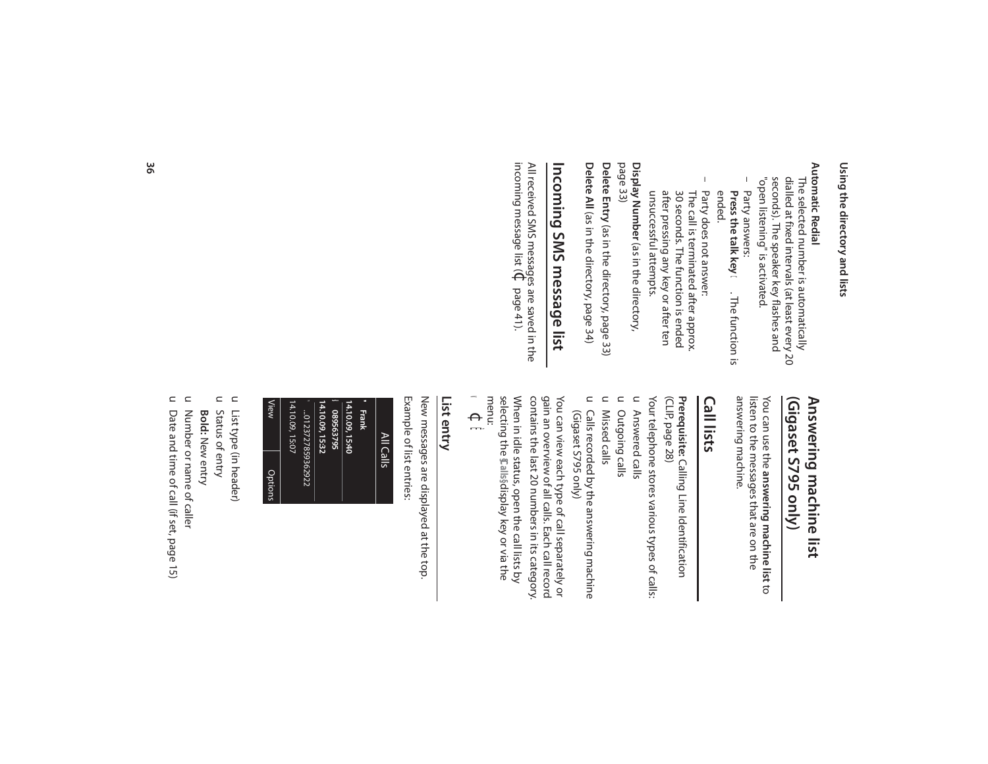# Using the directory and lists **Using the directory and lists**

#### **Automatic Redial Automatic Redial**

dialled at fixed intervals (at least every 20 "open listening" is activated. "open listening" is activated. seconds). The speaker key flashes and seconds). The speaker key flashes and dialled at fixed intervals (at least every 20 The selected number is automatically The selected number is automatically

- Party answers: ended. **Press the talk key ⊂**. The function is Party answers: **Press the talk key**c. The function is
- Party does not answer: Party does not answer:<br>The call is terminated after approx.<br>30 seconds. The function is ended unsuccessful attempts. after pressing any key or after ten unsuccessful attempts. after pressing any key or after ten 30 seconds. The function is ended The call is terminated after approx.

page 33) Display Number (as in the directory, **Display Number** (as in the directory,

Delete All (as in the directory, page 34) **Delete All** (as in the directory, page 34) Delete Entry (as in the directory, page 33) **Delete Entry** (as in the directory, page 33)

# Incoming SMS message list **Incoming SMS message list**

incoming message list ( All received SMS messages are saved in the  $\Theta^{\!\!\backslash}$ page 41).

#### Answering machine list (Vigaset S795 only) **(Gigaset S795 only) Answering machine list**

answering machine. listen to the messages that are on the answering machine. listen to the messages that are on the You can use the answering machine list to You can use the **answering machine list** to

### **Call lists**

(CLIP, page 28) Prerequisite: Calling Line Identification (CLIP, page 28) **Prerequisite:** Calling Line Identification

u Answered calls Your telephone stores various types of calls: Your telephone stores various types of calls: Answered calls

- u Outgoing calls Outgoing calls
- u Missed calls
- u Calls recorded by the answering machine (Gigaset S795 only) (Gigaset S795 only) Calls recorded by the answering machine

You can view each type of call separately or<br>gain an overview of all calls. Each call record<br>contains the last 20 numbers in its category. contains the last 20 numbers in its category. gain an overview of all calls. Each call record You can view each type of call separately or

menu: selecting the **\$Calls§display key or via the** When in idle status, open the call lists by selecting the When in idle status, open the call lists by display key or via the

#### $\blacktriangleleft$  $\Theta$ Ê

### **List entry**

Example of list entries: Example of list entries: New messages are displayed at the top. New messages are displayed at the top.

| Options | View                 |
|---------|----------------------|
|         | 14.10.09, 15:07      |
|         | mm  0123727859362922 |
|         | 14.10.09, 15:32      |
|         | ● 089563795          |
|         | 14.10.09, 15:40      |
|         | <b>Thenk</b>         |
|         | All Calls            |

- List type (in header) List type (in header)
- u u
- Status of entry Status of entry
- **Bold:**  New entry
- $\subset$ Number or name of caller Number or name of caller
- $\subset$ Date and time of call (if set, page 15) Date and time of call (if set, page 15)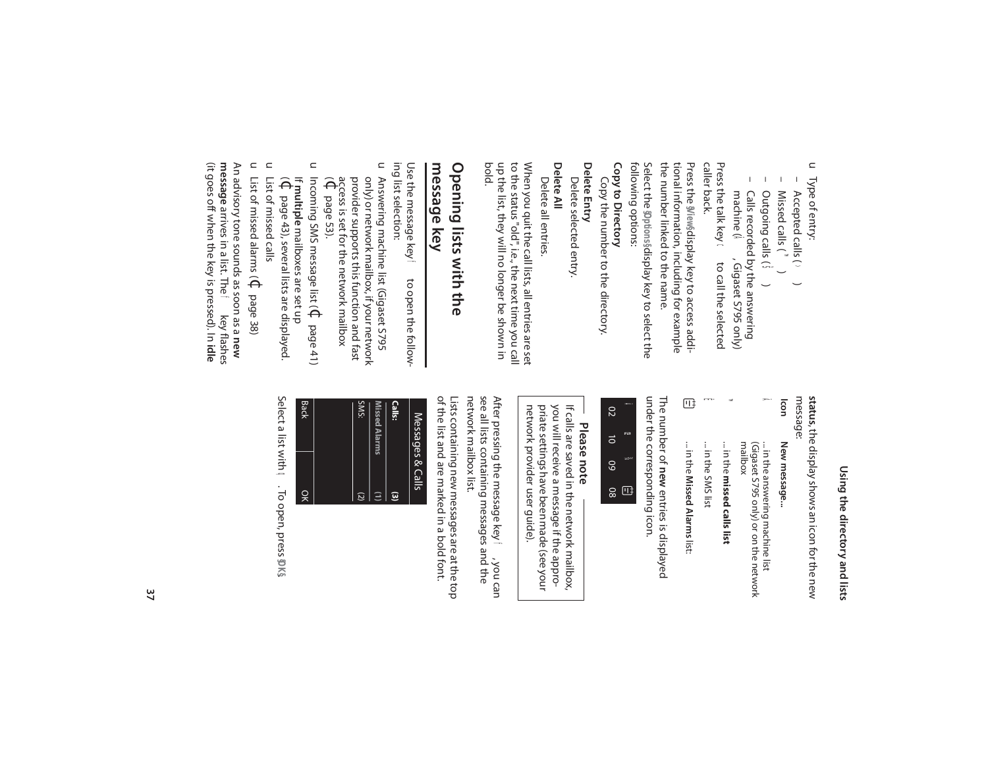Using the directory and lists **Using the directory and lists**

message: status, the display shows an icon for the new **status**, the display shows an icon for the new

**Icon** New message... **New message...**

 $\mathbf{p}$ 

- ... in the answering machine list<br>(Gigaset S795 only) or on the network<br>mailbox (Gigaset S795 only) or on the network ... in the answering machine list
- ... in the missed calls list ... in the **missed calls list**

™

... in the SMS list ... in the SMS list

Ë

... in the **Missed Alarms**... in the Missed Alarms list:

ª

under the corresponding icon. under the corresponding icon. The number of new entries is displayed The number of **new** entries is displayed

| g   | DI |
|-----|----|
| ನ   | ß  |
| င္က | 26 |
| င္က | œ  |

## **Please note**

network provider user guide). you will receive a message if the appro-If calls are saved in the network mailbox, network provider user guide). priate settings have been made (see your priate settings have been made (see your you will receive a message if the appro-If calls are saved in the network mailbox,

network mailbox list. see all lists containing messages and the After pressing the message key ff, , you can network mailbox list. see all lists containing messages and the After pressing the message key

of the list and are marked in a bold font. Lists containing new messages are at the top of the list and are marked in a bold font. Lists containing new messages are at the top

| <b>SMS:</b><br><b>Missed Alarms</b><br>$\Xi$<br>$\overline{c}$ | <b>Calls:</b><br>$\overline{a}$ | Messages & Calls |
|----------------------------------------------------------------|---------------------------------|------------------|
|                                                                |                                 |                  |

Select a list with q. To open, press **§OK§**Select a list with **q**. To open, press **DKS** 

– Accepted calls ( Accepted calls (>

 $\sim$ 

u Type of entry:

Type of entry:

- Missed calls ( Missed calls (T<sup>™</sup>)
- Outgoing calls (  $\widehat{\mathbf{w}}$
- $\mathsf{I}$ – Calls recorded by the answering Calls recorded by the answering<br>machine ( $\widehat{\mathbf{A}}$  , Gigaset S795 onl

Press the talk key ← to call the selected<br>caller back. Press the talk key c to call the selected machine ( $\tilde{\mathbf{A}}$  , Gigaset S795 only) /Gigaset S795 only)

the number linked to the name. the number linked to the name. tional information, including for example tional information, including for example Press the **§View§**display key to access addi-

following options: following options: Select the **§Options§**display key to select the

Copy to Directory **Copy to Directory** 

Copy the number to the directory. Copy the number to the directory.

#### Delete Entry **Delete Entry**

**Delete All**  Delete selected entry Delete selected entry.

Delete all entries. Delete all entries.

When you quit the call lists, all entries are set<br>to the status "old", i.e., the next time you call<br>up the list, they will no longer be shown in<br>bold. up the list, they will no longer be shown in to the status "old", i.e., the next time you call When you quit the call lists, all entries are set

# **Opening lists with the Opening lists with the**

### message key **message key**

ing list selection: ing list selection: Use the message key f Use the message key f to open the followto open the follow-

- u Answering machine list (Gigaset S795  $\widehat{\Theta}$ access is set for the network mailbox provider supports this function and fast only) or network mailbox, if your network Answering machine list (Gigaset S795 page 53).
- $\subset$ Incoming SMS message list ( $\Theta$ page 41)
- $\widehat{\Theta}$ **multiple** mailboxes are set up page 43), several lists are displayed.
- $\subset$ List of missed calls List of missed calls

 $\subset$ List of missed alarms ( $\Phi$ page 38) An advisory tone sounds as soon as a **new message**arrives in a list. The f key flashes

(it goes off when the key is pressed). In

**idle**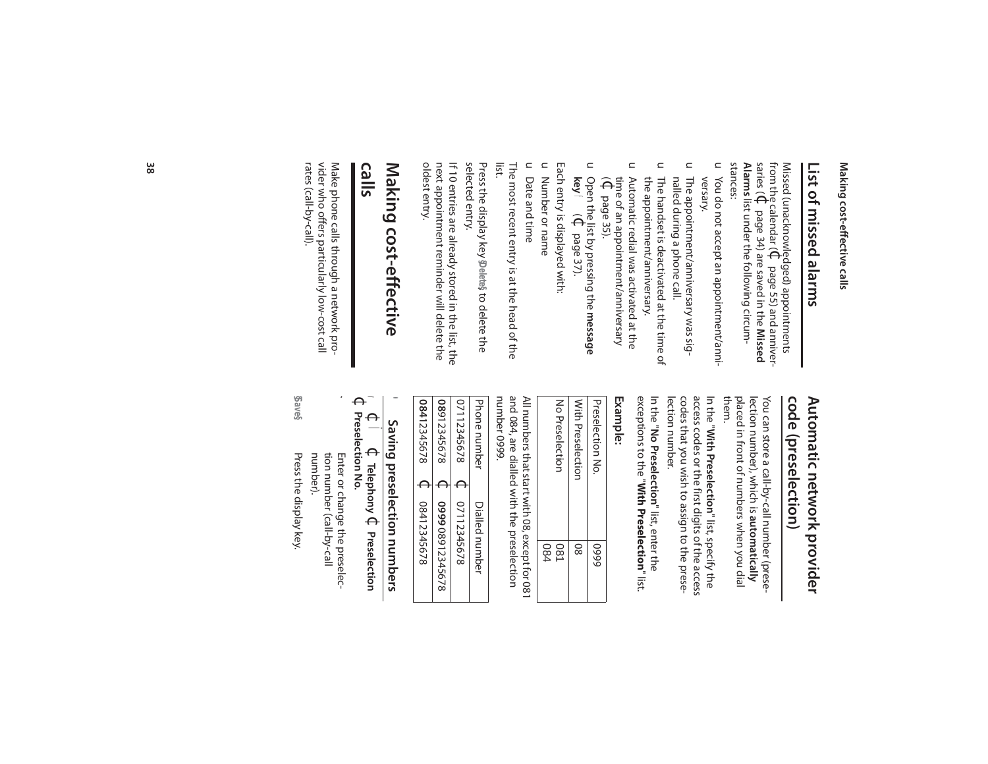## Making cost-effective calls **Making cost-effective calls**

# **List of missed alarms** List of missed alarms

from the calendar ( Missed (unacknowledged) appointments  $\Theta$ page 55) and anniversaries ( $\Theta$ page 34) are saved in the **Missed Alarms** list under the following circum-Alarms list under the following circum-<br>stances:

- u You do not accept an appointment/anniversary. You do not accept an appointment/anni-
- u The appointment/anniversary was signalled during a phone call. nalled during a phone call. The appointment/anniversary was sig-
- u The handset is deactivated at the time of the appointment/anniversary. the appointment/anniversary. The handset is deactivated at the time of
- $\subset$ Automatic redial was activated at the  $\widehat{\Theta}$ time of an appointment/anniversary Automatic redial was activated at the page 35).
- $\subset$ Open the list by pressing the **message key** $\ddot{\phantom{a}}$  $\Theta$ page 37).

Each entry is displayed with: Each entry is displayed with:

- $\subset$ Number or name Number or name
- u Date and time Date and time

list. The most recent entry is at the head of the The most recent entry is at the head of the

selected entry. selected entry. Press the display key pelete to delete the Press the display key , to delete the

oldest entry. oldest entry. next appointment reminder will delete the next appointment reminder will delete the If 10 entries are already stored in the list, the If 10 entries are already stored in the list, the

### **calls**  Making cost-effective **Making cost-effective**

rates (call-by-call). rates (call-by-call). vider who offers particularly low-cost call vider who offers particularly low-cost call Make phone calls through a network pro-Make phone calls through a network pro-

### code (preselection) Automatic network provider **code (preselection) Automatic network provider**

them. placed in front of numbers when you dial placed in front of numbers when you dial lection number), which is automatically lection number), which is You can store a call-by-call number (prese-You can store a call-by-call number (prese**automatically**

lection number. access codes or the first digits of the access<br>codes that you wish to assign to the prese-In the "With Preselection" list, specify the lection number. codes that you wish to assign to the preseaccess codes or the first digits of the access **With Preselection**" list, specify the

exceptions to the "With Preselection" list. In the "No Preselection" list, enter the exceptions to the "**With Preselection**" list. **No Preselection**" list, enter the

### **Example:**

and 084, are dialled with the preselection<br>number 0999. All numbers that start with 08, except for 081 number 0999. and 084, are dialled with the preselection All numbers that start with 08, except for 081

| 08412345678 | 08912345678      | 07112345678 | Phone number   |
|-------------|------------------|-------------|----------------|
|             |                  |             |                |
| 08412345678 | 8299 08912345678 | 07112345678 | Dialled number |

# Saving preselection numbers **Saving preselection numbers**

•

 $\Theta$ < **Preselection No.**  $\Theta$ Ï $\Theta$ **Telephony** ¢Preselection **Preselection** 

number). tion number (call-by-call tion number (call-by-call Enter or change the preselec-Enter or change the preselec-

 $\mathbf{r}$ 

**§Save§** Press the display key Press the display key.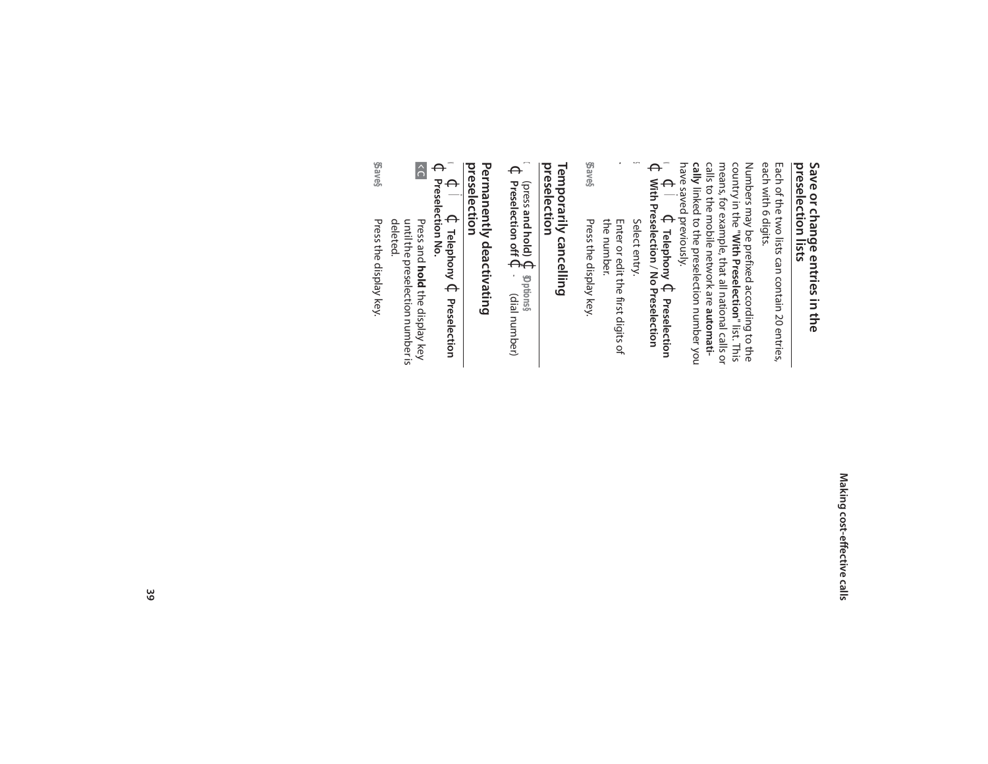### Making cost-effective calls **Making cost-effective calls**

### Save or change entries in the<br>preselection lists **preselection lists Save or change entries in the**

each with 6 digits. each with 6 digits. Each of the two lists can contain 20 entries, Each of the two lists can contain 20 entries,

Numbers may be prefixed according to the country in the "**With Preselection**" list. This means, for example, that all national calls or calls to the mobile network are **automati**have saved previously. cally linked to the preselection number you **cally** linked to the preselection number you calls to the mobile network are means, for example, that all national calls or country in the " Numbers may be prefixed according to the **With Preselection**" list. This

 $\blacktriangleleft$  $\Theta$ Ï $\Theta$ **Telephony** ¢**Preselection**   $\Theta$ **With Preselection**  $\overline{\phantom{0}}$ **No Preselection** 

- s Select entry. Select entry.
- $\mathbf{v}$ the number. Enter or edit the first digits of the number. Enter or edit the first digits of
- **§Save§** Press the display key. Press the display key.

#### Temporarily cancelling<br>preselection **preselection Temporarily cancelling**

 $\theta$ (press **and hold)**  $\Theta$ **§Options§** ~ $\Theta$ **Preselection off** ¢(dial number)

### Permanently deactivating<br>preselection **preselection Permanently deactivating**

 $\blacktriangleleft$  $\Theta$ Ï $\Theta$ **Telephony** ¢**Preselection** 

- $\Theta$ **Preselection No.**  $\hat{\circ}$ Press and **hold** the display key until the preselection number is
- **§Save§** Press the display key. Press the display key.deleted.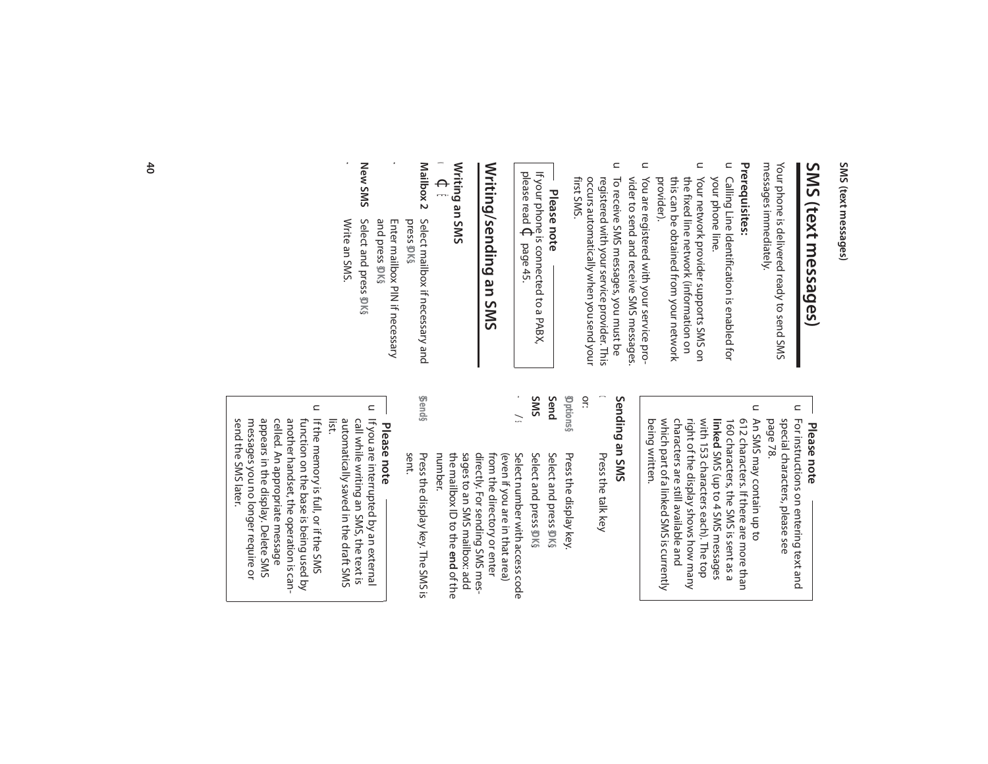# SMS (text messages) **SMS (text messages)**

messages immediately. messages immediately. Your phone is delivered ready to send SMS Your phone is delivered ready to send SMS

#### Prerequisites: **Prerequisites:**

- u Calling Line Identification is enabled for your phone line. your phone line. Calling Line Identification is enabled for
- $\subset$ this can be obtained from your network Your network provider supports SMS on provider). this can be obtained from your network the fixed line network (information on the fixed line network (information on Your network provider supports SMS on
- $\subset$ You are registered with your service pro-<br>vider to send and receive SMS messages. vider to send and receive SMS messages. You are registered with your service pro-
- $\subset$ To receive SMS messages, you must be first SMS. occurs automatically when you send your occurs automatically when you send your registered with your service provider. This registered with your service provider. This To receive SMS messages, you must be

# **Please note**

please read If your phone is connected to a PABX,  $\Theta$ page 45.

 $\mathbf{r}$ 

# Writing/sending an SMS **Writing/sending an SMS**

#### **Writing an SMS** Writing an SMS<br>◆ ← 長

 $\blacktriangleleft$ Ë

- **Mailbox 2** press Select mailbox if necessary and **§OK§**.
- **New SMS New SMS** Select and press ~ Enter mailbox PIN if necessary  $\mathbf{r}$ Select and press **\$DK**§ Enter mailbox PIN if necessary and press **§OK§**.
- Write an SMS. Write an SMS.

~

## **Please note**

- $\subset$  $\mathrel{\square}$ special characters, please see<br>page 78. An SMS may contain up to For instructions on entering text and An SMS may contain up to special characters, please see For instructions on entering text and
- which part of a linked SMS is currently characters are still available and right of the display shows how many with 153 characters each). The top 160 characters, the SMS is sent as a<br>**linked** SMS (up to 4 SMS messages 612 characters. If there are more than being written. being written. which part of a linked SMS is currently characters are still available and right of the display shows how many with 153 characters each). The top 160 characters, the SMS is sent as a 612 characters. If there are more than SMS (up to 4 SMS messages

#### SMS ue bupped **Sending an SMS**

Press the talk key Press the talk key

 $\boldsymbol{\mathsf{\Omega}}$ 

or:

- **SMS Send §Options§** Select and press DKS Select and press **§OK§**Select and press DK§ Select and press **§OK§**Press the display key Press the display key.
- $\mathbf{\bar{y}}$ number. sages to an SMS mailbox: add<br>the mailbox ID to the **end** of the the mailbox ID to the sages to an SMS mailbox: add directly. For sending SMS mesdirectly. For sending SMS mesfrom the directory or enter from the directory or enter (even if you are in that area) (even if you are in that area) Select number with access code Select number with access code
- sent. Press the display key. The SMS is Press the display key. The SMS is

**§Send§**

# **Please note**

- u If you are interrupted by an external automatically saved in the draft SMS<br>list. call while writing an SMS, the text is automatically saved in the draft SMS call while writing an SMS, the text is If you are interrupted by an external
- $\subset$ messages you no longer require or appears in the display. Delete SMS celled. An appropriate message another handset, the operation is canfunction on the base is being used by If the memory is full, or if the SMS send the SMS later. send the SMS later. messages you no longer require or appears in the display. Delete SMS celled. An appropriate message another handset, the operation is canfunction on the base is being used by If the memory is full, or if the SMS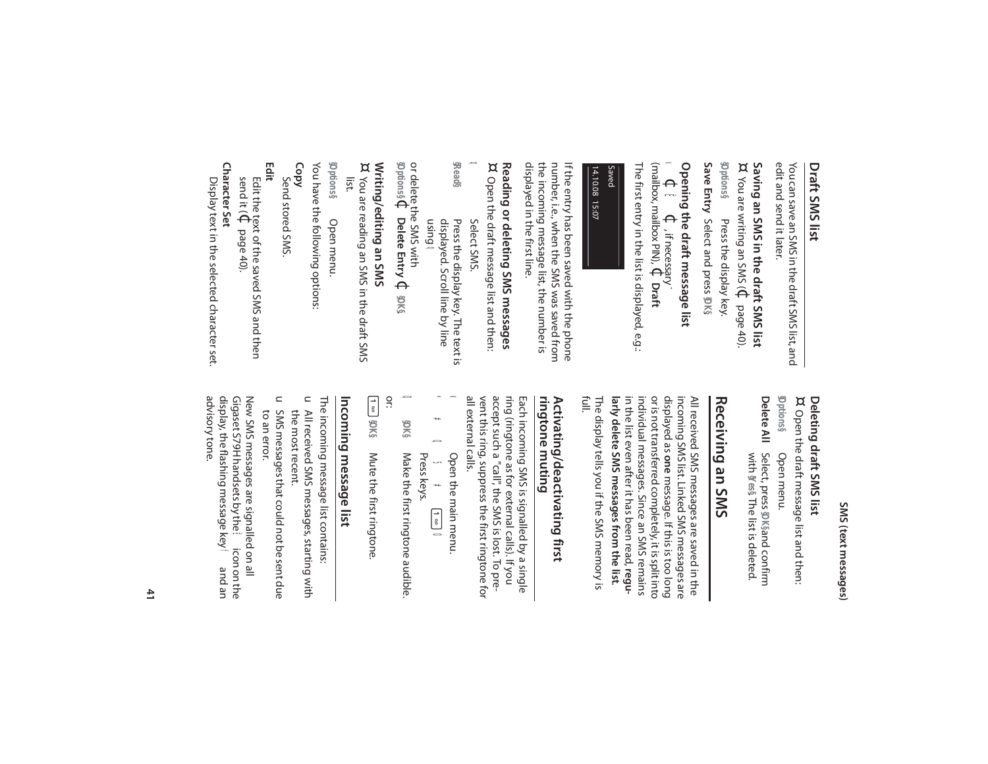#### **Draft SMS list** Draft SMS list

edit and send it later. edit and send it later. You can save an SMS in the draft SMS list, and You can save an SMS in the draft SMS list, and

**§Options§** Saving an SMS in the draft SMS list<br>¤ You are writing an SMS ( $\bigoplus_{\mathbf{C}}$  page 40) **Saving an SMS in the draft SMS list** You are writing an SMS ( $\mathbb{C}$  page 40). You are writing an SMS ( $\Phi$ Press the display key. Press the display key.

**Save Entry** Select and press **§OK§**.

# **Opening the draft message list**

 $\blacktriangleleft$  $\Theta$ Ë $\Theta$ , if necessary  $\sim$ (mailbox, mailbox PIN), $\Theta$ **Draft** 

The first entry in the list is displayed, e.g.: The first entry in the list is displayed, e.g.:

#### 14.10.08 15:07 Saved14.10.08 15:07

the incoming message list, the number is the incoming message list, the number is number, i.e., when the SMS was saved from number, i.e., when the SMS was saved from If the entry has been saved with the phone If the entry has been saved with the phone

#### Reading or deleting SMS messages<br>¤ Open the draft message list and then **Reading or deleting SMS messages** Open the draft message list and then: Open the draft message list and then:

displayed in the first line.

displayed in the first line.

 $\mathbf{Q}$ Select SMS. **§Read§**

displayed. Scroll line by line Press the display key. The text is using displayed. Scroll line by line Press the display key. The text is  $\Omega$ 

**§Options§** or delete the SMS with  $\Theta$ **Delete Entry**Delete Entry **↓** 

**§OK§**.

# **Writing/editing an SMS**

Writing/editing an SMS<br>¤ You are reading an SMS in the draft SMS list. You are reading an SMS in the draft SMS

**§Options§** Open menu. Open menu.

You have the following options: You have the following options:

**Copy** 

Send stored SMS. Send stored SMS.

**Edit** 

send it ( Edit the text of the saved SMS and then  $\Theta$ page 40).

**Character Set**

**Character Set** Display text in the selected character set. Display text in the selected character set.

### SMS (text messages) **SMS (text messages)**

# **Deleting draft SMS list**

Delete All **§Options§** Deleting draft SMS list<br>¤ Open the draft message list and then: **Delete All** Select, press Open the draft message list and then: Open menu. Open menu. and confirm

Select, press **@K§**and confirm with **§Yes§**. The list is deleted.

### Receiving an SMS **Receiving an SMS**

individual messages. Since an SMS remains or is not transferred completely, it is split into displayed as one message. If this is too long The display tells you if the SMS memory is larly delete SMS messages from the list. **larly delete SMS messages from the list**. in the list even after it has been read, reguin the list even after it has been read, individual messages. Since an SMS remains or is not transferred completely, it is split into displayed as incoming SMS list. Linked SMS messages are incoming SMS list. Linked SMS messages are All received SMS messages are saved in the All received SMS messages are saved in the **one** message. If this is too long

The display tells you if the SMS memory is<br>full.

#### Activating/deactivating first ringtone muting **ringtone muting Activating/deactivating first**

all external calls. vent this ring, suppress the first ringtone for accept such a "call", the SMS is lost. To prering (ringtone as for external calls). If you all external calls. vent this ring, suppress the first ringtone for accept such a "call", the SMS is lost. To prering (ringtone as for external calls). If you Each incoming SMS is signalled by a single Each incoming SMS is signalled by a single

 Open the main menu. Open the main menu.

 $\blacktriangleleft$ 

 $\ast$ 

\*#Q5##  $\boldsymbol{\mathsf{D}}$ Press keys. Ù  $\pmb{\ast}$  $\sqrt{\frac{1}{6}}$ O

 $\boldsymbol{0}$ **§OK§** Make the first ringtone audible. Make the first ringtone audible.

 $\sqrt{\frac{1}{6}}$ or: **§OK§** Mute the first ringtone.

# Incoming message list **Incoming message list**

The incoming message list contains: The incoming message list contains:

- u All received SMS messages, starting with the most recent. the most recent. All received SMS messages, starting with
- u SMS messages that could not be sent due to an error. SMS messages that could not be sent due

advisory tone. advisory tone. display, the flashing message key f and an Gigaset S79H handsets by the New SMS messages are signalled on all Ëicon on the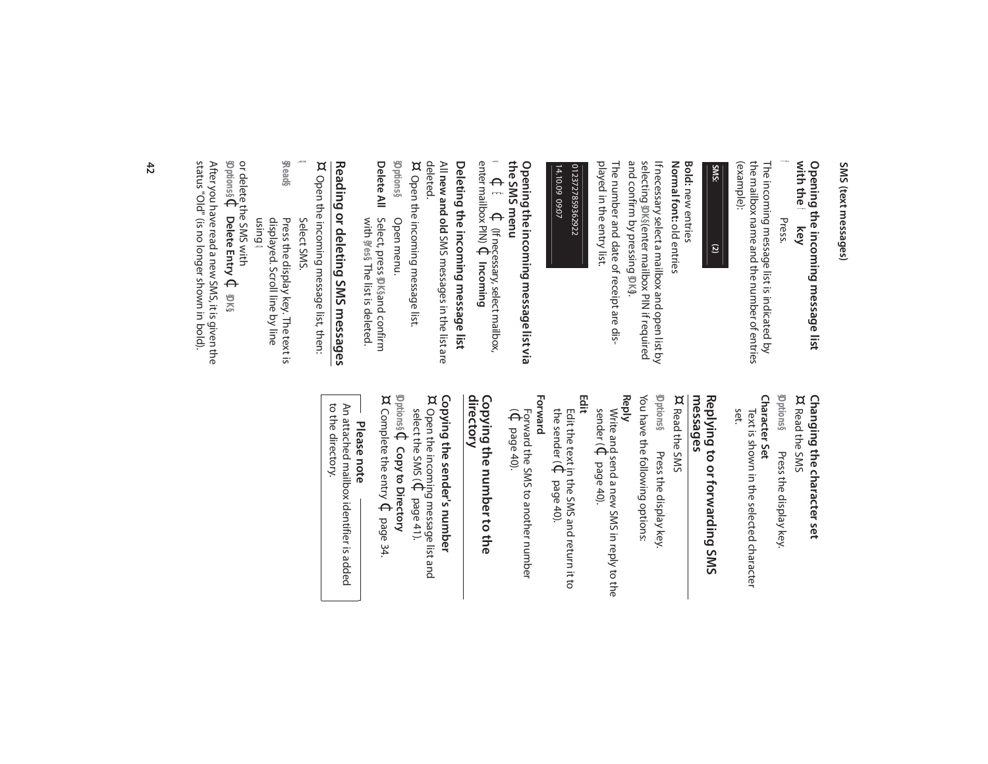### **with the Opening the incoming message list**  f **key**

#### f Press.

the mailbox name and the number of entries the mailbox name and the number of entries The incoming message list is indicated by The incoming message list is indicated by (example):



#### Normal font: old entries **Normal font:** old entries **Bold:** new entries new entries

selecting If necessary select a mailbox and open list by **§OK§** (enter mailbox PIN if required and confirm by pressing **§OK§**).

played in the entry list. played in the entry list. The number and date of receipt are dis-The number and date of receipt are dis-

#### 14.10.09 09:07 0123727859362922 0123727859362922 14.10.09 09:07

# **the SMS menu** Opening the incoming message list via **Opening the incoming message list via**

 $\blacktriangleleft$  $\Theta$ Ë $\Theta$ (If necessary, select mailbox, enter mailbox PIN) $\Theta$ **Incoming** 

# Deleting the incoming message list **Deleting the incoming message list**

All new and old SMS messages in the list are **new and old** SMS messages in the list are deleted.

¤ Open the incoming message list. Open the incoming message list.

Delete All Select, press \$DK§and confirm **Delete All** Select, press **§Options§** Open menu. Open menu. and confirm

with **§Yes§**. The list is deleted.

# Reading or deleting SMS messages **Reading or deleting SMS messages**

¤ Open the incoming message list, then: Open the incoming message list, then:

- $\Omega$ Select SMS.
- **§Read§** Press the display key. The text is displayed. Scroll line by line Press the display key. The text is

#### using  $\Omega$

**§Options§** or delete the SMS with  $\Theta$ **Delete Entry** $\Theta$ **§OK§**.

After you have read a new SMS, it is given the<br>status "Old" (is no longer shown in bold). status "Old" (is no longer shown in bold). After you have read a new SMS, it is given the

# **Changing the character set**<br>¤ Read the SMS **Changing the character set**

**§Options§** Character Set **Character Set** Read the SMS Press the display key. Press the display key.

set. Text is shown in the selected character Text is shown in the selected character

# **messages Replying to or forwarding SMS**

 $\alpha$  Read the SMS Read the SMS

You have the following options: You have the following options: **§Options§** Press the display key Press the display key.

## **Reply**

sender ( Write and send a new SMS in reply to the  $\Theta$ page 40).

# **Edit**

the sender ( Edit the text in the SMS and return it to  $\Theta$ page 40).

### **Forward**

 $\widehat{\Theta}$ Forward the SMS to another number page 40).

# **directory Copying the number to the**

# **Copying the sender's number**

¤ select the SMS ( Open the incoming message list and  $\Theta$ page 41).

**§Options§** $\Theta$ **Copy to Directory** ¤

Complete the entry  $\Theta$ page 34.

# **Please note**

to the directory. to the directory. An attached mailpox identifier is added An attached mailbox identifier is added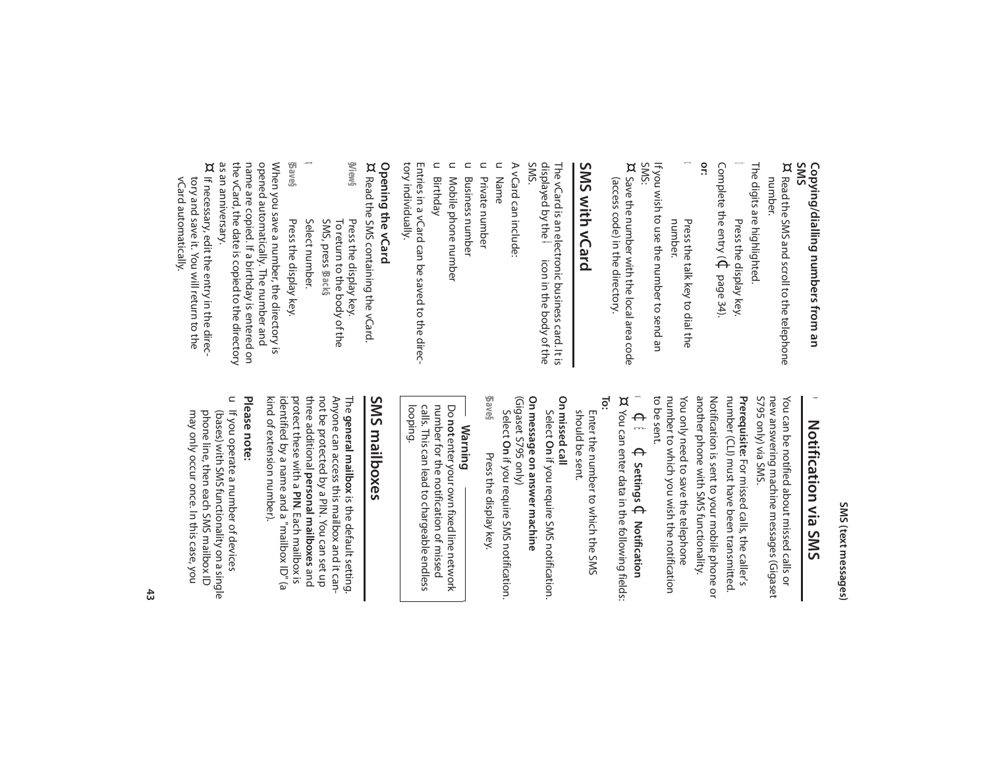# Copying/dialling numbers from an<br>SMS **Copying/dialling numbers from an**

¤ Read the SMS and scroll to the telephone number. Read the SMS and scroll to the telephone

The digits are highlighted. The digits are highlighted.

Ó Press the display key. Complete the entry ( $\Theta$ page 34).

**or:**

**O** number. Press the talk key to dial the Press the talk key to dial the

SMS: If you wish to use the number to send an If you wish to use the number to send an

¤ Save the number with the local area code (access code) in the directory. (access code) in the directory. Save the number with the local area code

### SMS with vCard **SMS with vCard**

displayed by the The vCard is an electronic business card. It is Å icon in the body of the The vCard is an electronic business card. It is<br>displayed by the  $\bigwedge\limits$  icon in the body of the<br>SMS.

A vCard can include: A vCard can include:

 $\subset$ Name

u Private number Private number

 $\subset$ **Business number** Business number

u Mobile phone number Mobile phone number

 $\subset$ Birthday

tory individually. tory individually. Entries in a vCard can be saved to the direc-Entries in a vCard can be saved to the direc-

# **Opening the vCard**

**§View§Opening the vCard<br>¤ Read the SMS containing the vCard** Read the SMS containing the vCard. Press the display key. Press the display key. To return to the body of the

 $\mathbf{Q}$ Select number. Select number. SMS, press **§Back§**.

**§Save§** Press the display key. Press the display key.

as an anniversary. the vCard, the date is copied to the directory the vCard, the date is copied to the directory name are copied. If a birthday is entered on name are copied. If a birthday is entered on opened automatically. The number and opened automatically. The number and When you save a number, the directory is When you save a number, the directory is

as an anniversary.<br>¤ If necessary, edit the entry in the direc vCard automatically. vCard automatically. tory and save it. You will return to the tory and save it. You will return to the If necessary, edit the entry in the direc-

### $\bullet$ Notification via SMS **Notification via SMS**

S795 only) via SMS. new answering machine messages (Gigaset You can be notified about missed calls or S795 only) via SMS. new answering machine messages (Gigaset You can be notified about missed calls or

You only need to save the telephone another phone with SMS functionality. Notification is sent to your mobile phone or number (CLI) must have been transmitted. Prerequisite: For missed calls, the caller's number to which you wish the notification You only need to save the telephone another phone with SMS functionality. Notification is sent to your mobile phone or number (CLI) must have been transmitted. **Prerequisite:** For missed calls, the caller's

number to which you wish the notification<br>to be sent.

 $\blacktriangleleft$  $\Theta$ Ë $\Theta$ **Settings** ¢**Notification** ¤ You can enter data in the following fields: You can enter data in the following fields:

**To:**

should be sent. Enter the number to which the SMS should be sent. Enter the number to which the SMS

On missed call **On missed call** 

Select **On** if you require SMS notification. **On message on answer machine**

(Gigaset S795 only) On message on answer machine

**§Save§**Select Press the display key. **On**Press the display key. if you require SMS notification.

### **Warning**

calls. This can lead to chargeable endless<br>looping. number for the notification of missed Do **not**calls. This can lead to chargeable endless number for the notification of missed enter your own fixed line network

### **SMS mailboxes** SMS mailboxes

not be protected by a PIN. You can set up<br>three additional **personal mailboxes** and Anyone can access this mailbox and it cankind of extension number). kind of extension number). identified by a name and a "mailbox ID" (a identified by a name and a "mailbox ID" (a protect these with a PIN. Each mailbox is protect these with a **PIN**three additional not be protected by a PIN. You can set up Anyone can access this mailbox and it can-The **general mailbox** is the default setting. **general mailbox** is the default setting. **personal mailboxes**. Each mailbox is

#### Please note: **Please note:**

u If you operate a number of devices may only occur once. In this case, you phone line, then each SMS mailbox ID (bases) with SMS functionality on a single may only occur once. In this case, you phone line, then each SMS mailbox ID (bases) with SMS functionality on a single If you operate a number of devices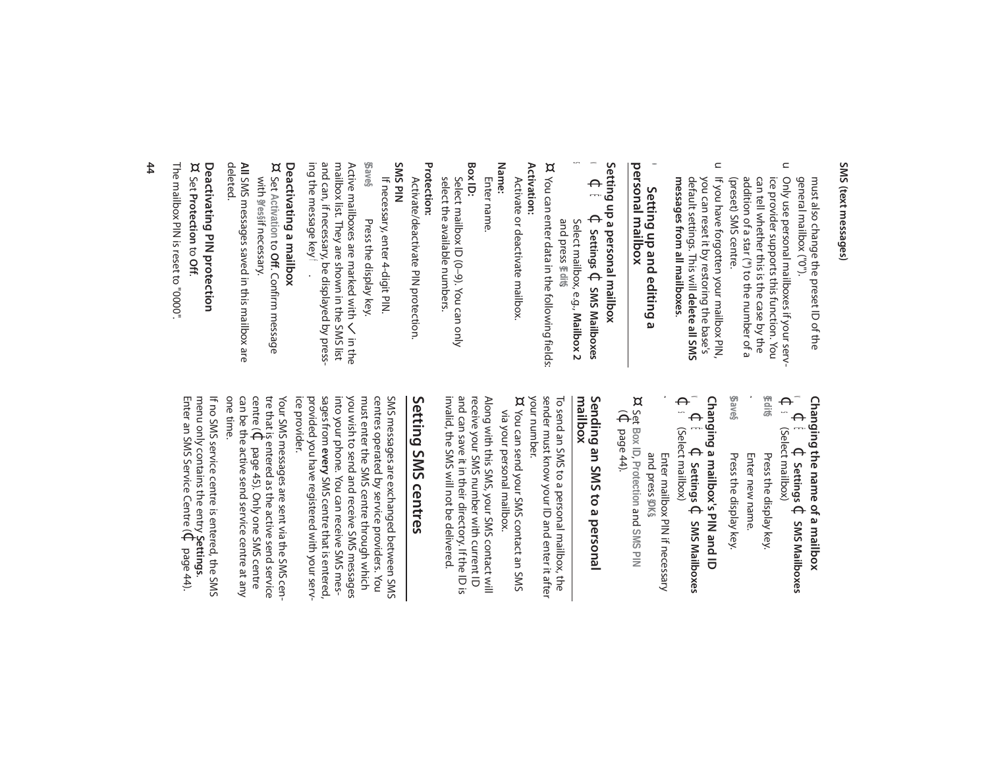general mailbox ("0"). must also change the preset ID of the general mailbox ("0"). must also change the preset ID of the

- $\mathrel{\square}$ addition of a star (\*) to the number of a ice provider supports this function. You Only use personal mailboxes if your serv-(preset) SMS centre. (preset) SMS centre. addition of a star (\*) to the number of a can tell whether this is the case by the can tell whether this is the case by the ice provider supports this function. You Only use personal mailboxes if your serv-
- $\Box$ If you have forgotten your mailbox PIN, messages from all mailboxes. **messages from all mailboxes**. you can reset it by restoring the base's<br>default settings. This will **delete all SMS** default settings. This will you can reset it by restoring the base's If you have forgotten your mailbox PIN, **delete all SMS**

#### personal mailbox **personal mailbox**  $\bullet$ Setting up and editing a **Setting up and editing a**

# **Setting up a personal mailbox** vering apa acconal mailbox<br>Settings → SMS Ma

- $\blacktriangleleft$ Ë $\Theta$ **Settings** ¢**SMS Mailboxes**
- Select mailbox, e.g., **Mailbox 2** and press **§Edit§**.

s

¤ You can enter data in the following fields: You can enter data in the following fields: **Activation:**

# Activate or deactivate mailbox. Activate or deactivate mailbox.

**Name:**

#### Enter name. Enter name.

**Box ID:**

select the available numbers. select the available numbers. Select mailbox ID (0-9). You can only Select mailbox ID (0–9). You can only

# **Protection:**

Activate/deactivate PIN protection Activate/deactivate PIN protection.

**SMS PIN**  If necessary, enter 4-digit PIN. If necessary, enter 4-digit PIN.

**§Save§** Press the display key. Press the display key.

and can, if necessary, be displayed by press-<br>ing the message key  $\mathbf{f}$ ing the message key and can, if necessary, be displayed by pressmailbox list. They are shown in the SMS list mailbox list. They are shown in the SMS list Active mailboxes are marked with  $\leq$ in the

# **Deactivating a mailbox**

Deactivating a mailbox<br>¤ Set Activation to Off. Confirm message Set **Activation** to **Off**. Confirm message with **§Yes§**if necessary.

**All** SMS messages saved in this mailbox are SMS messages saved in this mailbox are deleted.

# ¤ **Deactivating PIN protection**

Set **Protection** to **Off**.

The mailbox PIN is reset to "0000" The mailbox PIN is reset to "0000".

# **Changing the name of a mailbox**

 $\blacktriangleleft$  $\Theta$ Ë $\Theta$ **Settings** ¢**SMS Mailboxes**   $\Theta$ 

- s (Select mailbox)
- **§Edit§** Press the display key. Press the display key.
- **§Save§**~ Press the display key. Press the display key. Enter new name. Enter new name.

# **Changing a mailbox's PIN and ID**

Changing a mileox's AMA de fraging and DD<br>Changing a swis Ë $\Theta$ **Settings** ¢**SMS Mailboxes** 

- $\Theta$ s (Select mailbox) (Select mailbox)
- ~ Enter mailbox PIN if necessary Enter mailbox PIN if necessary
- and press **§OK§**. Set **Box ID**, **Protection** and **SMS PIN**  $\widehat{\Theta}$ page 44).

¤

# Sending an SMS to a personal<br>mailbox **Sending an SMS to a personal**

sender must know your ID and enter it after To send an SMS to a personal mailbox, the your number. sender must know your ID and enter it after To send an SMS to a personal mailbox, the

your number.<br>¤ You can send your SMS contact an SMS via your personal mailbox. via your personal mailbox. You can send your SMS contact an SMS

and can save it in their directory. If the ID is invalid, the SMS will not be delivered invalid, the SMS will not be delivered. and can save it in their directory. If the ID is receive your SMS number with current ID receive your SMS number with current ID Along with this SMS, your SMS contact will Along with this SMS, your SMS contact will

# Setting SMS centres **Setting SMS centres**

you wish to send and receive SMS messages must enter the SMS centre through which centres operated by service providers. You SMS messages are exchanged between SMS ice provider. ice provider. provided you have registered with your serv provided you have registered with your serv sages from into your phone. You can receive SMS mesyou wish to send and receive SMS messages must enter the SMS centre through which centres operated by service providers. You SMS messages are exchanged between SMS **every**SMS centre that is entered,

one time. can be the active send service centre at any can be the active send service centre at any centre ( tre that is entered as the active send service Your SMS messages are sent via the SMS cen-Your SMS messages are sent via the SMS cen- $\Theta$ page 45). Only one SMS centre

menu only contains the entry If no SMS service centre is entered, the SMS **Settings**. Enter an SMS Service Centre (¢page 44).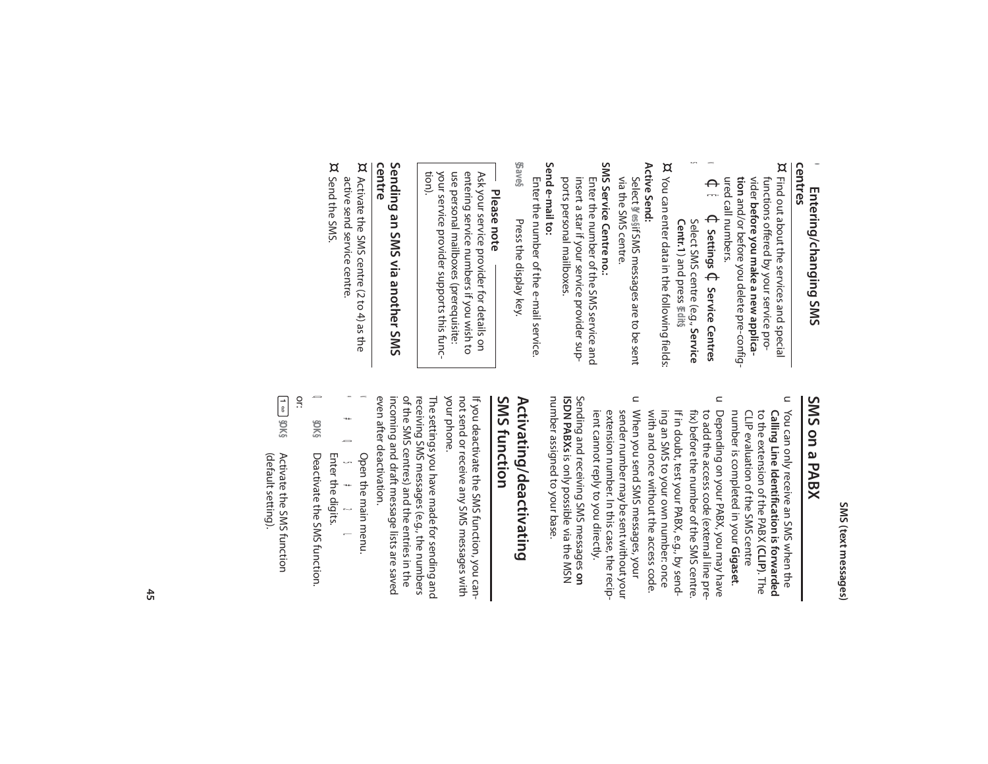### **Entering/changing SMS**  ● Entering/changing SMS<br>centres •

- ¤ Find out about the services and special ured call numbers. ured call numbers. tion and/or before you delete pre-config**tion** and/or before you delete pre-configvider before you make a new applicafunctions offered by your service profunctions offered by your service pro-Find out about the services and special **before you make a new applica-**
- $\blacktriangleleft$  $\Theta$ Ë $\Theta$ **Settings** ¢**Service Centres**
- s Select SMS centre (e.g., **Service Centr.1**) and press **§Edit§**.
- ¤ You can enter data in the following fields: You can enter data in the following fields:

**Active Send:**  Active Send: via the SMS centre. via the SMS centre. Select **§Yes§**if SMS messages are to be sent

### SMS Service Centre no.: **SMS Service Centre no.:**

ports personal mailboxes. insert a star if your service provider supports personal mailboxes. insert a star if your service provider sup-Enter the number of the SMS service and Enter the number of the SMS service and

#### Send e-mail to: **Send e-mail to:**

**§Save§**Enter the number of the e-mail service. Enter the number of the e-mail service. Press the display key. Press the display key.

# **Please note**

your service provider supports this func-<br>tion). use personal mailboxes (prerequisite: Ask your service provider for details on<br>entering service numbers if you wish to your service provider supports this funcuse personal mailboxes (prerequisite: entering service numbers if you wish to Ask your service provider for details on

# Sending an SMS via another SMS<br>centre **Sending an SMS via another SMS**

- ¤ active send service centre. Activate the SMS centre (2 to 4) as the active send service centre. Activate the SMS centre (2 to 4) as the
- ¤ Send the SMS. Send the SMS.

## SMS on a PABX **SMS on a PABX**

- $\subset$ You can only receive an SMS when the CLIP evaluation of the SMS centre to the extension of the PABX (CLIP). The Calling Line Identification is forwarded CLIP evaluation of the SMS centre to the extension of the PABX **(CLIP)**. **Calling Line Identification** You can only receive an SMS when the **is forwarded**
- $\subset$ Depending on your PABX, you may have **Gigaset**. Depending on your PABX, you may have number is completed in your
- with and once without the access code. If in doubt, test your PABX, e.g., by send-<br>ing an SMS to your own number: once to add the access code (external line pre-<br>fix) before the number of the SMS centre. with and once without the access code. ing an SMS to your own number: once If in doubt, test your PABX, e.g., by sendfix) before the number of the SMS centre. to add the access code (external line pre-
- $\subset$ When you send SMS messages, your ient cannot reply to you directly. extension number. In this case, the recipsender number may be sent without your ient cannot reply to you directly. extension number. In this case, the recipsender number may be sent without your When you send SMS messages, your

number assigned to your base. Sending and receiving SMS messages on<br>**ISDN PABXs** is only possible via the MSN number assigned to your base. **ISDN PABXs** is only possible via the MSN Sending and receiving SMS messages

#### Activating/deactivating **SMS function** SMS function **Activating/deactivating**

your phone. not send or receive any SMS messages with your phone. not send or receive any SMS messages with If you deactivate the SMS function, you can-If you deactivate the SMS function, you can-

even after deactivation. incoming and draft message lists are saved of the SMS centres) and the entries in the receiving SMS messages (e.g., the numbers The settings you have made for sending and even after deactivation. incoming and draft message lists are saved of the SMS centres) and the entries in the receiving SMS messages (e.g., the numbers The settings you have made for sending and

 Open the main menu. Open the main menu.

v

- \*#Q5#2L # 0<br>ต Enter the digits. Enter the digits.  $\ddagger$ Г
- $\boldsymbol{\mathsf{D}}$ **§OK§** Deactivate the SMS function. Deactivate the SMS function.
- $\sqrt{\frac{1}{6}}$ or: **§OK§**
- Activate the SMS function Activate the SMS function (default setting). (default setting).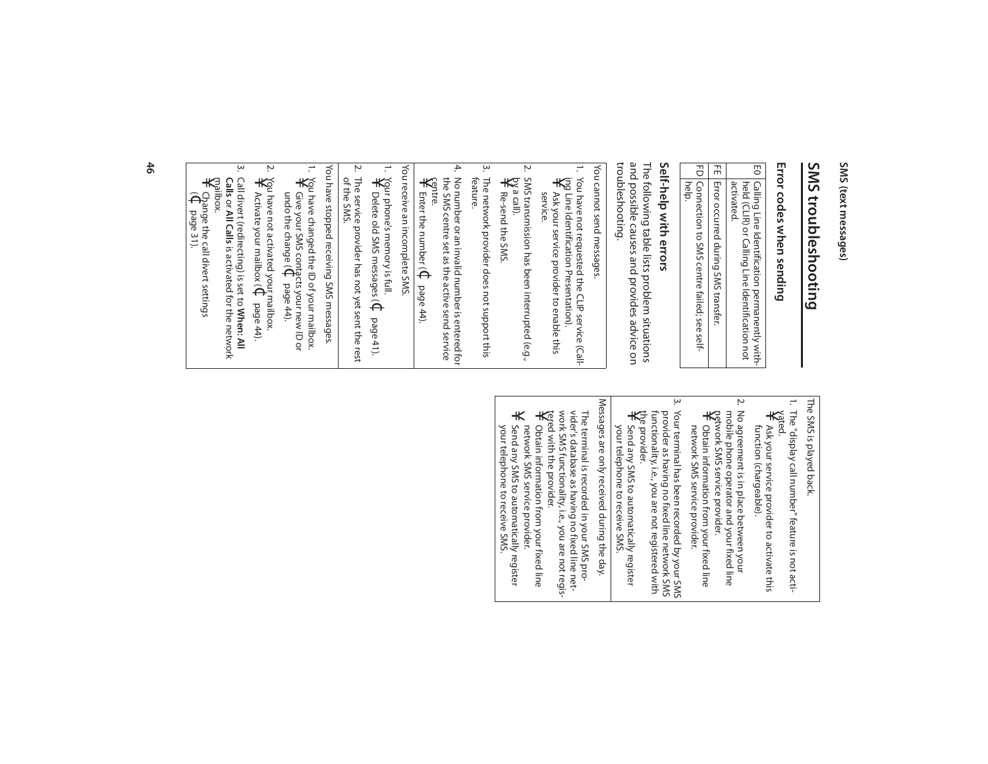# SMS troubleshooting **SMS troubleshooting**

# Error codes when sending **Error codes when sending**

| E0 Calling Line Identification permanently with-<br>held (CLIR) or Calling Line Identification not |
|----------------------------------------------------------------------------------------------------|
| activated.                                                                                         |
| FE   Error occurred during SMS transfer.                                                           |
| PD   Connection to SMS centre failed; see self-                                                    |
| help.                                                                                              |

### Self-help with errors **Self-help with errors**

troubleshooting. troubleshooting. and possible causes and provides advice on and possible causes and provides advice on The following table lists problem situations The following table lists problem situations

You cannot send messages. You cannot send messages.

÷

- 1. You have not requested the CLIP service (Call-You have not requested the CLIP service (Call-<br>ipg Line Identification Presentation).<br> $\frac{1}{\sqrt{2}}$  Ask your service now identification. ing Line Identification Presentation). Ask your service provider to enable this Ask your service provider to enable this<br>service.
- Ņ. 2. SMS transmission has been interrupted (e.g., ¥ by a call).
- Re-send the SMS Re-send the SMS.
- $\dot{\mathsf{m}}$ 3. The network provider does not support this The network provider does not support this<br>feature.
- 4. 4. No number or an invalid number is entered for No number or an invalid number is entered for ¥ centre. the SMS centre set as the active send service Enter the number (¢

Enter the number  $(\Phi$  page 44).

 $\overline{\phantom{0}}$ 1. Your phone's memory is full. You receive an incomplete SMS. You receive an incomplete SMS.

- 2. The service provider has not yet sent the rest Your phone's memory is full.<br>¥ Delete old SMS messane Delete old SMS messages (C Delete old SMS messages (¢page 41).
- Ņ The service provider has not yet sent the rest<br>of the SMS.

You have stopped receiving SMS messages You have stopped receiving SMS messages.

- $\overline{\phantom{a}}$ 1. You have changed the ID of your mailbox. You have changed the ID of your mailbox.<br>\<br>\} Give your SMS *contarte comment* Give your SMS contacts your new ID or
- undo the change (  $\Theta$ page 44). 2. You have not activated your mailbox.
- Ņ  $\ast$ Activate your mailbox ( $\Theta$ page 44).
- ڛ 3. Call divert (redirecting) is set to **When: All Calls** or **All Calls**is activated for the network

¥ mailbox.  $\widehat{\Theta}^{\sharp}_{\widehat{\alpha}}$ Change the call divert settings page 31).

> The SMS is played back The SMS is played back.

- $\overline{\phantom{0}}$ 1. The "display call number" feature is not acti-
- ¥ vated. Ask your service provider to activate this<br>function (chargeable). function (chargeable). Ask your service provider to activate this
- $\sim$ 2. No agreement is in place between your mobile phone operator and your fixed line<br>petwork SMS service provider.<br> $\frac{1}{\sqrt{2}}$  Obtain information from your fixed line No agreement is in place between your network SMS service provider. mobile phone operator and your fixed line
- network SMS service provider. network SMS service provider. Obtain information from your fixed line
- $\mu$ 3. Your terminal has been recorded by your SMS the provider.<br>¥ Send anv ! Your terminal has been recorded by your SMS<br>provider as having no fixed line network SMS<br>provider as having no fixed line network SMS<br>functionality, i.e., you are not registered with the provider. functionality, i.e., you are not registered with provider as having no fixed line network SMS
- Send any SMS to automatically register<br>your telephone to receive SMS. your telephone to receive SMS. Send any SMS to automatically register

Messages are only received during the day. Messages are only received during the day.

tered with the provider.<br>¥ Oh+ain the provider.<br>¥ Oh+ain i=r The terminal is recorded in your SMS pro-<br>vider's database as having no fixed line net-<br>work SMS functionality, i.e., you are not registered with the provider. work SMS functionality, i.e., you are not regisvider's database as having no fixed line net-The terminal is recorded in your SMS pro-

- Obtain information from your fixed line<br>network SMS service provider. network SMS service provider. Obtain information from your fixed line
- $\star$ Send any SMS to automatically register<br>your telephone to receive SMS. your telephone to receive SMS. Send any SMS to automatically register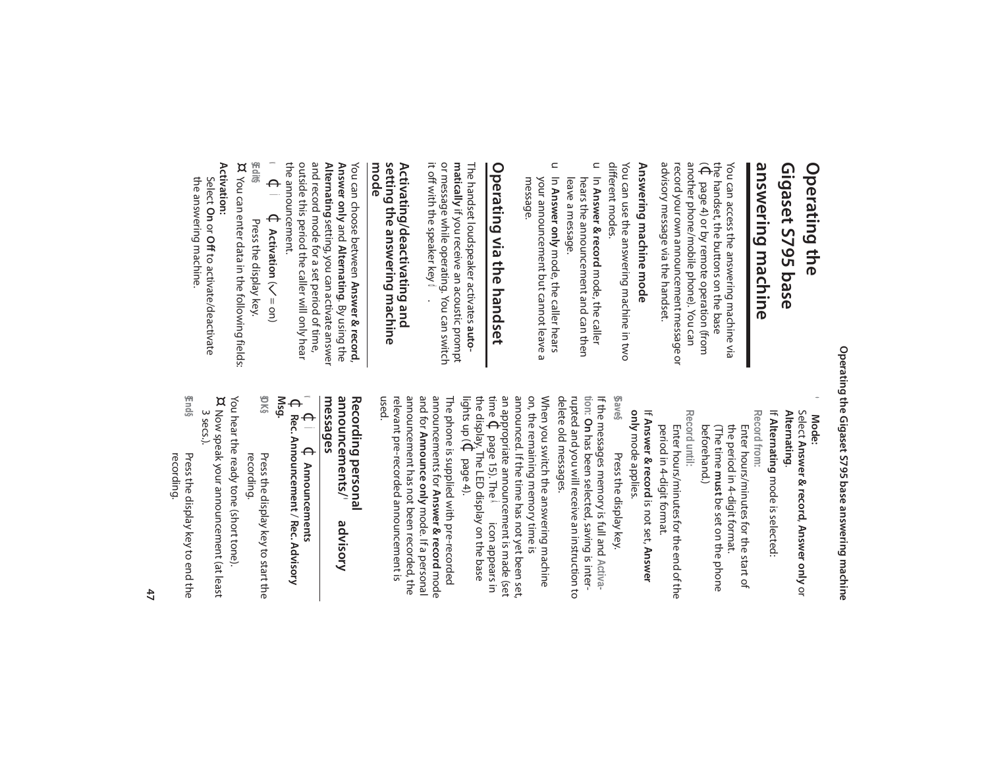#### Gigaset S795 base **Gigaset S795 base**  Operating the **Operating the**

# answering machine **answering machine**

advisory message via the handset. advisory message via the handset. record your own announcement message or record your own announ another phone/mobile phone). You can another phone/mobile phone). You can  $\widehat{\Theta}$ the handset, the buttons on the base You can access the answering machine via You can access the answering machine via page 4) or by remote operation (from cement message or

# Answering machine mode **Answering machine mode**

different modes. different modes. You can use the answering machine in two You can use the answering machine in two

- u In Answer & record mode, the caller leave a message. leave a message. hears the announcement and can then hears the announcement and can then In **Answer & record** mode, the caller
- $\subset$ In Answer only mode, the caller hears message. your announcement but cannot leave a your announcement but cannot leave a In **Answer only** mode, the caller hears

# Operating via the handset **Operating via the handset**

it off with the speaker key **of**. it off with the speaker key or message while operating. You can switch or message while operating. You can switch **matically** if you receive an acoustic prompt The handset loudspeaker activates auto-The handset loudspeaker activates if you receive an acoustic prompt

#### setting the answering machine<br>mode **setting the answering machine Activating/deactivating and**  Activating/deactivating and

the announcement. outside this period the caller will only hear outside this period the caller will only hear and record mode for a set period of time, and record mode for a set period of time, **Answer only and <b>Alternating**. By using the<br>**Alternating** setting, you can activate answer **Answer only** and **Alternating**You can choose between Answer & record, You can choose between setting, you can activate answer **Answer & record**, . By using the

- $\blacktriangleleft$  $\Theta$ Ì $\Theta$ **Activation** ( $\angle =$ on)
- **§Edit§** Press the display key. Press the display key.
- ¤ You can enter data in the following fields: You can enter data in the following fields:
- **Activation:**

the answering machine. the answering machine. Select **On** or **Off**to activate/deactivate

> **Mode:** Select **Answer & record**, **Answer only** or **Alternating**. If **Alternating** mode is selected: •

Record until: Record from **Record until: Record from:** the period in 4-digit format.<br>(The time **must** be set on the phone beforehand.) Enter hours/minutes for the start of beforehand.) the period in 4-digit format. Enter hours/minutes for the start of **must** be set on the phone

period in 4-digit format. Enter hours/mintes tor the end of the period in 4-digit format. Enter hours/minutes for the end of the

only mode applies. If Answer & record is not set, Answer **only** mode applies. **Answer & record** is not set, **Answer** 

**§Save§** If the messages memory is full and Activa-If the messages memory is full and **Activa-**Press the display key. Press the display key.

delete old messages. rupted and you will receive an instruction to tion: On has been selected, saving is interdelete old messages. rupted and you will receive an instruction to  **On** has been selected, saving is inter-

announced. If the time has not yet been set, on, the remaining memory time is When you switch the answering machine time **(C** p<br>the displa<br>lights up ( the display. The LED display on the base time an appropriate announcement is made (set announced. If the time has not yet been set, on, the remaining memory time is When you switch the answering machine page 15). The  $\tilde{A}$  $\Theta$ page 4). icon appears in

used. announcement has not been recorded, the and for **Announce only** mode. If a personal announcements for Answer & record mode The phone is supplied with pre-recorded relevant pre-recorded announcement is relevant pre-recorded announcement is announcement has not been recorded, the announcements for The phone is supplied with pre-recorded **Announce only** mode. If a personal **Answer & record** mode

#### Recording personal<br>announcements/ ● **announcements/ advisory Recording personal**  dvisory

**messages**  $\Theta$ Ì**⊄** Announcements **Announcements**

- v  $\Theta$ **Rec. Announcement** / **Rec. Advisory Msg.**
- **§OK§** Press the display key to start the<br>recording. Press the display key to start the
- You hear the ready tone (short tone).
- You hear the ready tone (short tone).<br>¤ Now speak your announcement (at least Now speak your announcement (at least
- **Finds §End§** Press the display key to end the 3 secs.). Press the display key to end the<br>recording.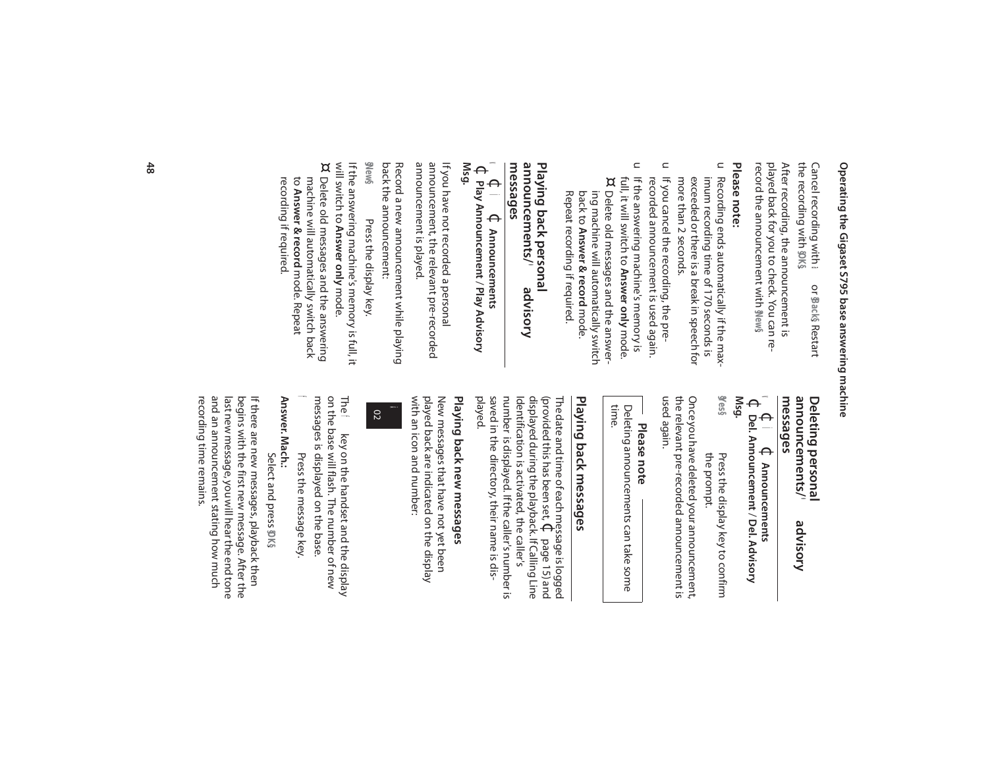the recording with Cancel recording with ● or \$Back\$ Restart Cancel recording with **§OK§**. a or \$Back§Restart

record the announcement with played back for you to check. You can replayed back for you to check. You can re-After recording, the announcement is After recording, the announcement is **§New§**.

#### Please note: **Please note:**

- u Recording ends automatically if the maxmore than 2 seconds. exceeded or there is a break in speech for imum recording time of 170 seconds is more than 2 seconds. exceeded or there is a break in speech for imum recording time of 170 seconds is Recording ends automatically if the max-
- $\subset$ recorded announcement is used again. If you cancel the recording, the prerecorded announcement is used again. If you cancel the recording, the pre-
- $\subset$ If the answering machine's memory is full, it will switch to **Answer only** mode.<br>¤ Delete old messages and the answerfull, it will switch to If the answering machine's memory is back to Answer & record mode. ing machine will automatically switch ing machine will automatically switch Delete old messages and the answer-**Answer & record** mode. **Answer only** mode.

#### Playing back personal<br>announcements/ ● a **announcements/ advisory Playing back personal**  dvisory

Repeat recording if required.

Repeat recording if required.

# **messages**

 $\leq$  $\Theta$ Ì**⊄ Announcements Announcements**  $\Theta$ **Play Announcement** / **Play Advisory Msg.**

announcement is played. announcement is played. announcement, the relevant pre-recorded announcement, the relevant pre-recorded If you have not recorded a personal If you have not recorded a personal

back the announcement: back the announcement: Record a new announcement while playing Record a new announcement while playing

**§New§** If the answering machine's memory is full, it Press the display key. Press the display key.

will switch to **Answer only**f the answering machine's memory is full, it<br>will switch to **Answer only** mode. ¤ Delete old messages and the answering Delete old messages and the answering

recording if required. recording if required. machine will automatically switch back<br>to **Answer & record** mode. Repeat machine will automatically switch back **Answer & record** mode. Repeat

#### **Deleting personal**<br>announcements/ **messages announcements/ advisory Deleting personal**  dvisory

#### v  $\Theta$ Ì $\Theta$ **Announcements**  $\Theta$ **Del. Announcement** / **Del. Advisory**

**§Yes§ Msg.** the prompt. the prompt. Press the display key to confirm Press the display key to confirm

the relevant pre-recorded announcement is<br>used again. Once you have deleted your announcement the relevant pre-recorded announcement is Once you have deleted your announcement,

# **Please note**

Deleting announcements can take some<br>time. Deleting announcements can take some

# Playing back messages **Playing back messages**

Identification is activated, the caller's<br>number is displayed.If the caller's number is The date and time of each message is logged<br>(provided this has been set,  $\Phi$  page 15) and<br>displayed during the playback. If Calling Line number is displayed. If the caller's number is Identification is activated, the caller's displayed during the playback. If Calling Line (provided this has been set, The date and time of each message is logged page 15) and

played. saved in the directory, their name is dissaved in the directory, their name is dis-

# Playing back new messages **Playing back new messages**

New messages that have not yet been<br>played back are indicated on the display with an icon and number: with an icon and number: played back are indicated on the display New messages that have not yet been



The messages is displayed on the base. on the base will flash. The number of new messages is displayed on the base. on the base will flash. The number of new **■ key on the handset and the display** key on the handset and the display

f Press the message key. Press the message key.

Answer. Mach.: **Answer. Mach.:** Select and press DK§ Select and press **§OK§**

and an announcement stating how much recording time remains. recording time remains. and an announcement stating how much last new message, you will hear the end tone last new message, you will hear the end tone begins with the first new message. After the begins with the first new message. After the If there are new messages, playback then If there are new messages, playback then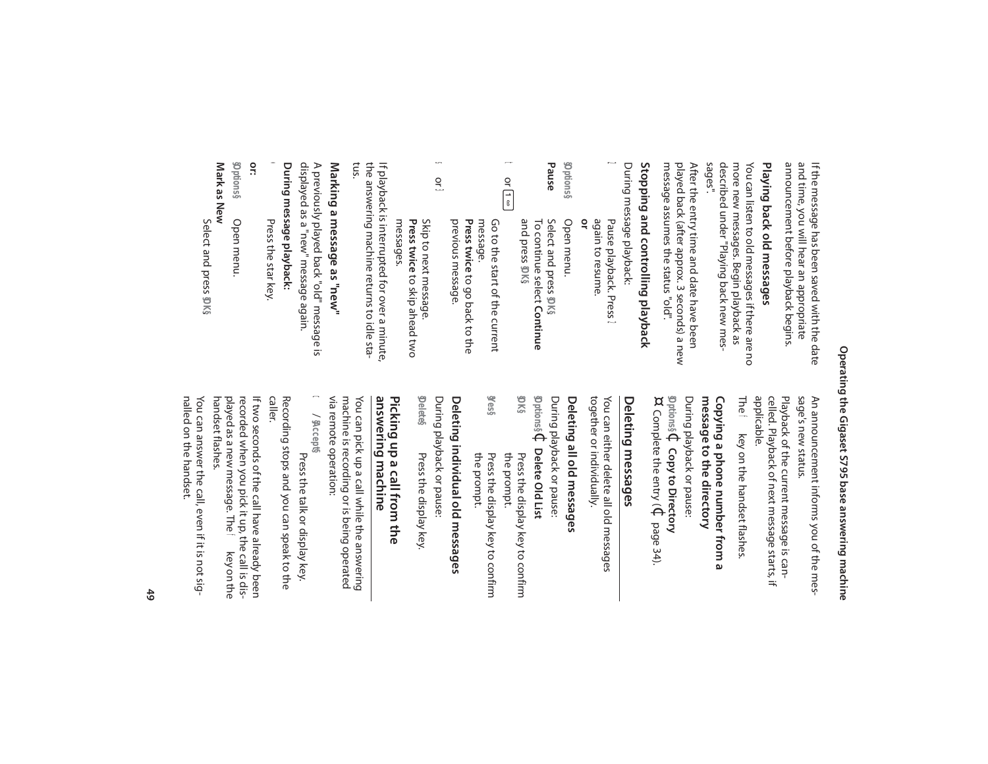announcement before playback begins. announcement before playback begins. and time, you will hear an appropriate and time, you will hear an appropriate If the message has been saved with the date If the message has been saved with the date

# Playing back old messages **Playing back old messages**

described under "Playing back new mes-<br>sages". described under "Playing back new mesmore new messages. Begin playback as more new messages. Begin playback as You can listen to old messages if there are no You can listen to old messages if there are no

message assumes the status "old". message assumes the status "old". played back (after approx. 3 seconds) a new played back (after approx. 3 seconds) a new After the entry time and date have been After the entry time and date have been

# Stopping and controlling playback **Stopping and controlling playback**

During message playback: During message playback:

| pen menu | ৹ | again to resume. | Pause playback.<br>7ress |
|----------|---|------------------|--------------------------|

Pause **Pause** Select and press **§Options§To continue select Continue** Select and press \$0K§ Open menu. and press To continue select **§OK§**.

t or $\begin{bmatrix} 1 \\ 8 \end{bmatrix}$ previous message. Press twice to go back to the Go to the start of the current<br>message. previous message. Go to the start of the current to go back to the

s $\frac{1}{3}$ 

**Skip to next message.<br>Press twice** to skip ahead two Skip to next message. to skip ahead two messages.

lf playback is interrupted for over a minute,<br>the answering machine returns to idle sta-<br>tus. the answering machine returns to idle sta-If playback is interrupted for over a minute,

# Marking a message as "new" **Marking a message as "new"**

During message playback: **During message playback:** displayed as a "new" message again displayed as a "new" message again. A previously played back "old" message is A previously played back "old" message is

- \* Press the star key. Press the star key.
- **or:**

Mark as New **Mark as New §Options§** Open menu. Open menu.

Select and press Select and press \$DK§

> sage's new status. sage's new status. An announcement informs you of the mes-An announcement informs you of the mes-

celled. Playback of next message starts, if<br>applicable. Playback of the current message is cancelled. Playback of next message starts, if Playback of the current message is can-

The f f key on the handset flashes. key on the handset flashes.

#### Copying a phone number from a During playback or pause: message to the directory **message to the directory Copying a phone number from a**

**§Options§**  $\Theta$ **Copy to Directory**  ¤ Complete the entry ( $\mathfrak \Phi$ page 34).

### Deleting messages **Deleting messages**

together or individually. together or individually. You can either delete all old messages You can either delete all old messages

# Deleting all old messages **Deleting all old messages**

**§Options§** During playback or pause:  $\Theta$ **Delete Old List §OK§** Press the display key to confirm<br>the prompt. Press the display key to confirm

**§Yes§** Press the display key to confirm<br>the prompt. Press the display key to confirm

# Deleting individual old messages **Deleting individual old messages**

**§Delete§** During playback or pause: During playback or pause: Press the display key. Press the display key.

#### answering machine Picking up a call from the **answering machine Picking up a call from the**

via remote operation: via remote operation: machine is recording or is being operated machine is recording or is being operated You can pick up a call while the answering You can pick up a call while the answering

 $\boldsymbol{0}$ / **§Accept§**

Press the talk or display key. Press the talk or display key.

Recording stops and you can speak to the<br>caller. Recording stops and you can speak to the

If two seconds of the call have already been<br>recorded when you pick it up, the call is dis-<br>played as a new message. The ₹ key on the handset flashes. handset flashes.played as a new message. The recorded when you pick it up, the call is dis-If two seconds of the call have already been f key on the

nalled on the handset. nalled on the handset. You can answer the call, even if it is not sig-You can answer the call, even if it is not sig-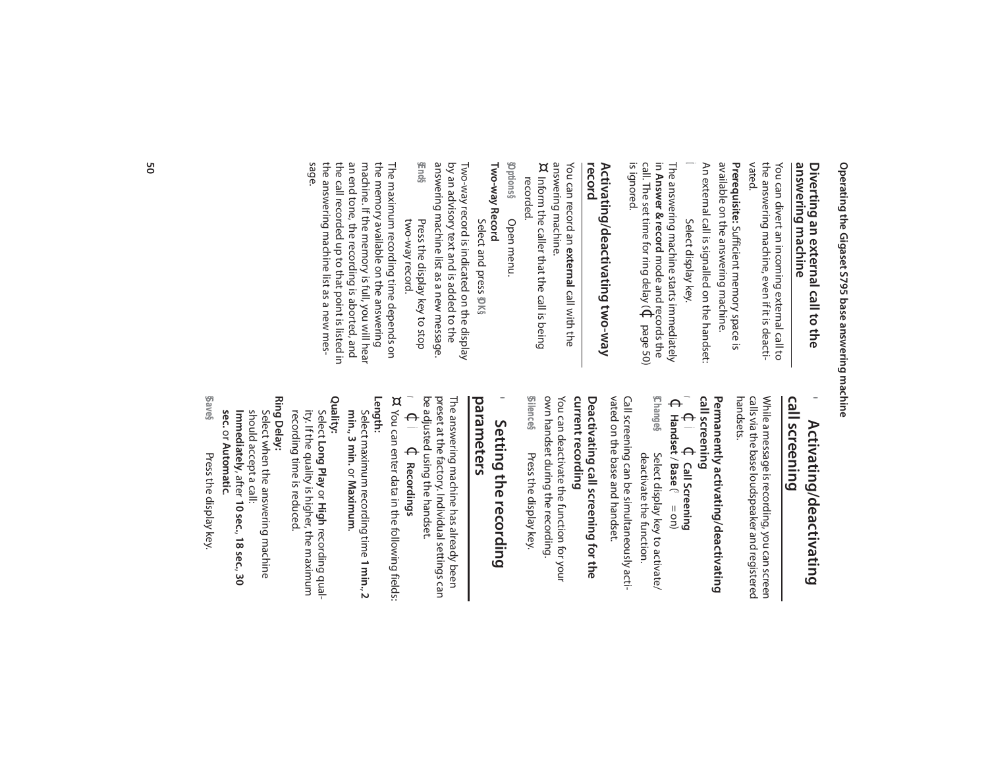### answering machine **answering machine** Diverting an external call to the **Diverting an external call to the**

the answering machine, even if it is deacti-<br>vated. the answering machine, even if it is deacti-You can divert an incoming external call to You can divert an incoming external call to

available on the answering machine. available on the answering machine. Prerequisite: Sufficient memory space is **Prerequisite:**  Sufficient memory space is

Ô An external call is signalled on the handset: An external call is signalled on the handset: Select display key. Select display key.

 $\equiv$ The answering machine starts immediately **Answer & record** mode and records the call. The set time for ring delay ( $\Phi$ page 50) is ignored.

# Activating/deactivating two-way<br>record **Activating/deactivating two-way**

You can record an You can record an e**xternal** call with the call with the answering machine.

answering machine.<br>¤ Inform the caller that the call is being Inform the caller that the call is being

recorded. Open menu. Open menu.

**§Options§**

Two-way Record **Two-way Record**  Select and press **\$DK**§ Select and press

answering machine list as a new message. answering machine list as a new message. by an advisory text and is added to the by an advisory text and is added to the Two-way record is indicated on the display Two-way record is indicated on the display

**§End§** Press the display key to stop two-way record. Press the display key to stop two-way record.

the answering machine list as a new mes<del>.</del><br>sage. the answering machine list as a new mesthe call recorded up to that point is listed in the call recorded up to that point is listed in an end tone, the recording is aborted, and an end tone, the recording is aborted, and machine. If the memory is full, you will hear machine. If the memory is full, you will hear the memory available on the answering the memory available on the answering The maximum recording time depends on The maximum recording time depends on

### call screening **call screening** Activating/deactivating **Activating/deactivating**

 $\bullet$ 

handsets. calls via the base loudspeaker and registered calls via the base loudspeaker and registered While a message is recording, you can screen While a message is recording, you can screen

# Permanently activating/deactivating **call screening Permanently activating/deactivating**

v  $\Theta$ Ìcall screening<br>  $\mathbf{v} \in \mathbf{I}$   $\mathbf{v}$  Call Screening **Call Screening**  $\Theta$ **Handset**  $/$  Base ( $\approx$   $=$  on)

**§Change§** Select display key to activate/ Select display key to activate/

vated on the base and handset. Call screening can be simultaneously activated on the base and handset. Call screening can be simultaneously actideactivate the function. deactivate the function.

#### current recording **current recording** Deactivating call screening for the **Deactivating call screening for the**

**§Silence§** own handset during the recording. You can deactivate the function for your own handset during the recording. You can deactivate the function for your Press the display key. Press the display key.

#### **parameters**  $\bullet$ Setting the recording **Setting the recording**

preset at the factory. Individual settings can be adjusted using the handset. preset at the factory. Individual settings can The answering machine has already been The answering machine has already been

 $\blacktriangleleft$  $\Theta$ Ì $\Theta$ **Recordings**

¤ You can enter data in the following fields You can enter data in the following fields: **Length:**

Select maximum recording time **1 min.**Select maximum recording time 1 min., 2 **min.**, **3 min.** or **Maximum**.

**Quality:**

recording time is reduced. ity. If the quality is higher, the maximum recording time is reduced. ity. If the quality is higher, the maximum Select **Long Play** or **High** recording qual-

**Ring Delay:**

should accept a call: Select when the answering machine **Immediately** should accept a call: Select when the answering machine , after **10 sec.**, **18 sec.**, **30** 

**§Save§** sec. or Automatic. or **Automatic**. Press the display key Press the display key.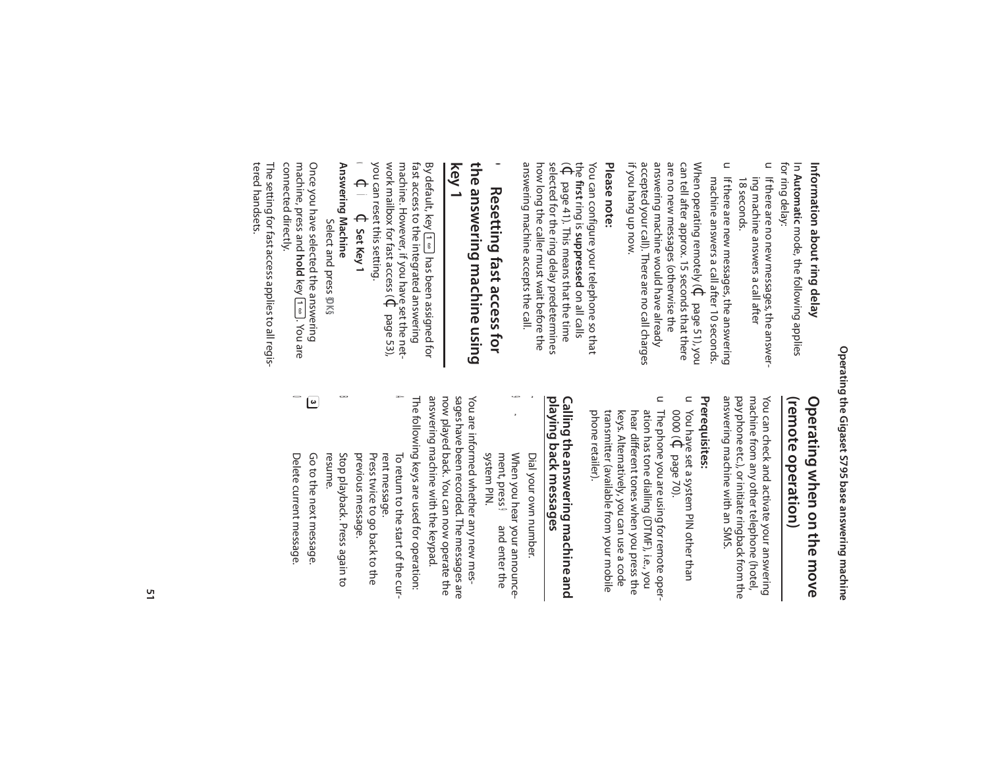# Information about ring delay **Information about ring delay**

for ring delay: for ring delay: In Automatic mode, the following applies **Automatic** mode, the following applies

- u If there are no new messages, the answer ing machine answers a call after<br>18 seconds. ing machine answers a call after If there are no new messages, the answer-
- u If there are new messages, the answering machine answers a call after 10 seconds. If there are new messages, the answering

When operating remotely ( $\mathbb Q$  page 51), you if you hang up now. if you hang up now. accepted your call). There are no call charges accepted your call). There are no call charges answering machine would have already answering machine would have already are no new messages (otherwise the are no new messages (otherwise the can tell after approx. 15 seconds that there can tell after approx. 15 seconds that there When operating remotely (¢machine answers a call after 10 seconds. page 51), you

#### **Please note:** Please note:

answering machine accepts the call. answering machine accepts the call. how long the caller must wait before the how long the caller must wait before the selected for the ring delay predetermines selected for the ring delay predetermines  $\widehat{\Theta}^{\frac{1}{6}}$ You can configure your telephone so that **first** ring is **suppressed** on all calls page 41). This means that the time

#### **key 1** the answering machine using **the answering machine using**  •Resetting fast access for **Resetting fast access for**

you can reset this setting. work mailbox for fast access ( machine. However, if you have set the net-By default, key [T= J has been assigned for<br>fast access to the integrated answering fast access to the integrated answering By default, key  $\boxed{1 \, \omega}$  has been assigned for  $\Theta$ page 53),

#### $\blacktriangleleft$  $\Theta$ Ì $\Theta$ **Set Key 1**

Answering Machine **Answering Machine** Select and press **\$0K**§ Select and press

connected directly. connected directly. machine, press and hold key  $\left(1\right.\underline{\hspace{0.2cm}}$  . You are machine, press and Once you have selected the answering Once you have selected the answering **hold** key U. You are

tered handsets. tered handsets. The setting for fast access applies to all regis-The setting for fast access applies to all regis-

### Operating when on the move (remote operation) **(remote operation) Operating when on the move**

answering machine with an SMS. pay phone etc.), or initiate ringback from the machine from any other telephone (hotel You can check and activate your answering answering machine with an SMS. pay phone etc.), or initiate ringback from the machine from any other telephone (hotel, You can check and activate your answering

#### Prerequisites: **Prerequisites:**

- $\subset$ 0000 ( You have set a system PIN other than  $\Theta$ page 70).
- $\subset$ The phone you are using for remote operphone retailer). transmitter (available from your mobile keys. Alternatively, you can use a code hear different tones when you press the ation has tone dialling (DTMF), i.e., you phone retailer). transmitter (available from your mobile keys. Alternatively, you can use a code hear different tones when you press the ation has tone dialling (DTMF), i.e., you The phone you are using for remote oper-

### Calling the answering machine and playing back messages **playing back messages Calling the answering machine and**

 Dial your own number. Dial your own number.

~

 $\blacklozenge$ 

9 ~ When you hear your announce- $\mathbf{r}$ When you hear your announcesystem PIN. ment, press **9** and enter the ment, press **9** and enter the

answering machine with the keypad. now played back. You can now operate the sages have been recorded. The messages are The following keys are used for operation: answering machine with the keypad. now played back. You can now operate the sages have been recorded. The messages are You are informed whether any new mes-You are informed whether any new mes-

The following keys are used for operation: To return to the start of the cur-Press twice to go back to the Press twice to go back to the rent message. rent message. To return to the start of the cur-

A

 Stop playback. Press again to Stop playback. Press again to previous message. previous message.

 $\overline{\mathbf{u}}$ 

 Go to the next message. Go to the next message. resume.

عا

0

 Delete current message. Delete current message.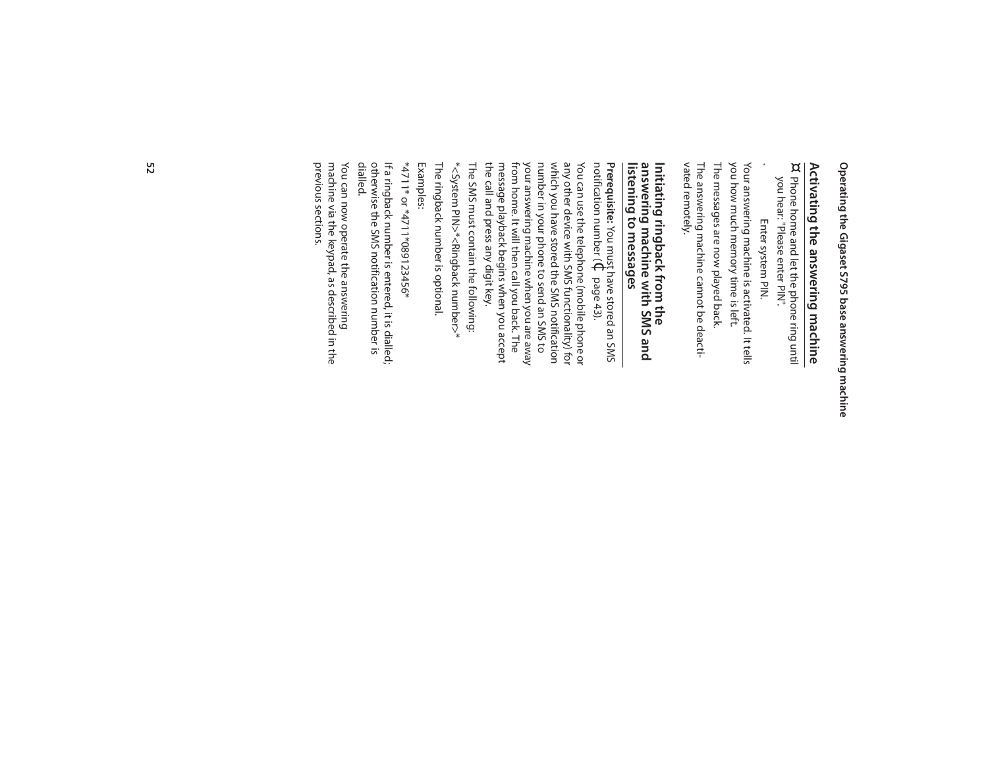# **Activating the answering machine**

Activating the answering machine<br>¤ Phone home and let the phone ring until Phone home and let the phone ring until you hear: "Please enter PIN". you hear: "Please enter PIN". Phone home and let the phone ring until

Enter system PIN. Enter system PIN.

vated remotely. vated remotely. The answering machine cannot be deacti-The answering machine cannot be deacti-The messages are now played back. The messages are now played back. you how much memory time is left. you how much memory time is left. Your answering machine is activated. It tells Your answering machine is activated. It tells ~

### Initiating ringback from the<br>answering machine with SMS and<br>listening to messages **listening to messages answering machine with SMS and Initiating ringback from the**

**Prerequisite:** You must have stored an SMS notification number ( $\Theta$ page 43).

the call and press any digit key. You can use the telephone (mobile phone or<br>any other device with SMS functionality) for The SMS must contain the following: The SMS must contain the following: the call and press any digit key. message playback begins when you accept message playback begins when you accept from home. It will then call you back. The from home. It will then call you back. The your answering machine when you are away your answering machine when you are away number in your phone to send an SMS to number in your phone to send an SMS to which you have stored the SMS notification which you have stored the SMS notification any other device with SMS functionality) for You can use the telephone (mobile phone or

\*<System PIN>\*<Ringback number>\*

The ringback number is optional. The ringback number is optional.

\*4711\* or \*4711\*089123456\* \*4711\* or \*4711\*089123456\* Examples:

lf a ringback number is entered, it is dialled;<br>otherwise the SMS notification number is<br>dialled. otherwise the SMS notification number is If a ringback number is entered, it is dialled;

previous sections. previous sections. You can now operate the answering<br>machine via the keypad, as described in the machine via the keypad, as described in the You can now operate the answering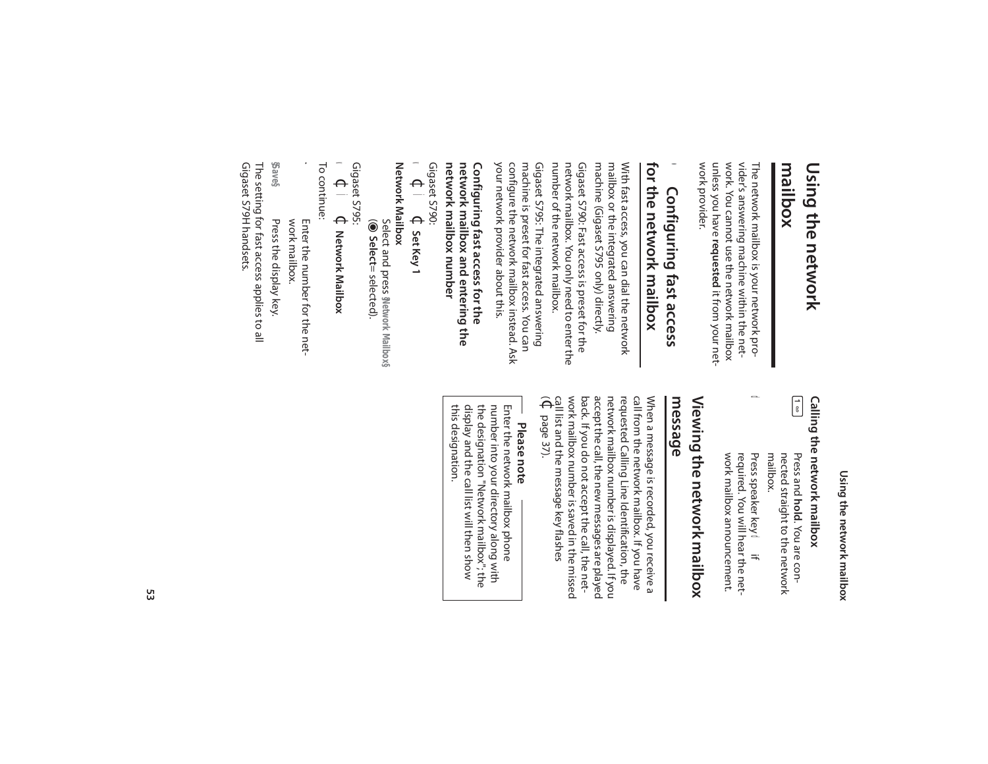### **mailbox** Using the network **Using the network**

work provider. work provider. unless you have requested it from your netunless you have work. You cannot use the network mailbox work. You cannot use the network mailbox vider's answering machine within the netvider's answering machine within the net-The network mailbox is your network pro-The network mailbox is your network pro**requested** it from your net-

#### for the network majlbox **for the network mailbox**  $\bullet$ Configuring fast access **Configuring fast access**

machine (Gigaset S795 only) directly. machine (Gigaset S795 only) directly. mailbox or the integrated answering mailbox or the integrated answering With fast access, you can dial the network With fast access, you can dial the network

number of the network mailbox. number of the network mailbox. network mailbox. You only need to enter the network mailbox. You only need to enter the Gigaset S790: Fast access is preset for the Gigaset S790: Fast access is preset for the

your network provider about this. your network provider about this. configure the network mailbox instead. Ask configure the network mailbox instead. Ask machine is preset for fast access. You can machine is preset for fast access. You can Gigaset S795: The integrated answering Gigaset S795: The integrated answering

#### network mailbox and entering the **network mailbox and entering the**  Configuring fast access for the **Configuring fast access for the**

Gigaset S790: network mailbox number **network mailbox number**

 $\blacktriangleleft$  $\Theta$ Ì $\Theta$ **Set Key 1**

**Network Mailbox Network Mailbox**

Select and press **§Network Mailbox§**  $\widehat{\bullet}$ **Select**= selected).

 $\blacktriangleleft$ Gigaset S795:  $\Theta$ ÌGigaset 5795:<br>✔ ← 】 ← Network Mailbox **Network Mailbox**

To continue: To continue:

~ work mailbox. Enter the number for the network mailbox. Enter the number for the net-

**§Save§** Press the display key. Press the display key.

Gigaset S79H handsets. Gigaset S79H handsets. The setting for fast access applies to all The setting for fast access applies to all

> Using the network mailbox **Using the network mailbox**

# Calling the network mailbox **Calling the network mailbox**

 $\begin{bmatrix} 1 \\ 0 \end{bmatrix}$ Press and **hold**. You are con-<br>nected straight to the network **hold**. You are connected straight to the network

 $\Omega$ Press speaker key **d** if work mailbox announcement. work mailbox announcement. required. You will hear the netrequired. You will hear the net- Press speaker key mailbox.

# Viewing the network mailbox **message Viewing the network mailbox**

work mailbox number is saved in the missed back. If you do not accept the call, the netaccept the call, the new messages are played network mailbox number is displayed. If you requested Calling Line Identification, the call from the network mailbox. If you have When a message is recorded, you receive a  $\widehat{\Theta}$ call list and the message key flashes work mailbox number is saved in the missed back. If you do not accept the call, the netaccept the call, the new messages are played network mailbox number is displayed. If you requested Calling Line Identification, the call from the network mailbox. If you have When a message is recorded, you receive a page 37).

# **Please note**

number into your directory along with<br>the designation "Network mailbox"; the<br>display and the call list will then show Enter the network mailbox phone this designation. this designation. display and the call list will then show the designation "Network mailbox"; the number into your directory along with Enter the network mailbox phone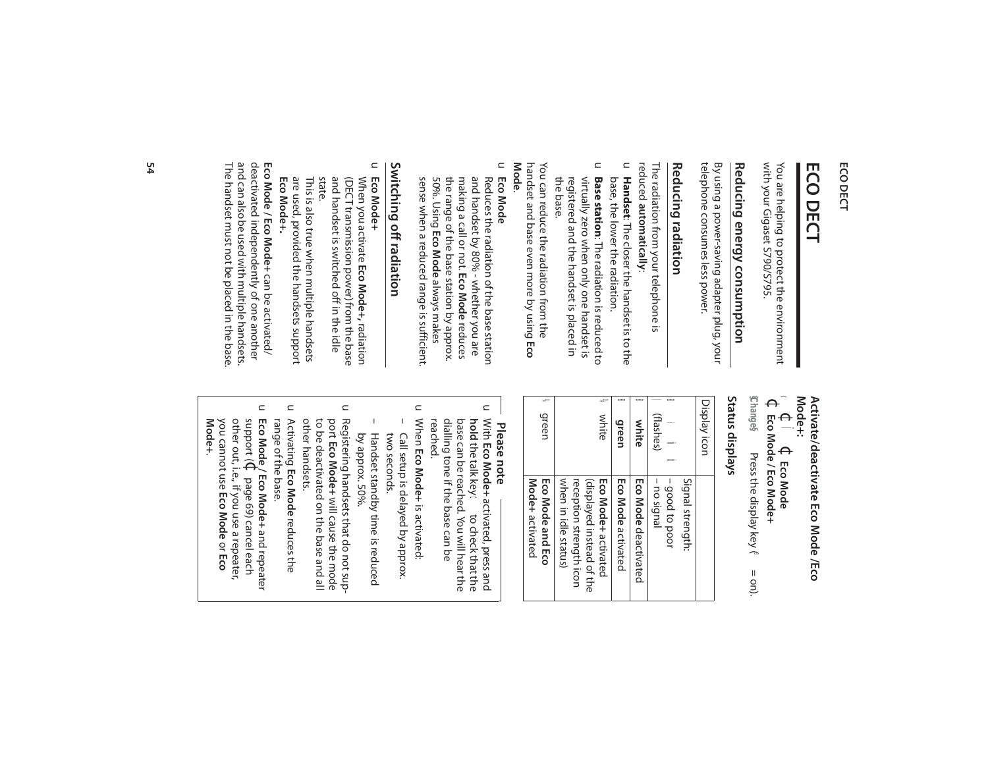### **ECO DECT**

# **ECO DECT**

with your Gigaset S790/S795. with your Gigaset S790/S795. You are helping to protect the environment You are helping to protect the environment

# Reducing energy consumption **Reducing energy consumption**

telephone consumes less power. telephone consumes less power. By using a power-saving adapter plug, your By using a power-saving adapter plug, your

### **Reducing radiation Reducing radiation**

reduced The radiation from your telephone is The radiation from your telephone is **automatically**:

- u **Handset**: The closer the handset is to the base, the lower the radiation. base, the lower the radiation. **Handset**: The closer the handset is to the
- $\subset$ the base. registered and the handset is placed in virtually zero when only one handset is Base station: The radiation is reduced to registered and the handset is placed in virtually zero when only one handset is **Base station**: The radiation is reduced to

**Mode**. handset and base even more by using Eco handset and base even more by using You can reduce the radiation from the You can reduce the radiation from the

 $\subset$ **Eco Mode**

Reduces the radiation of the base station<br>and handset by 80% - whether you are sense when a reduced range is sufficient. sense when a reduced range is sufficient. 50%. Using the range of the base station by approx. making a call or not. Eco Mode reduces making a call or not. and handset by 80% - whether you are Reduces the radiation of the base station **Eco Mode Eco Mode** reduces always makes

# Switching off radiation **Switching off radiation**

#### $\subset$ **Eco Mode+**

- When you activate **Eco Mode+,** radiation When you activate **Eco Mode+,** radiation<br>(DECT transmission power) from the base<br>and handset is switched off in the idle<br>state. and handset is switched off in the idle (DECT transmission power) from the base
- **Eco Mode+ .** are used, provided the handsets support This is also true when multiple handsets This is also true when multiple handsets

The handset must not be placed in the base The handset must not be placed in the base. and can also be used with multiple handsets. and can also be used with multiple handsets. deactivated independently of one another deactivated independently of one another Eco Mode / Eco Mode+ can be activated/ **Eco Mode / Eco Mode+**can be activated/

#### **Mode+:** v Activate/deactivate Eco Mode **Activate/deactivate Eco Mode /Eco**   $\Theta$ Ï $\Theta$ **Eco Mode**

**§Change§** $\Theta$ **Eco Mode / Eco Mode+** Press the display key (a Press the display key (3 = on).

#### Status displays **Status displays**

| Display icon       |                           |
|--------------------|---------------------------|
|                    | Signal strength:          |
| Ú<br>$\frac{2}{3}$ | - good to poor            |
| (flashes)          | - no signal               |
| Ù<br>white         | Eco Mode deactivated      |
| Ú<br>green         | Eco Mode activated        |
| <b>VA white</b>    | Eco Mode+activated        |
|                    | (gisplayed instead of the |
|                    | reception strength icon   |
|                    | when in idle status)      |
| <b>Wagreen</b>     | <b>Eco Mode and Eco</b>   |
|                    | Mode+activated            |

- **Please note**
- $\subset$ dialling tone if the base can be<br>reached. **hold** the talk key ← to check that the<br>base can be reached. You will hear the With Eco Mode+ activated, press and dialling tone if the base can be base can be reached. You will hear the **hold** the talk key c to check that the With **Eco Mode+** activated, press and
- $\subset$ – Call setup is delayed by approx. When Call setup is delayed by approx. **Eco Mode+**is activated:
- Handset standby time is reduced by approx. 50% Handset standby time is reduced two seconds. by approx. 50%. two seconds.
- $\subset$ Registering handsets that do not supother handsets. to be deactivated on the base and all port Eco Mode+ will cause the mode other handsets. to be deactivated on the base and all Registering handsets that do not sup-**Eco Mode+** will cause the mode
- $\subset$ Activating Eco Mode reduces the range of the base. range of the base. **Eco Mode** reduces the
- $\subset$ other out, i.e., if you use a repeater, **Mode+**.you cannot use Eco Mode or Eco you cannot use other out, i.e., if you use a repeater, support (**Eco Mode / Eco Mode+** $\Theta$ page 69) cancel each **Eco Mode** or **Eco**  and repeater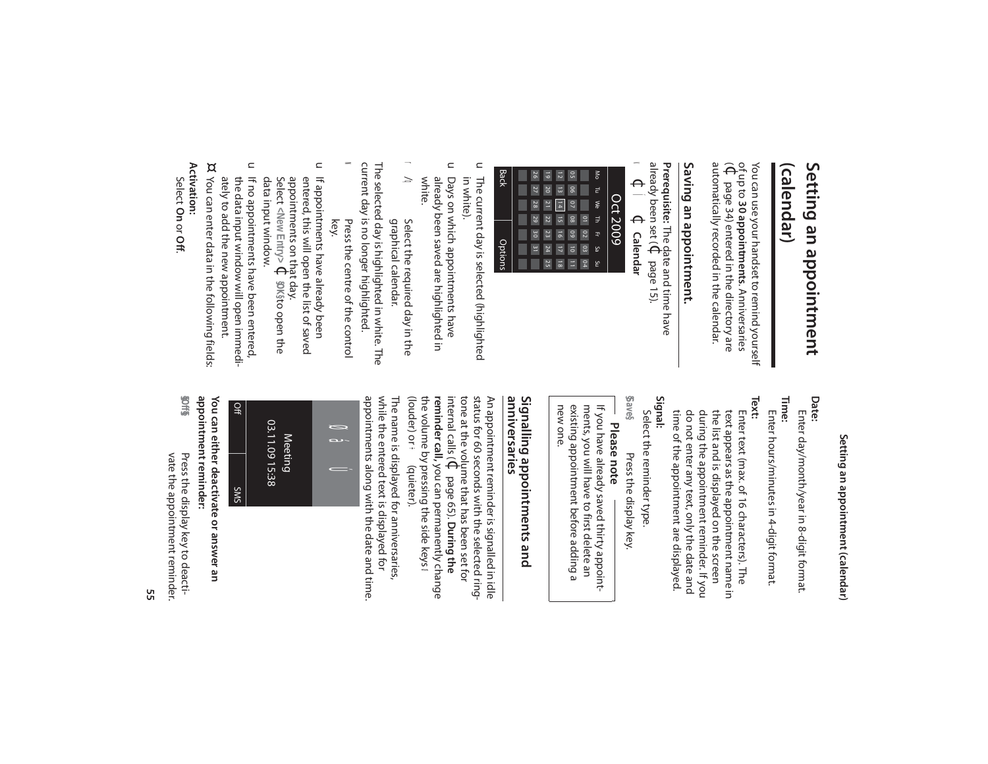## **(calendar)** Setting an appointment **Setting an appointment**

automatically recorded in the calendar. automatically recorded in the calendar. of up to (¢You can use your handset to remind yourself You can use your handset to remind yourself page 34) entered in the directory are **30 appointments**. Anniversaries

# Saving an appointment. **Saving an appointment.**

**Prerequisite:** The date and time have already been set ( $\Theta$ page 15).  $\blacktriangleleft$  $\Theta$ Í $\Theta$  **Calendar**

| <b>Back</b> | 9 <sup>2</sup> | $\overline{6}$  | $\overline{z}$     | S <sub>0</sub>  |                | ŠΘ |      |
|-------------|----------------|-----------------|--------------------|-----------------|----------------|----|------|
|             | 77             | $\overline{20}$ | $\frac{1}{3}$      | $\overline{90}$ |                | F  |      |
|             | 28             | $\overline{z}$  | $\frac{1}{4}$      | $\overline{a}$  |                | ≫  | په   |
|             | 52             | 22              | $\overline{5}$     | $\overline{8}$  | $\overline{a}$ | Ę  |      |
|             | <b>SO</b>      | 23              | $\overline{5}$     | 60              | 8              | Ţ  | 6007 |
| Options     | <u>س</u>       | 24              | $\overline{1}$     | $\overline{0}$  | 03             | ξŚ |      |
|             |                | 25              | $\frac{1}{\infty}$ | Ξ               | 04             | ۴  |      |

- u The current day is selected (highlighted in white). The current day is selected (highlighted
- u Days on which appointments have white. already been saved are highlighted in already been saved are highlighted in Days on which appointments have
- r<br>á q Select the required day in the graphical calendar. Select the required day in the graphical calendar.

w current day is no longer highlighted. current day is no longer highlighted. The selected day is highlighted in white. The The selected day is highlighted in white. The Press the centre of the control Press the centre of the control

- key. u If appointments have already been If appointments have already been
- data input window. entered, this will open the list of saved data input window. Select appointments on that day. entered, this will open the list of saved **<New Entry>** $\Theta$ **§OK§**to open the
- u If no appointments have been entered, ately to add the new appointment. the data input window will open immediately to add the new appointment. the data input window will open immedi-If no appointments have been entered,
- You can enter data in the following fields: You can enter data in the following fields:

¤

### **Activation:**

Select **On** or **Off**.

# Setting an appointment (calendar) **Setting an appointment (calendar)**

### **Date:**

**Time:** Enter day/month/year in 8-digit format. Enter day/month/year in 8-digit format.

Enter hours/minutes in 4-digit format. Enter hours/minutes in 4-digit format.

**Text:**  time of the appointment are displayed. do not enter any text, only the date and during the appointment reminder. If you the list and is displayed on the screen text appears as the appointment name in Enter text (max. of 16 characters). The time of the appointment are displayed. do not enter any text, only the date and during the appointment reminder. If you the list and is displayed on the screen text appears as the appointment name in Enter text (max. of 16 characters). The

**Signal:**

Select the reminder type. Select the reminder type.

**§Save§** Press the display key. Press the display key.

**Please note**

existing appointment before adding a<br>new one. If you have already saved thirty appoint-<br>ments, you will have to first delete an existing appointment before adding a ments, you will have to first delete an If you have already saved thirty appoint-

#### anniversaries Signalling appointments and **anniversaries Signalling appointments and**

tone at the volume that has been set for<br>internal calls ( $\bigoplus$  page 65). During the status for 60 seconds with the selected ring-(louder) or ÷ (louder) or ÷ (quieter). the volume by pressing the side keys the volume by pressing the side keys  $\omega$ **reminder call,** you can permanently change **reminder call,**internal calls ( tone at the volume that has been set for status for 60 seconds with the selected ring-An appointment reminder is signalled in idle An appointment reminder is signalled in idle (quieter). you can permanently change page 65). **During the** 

while the entered text is displayed for<br>appointments along with the date and time appointments along with the date and time. while the entered text is displayed for The name is displayed for anniversaries, The name is displayed for anniversaries,



Off 03.11.09 15:38 03.11.09 15:38 SMS

You can either deactivate or answer an **You can either deactivate or answer an** 

appointment reminder: **appointment reminder:** Press the display key to deactivate the appointment reminder. vate the appointment reminder. Press the display key to deacti-

**§§Off§§**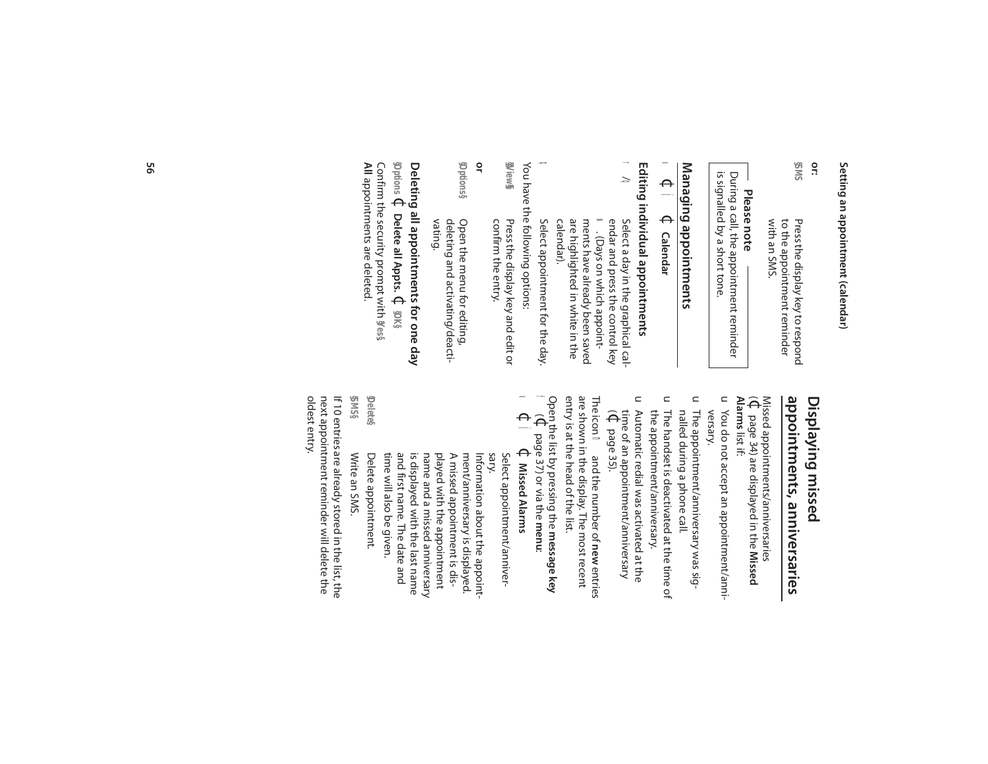# Setting an appointment (calendar) **Setting an appointment (calendar)**

**or:** 

**§SMS**  Press the display key to respond<br>to the appointment reminder with an SMS. with an SMS. to the appointment reminder Press the display key to respond

## **Please note**

is signalled by a short tone. During a call, the appointment reminder is signalled by a short tone. During a call, the appointment reminder

# Managing appointments **Managing appointments**

#### $\blacktriangleleft$  $\Theta$ Í $\bigoplus$  **Calendar**

# Editing individual appointments **Editing individual appointments**

r

- $\delta$ q Select a day in the graphical cal-Select a day in the graphical cal-<br>endar and press the control key<br>**w.** (Days on which appoint-<br>ments have already been saved endar and press the control key . (Days on which appointare highlighted in white in the<br>calendar). are highlighted in white in the ments have already been saved
- You have the following options: You have the following options:  $\Omega$  Select appointment for the day. Select appointment for the day.
- **§§View§§** Press the display key and edit or confirm the entry. Press the display key and edit or confirm the entry.
- **or**
- **§Options§** deleting and activating/deacti-<br>vating. Open the menu for editing, deleting and activating/deacti-Open the menu for editing,

#### **§Options Deleting all appointments for one day**  $\Theta$ **Delete all Appts.** $\Theta$ **§OK§**

Confirm the security prompt with **§Yes§**. Confirm the security prompt with **y**es**s**<br>All appointments are deleted. appointments are deleted.

### appointments, anniversaries Displaying missed **appointments, anniversaries Displaying missed**

 $\widehat{\Theta}$ Missed appointments/anniversaries page 34) are displayed in the **Missed** 

- Alarms list if: **Alarms** list if:
- u You do not accept an appointment/anniversary. You do not accept an appointment/anni-
- u The appointment/anniversary was signalled during a phone call. nalled during a phone call. The appointment/anniversary was sig-
- $\subset$ The handset is deactivated at the time of the appointment/anniversary. the appointment/anniversary. The handset is deactivated at the time of
- u Automatic redial was activated at the  $\widehat{\Theta}$ time of an appointment/anniversary Automatic redial was activated at the page 35).

entry is at the head of the list. are shown in the display. The most recent The icon nad the number of new entries entry is at the head of the list. are shown in the display. The most recent and the number of **new** entries

Open the list by pressing the **message key**  $\ddot{\phantom{0}}$  $\Theta$ page 37) or via the **menu**:

 $\Theta$ Í¢ **Missed Alarms**

 $\blacktriangleleft$ 

sary. Select appointment/anniver-Select appointment/anniver-

and first name. The date and Delete appointment. Delete appointment. time will also be given. time will also be given. and first name. The date and is displayed with the last name is displayed with the last name name and a missed anniversary name and a missed anniversary played with the appointment played with the appointment A missed appointment is dis-A missed appointment is disment/anniversary is displayed. ment/anniversary is displayed. Information about the appoint-Information about the appoint-

**§Delete§** Write an SMS Write an SMS.

**§SMS§**

oldest entry. next appointment reminder will delete the oldest entry. next appointment reminder will delete the If 10 entries are already stored in the list, the If 10 entries are already stored in the list, the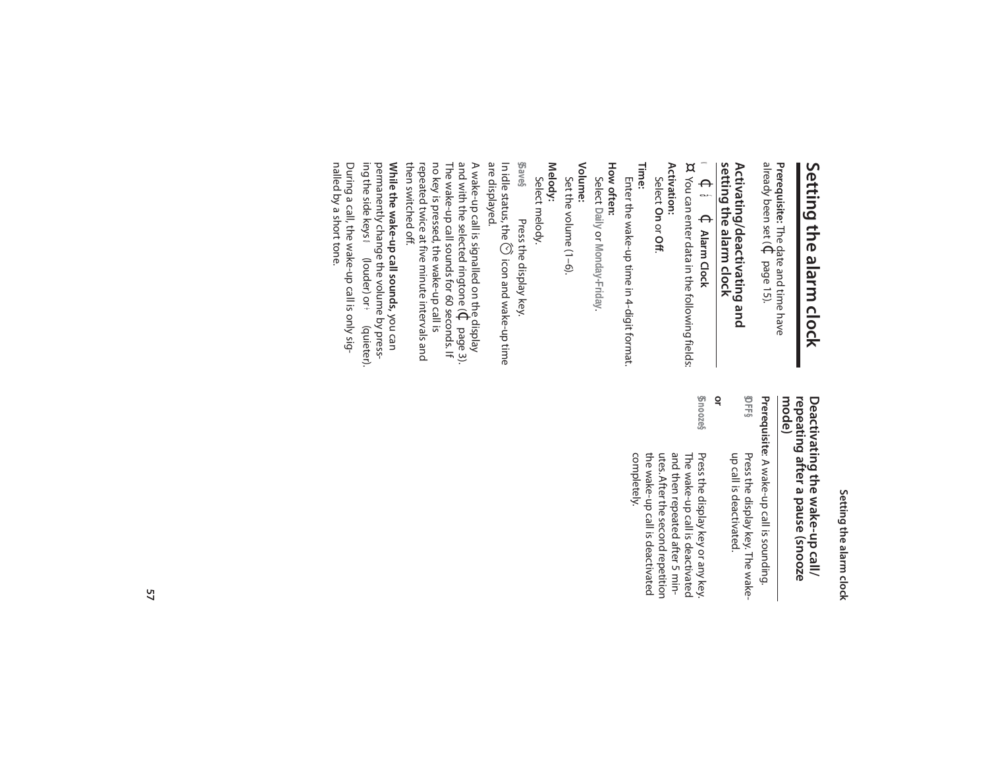# Setting the alarm clock **Setting the alarm clock**

**Prerequisite:** The date and time have already been set ( $\Theta$ page 15).

### Activating/deactivating and<br>setting the alarm clock **setting the alarm clock Activating/deactivating and**

#### $\blacktriangleleft$  $\Theta$ á $\Theta$ **Alarm Clock**

¤ You can enter data in the following fields: You can enter data in the following fields:

#### **Activation:**  Select **On** or **Off**.

**Time:** 

Enter the wake-up time in 4-digit format. Enter the wake-up time in 4-digit format.

### **How often:** Select **Daily** or **Monday-Friday**

.

**Volume:** 

Set the volume (1-6). Set the volume (1–6).

### **Melody:**

Select melody. Select melody.

**§Save§**Press the display key.

are displayed. are displayed. In idle status, the  $\oslash$  icon and wake-up time In idle status, the  $\circledcirc$ Press the display key. icon and wake-up time

no key is pressed, the wake-up call is<br>repeated twice at five minute intervals and no key is pressed, the wake-up call is The wake-up call sounds for 60 seconds. If and with the selected ringtone ( A wake-up call is signalled on the display  $\Theta$ page 3).

permanently change the volume by presspermanently change the volume by press-While the wake-up call sounds, you can **While the wake-up call sounds,**  then switched off. then switched off. repeated twice at five minute intervals and

During a call, the wake-up call is only sig-<br>nalled by a short tone. nalled by a short tone. During a call, the wake-up call is only siging the side keys Ø (louder) or ÷ ing the side keys (louder) or ÷(quieter).

# Setting the alarm clock **Setting the alarm clock**

### **Deactivating the wake-up call/<br>repeating after a pause (snooze<br>mode) repeating after a pause (snooze Deactivating the wake-up call/**

**SHES** Prerequisite: A wake-up call is sounding. **§OFF§** Press the display key. The wake-**Prerequisite** up call is deactivated. up call is deactivated. Press the display key. The wake-: A wake-up call is sounding.

#### **or**

**§Snooze§**

 Press the display key or any key. the wake-up call is deactivated<br>completely. and then repeated after 5 min-Press the display key or any key.<br>The wake-up call is deactivated the wake-up call is deactivated utes. After the second repetition utes. After the second repetition and then repeated after 5 min-The wake-up call is deactivated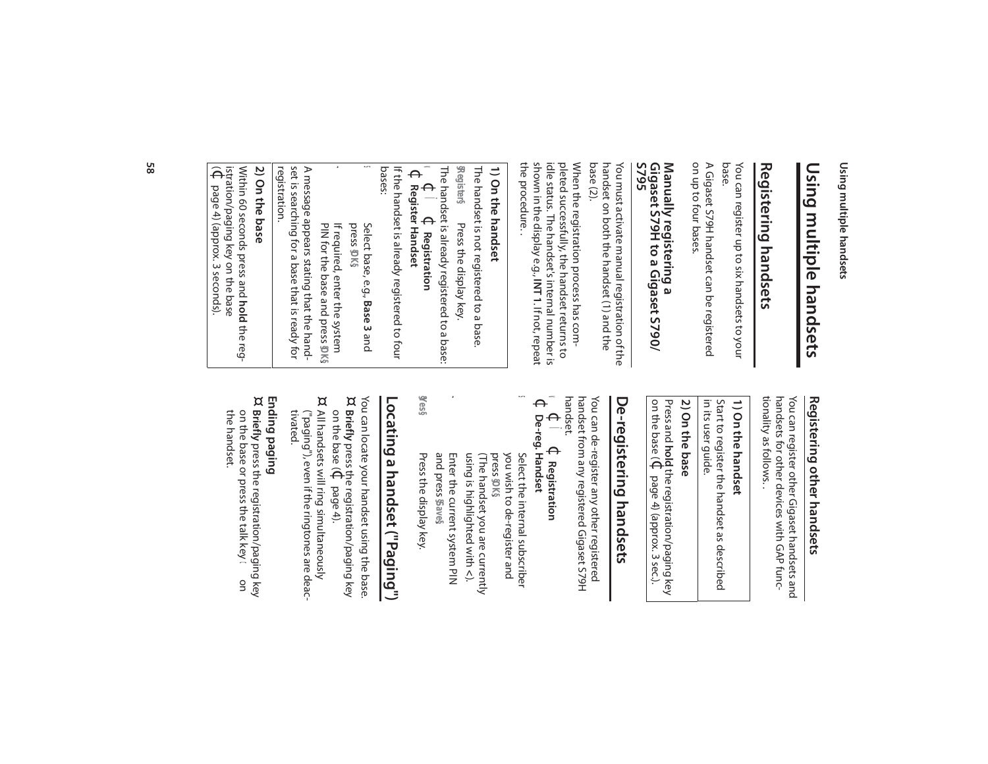Using multiple handsets **Using multiple handsets**

# Using multiple handsets **Using multiple handsets**

# Registering handsets **Registering handsets**

You can register up to six handsets to your<br>base. You can register up to six handsets to your

on up to four bases. on up to four bases. A Gigaset S79H handset can be registered A Gigaset S79H handset can be registered

## Manually registering a<br>Gigaset S79H to a Gigaset S790/<br>S795 **Gigaset S79H to a Gigaset S790/ Manually registering a**

You must activate manu al registration of the You must activate manual registration of the<br>handset on both the handset (1) and the<br>base (2). handset on both the handset (1) and the

shown in the display e.g., INT 1. If not, repeat the procedure.. the procedure. . shown in the display e.g., idle status. The handset's internal number is pleted successfully, the handset returns to pleted successfully, the handset returns to When the registration process has com-When the registration process has comidle status. The handset's internal number is . If not, repeat

### 1) On the handset **1) On the handset**

The handset is not registered to a base The handset is not registered to a base.

**§Register§**  $\leq$ The handset is already registered to a base:  $\Theta$ Ï Press the display key.  $\Theta$ Press the display key. **Registration**

~

### $\Theta$ **Register Handset**

bases: If the handset is already registered to four If the handset is already registered to four

- s Select base, e.g., **Base 3** and press **§OK§**.
- $\mathbf{v}$ PIN for the base and press If required, enter the system If required, enter the system **§OK§**.

registration. set is searching for a base that is ready for A message appears stating that the handset is searching for a base that is ready for A message appears stating that the hand-

#### 2) On the base **2) On the base**

Within 60 seconds press and hold the reg- $\widehat{\Theta}$ istration/paging key on the base Within 60 seconds press and page 4) (approx. 3 seconds). **hold** the reg-

# Registering other handsets **Registering other handsets**

tionality as follows. handsets for other devices with GAP functionality as follows. . handsets for other devices with GAP func-You can register other Gigaset handsets and You can register other Gigaset handsets and

### 1) On the handset **1) On the handset**

in its user guide. in its user guide. Start to register the handset as described Start to register the handset as described

#### 2) On the base **2) On the base**

Press and on the base (¢**hold** the registration/paging key page 4) (approx. 3 sec.).

# De-registering handsets **De-registering handsets**

handset from any registered Gigaset S79H<br>handset. handset from any registered Gigaset S79H You can de-register any other registered You can de-register any other registered

#### v  $\Theta$ Ï**↓** Registration **Registration**

 $\Theta$ **De-reg. Handset**

s

- (The handset you are currently press you wish to de-register and Select the internal subscriber Select the internal subscriber **§OK§**.
- using is highlighted with (The handset you are currently)<br>using is highlighted with <). Enter the current system PIN
- **§Yes§** Press the display key. Press the display key. and press **§Save§**.

# Locating a handset ("Paging") **Locating a handset ("Paging")**

¤ You can locate your handset using the base. **Briefly** press the<br>on the base ( $\Phi$  press the registration/paging key page 4).

¤ All handsets will ring simultaneously ("paging"), even if the ringtones are deac-<br>tivated. ("paging"), even if the ringtones are deac-All handsets will ring simultaneously

#### Ending paging<br>¤ Briefly press t **Ending paging**

**Briefly** press the registration/paging key<br>on the base or press the talk key  $\bullet$ the handset. the handset. on the base or press the talk key con press the registration/paging key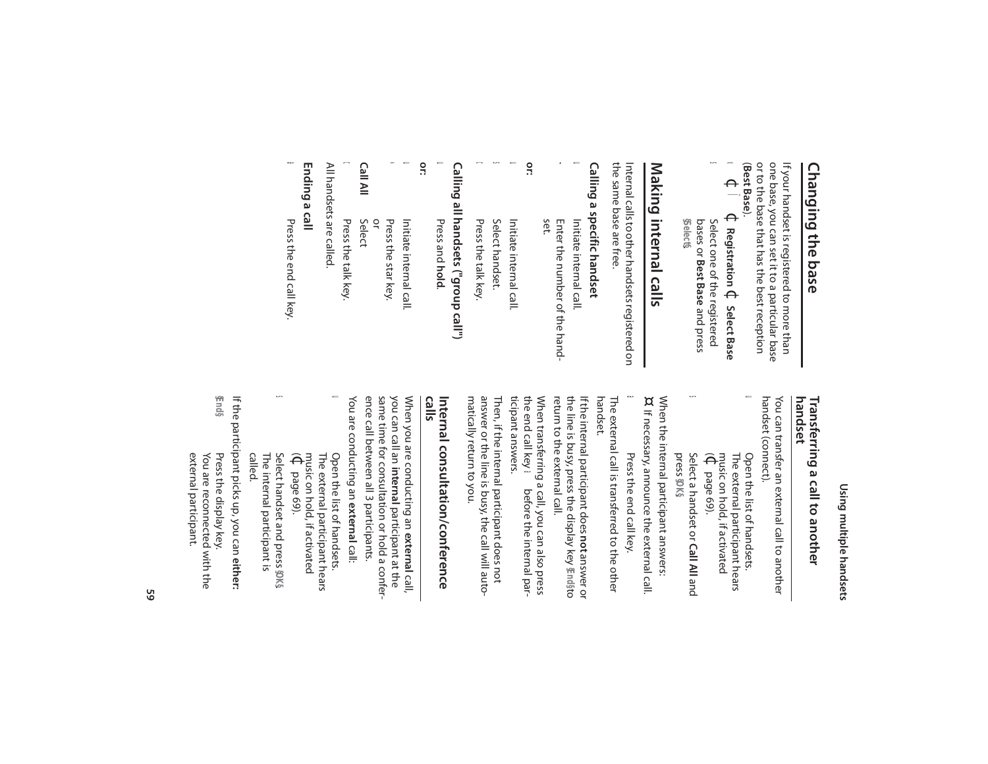## **Changing the base Changing the base**

(**Best Base** ). or to the base that has the best reception one base, you can set it to a particular base one base, you can set it to a particular base If your handset is registered to more than If your handset is registered to more than

u

- v  $\Theta$ Ï $\Theta$ **Registration** ¢**Select Base U)**
- bases or Best Base and press Select one of the registered **§Select§**. Select one of the registered **Best Base** and press

# Making internal calls **Making internal calls**

the same base are free the same base are free. Internal calls to other handsets registered on Internal calls to other handsets registered on

# Calling a specific handset **Calling a specific handset**

- $\mathbf{v}$ u Enter the number of the hand-<br>set. Initiate internal call. Enter the number of the hand-Initiate internal call.
- **C or:** Initiate internal call.
- s Select handset. Select handset. Initiate internal call.
- $\boldsymbol{\mathsf{\Omega}}$ Press the talk key. Press the talk key.

# Calling all handsets ("group call") **Calling all handsets ("group call")**

- u Press and **Press and hold.**
- **or:**
- Initiate internal call. Initiate internal call.

 $\mathbf{C}$ 

\*

- or Press the star key. Press the star key.
- **Call All**Select
- $\boldsymbol{\mathsf{\Omega}}$ Press the talk key Press the talk key.
- All handsets are called. All handsets are called.

#### Ending a call **Ending a call**

 Press the end call key. Press the end call key.

a

# Using multiple handsets **Using multiple handsets**

# **Transferring a call to another**<br>handset **Transferring a call to another**

handset (connect). handset (connect). You can transfer an external call to another You can transfer an external call to another

- Open the list of handsets.  $\widehat{\Theta}$ music on hold, if activated The external participant hears The external participant hears Open the list of handsets. page 69).
- Select a handset or **Call All**Select a handset or Call All and press **§OK§**.

s

When the internal participant answers:<br>¤ If necessary, announce the external call. When the internal participant answers: If necessary, announce the external call.

a Press the end call key. Press the end call key.

N

handset. The external call is transferred to the other The external call is transferred to the other

If the internal participant does **not** answer or<br>the line is busy, press the display key 骗n的to return to the external call. return to the external call. the line is busy, press the display key **@m**@ If the internal participant does **not** answer or

wnen aanleening a can you cui ano picos<br>the end call key ∈ before the internal par-<br>ticipant answers. When transferring a call, you can also press ticipant answers. the end call key When transferring a call, you can also press a before the internal par-

matically return to you. answer or the line is busy, the call will auto-Then, if the internal participant does not matically return to you. answer or the line is busy, the call will auto-Then, if the internal participant does not

## **calls Internal consultation/conference**  Internal consultation/conference

ence call between all 3 participants. When you are conducting an **external** call,<br>you can call an **internal** participant at the<br>same time for consultation or hold a conference call between all 3 participants. same time for consultation or hold a conferyou can call an When you are conducting an participant at the **external** call,

- $\mathbf{C}$ u Open the list of handsets. You are conducting an The external participant hears Open the list of handsets. **external**call:
- $\widehat{\Theta}$ music on hold, if activated page 69). Select handset and press **§OK§**Select handset and press \$DK\$

s

called. The internal participant is The internal participant is

**§End§** If the participant picks up, you can either: If the participant picks up, you can **either:** You are reconnected with the You are reconnected with the Press the display key Press the display key.

external participant.

external participant.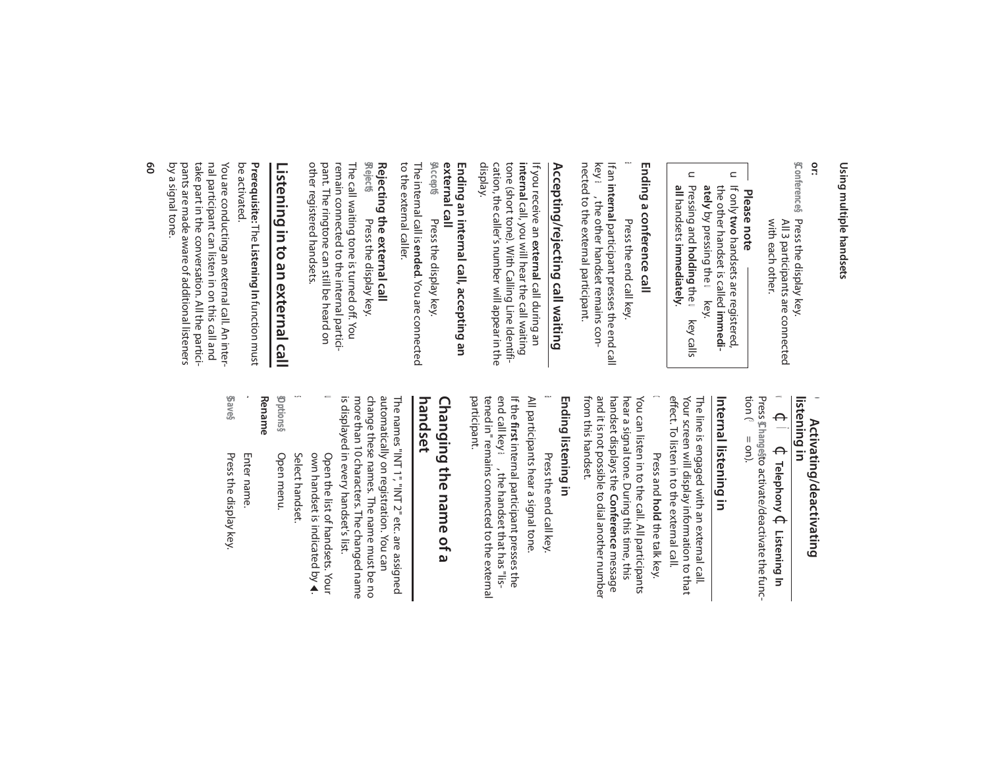### Using multiple handsets **Using multiple handsets**

#### **or:**

**\$Conference§** Press the display key with each other. All 3 participants are connected with each other. All 3 participants are connected Press the display key.

# **Please note**

- $\subset$ If only two handsets are registered, ately by pressing the wikey. the other handset is called immediately by pressing the **u** key. the other handset is called **immeditwo** handsets are registered,
- $\subset$ Pressing and **holding** the **U** key calls all handsets immediately. **all** handsets Pressing and **holding** the u key calls **immediately**.

### Ending a conference call **Ending a conference call**

### a Press the end call key. Press the end call key.

nected to the external participant. nected to the external participant. key a, the other handset remains conkey  $\bullet$  , the other handset remains con-If an **internal** participant presses the end call If an **internal** participant presses the end call

# **Accepting/rejecting call waiting** Accepting/rejecting call waiting

cation, the caller's number will appear in the<br>display. cation, the caller's number will appear in the tone (short tone). With Calling Line Identifitone (short tone). With Calling Line Identifiinternal call, you will hear the call waiting **internal** call, you will hear the call waiting If you receive an external call during an If you receive an call during an

## **external call** Ending an internal call, accepting an **Ending an internal call, accepting an**

The internal call is **ended**. You are connected The internal call is **ended**. You are connected **§Accept§** Press the display key. Press the display key.

# **Rejecting the external call**<br>**§** eject§ Press the display k **Rejecting the external call**

to the external caller.

to the external caller.

pant. The ringtone can still be heard on pant. The ringtone can still be heard on remain connected to the internal particiremain connected to the internal partici-The call waiting tone is turned off. You The call waiting tone is turned off. You Press the display key. Press the display key.

# Listening in to an external call **Listening in to an external call**

other registered handsets.

other registered handsets.

be activated. be activated. Prerequisite: The Listening In function must **Prerequisite:** The **Listening In** function must

pants are made aware of additional listeners pants are made aware of additional listeners take part in the conversation. All the particitake part in the conversation. All the particinal participant can listen in on this call and nal participant can listen in on this call and You are conducting an external call. An inter You are conducting an external call. An inter-

# by a signal tone. by a signal tone.

### **Activating/deactivating e** Activating/deactivating<br>listening in  $\bullet$

#### Press Changesto activate/deactivate the func-Press **§Change§** $\blacktriangleleft$  $\Theta$ Ï $\Theta$  to activate/deactivate the func-**Telephony** ¢**Listening In**

tion (³ = on).

### Internal listening in **Internal listening in**

effect. To listen in to the external call. effect. To listen in to the external call. Your screen will display information to that Your screen will display information to that The line is engaged with an external call. The line is engaged with an external call.

#### $\boldsymbol{\mathsf{\Omega}}$  Press and Press and **Pold** the talk key. **hold** the talk key.

from this handset. and it is not possible to dial another number handset displays the Conference message from this handset. and it is not possible to dial another number handset displays the hear a signal tone. During this time, this hear a signal tone. During this time, this You can listen in to the call. All participants You can listen in to the call. All participants **Conference** message

### Ending listening in **Ending listening in**

 Press the end call key. Press the end call key

a

All participants hear a signal tone. All participants hear a signal tone. **first** internal participant presses the

If the first internal participant presses the<br>end call key  $\blacktriangleleft$ , the handset that has "lis-<br>tened in" remains connected to the external end call key a, the handset that has "lisparticipant. tened in" remains connected to the external

### Changing the name of a **handset Changing the name of a**

automatically on registration. You can automatically on registration. You can The names "INT 1", "INT 2" etc. are assigned The names "INT 1", "INT 2" etc. are assigned

is displayed in every handset's list more than 10 characters. The changed name change these names. The name must be no is displayed in every handset's list. more than 10 characters. The changed name change these names. The name must be no

own handset is indicated by Open the list of handsets. Your Open the list of handsets. Your  $\blacktriangle$ 

u

Select handset. Select handset.

s

**§Options§** Open menu. Open menu.

#### ~ **Rename** Enter name.

Press the display key. Press the display key.

**§Save§**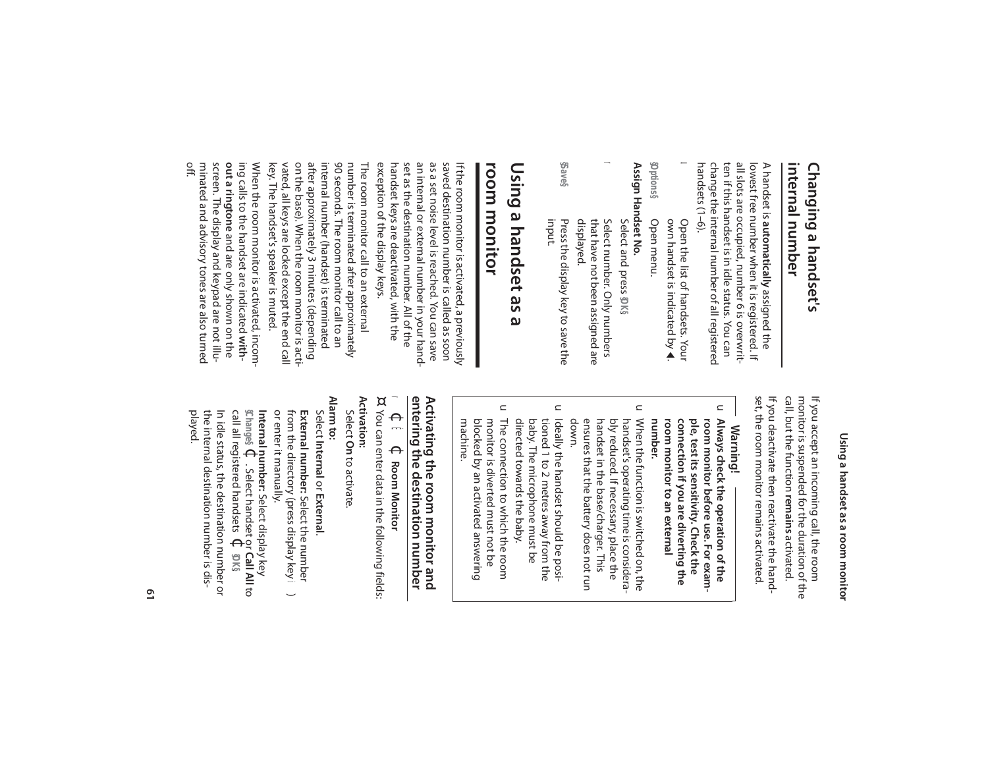#### **internal number** internal number Changing a handset's **Changing a handset's**

handsets (1-6). handsets (1–6). change the internal number of all registered change the internal number of all registered ten if this handset is in idle status. You can ten if this handset is in idle status. You can all slots are occupied, number 6 is overwritall slots are occupied, number 6 is overwritlowest free number when it is registered. If lowest free number when it is registered. If A handset is automatically assigned the A handset is **automatically**assigned the

u Open the list of handsets. Your Open menu. own handset is indicated by Open the list of handsets. Your  $\blacktriangle$ 

**§Options§** Open menu.

Assign Handset No. **Assign Handset No.** Select and press \$DK§ Select and press

displayed. that have not been assigned are Select number. Only numbers that have not been assigned are Select number. Only numbers

r

**§Save§** input. Press the display key to save the Press the display key to save the

### **Using a handset as a**  Using a handset as ω

### room monitor **room monitor**

exception of the display keys. exception of the display keys. handset keys are deactivated, with the handset keys are deactivated, with the set as the destination number. All of the set as the destination number. All of the an internal or external number in your hand an internal or external number in your handas a set noise level is reached. You can save as a set noise level is reached. You can save saved destination number is called as soon saved destination number is called as soon If the room monitor is activated, a previously If the room monitor is activated, a previously

key. The handset's speaker is muted. key. The handset's speaker is muted. vated, all keys are locked except the end call vated, all keys are locked except the end call on the base). When the room monitor is action the base). When the room monitor is actiafter approximately 3 minutes (depending after approximately 3 minutes (depending internal number (handset) is terminated internal number (handset) is terminated 90 seconds. The room monitor call to an 90 seconds. The room monitor call to an number is terminated after approximately number is terminated after approximately The room monitor call to an external The room monitor call to an external

off. minated and advisory tones are also turned minated and advisory tones are also turned screen. The display and keypad are not illuscreen. The display and keypad are not illuout a ringtone and are only shown on the **out a ringtone** and are only shown on the ing calls to the handset are indicated withing calls to the handset are indicated When the room monitor is activated, incom-When the room monitor is activated, incom-

call all registered handsets

played.

the internal destination number is dis-In idle status, the destination number or

the internal destination number is dis-In idle status, the destination number or

**§OK§**.

# Using a handset as a room monitor **Using a handset as a room monitor**

set, the room monitor remains activated monitor is suspended for the duration of the If you accept an incoming call, the room set, the room monitor remains activated. If you deactivate then reactivate the hand-If you deactivate then reactivate the hand call, but the function monitor is suspended for the duration of the If you accept an incoming call, the room **remains**activated.

### **Warning!**

- $\subset$ Always check the operation of the **number.** room monitor to an external connection if you are diverting the ple, test its sensitivity. Check the **room monitor to an external connection if you are diverting the ple, test its sensitivity. Check the**  room monitor before use. For exam**room monitor before use. For exam-Always check the operation of the**
- $\subset$ handset in the base/charger. This<br>ensures that the battery does not run Nen the function is switched on, the ensures that the battery does not run handset in the base/charger. This bly reduced. If necessary, place the bly reduced. If necessary, place the handset's operating time is considerahandset's operating time is considera-When the function is switched on, the
- $\subset$ Ideally the handset should be posidirected towards the baby. baby. The microphone must be directed towards the baby. baby. The microphone must be tioned 1 to 2 metres away from the tioned 1 to 2 metres away from the Ideally the handset should be posi-

down.

 $\subset$ The connection to which the room machine. blocked by an activated answering blocked by an activated answering monitor is diverted must not be monitor is diverted must not be The connection to which the room

## Activating the room monitor and<br>entering the destination number **entering the destination number Activating the room monitor and**

- $\blacktriangleleft$  $\Theta$  $\vert \mathbf{u} \vert$  $\Theta$ **Room Monitor**
- ¤ You can enter data in the following fields: You can enter data in the following fields:
- **Activation:**
- Select **On**to activate.

### **Alarm to:**

Internal number: Select display key<br>\$hange\$ 4 . Select handset or Call A or enter it manually. External number: Select the number **§Change§ Internal number:** or enter it manually. from the directory (press display key  $\ddot{\bullet}$ ) from the directory (press display key ö**External number:**Select **Internal**. Select handset or or **External**. Select display key Select the number  $\Theta$ **Call All**to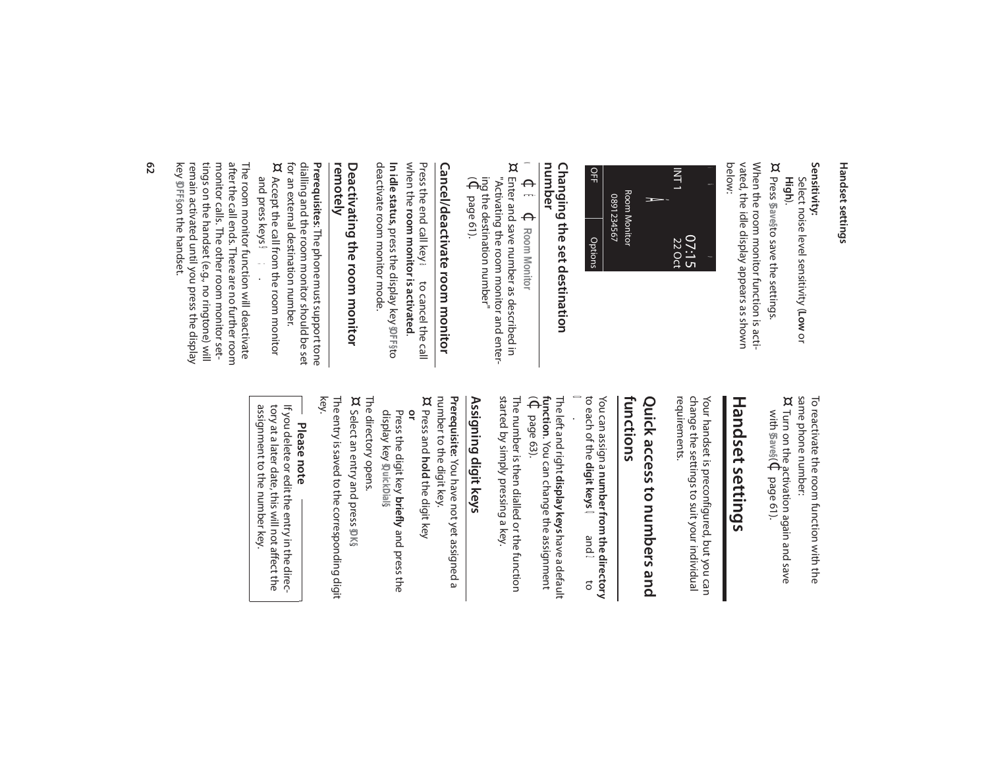# **Sensitivity:**

Select noise level sensitivity (**Low**Select noise level sensitivity (Low or **High**).

¤ Press **§Save§** to save the settings.

vated, the idle display appears as shown<br>below: vated, the idle display appears as shown When the room monitor function is acti-When the room monitor function is acti-



# **Changing the set destination<br>number Changing the set destination**

- $\blacktriangleleft$  $\Theta$  $\mathbf{\mu}$  $\Theta$ **Room Monitor**
- ¤ Enter and save number as described in "Activating the room monitor and enter-"Activating the room monitor and enter-Enter and save number as described in
- $\widehat{\Theta}$ ing the destination number" page 61).

# Cancel/deactivate room monitor **Cancel/deactivate room monitor**

deactivate room monitor mode. deactivate room monitor mode. **In idle status**, press the display key when the room monitor is activated Press the end call key a to cancel the call Press the end call key **room monitor is activated**. a to cancel the call **§OFF§**to

# **Deactivating the room monitor**<br>remotely **Deactivating the room monitor**

for an external destination number.<br>¤ Accept the call from the room m for an external destination number. dialling and the room monitor should be set dialling and the room monitor should be set **Prerequisites**: The phone must support tone **Prerequisites** Accept the call from the room monitor Accept the call from the room monitor : The phone must support tone

key remain activated until you press the display tings on the handset (e.g., no ringtone) will tings on the handset (e.g., no ringtone) will monitor calls. The other room monitor setmonitor calls. The other room monitor setafter the call ends. There are no further coom after the call ends. There are no further room The room monitor tunction will deactivate The room monitor function will deactivate and press keys <a> and press keys **§OFF§** on the handset. .

> To reactivate the room function with the ¤ same phone number: To reactivate the room function with the

with Turn on the activation again and save **§Save§** $\ddot{\widehat{\Theta}}$ page 61).

# Handset settings **Handset settings**

change the settings to suit your individual requirements. requirements. change the settings to suit your individual Your handset is preconfigured, but you can Your handset is preconfigured, but you can

# **functions** Quick access to numbers and **Quick access to numbers and**

You can assign a **number from the directory** to each of the **digit keys**Q and N<sub>c</sub> O.

The left and right **display keys** have a default **function**(¢. You can change the assignment page 63).

started by simply pressing a key. The number is then dialled or the function started by simply pressing a key. The number is then dialled or the function

### Assigning digit keys **Assigning digit keys**

Prerequisite: You have not yet assigned a ¤ number to the digit key. **Prerequisite:** You have not yet assigned a

Press and **hold** the digit key **or**

display key guickDial§ **Press the digit key briefly** and press the display key **§QuickDial§**. Press the digit key and press the

The directory opens.

The directory opens.<br>¤ Select an entry and press \$V\$ Select an entry and press **§OK§**. The entry is saved to the corresponding digit<br>key. The entry is saved to the corresponding digit

**Please note**

assignment to the number key If you delete or edit the entry in the direcassignment to the number key. tory at a later date, this will not affect the tory at a later date, this will not affect the If you delete or edit the entry in the direc-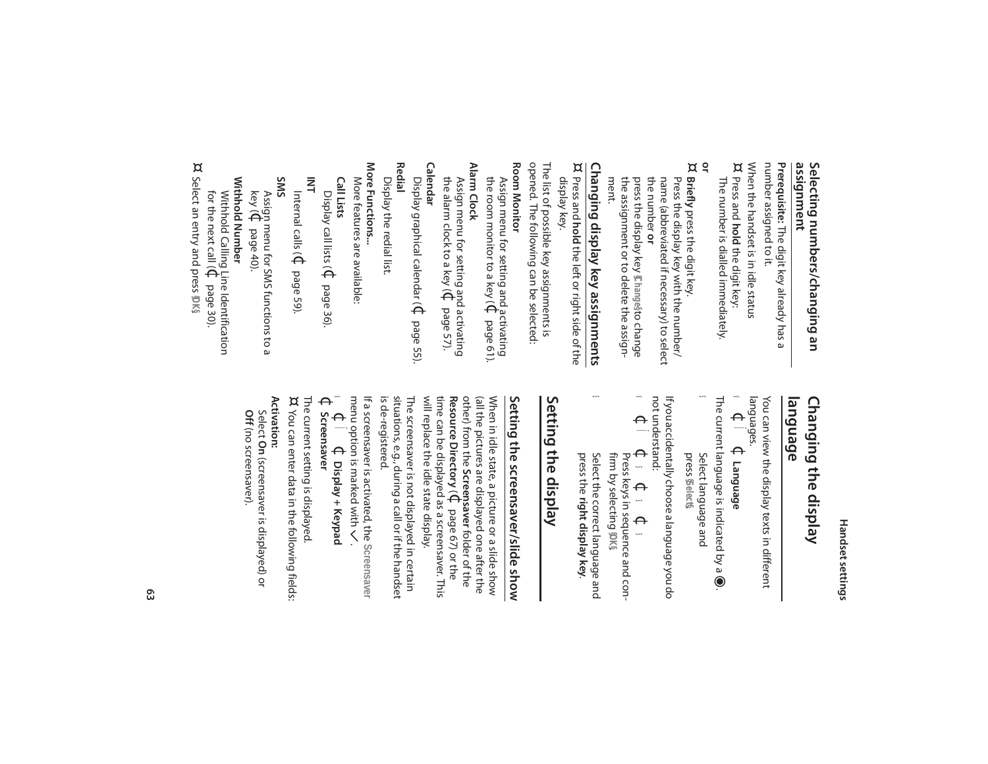### assignment **assignment** Selecting numbers/changing an **Selecting numbers/changing an**

number assigned to it. number assigned to it. Prerequisite: The digit key already has a **Prerequisite:** The digit key already has a

¤ When the handset is in idle status The number is dialled immediately. The number is dialled immediately. Press and **hold** the digit key:

#### ¤ **or**

**Briefly** press the digit key. the assignment or to delete the assign-<br>ment. the assignment or to delete the assign press the display key Changesto change press the display key name (abbreviated if necessary) to select<br>the number **or** the number name (abbreviated if necessary) to select Press the display key with the number/ Press the display key with the number/ press the digit key. **§Change§** to change

**Changing display key assignments**<br>¤ Press and **hold** the left or right side of the **Changing display key assignments**

Press and **hold** the left or right side of the display key.

The list of possible key assignments is<br>opened. The following can be selected: The list of possible key assignments is

opened. The following can be selected:

**Room Monitor Room Monitor**

Alarm Clock **Alarm Clock** the room monitor to a key ( Assign menu for setting and activating  $\Theta$ page 61).

the alarm clock to a key ( Assign menu for setting and activating  $\Theta$ page 57).

**Calendar** Display graphical calendar ( $\Phi$ Display graphical calendar ( $\Phi$  page 55)

**Redial** Display the redial list. Display the redial list.

More Functions... **More Functions...**

More features are available: More features are available:

**Call Lists**

Display call lists ( $\Phi$ Display call lists ( $\mathbb Q$  page 36).

**INT** Internal calls ( $\Phi$ page 59).

**SMS**

key ( Assign menu for SMS functions to a  $\Theta$ page 40).

Withhold Number **Withhold Number** for the next call ( Withhold Calling Line Identification  $\Theta$ page 30).

¤ Select an entry and press **§OK§**Select an entry and press \$DK\$

### Changing the display **language Changing the display**

 $\blacktriangleleft$ languages. You can view the display texts in different You can view the display texts in different  $\Theta$ Ï $\Theta$ **Language**

The current language is indicated by a  $\bigcirc$ The current language is indicated by a  $\textcircled{\tiny{\bullet}}$  .

press Select language and **§Select§**.

s

not understand: If you accidentally choose a language you do not understand: If you accidentally choose a language you do

v  $\Theta$ Ïs  $\Theta$ s  $\Theta$ s

**⊄ ω Φ Φ Φ**<br>Presskeys in sequence and confirm by selecting Press keys in sequence and con firm by selecting **\$0K**§

Select the correct language and press the right display key. Select the correct language and **right display key**.

s

# Setting the display **Setting the display**

# Setting the screensaver/slide show **Setting the screensaver/slide show**

will replace the idle state display. (all the pictures are displayed one after the When in idle state, a picture or a slide show will replace the idle state display. time can be displayed as a screensaver. This **Resource Directory**other) from the (all the pictures are displayed one after the When in idle state, a picture or a slide show **Screensaver** folder of the  $\widehat{\Theta}$ page 67) or the

is de-registered. situations, e.g., during a call or if the handset The screensaver is not displayed in certain is de-registered. situations, e.g., during a call or if the handset The screensaver is not displayed in certain

If a screensaver is activated, the **If a screensaver is activated, the Screensaver** menu option is marked with  $\zeta$ 

 $\blacktriangleleft$  $\Theta$ Ï**↓** Display + Keypad **Display + Keypad** 

 $\Theta$ **Screensaver**

The current setting is displayed.<br>¤ You can enter data in the following fields: The current setting is displayed.

You can enter data in the following fields:

**Activation:** Off (no screensaver). **Off** (no screensaver).Select **On**(screensaver is displayed) or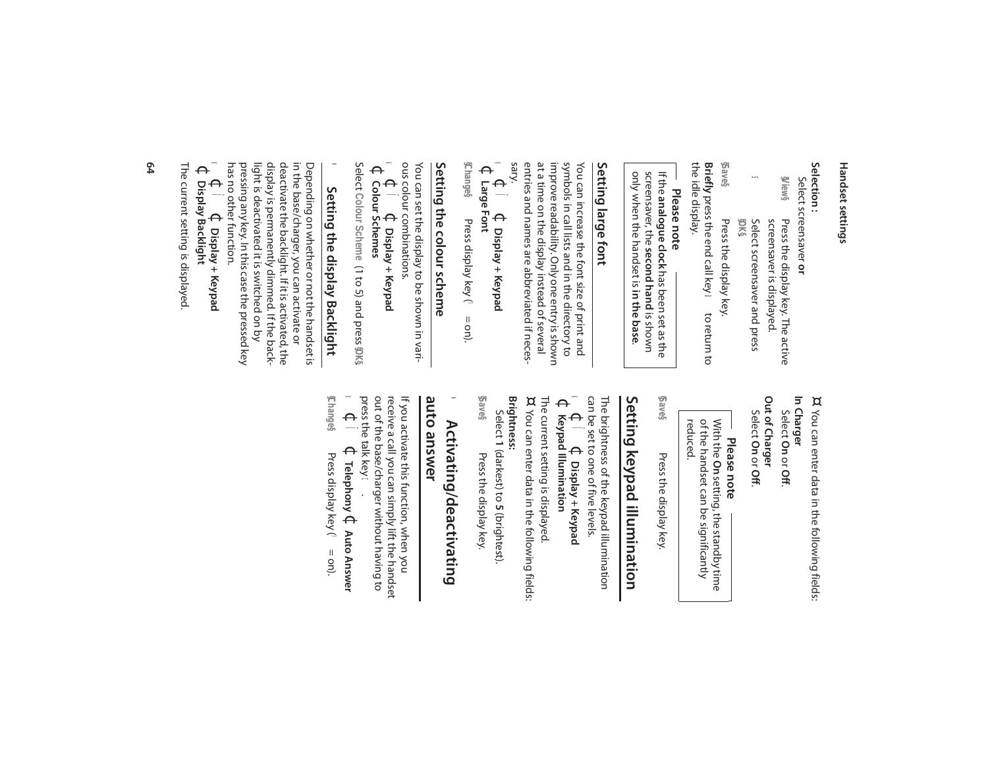# **Selection :**

**§View§** Select screensaver or Select screensaver **or** Press the display key. The active screensaver is displayed. Press the display key. The active

s Select screensaver and press screensaver is displayed. **§OK§**.

**§Save§**the idle display. the idle display. **Briefly** press the end call key a to return to Press the display key. press the end call key a to return to Press the display key.

# **Please note**

only shen the handset is in the pase. screensaver, the second hand is shown If the analogue clock has been set as the only when the handset is **in the base**. screensaver, the **second hand** is shown If the **analogue clock**has been set as the

### Setting large font **Setting large font**

sary. entries and names are abbreviated if neces entries and names are abbreviated if necesat a time on the display instead of several at a time on the display instead of several improve readapility. Only one entry is spown improve readability. Only one entry is shown symbols in call lists and in the directory to symbols in call lists and in the directory to You can increase the font size of print and You can increase the font size of print and

#### $\leq$  $\frac{\Theta}{\blacksquare}$ Ï**↓** Display + Keypad **Display + Keypad**  $\Theta$ **Large Font**

**§Change§** Press display key (3 Press display  $key(3) =$  on).

# Setting the colour scheme **Setting the colour scheme**

ous colour combinations. ous colour combinations. You can set the display to be shown in vari-You can set the display to be shown in vari-

 $\leq$  $\Theta$ Ï**↓** Display + Keypad **Display + Keypad**  $\Theta$ **Colour Schemes**

Select **Colour Scheme** (1 to 5) and press **§OK§**

.

# • Setting the display Backlight **Setting the display Backlight**

in the base/charger, you can activate or<br>deactivate the backlight. If it is activated, the<br>deactivate the backlight. If it is activated, the has no other function. pressing any key. In this case the pressed key pressing any key. In this case the pressed key display is permanently dimmed. If the back-<br>light is deactivated it is switched on by light is deactivated it is switched on by display is permanently dimmed. If the backdeactivate the backlight. If it is activated, the in the base/charger, you can activate or Depending on whether or not the handset is Depending on whether or not the handset is

 $\leq$  $\Theta$ Ï $\Theta$ **Display + Keypad**  $\Theta$ 

**Display Backlight**

The current setting is displayed The current setting is displayed.

- ¤ You can enter data in the following fields: You can enter data in the following fields:
- **In Charger** Select **On**or **Off**.

Out of Charger **Out of Charger**

Select **On**or **Off**.

**Please note**

of the handset can be significantly<br>reduced. With the On setting, the standby time of the handset can be significantly With the **On** setting, the standby time

**§Save§** Press the display key Press the display key.

# Setting keypad illumination **Setting keypad illumination**

 $\mathbf{v}$   $\mathbf{f}$   $\mathbf{f}$   $\mathbf{f}$   $\mathbf{f}$   $\mathbf{v}$   $\mathbf{v}$   $\mathbf{v}$   $\mathbf{v}$   $\mathbf{v}$   $\mathbf{v}$   $\mathbf{v}$   $\mathbf{v}$   $\mathbf{v}$   $\mathbf{v}$   $\mathbf{v}$   $\mathbf{v}$   $\mathbf{v}$   $\mathbf{v}$   $\mathbf{v}$   $\mathbf{v}$   $\mathbf{v}$   $\mathbf{v}$   $\mathbf{v}$   $\mathbf{$ v can be set to one of five levels. The brightness of the keypad illumination The brightness of the keypad illumination  $\Theta$ Ï**↓** Display + Keypad **Display + Keypad**

**Keypad Illumination**

The current setting is displayed.<br>¤ You can enter data in the following fields: The current setting is displayed. You can enter data in the following fields:

**Brightness:** Select 1 (darkest) to 5 (brightest) **1** (darkest) to **5** (brightest).

**§Save§** Press the display key Press the display key.

#### auto answer **auto answer**  $\bullet$ Activating/deactivating **Activating/deactivating**

out of the base/charger without having to<br>press the talk key ← . press the talk key out of the base/charger without having to receive a call you can simply lift the handset receive a call you can simply lift the handset If you activate this function, when you If you activate this function, when you

 $\blacktriangleleft$  $\Theta$ Ï $\Theta$ **Telephony** ¢**Auto Answer §Change§** Press display key (Press display key ( $\blacktriangleright$  = on).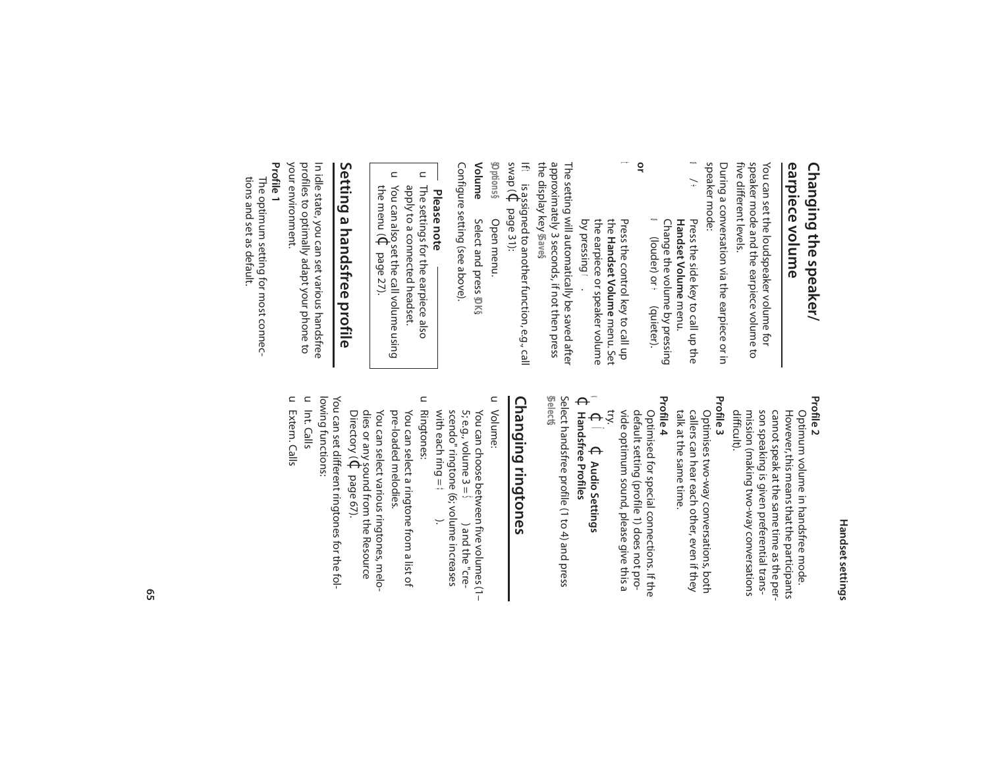#### earpiece volume **earpiece volume** Changing the speaker/ **Changing the speaker/**

**Profile 2**

five different levels. five different levels. speaker mode and the earpiece volume to speaker mode and the earpiece volume to You can set the loudspeaker volume for You can set the loudspeaker volume for

speaker mode: speaker mode: During a conversation via the earpiece or in During a conversation via the earpiece or in

- ø / ÷ **ø** (louder) or ÷ (quieter). Change the volume by pressing Press the side key to call up the<br>**Handset Volume** menu. Change the volume by pressing **Handset Volume** Press the side key to call up the (louder) or ÷ (quieter).
- t **or** the Handset Volume menu. Set Press the control key to call up Press the control key to call up **Handset Volume** menu. Set
- The setting will actornatically be saved after The setting will automatically be saved after by pressing the earpiece or speaker volume r.

the display key approximately 3 seconds, if not then press approximately 3 seconds, if not then press **§Save§**.

If t is assigned to another function, e.g., call swap ( $\Theta$ page 31):

**§Options§** Open menu. Open menu.

**Volume** Select and press Select and press \$0K§

Configure setting (see above). Configure setting (see above).

- **Please note**
- $\subset$ The settings for the earpiece also The settings for the earpiece also

 $\subset$ 

- $\mathrel{\square}$ apply to a connected headset. You can also set the call volume using apply to a connected headset.
- the menu (  $\Theta$ page 27).

# Setting a handsfree profile **Setting a handsfree profile**

your environment. your environment. profiles to optimally adapt your phone to profiles to optimally adapt your phone to In idle state, you can set various handsfree In idle state, you can set various handsfree

- **Profile 1**
- tions and set as default. tions and set as default. The optimum setting for most connec-The optimum setting for most connec-

### son speaking is given preferential transcannot speak at the same time as the person speaking is given preferential transcannot speak at the same time as the per-

However, this means that the participants Optimum volume in handsfree mode.

However, this means that the participants Optimum volume in handsfree mode.

mission (making two-way conversations

- mission (making two-way conversations<br>difficult). **Profile 3**
- talk at the same time. callers can hear each other, even if they Optimises two-way conversations, both talk at the same time. callers can hear each other, even if they Optimises two-way conversations, both
- **Profile 4**
- default setting (profile 1) does not pro-Optimised for special connections. If the vide optimum sound, please give this a default setting (profile 1) does not pro-Optimised for special connections. If the
- $\Theta \tilde{z}$  $\blacktriangleleft$ Ï**↓ Audio Settings Audio Settings**
- $\Theta$ **Handsfree Profiles**

**§Select§** . Select handsfree profile (1 to 4) and press

# Changing ringtones **Changing ringtones**

- $\subset$ Volume:
- 5; e.g., volume  $3 = \frac{5}{2}$  ) and the "cre-<br>scendo" ringtone (6; volume increases<br>with each ring =  $\pm$  ). You can choose between five volumes (1with each ring = scendo" ringtone (6; volume increases 5; e.g., volume  $3 =$ You can choose between five volumes (1– Š) and the "cre-
- Ringtones: pre-loaded melodies. You can select a ringtone from a list of pre-loaded melodies. You can select a ringtone from a list of
- You can select various ringtones, melo-Directory ( dies or any sound from the Resource You can select various ringtones, melo- $\Theta$ page 67).

lowing functions: You can set different ringtones for the fol lowing functions: You can set different ringtones for the fol-

- u Int. Calls
- u Extern. Calls Extern. Calls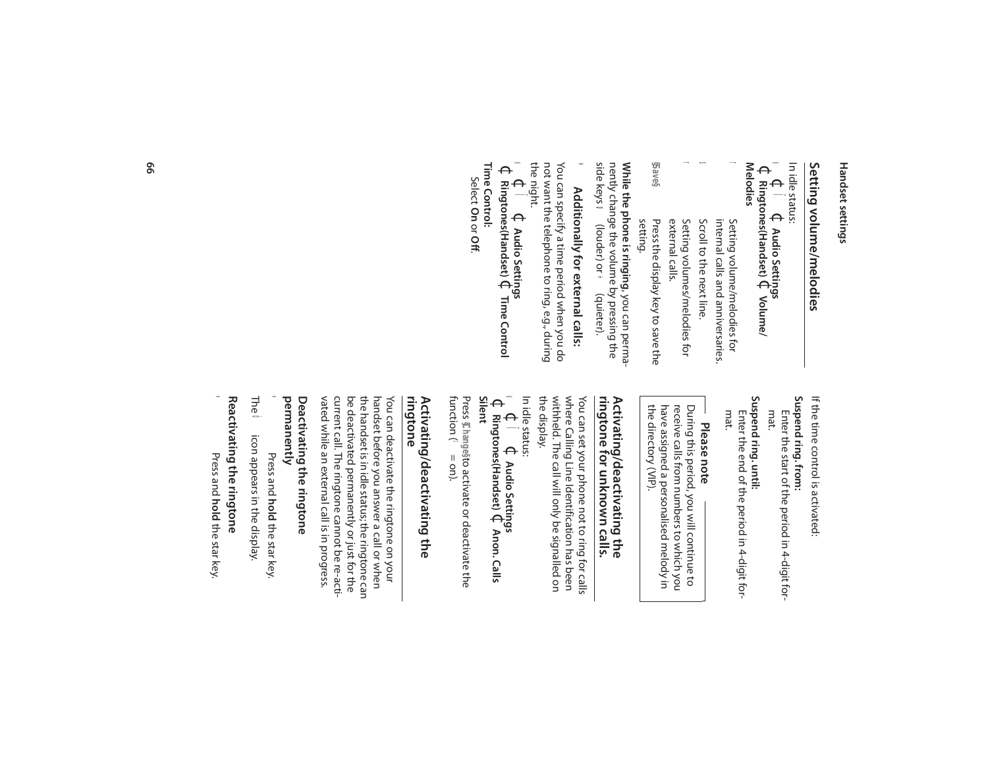# Setting volume/melodies **Setting volume/melodies**

In idle status: In idle status:

 $\leq$  $\Theta$ Ï $\Theta$ **Audio Settings**

 $\Theta$ **Ringtones(Handset)** ¢**Volume/ Melodies**

Setting volume/melodies for internal calls and anniversaries. Setting volume/melodies for

r

- s Scroll to the next line. internal calls and anniversaries. Scroll to the next line.
- r external calls. Setting volumes/melodies for external calls. Setting volumes/melodies for
- **§Save§** Press the display key to save the<br>setting. Press the display key to save the

**While the phone is ringing**, you can perma-**While the phone is ringing, you can perma-**<br>nently change the volume by pressing the<br>side keys **co** (louder) or  $\div$  (quieter). nently change the volume by pressing the ø (louder) or ÷ (quieter).

### $\bullet$ Additionally for external calls: **Additionally for external calls:**

not want the telephone to ring, e.g., during<br>the night. not want the telephone to ring, e.g., during You can specify a time period when you do You can specify a time period when you do

 $\leq$  $\Theta$ Ï $\Theta$ **Audio Settings**

Time Control: **Time Control:**   $\Theta$ **Ringtones(Handset)** ¢**Time Control**

Select **On** or **Off**.

> If the time control is activated: If the time control is activated:

### Suspend ring. from: **Suspend ring. from:**

mat. Enter the start of the period in 4-digit for-Enter the start of the period in 4-digit for-

Suspend ring. until: **Suspend ring. until:**

Enter the end of the period in 4-digit for-<br>mat. Enter the end of the period in 4-digit for-

### **Please note**

the directory (VIP). During this period, you will continue to<br>receive calls from numbers to which you the directory (VIP). have assigned a personalised melody in have assigned a personalised melody in receive calls from numbers to which you During this period, you will continue to

#### ringtone for unknown calls. **ringtone for unknown calls.** Activating/deactivating the **Activating/deactivating the**

where Calling Line Identification has been<br>withheld. The call will only be signalled on<br>the display. withheld. The call will only be signalled on where Calling Line Identification has been You can set your phone not to ring for calls You can set your phone not to ring for calls

v In idle status:

 $\Theta$ Ï $\Theta$ **Audio Settings**  $\Theta$ **Ringtones(Handset)** ¢**Anon. Calls** 

Press **Silent §Change§**function (³ to activate or deactivate the = on).

# Activating/deactivating the<br>ringtone **Activating/deactivating the**

vated while an external call is in progress. current call. The ringtone cannot be re-actibe deactivated permanently or just for the vated while an external call is in progress. current call. The ringtone cannot be re-actibe deactivated permanently or just for the the handset is in idle status; the ringtone can the handset is in idle status; the ringtone can handset before you answer a call or when handset before you answer a call or when You can deactivate the ringtone on your You can deactivate the ringtone on your

#### permanently **permanently** Deactivating the ringtone **Deactivating the ringtone**

\* Press and hold the star key. **hold** the star key.

The  $\bullet$  icon appears in the display. ó icon appears in the display.

# Reactivating the ringtone **Reactivating the ringtone**

Press and hold the star key **hold** the star key.

\*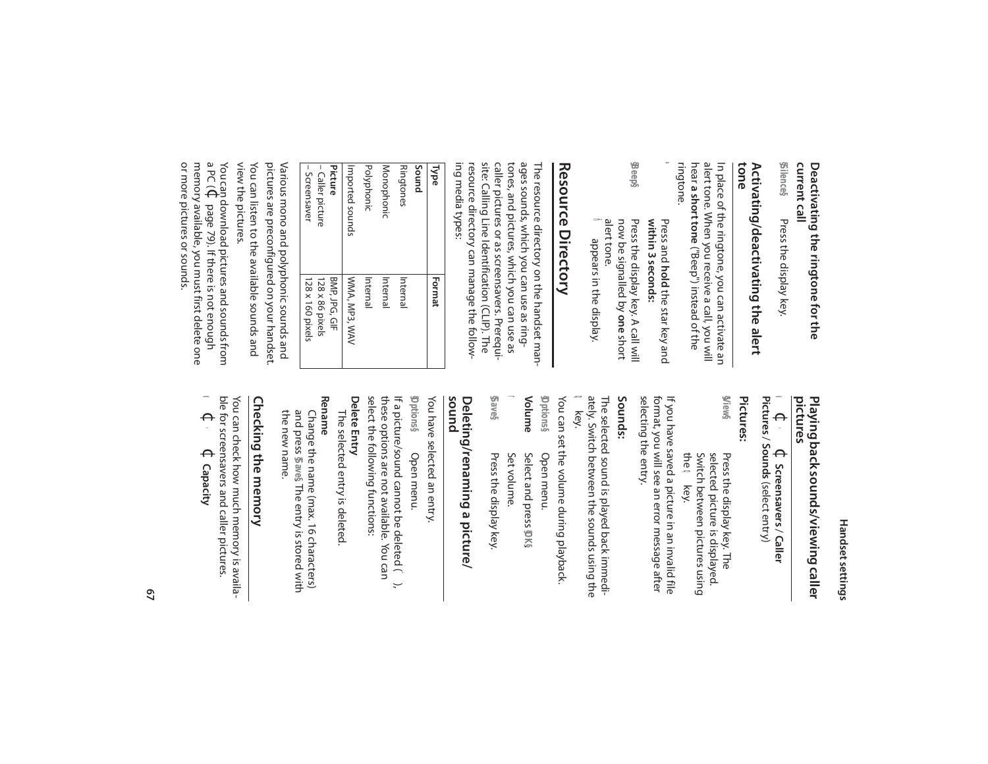# **current call Deactivating the ringtone for the**

**§Silence§** Press the display key. Press the display key.

# Activating/deactivating the alert<br>tone **Activating/deactivating the alert**

ringtone. alert tone. When you receive a call, you will<br>hear **a short tone** ("Beep") instead of the alert tone. When you receive a call, you will In place of the ringtone, you can activate an In place of the ringtone, you can activate an **a short tone**("Beep") instead of the

- \* within 3 seconds: Press and hold the star key and **within 3 seconds: hold** the star key and
- **§Beep§** now be signalled by one short Press the display key. A call will now be signalled by Press the display key. A call will
- ñ alert tone. appears in the display.

# **Resource Directory** Resource Directory

ing media types: ing media types: resource directory can manage the followresource directory can manage the followsite: Calling Line Identification (CLIP). The site: Calling Line Identification (CLIP). The caller pictures or as screensavers. Prerequicaller pictures or as screensavers. Prerequitones, and pictures, which you can use as tones, and pictures, which you can use as ages sounds, which you can use as ringages sounds, which you can use as ring-The resource directory on the handset man-The resource directory on the handset man-

| <b>Type</b>      | Format           |
|------------------|------------------|
| Sound            |                  |
| Ringtones        | Internal         |
| Monophonic       | Internal         |
| Polyphonic       | Internal         |
| Imported sounds  | WMA, MP3, WAV    |
| Picture          | BMP, JPG, GIF    |
| - Caller picture | 128 x 86 pixels  |
| - Screensaver    | 128 x 160 pixels |

view the pictures. view the pictures. You can listen to the available sounds and You can listen to the available sounds and pictures are preconfigured on your handset. pictures are preconfigured on your handset. Various mono and polyphonic sounds and Various mono and polyphonic sounds and

or more pictures or sounds. or more pictures or sounds. memory available, you must first delete one a PC ( You can download pictures and sounds from  $\Theta$ page 79). If there is not enough

# **pictures Playing back sounds/viewing caller**

 $\blacktriangleleft$  $\Theta$ · $\Theta$ **Screensavers** / **Caller Pictures** / **Sounds** (select entry)

### **Pictures:**

**§View§** the Switch between pictures using Switch between pictures using selected picture is displayed. selected picture is displayed. Press the display key. The Press the display key. The q key.

selecting the entry. format, you will see an error message after selecting the entry. format, you will see an error message after If you have saved a picture in an invalid file If you have saved a picture in an invalid file

#### **Sounds:**

ately. Switch between the sounds using the The selected sound is played back immedi- $\mathbf{\Omega}$ ately. Switch between the sounds using the The selected sound is played back immedikey.

You can set the volume during playback. You can set the volume during playback. Open menu.

- **Volume §Options§** Select and press DKS Open menu. Select and press **§OK§**
- Set volume.

r

**§Save§** Press the display key. Press the display key.

# Deleting/renaming a picture/<br>sound **Deleting/renaming a picture/**

You have selected an entry. You have selected an entry.

select the following functions: these options are not available. You can **§Options§** select the following functions: these options are not available. You can If a picture/sound cannot be deleted ( <sup>-</sup> ), If a picture/sound cannot be deleted (¯), **Open menu.** Open menu.

#### Delete Entry **Delete Entry**

The selected entry is deleted The selected entry is deleted.

#### **Rename**

the new name. Change the name (max. 16 characters) the new name. and press Change the name (max. 16 characters) **§Save§**. The entry is stored with

# Checking the memory **Checking the memory**

ble for screensavers and caller pictures. You can check how much memory is availa-You can check how much memory is availa-

 $\blacktriangleleft$  $\Theta$ · $\Theta$ **Capacity**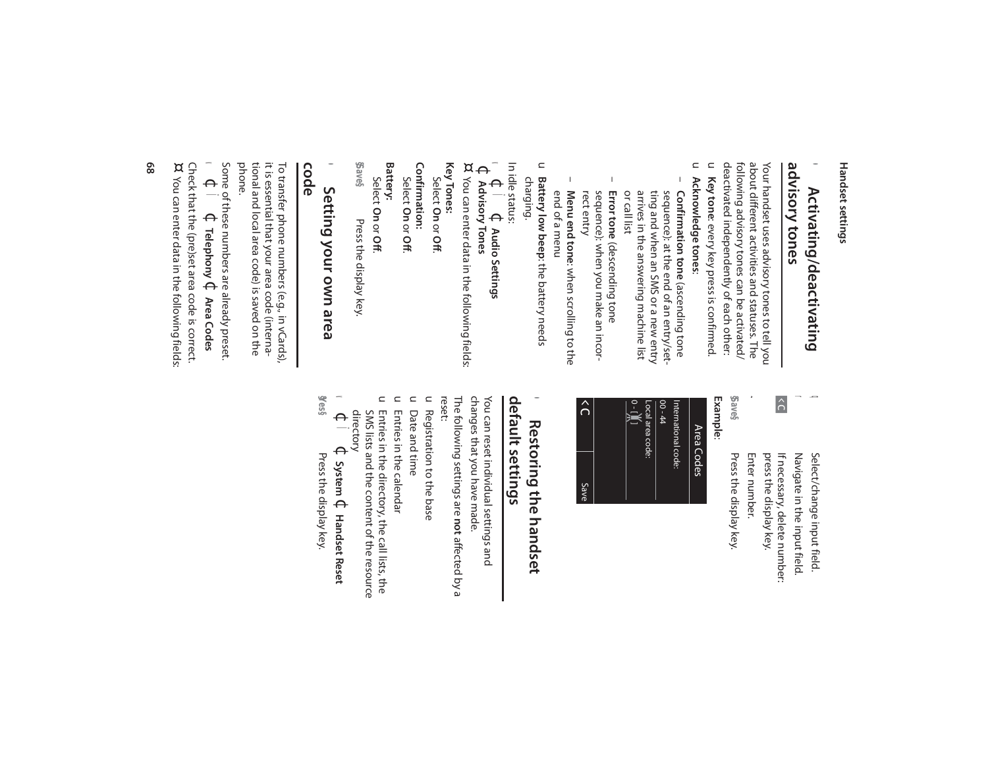#### advisory tones **advisory tones**  $\bullet$ Activating/deactivating **Activating/deactivating**

u Key tone: every key press is confirmed. deactivated independently of each other: deactivated independently of each other: following advisory tones can be activated/ following advisory tones can be activated/ about different activities and statuses. The about different activities and statuses. The Your handset uses advisory tones to tell you Your handset uses advisory tones to tell you **Key tone**: every key press is confirmed.

- $\subset$ **Acknowledge tones**:
- arrives in the answering machine list<br>or call list ting and when an SMS or a new entry sequence): at the end of an entry/set-Confirmation tone (ascending tone arrives in the answering machine list ting and when an SMS or a new entry sequence): at the end of an entry/set- **Confirmation tone** (ascending tone
- **Error tone** (descending tone (descending tone sequence): when you make an incor-<br>rect entry sequence): when you make an incor-

 $\Omega$ 

Save

Menu end tone: when scrolling to the end of a menu end of a menu **Menu end tone**: when scrolling to the

–

- u **Battery low beep**: the battery needs **Battery low beep**: the battery needs charging.
- In idle status:
- $\leq$  $\Theta$ Ï $\Theta$ **Audio Settings**
- $\Theta$ **Advisory Tones**
- ¤ You can enter data in the following fields: You can enter data in the following fields:
- **Key Tones:**  Select **On** or **Off**.
- Confirmation: **Confirmation:**
- Select **On** or **Off**.
- **Battery:**
- **§Save§** Select Press the display key. **On** or **Off**. Press the display key.

# **code Press the display of the display key. Press the display key.**  $\bullet$ Setting your own area **Setting your own area**

phone. tional and local area code) is saved on the tional and local area code) is saved on the To transfer phone numbers (e.g., in vCards),<br>it is essential that your area code (internait is essential that your area code (interna-To transfer phone numbers (e.g., in vCards),

 $\blacktriangleleft$ Some of these numbers are already preset Some of these numbers are already preset.  $\Theta$ Ï $\Theta$ **Telephony** ¢**Area Codes**

Check that the (pre)set area code is correct.<br>¤ You can enter data in the following fields: Check that the (pre)set area code is correct. You can enter data in the following fields:

> $|\hat{\sigma}|$ If necessary, delete number: If necessary, delete number: Navigate in the input field. Navigate in the input field. Select/change input field. Select/change input field.

**d** r

Enter number. Enter number. press the display key. press the display key.

~

**§Save§** Press the display key. Press the display key.

**Example**:



### •Restoring the handset **Restoring the handset**

### default settings **default settings**

The following settings are **not** affected by a<br>reset: changes that you have made. You can reset individual settings and The following settings are changes that you have made. You can reset individual settings and **not** affected by a

- u Registration to the base Registration to the base
- $\subset$ Date and time Date and time
- u Entries in the calendar Entries in the calendar
- u Entries in the directory, the call lists, the SMS lists and the content of the resource<br>directory SMS lists and the content of the resource Entries in the directory, the call lists, the
- $\blacktriangleleft$  $\Theta$ Ï $\Theta$ **System** ¢**Handset Reset**
- **§Yes§** Press the display key.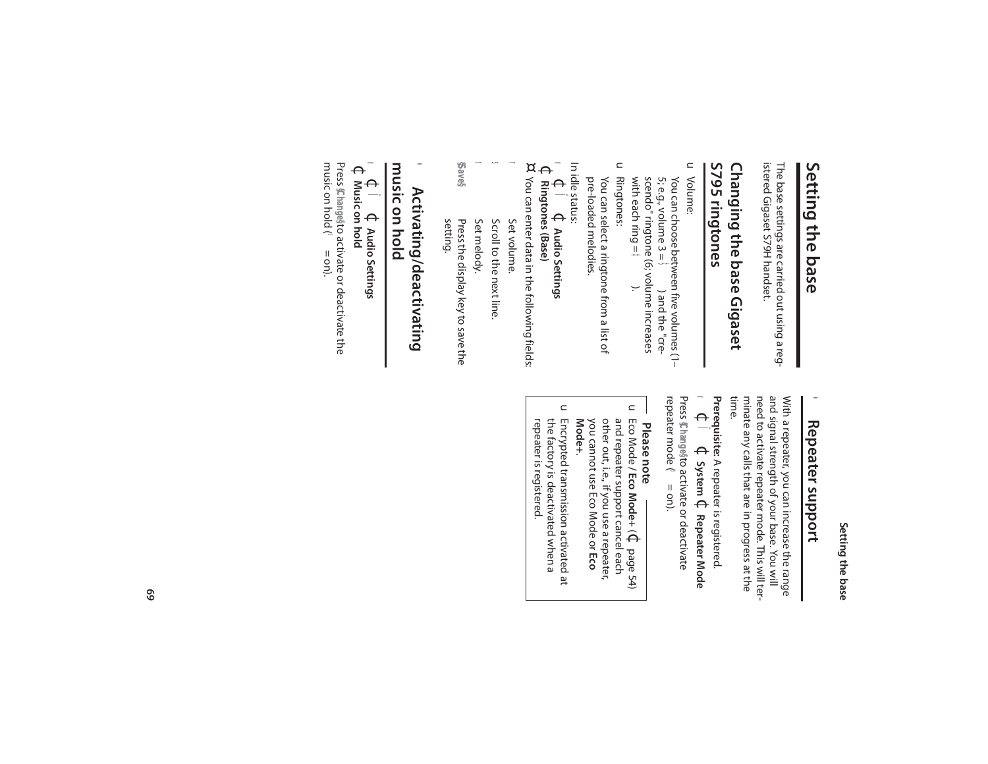### Setting the base **Setting the base**

## Setting the base **Setting the base**

The base settings are carried out using a reg-<br>istered Gigaset 579H handset. istered Gigaset S79H handset. The base settings are carried out using a reg-

### S795 ringtones **S795 ringtones** Changing the base Gigaset **Changing the base Gigaset**

#### $\subset$ Volume:

with each ring = scendo" ringtone (6; volume increases 5; e.g., volume  $3 =$ You can choose between five volumes (1-You can choose between five volumes (1– ¶<br>\$∰).<br><del>≸</del><br>+<br>; ) and the "cre-

 $\subset$ Ringtones:

pre-loaded melodies. pre-loaded melodies. You can select a ringtone from a list of You can select a ringtone from a list of

- In idle status:
- $\leq$  $\Theta$ Ï $\Theta$ **Audio Settings**
- $\Theta$ **Ringtones (Base)**
- ¤ You can enter data in the following fields: You can enter data in the following fields:
- r Set volume. Set volume.
- s Scroll to the next line Scroll to the next line.
- r Set melody.
- **§Save§** Press the display key to save the<br>setting. Press the display key to save the

### **music on hold**  $\bullet$ Activating/deactivating **Activating/deactivating**

#### $\leq$ music on hold  $\Theta$ Ï**↓ Audio Settings Audio Settings**

Press Changesto activate or deactivate the Press *<b><i>S* hange?  $\Theta$ **Music on hold** to activate or deactivate the

music on hold ( $\approx$  = on). music on hold ( $\bullet$  = on).

### $\bullet$ **Repeater support Repeater support**

time. and signal strength of your base. You will<br>need to activate repeater mode. This will terminate any calls that are in progress at the With a repeater, you can increase the range minate any calls that are in progress at the need to activate repeater mode. This will terand signal strength of your base. You will With a repeater, you can increase the range

#### **Prerequisite:** A repeater is registered.  $\Theta$ Ï $\Theta$ **System** ¢**Repeater Mode**

 $\blacktriangleleft$ Press **§Change§** to activate or deactivate repeater mode (3 repeater mode  $(3 = \text{on}).$ 

# **Please note**

- $\subset$ Eco Mode **/ Eco Mode+** $\widehat{\Theta}$ page 54) you cannot use Eco Mode or other out, i.e., if you use a repeater, and repeater support cancel each and repeater support cancel each<br>other out, i.e., if you use a repeater,<br>you cannot use Eco Mode or **Eco Mode+**.
- $\subset$ Encrypted transmission activated at repeater is registered. the factory is deactivated when a repeater is registered. the factory is deactivated when a Encrypted transmission activated at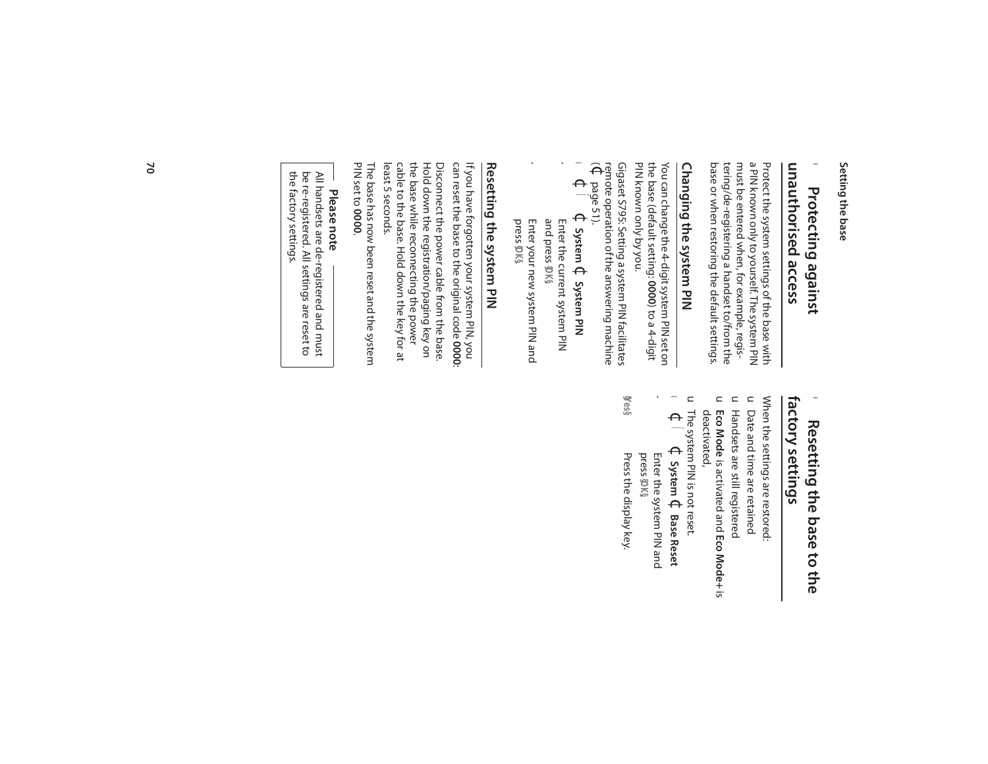#### Setting the base **Setting the base**

#### **unauthorised access** unauthorised access • Protecting against  $\bullet$ Protecting against **Protecting against**

base or when restoring the default settings. base or when restoring the default settings. tering/de-registering a handset to/from the tering/de-registering a handset to/from the must be entered when, for example, regismust be entered when, for example, regisa PIN known only to yourself. The system PIN a PIN known only to yourself. The system PIN Protect the system settings of the base with Protect the system settings of the base with

# Changing the system PIN **Changing the system PIN**

You can change the 4-digit system PIN set on<br>the base (default setting: 0000) to a 4-digit PIN known only by you. PIN known only by you. the base (default setting: You can change the 4-digit system PIN set on **0000**) to a 4-digit

Gigaset S795: Setting a system PIN facilitates  $\widehat{\Theta}$ remote operation of the answering machine Gigaset S795: Setting a system PIN facilitates page 51).

- v  $\Theta$ Ï $\Theta$ **System** ¢**System PIN**
- ~ Enter the current system PIN and press Enter the current system PIN **§OK§**.
- Enter your new system PIN and press Enter your new system PIN and **§OK§**.

~

# **Resetting the system PIN** Resetting the system PIN

can reset the base to the original code If you have forgotten your system PIN, you **0000**:

Hold down the registration/paging key on<br>the base while reconnecting the power least 5 seconds. least 5 seconds. cable to the base. Hold down the key for at cable to the base. Hold down the key for at the base while reconnecting the power Hold down the registration/paging key on Disconnect the power cable from the base. Disconnect the power cable from the base.

PIN set to The base has now been reset and the system **0000**.

# **Please note**

the factory settings. be re-registered. All settings are reset to All handsets are de-registered and must the factory settings. be re-registered. All settings are reset to All handsets are de-registered and must

#### factory settings **factory settings**  $\bullet$ Resetting the base to the **Resetting the base to the**

When the settings are restored When the settings are restored:

- $\subset$ Date and time are retained Date and time are retained
- u Handsets are still registered Handsets are still registered
- u deactivated, deactivated, **Eco Mode**is activated and **Eco Mode+** is
- u The system PIN is not reset. The system PIN is not reset.
- $\Theta$ Ï $\Theta$ **System** ¢**Base Reset**

 $\blacktriangleleft$ 

~

- press Enter the system PIN and **§OK§**.
- **§Yes§** Press the display key Press the display key.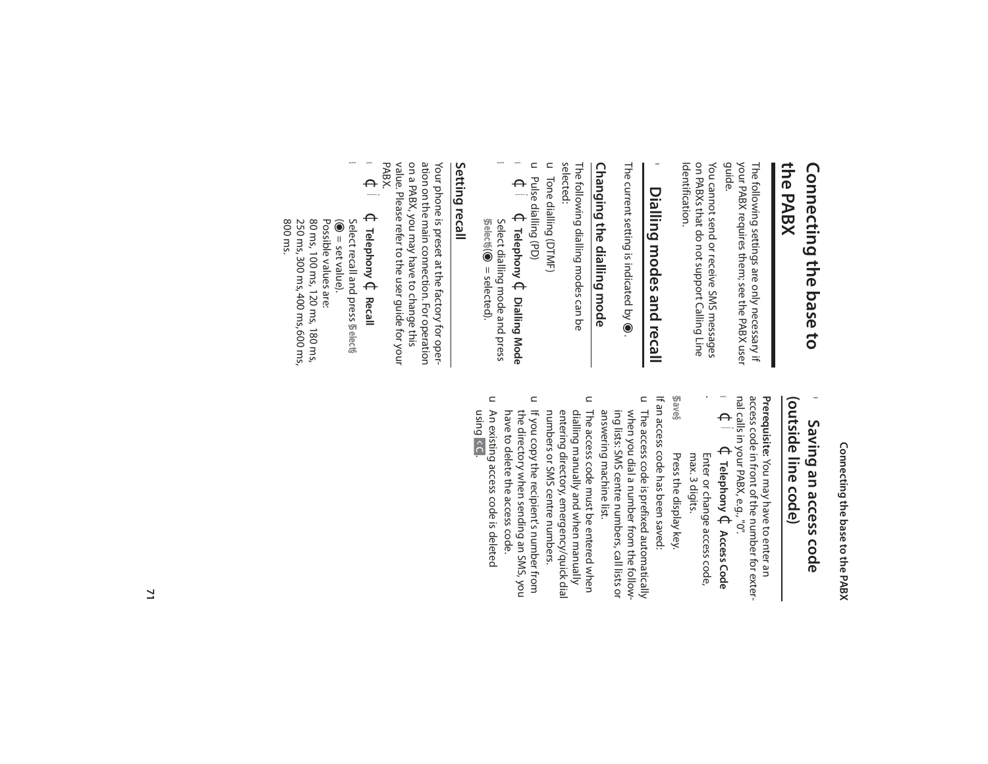### **the PABX** Connecting the base to **Connecting the base to**

your PABX requires them; see the PABX user<br>guide. your PABX requires them; see the PABX user The following settings are only necessary if The following settings are only necessary if

Identification. Identification. on PABXs that do not support Calling Line on PABXs that do not support Calling Line You cannot send or receive SMS messages You cannot send or receive SMS messages

## • Dialling modes and recall **Dialling modes and recall**

The current setting is indicated by The current setting is indicated by  $\bullet$ .

# Changing the dialling mode **Changing the dialling mode**

The following dialling modes can be<br>selected: The following dialling modes can be

u Tone dialling (DTMF) Tone dialling (DTMF)

- u Pulse dialling (PD) Pulse dialling (PD)
- $\blacktriangleleft$  $\Theta$ Ï $\Theta$ **Telephony** ¢**Dialling Mode** s **§Select§** (m Select dialling mode and press = selected).

#### Setting recall **Setting recall**

value. Please refer to the user guide for your<br>PABX. value. Please refer to the user guide for your on a PABX, you may have to change this on a PABX, you may have to change this ation on the main connection. For operation ation on the main connection. For operation Your phone is preset at the factory for oper-Your phone is preset at the factory for oper-

 $\blacktriangleleft$  $\Theta$ Ï $\Theta$ **Telephony** ¢

s

**Recall**

80 ms, 100 ms, 120 ms, 180 ms, Possible values are: 80 ms, 100 ms, 120 ms, 180 ms, Possible values are:  $\widehat{\mathbin{\text{O}}}$ Select recall and press **§Select§** = set value).

800 ms.

250 ms, 300 ms, 400 ms, 600 ms,

250 ms, 300 ms, 400 ms, 600 ms,

Connecting the base to the PABX **Connecting the base to the PABX**

#### (outside line code) **(outside line code)**  $\bullet$ Saving an access code **Saving an access code**

Prerequisite: You may have to enter an nal calls in your PABX, e.g., "0". access code in front of the number for exter- **Prerequisite:**  You may have to enter an

- $\blacktriangleleft$  $\Theta$ Ï $\Theta$ **Telephony** ¢**Access Code**
- max. 3 digits. Enter or change access code, max. 3 digits. Enter or change access code,

 $\mathbf{r}$ 

**§Save§** Press the display key. Press the display key.

If an access code has been saved: If an access code has been saved:

- u The access code is prefixed automatically answering machine list. when you dial a number from the following lists: SMS centre numbers, call lists or answering machine list. ing lists: SMS centre numbers, call lists or when you dial a number from the follow-The access code is prefixed automatically
- $\subset$ The access code must be entered when numbers or SMS centre numbers. entering directory, emergency/quick dial dialling manually and when manually numbers or SMS centre numbers. entering directory, emergency/quick dial dialing manually and when manually The access code must be entered when
- $\subset$ If you copy the recipient's number from<br>the directory when sending an SMS, you have to delete the access code. have to delete the access code. the directory when sending an SMS, you If you copy the recipient's number from
- $\subset$ An existing access code is deleted using An existing access code is deleted  $\hat{c}$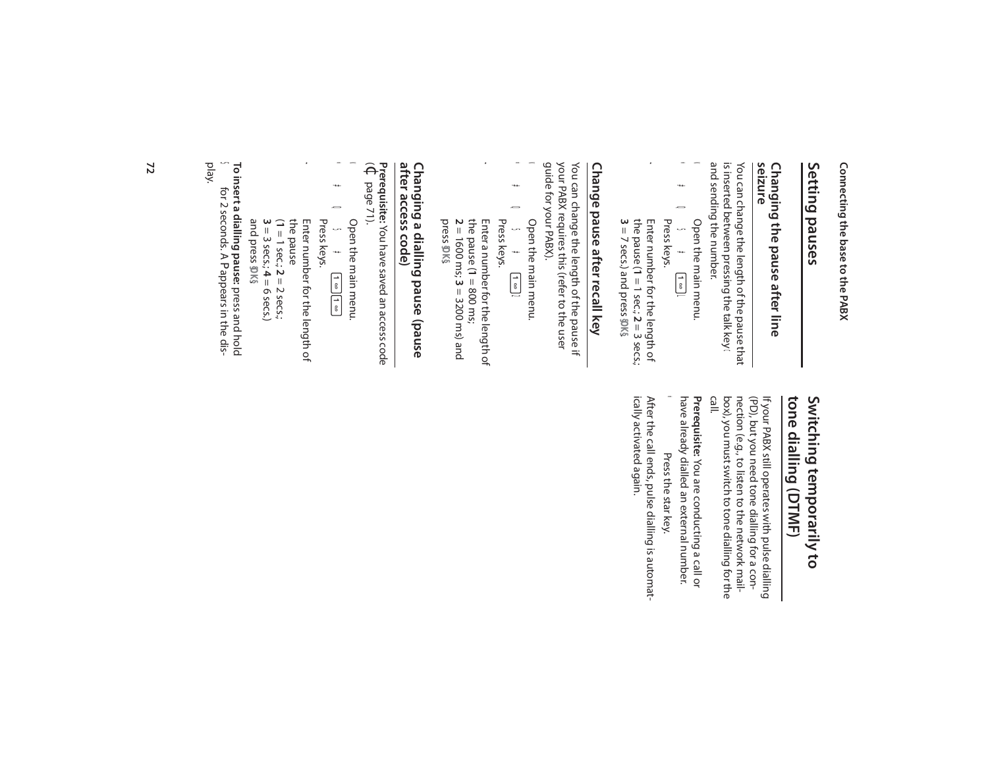Connecting the base to the PABX **Connecting the base to the PABX**

### Setting pauses **Setting pauses**

# **Changing the pause after line<br>seizure Changing the pause after line**

and sending the number. and sending the number. is inserted between pressing the talk key is inserted between pressing the talk key You can change the length of the pause that You can change the length of the pause that

- \*#Q5#UL  $\ast$ v Open the main menu.  $\pmb{\ast}$ 0<br>5<br>5<br>9 Open the main menu. Press keys.  $\begin{bmatrix} \overline{a} \\ \overline{b} \end{bmatrix}$
- ~ the pause ( **1** = 1 sec.; **2** Enter number for the length of  $=$  3 secs.; **3** = 7 secs.) and press **§OK§**.

# Change pause after recall key **Change pause after recall key**

guide for your PABX). guide for your PABX). your PABX requires this (refer to the user your PABX requires this (refer to the user You can change the length of the pause if You can change the length of the pause if

- \*#Q5#U2  $\ast$  $\blacktriangleleft$  Open the main menu.  $\pmb{\ast}$  $\boldsymbol{\mathsf{D}}$ Open the main menu. **Press keys.<br>Press keys.** 5<br>#
- Enter a number for the length of press **§OK§**. **2** = 1600 ms; **3** the pause ( **1** = 800 ms; Enter a number for the length of = 3200 ms) and

~

### after access code) **after access code)** Changing a dialling pause (pause **Changing a dialling pause (pause**

**Prerequisite:**  You have saved an access code  $\widehat{\Theta}$ page 71).

- \*<br>#Q5#O5#U \*  $\blacktriangleleft$  Open the main menu.  $\pmb{*}$ 0<br>5<br>5<br>1 Open the main menu.  $\begin{array}{|c|} \hline \hline \hline \hline \hline \hline \hline \end{array}$
- Press keys. Enter number for the length of

 $\pmb{\iota}$ 

 $(1 = 1 \text{ sec.}; 2 = 2 \text{ sec.};$ Enter number for the length of<br>the pause  $3 = 3$  secs.;  $4 = 6$  secs.)

and press **§OK§**. **To insert a dialling pause:** press and hold S for 2 seconds. A P appears in the dis-To insert a dialling pause: press and hold<br>
Solid Strate Conds. A P appears in the dis-<br>
play.

### tone dialling (DTMF) Switching temporarily to **tone dialling (DTMF) Switching temporarily to**

box), you must switch to tone dialling for the<br>call.<br>call. nection (e.g., to listen to the network mail-(PD), but you need tone dialling for a conbox), you must switch to tone dialling for the nection (e.g., to listen to the network mail- (PD), but you need tone dialling for a con-If your PABX still operates with pulse dialling If your PABX still operates with pulse dialling

have already dialled an external number. have already dialled an external number. Prerequisite: You are conducting a call or **Prerequisite:**  You are conducting a call or

\* Press the star key. Press the star key.

ically activated again. After the call ends, pulse dialling is automatically activated again. After the call ends, pulse dialling is automat-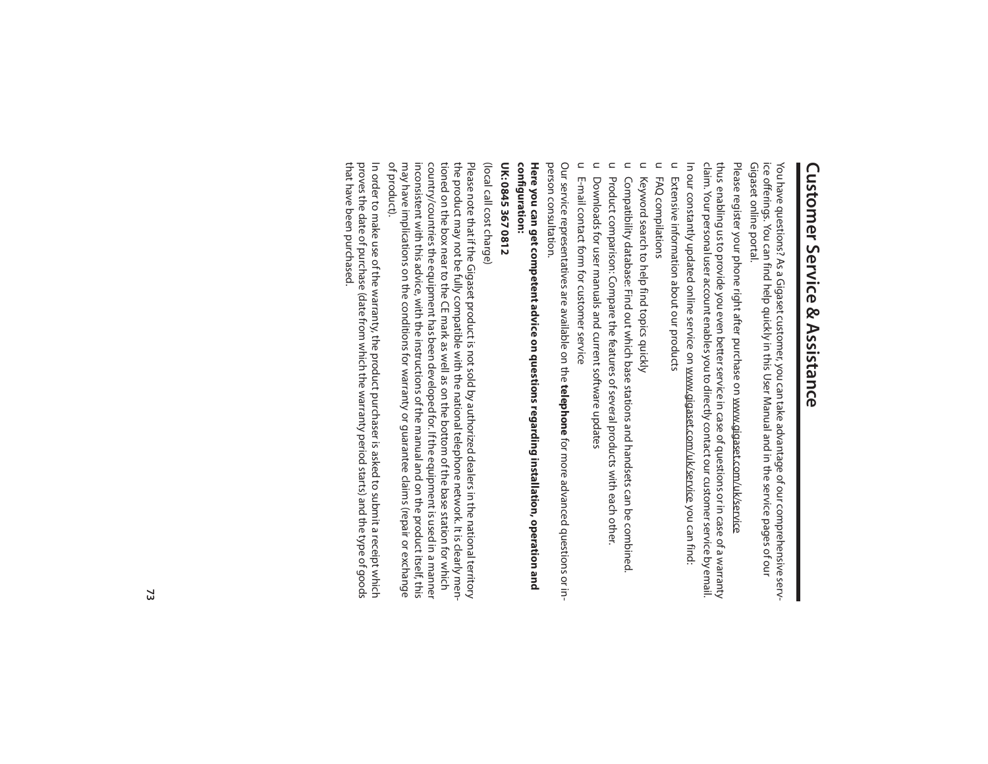# **Customer Service & Assistance Customer Service & Assistance**

Gigaset online portal. Gigaset online portal. ice offerings. You can find help quickly in this User Manual and in the service pages of our ice offerings. You can find help quickly in this User Manual and in the service pages of our You have questions? As a Gigaset customer, you can take advantage of our comprehensive serv-You have questions? As a Gigaset customer, you can take advantage of our comprehensive serv-

Please register your phone right after purchase on <u>www.gigaset.com/uk/service</u> Please register your phone right after purchase on www.gigaset.com/uk/service

In our constantly updated online service on www.gigaset.com/uk/service you can find: In our constantly updated online service on www.gigaset.com/uk/service claim. Your personal user account enables you to directly contact our customer service by email. claim. Your personal user account enables you to directly contact our customer service by email. thus enabling us to provide you even better service in case of questions or in case of a warranty thus enabling us to provide you even better service in case of questions or in case of a warranty you can find:

u Extensive information about our products Extensive information about our products

 $\subset$ FAQ compilations FAQ compilations

 $\subset$ Keyword search to help find topics quickly Keyword search to help find topics quickly

 $\subset$ Compatibility database: Find out which base stations and handsets can be combined. Compatibility database: Find out which base stations and handsets can be combined.

 $\subset$ Product comparison: Compare the features of several products with each other. Product comparison: Compare the features of several products with each other.

 $\subset$ Downloads for user manuals and current software updates Downloads for user manuals and current software updates

 $\subset$ E-mail contact form for customer service E-mail contact form for customer service

person consultation. person consultation.Our service representatives are available on the **telephone** for more advanced questions or in-Our service representatives are available on the for more advanced questions or in-

configuration: **configuration:** Here you can get competent advice on questions regarding installation, operation and **Here you can get competent advice on questions regarding installation, operation and** 

### UK: 0845 367 0812 **UK: 0845 367 0812**

(local call cost charge) (local call cost charge)

inconsistent with this advice, with the instructions of the manual and on the product itself, this inconsistent with this advice, with the instructions of the manual and on the product itself, this country/countries the equipment has been developed for. If the equipment is used in a manner country/countries the equipment has been developed for. If the equipment is used in a manner tioned on the box near to the CE mark as well as on the bottom of the base station for which tioned on the box near to the CE mark as well as on the bottom of the base station for which the product may not be fully compatible with the national telephone network. It is clearly menthe product may not be fully compatible with the national telephone network. It is clearly men-Please note that if the Gigaset product is not sold by authorized dealers in the national territory Please note that if the Gigaset product is not sold by authorized dealers in the national territory

In order to make use of the warranty, the product purchaser is asked to submit a receipt which may have implications on the conditions for warranty or guarantee claims (repair or exchange<br>of product). may have implications on the conditions for warranty or guarantee claims (repair or exchange

that have been purchased. that have been purchased. In order to make use of the warranty, the product purchaser is asked to submit a receipt which<br>proves the date of purchase (date from which the warranty period starts) and the type of goods proves the date of purchase (date from which the warranty period starts) and the type of goods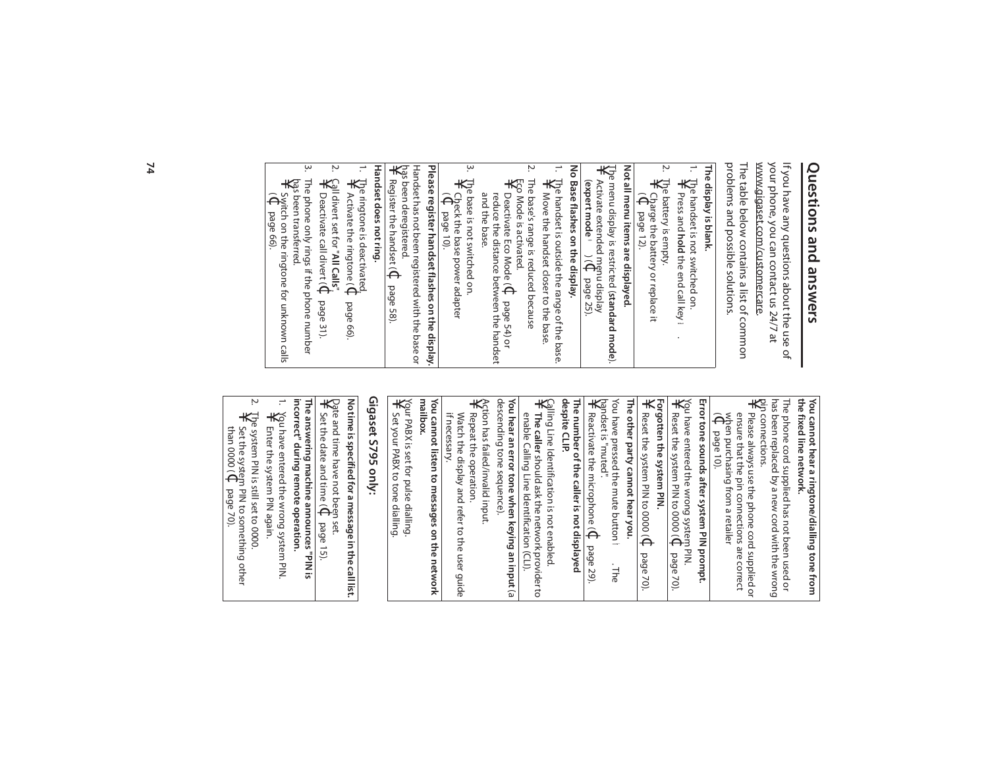## **Questions and answers** Questions and answers

your phone, you can contact us 24/7 at<br><u>www.gigaset.com/customercare</u>. www.gigaset.com/customercare your phone, you can contact us 24/7 at If you have any questions about the use of If you have any questions about the use of

pin connections.<br>
¥ Please <sup>stere</sup> pin connections.

 $\widehat{\Theta}^2_i$ 

page 10).

when purchasing from a retailer

ensure that the pin connections are correct Please always use the phone cord supplied or

Please always use the phone cord supplied or

has been replaced by a new cord with the wrong The phone cord supplied has not been used or

has been replaced by a new cord with the wrong The phone cord supplied has not been used or **the fixed line network.**

**You cannot hear a ringtone/dialling tone from** 

You cannot hear a ringtone/dialling tone from<br>the fixed line network.

problems and possible solutions. problems and possible solutions. The table below contains a list of common The table below contains a list of common

### The display is blank. **The display is blank.**

Ņ 1. The handset is not switched on. The handset is not switched on<br>¥ Press and hold the end rall L Press and hold the end call key Press and **hold**the end call key

.

 $\ast$ 

You have entered the wrong system PIN. **Error tone sounds after system PIN prompt.**

Error tone sounds after system PIN prompt.

Reset the system PIN to 0000 (

Forgotten the system PIN.<br>¥ Reset the system PIN to **Forgotten the system PIN.**

Reset the system PIN to 0000 (Reset the system PIN to 0000 (C

You have pressed the mute button **The other party cannot hear you.**

The other party cannot hear you.

handset is "muted".

 $\star$ 

Reactivate the microphone (

**The number of the caller is not displayed** 

The number of the caller is not displayed

 $\Theta$ 

page 29).

h. The

page 70).

 $\Theta$ 

page 70).

2. The battery is empty. The battery is empty.<br>\<br>\} Charge the hatter  $\widehat{\Theta}^2$ Charge the battery or replace it page 12).

### Not all menu items are displayed. **Not all menu items are displayed.**

- The menu display is restricted ( **standard mode**). ¥ Activate extended menu display  $\widetilde{\Theta}$
- No Base flashes on the display. **No Base flashes on the display.** ( **expert mode** •page 25).
- 1. The handset is outside the range of the base. The handset is outside the range of the base.<br>\#wove the handset closer to the hare Move the handset closer to the base. Move the handset closer to the base.
- ŗ, 2. The base's range is reduced because The base's range is reduced because Eco Mode is activated.

 $\star$ 

**The caller**

should ask the network provider to

enable Calling Line Identification (CLI). **You hear an error tone when keying an input** (a

enable Calling Line Identification (CLI).

You hear an error tone when keying an input (a

Action has failed/invalid input.<br>¥ Repeat the operation Action has failed/invalid input. descending tone sequence).

descending tone sequence).

Repeat the operation.

Repeat the operation.

if necessary.

if necessary.

You cannot listen to messages on the network<br>mailbox. **You cannot listen to messages on the network** 

Watch the display and refer to the user guide

Watch the display and refer to the user guide

Calling Line Identification is not enabled.

**despite CLIP.**

despite CLIP.

- Éco Mode is activated.<br>¥⊃Deactivate Fc∩ M∩ and the base and the base. reduce the distance between the handset Deactivate Eco Mode ( $\Theta$ page 54) or
- ب ِ 3. The base is not switched on. The base is not switched on.<br>¥ Check the base power ac Check the base power adapter
- $\widehat{\Theta}^{\sharp}_{\widehat{\theta}}$ page 10).

¥ has been deregistered. Handset has not been registered with the base or Handset has not been registered with the base or Please register handset flashes on the display. **Please register handset flashes on the display.** Register the handset ( $\Phi$  page 58) Register the handset (¢

### Handset does not ring **Handset does not ring.**

**Gigaset S795 only:**

Gigaset S795 only:

Your PABX is set for pulse dialling.<br>¥ Set your PABX to tone dialling. Your PABX is set for pulse dialling.

Set your PABX to tone dialling.

- 1. The ringtone is deactivated.  $\ast$ Activate the ringtone ( $\Theta$ page 66).
- 2. Call divert set for "**All Calls**".

Ņ.

- س 3. The phone only rings if the phone number ¥ Deactivate call divert (  $\Theta$ page 31).
- $\uparrow$  pas been transferred.<br> $\downarrow$  Switch on the set of some set of Switch on the Switch on the S has been transferred.  $\widehat{\Theta}^s$ Switch on the ringtone for unknown calls page 66).
	- The phone only rings if the phone number The an*s*wering machine announces "PIN is<br>incorrect" during remote operation. **incorrect" during remote operation. The answering machine announces "PIN is**

 $\star$ 

Set the date and time (

 $\Theta$ 

page 15).

Date and time have not been set.

**No time is specified for a message in the call list.**

No time is specified for a message in the call list.

- 1. You have entered the wrong system PIN. ¥ Enter the system PIN again. Enter the system PIN again.
- $\mathbf{N}$ 2. The system PIN is still set to 0000. The system PIN is still set to 0000<br>¥ Set the system PIN to someth than 0000 ( Set the system PIN to something other  $\Theta$ page 70).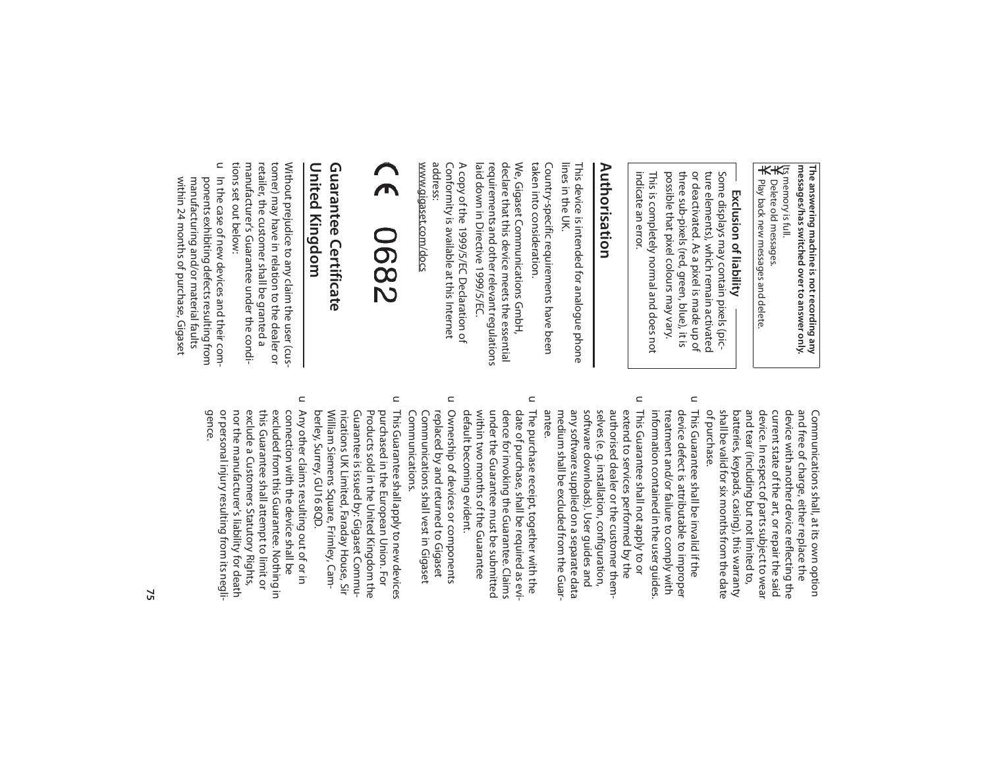¥ ¥ Its memory is full. messages/has switched over to answer only. **messages/has switched over to answer only.** The answering machine is not recording any **The answering machine is not recording any** 

Play back new messages and delete Delete old messages. Play back new messages and delete. Delete old messages.

### Exclusion of liability **Exclusion of liability**

indicate an error. possible that pixel colours may vary. three sub-pixels (red, green, blue), it is or deactivated. As a pixel is made up of ture elements), which remain activated Some displays may contain pixels (picindicate an error. This is completely normal and does not This is completely normal and does not possible that pixel colours may vary. three sub-pixels (red, green, blue), it is or deactivated. As a pixel is made up of ture elements), which remain activated Some displays may contain pixels (pic-

### **Authorisation**  Authorisation

lines in the UK lines in the UK. This device is intended for analogue phone This device is intended for analogue phone

taken into consideration. taken into consideration. Country-specific requirements have been Country-specific requirements have been

laid down in Directive 1999/5/EC. laid down in Directive 1999/5/EC. requirements and other relevant regulations requirements and other relevant regulations declare that this device meets the essential declare that this device meets the essential We, Gigaset Communications GmbH, We, Gigaset Communications GmbH,

Conformity is available at this Internet<br>address: Conformity is available at this Internet A copy of the 1999/5/EC Declaration of A copy of the 1999/5/EC Declaration of

www.gigaset.com/docs www.gigaset.com/docs

### $\overline{\mathbf{A}}$ 7890

#### United Kingdom **United Kingdom Guarantee Certificate Guarantee Certificate**

tions set out below: tions set out below: manufacturer's Guarantee under the condimanufacturer's Guarantee under the condiretailer, the customer shall be granted a retailer, the customer shall be granted a tomer) may have in relation to the dealer or tomer) may have in relation to the dealer or Without prejudice to any claim the user (cus-Without prejudice to any claim the user (cus-

U In the case of new devices and their comwithin 24 months of purchase, Gigaset within 24 months of purchase, Gigaset manufacturing and/or material faults manufacturing and/or material faults ponents exhibiting defects resulting from ponents exhibiting defects resulting from In the case of new devices and their com-

> shall be valid for six months from the date batteries, keypads, casing), this warranty and tear (including but not limited to, device. In respect of parts subject to wear current state of the art, or repair the said device with another device reflecting the and free of charge, either replace the Communications shall, at its own option shall be valid for six months from the date batteries, keypads, casing), this warranty and tear (including but not limited to, device. In respect of parts subject to wear current state of the art, or repair the said device with another device reflecting the and free of charge, either replace the Communications shall, at its own option

 $\subset$ This Guarantee shall be invalid if the information contained in the user guides treatment and/or failure to comply with device defect is attributable to improper information contained in the user guides. treatment and/or failure to comply with device defect is attributable to improper This Guarantee shall be invalid if the

of purchase.

of purchase.

- $\subset$ This Guarantee shall not apply to or antee. medium shall be excluded from the Guarany software supplied on a separate data software downloads). User guides and selves (e. g. installation, configuration, authorised dealer or the customer themextend to services performed by the medium shall be excluded from the Guarany software supplied on a separate data software downloads). User guides and selves (e. g. installation, configuration, authorised dealer or the customer themextend to services performed by the This Guarantee shall not apply to or
- $\subset$ The purchase receipt, together with the default becoming evident. within two months of the Guarantee under the Guarantee must be submitted dence for invoking the Guarantee. Claims date of purchase, shall be required as evidefault becoming evident. within two months of the Guarantee under the Guarantee must be submitted dence for invoking the Guarantee. Claims date of purchase, shall be required as evi-The purchase receipt, together with the
- $\subset$ Ownership of devices or components Communications. replaced by and returned to Gigaset Communications. Communications shall vest in Gigaset Communications shall vest in Gigaset replaced by and returned to Gigaset Ownership of devices or components
- $\subset$ berley, Surrey, GU16 8QD. William Siemens Square, Frimley, Camnications UK Limited, Faraday House, Sir Guarantee is issued by: Gigaset Commu-Products sold in the United Kingdom the purchased in the European Union. For This Guarantee shall apply to new devices berley, Surrey, GU16 8QD. William Siemens Square, Frimley, Camnications UK Limited, Faraday House, Sir Guarantee is issued by: Gigaset Commu-Products sold in the United Kingdom the purchased in the European Union. For This Guarantee shall apply to new devices
- $\subset$ Any other claims resulting out of or in or personal injury resulting from its negli-<br>gence. nor the manufacturer's liability for death exclude a Customers Statutory Rights, this Guarantee shall attempt to limit or excluded from this Guarantee. Nothing in connection with the device shall be or personal injury resulting from its neglinor the manufacturer's liability for death exclude a Customers Statutory Rights, this Guarantee shall attempt to limit or excluded from this Guarantee. Nothing in connection with the device shall be Any other claims resulting out of or in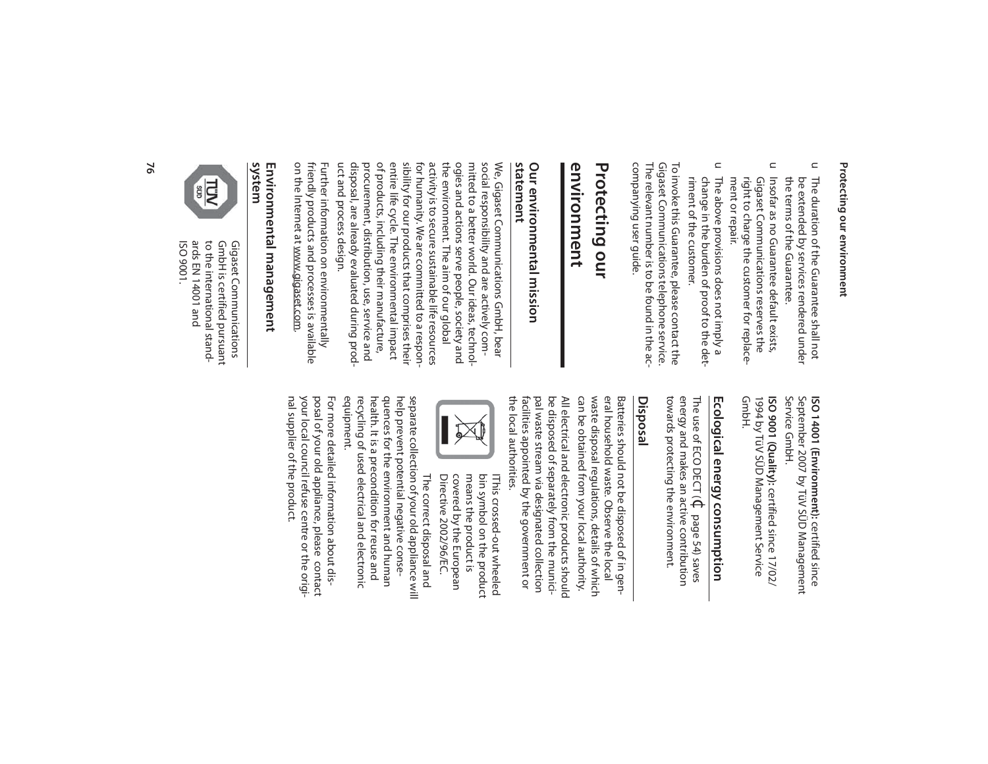### Protecting our environment **Protecting our environment**

- $\subset$ the terms of the Guarantee. The duration of the Guarantee shall not the terms of the Guarantee. be extended by services rendered under be extended by services rendered under The duration of the Guarantee shall not
- $\mathrel{\square}$ Insofar as no Guarantee default exists, ment or repair. ment or repair. right to charge the customer for replaceright to charge the customer for replace-Gigaset Communications reserves the Gigaset Communications reserves the Insofar as no Guarantee default exists,
- $\Box$ The above provisions does not imply a<br>change in the burden of proof to the detriment of the customer. riment of the customer. change in the burden of proof to the det-The above provisions does not imply a

companying user guide. companying user guide. The relevant number is to be found in the ac-The relevant number is to be found in the ac-Gigaset Communications telephone service. Gigaset Communications telephone service. To invoke this Guarantee, please contact the To invoke this Guarantee, please contact the

### Protecting our **Protecting our**

### **environment** environment

### **statement**  Our environmental mission **Our environmental mission**

uct and process design. uct and process design. disposal, are already evaluated during prod disposal, are already evaluated during prodprocurement, distribution, use, service and procurement, distribution, use, service and of products, including their manufacture, of products, including their manufacture, entire life cycle. The environmental impact entire life cycle. The environmental impact sibility for our products that comprises their sibility for our products that comprises their for humanity. We are committed to a responfor humanity. We are committed to a responactivity is to secure sustainable life resources activity is to secure sustainable life resources the environment. The aim of our global the environment. The aim of our global ogies and actions serve people, society and ogies and actions serve people, society and mitted to a better world. Our ideas, technolmitted to a better world. Our ideas, technolsocial responsibility and are actively comsocial responsibility and are actively com-We, Gigaset Communications GmbH, bear We, Gigaset Communications GmbH, bear

on the Internet at www.gigaset.com. on the Internet at www.gigaset.com friendly products and processes is available friendly products and processes is available Further information on environmentally Further information on environmentally

## **system Environmental management**



ards EN 14001 and to the international stand-ISO 9001. ards EN 14001 and to the international stand-GmbH is certified pursuant GmbH is certified pursuant Gigaset Communications Gigaset Communications

> Service GmbH. September 2007 by TüV SÜD Management Service GmbH. September 2007 by TüV SÜD Management ISO 14001 (Environment): certified since **ISO 14001 (Environment):** certified since

1994 by TüV SÜD Management Service<br>GmbH. 1994 by TüV SÜD Management Service ISO 9001 (Quality): certified since 17/02/ **ISO 9001 (Quality):** certified since 17/02/

# Ecological energy consumption **Ecological energy consumption**

towards protecting the environment. energy and makes an active contribution The use of ECO DECT ( $\mathbb C$  page 54) saves towards protecting the environment. energy and makes an active contribution The use of ECO DECT ( page 54) saves

### **Disposal**

can be obtained from your local authority. waste disposal regulations, details of which eral household waste. Observe the local Batteries should not be disposed of in genthe local authorities. the local authorities. facilities appointed by the government or pal waste stream via designated collection pal waste stream via designated collection be disposed of separately from the municibe disposed of separately from the munici-All electrical and electronic products should All electrical and electronic products should can be obtained from your local authority. waste disposal regulations, details of which eral household waste. Observe the local Batteries should not be disposed of in gen-<sup>f</sup>acilities appointed by the government or



Directive 2002/96/EC. covered by the European means the product is bin symbol on the product IThis crossed-out wheeled Directive 2002/96/EC. covered by the European means the product is bin symbol on the product IThis crossed-out wheeled

equipment. health. It is a precondition for reuse and quences for the environment and human help prevent potential negative conserecycling of used electrical and electronic recycling of used electrical and electronic health. It is a precondition for reuse and quences for the environment and human help prevent potential negative conseseparate collection of your old appliance will separate collection of your old appliance will The correct disposal and The correct disposal and

nal supplier of the product. nal supplier of the product. your local council refuse centre or the origiyour local council refuse centre or the origiposal of your old appliance, please contact posal of your old appliance, please contact For more detailed information about dis-For more detailed information about dis-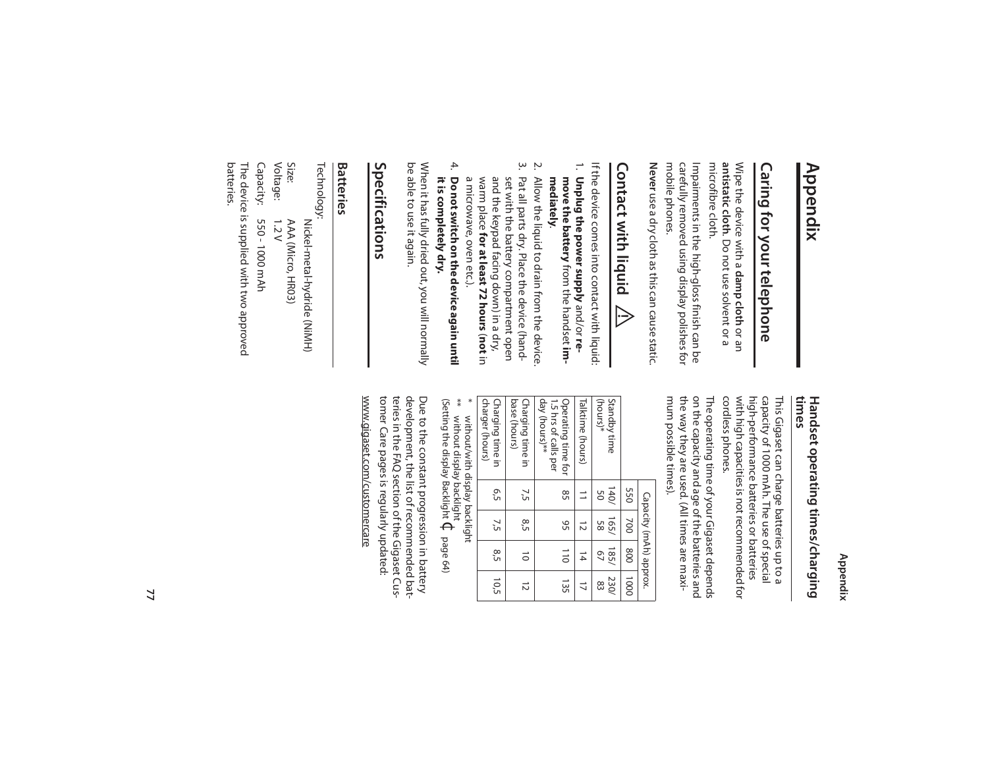## **Appendix**

# Caring for your telephone **Caring for your telephone**

microfibre cloth. microfibre cloth. antistatic cloth. Do not use solvent or a **antistatic cloth**Wipe the device with a damp cloth or an Wipe the device with a . Do not use solvent or a **damp cloth** or an

mobile phones. mobile phones. carefully removed using display polishes for carefully removed using display polishes for Impairments in the high-gloss finish can be Impairments in the high-gloss finish can be

**Never** use a dry cloth as this can cause static use a dry cloth as this can cause static.

### **Contact with liquid Contact with liquid !**

- If the device comes into contact with liquid: If the device comes into contact with liquid:
- 1. **Unplug the power supply** and/or **remove the battery** from the handset **im-Unplug the power supply** and/or re-<br>**move the battery** from the handset **im-**<br>**mediately**.
- ŗω  $\mathbf{v}$ 3. Pat all parts dry. Place the device (hand-2. Allow the liquid to drain from the device. Pat all parts dry. Place the device (hand-Allow the liquid to drain from the device.
- a microwave, oven etc.). warm place for at least 72 hours (not in and the keypad facing down) in a dry, set with the battery compartment open a microwave, oven etc.). warm place and the keypad facing down) in a dry, set with the battery compartment open **for at least 72 hours** (**not** in
- 4. it is completely dry. Do not switch on the device again until **it is completely dry. Do not switch on the device again until**

be able to use it again. be able to use it again. When it has fully dried out, you will normally When it has fully dried out, you will normally

### Specifications **Specifications**

### **Batteries**

Voltage: Size: The device is supplied with two approved<br>batteries. The device is supplied with two approved Capacity: Capacity: 550 - 1000 mAh Voltage: 1.2 V Size: AAA (Micro, HR03) Technology: Technology: 550 - 1000 mAh  $1.2V$ AAA (Micro, HR03) Nickel-metal-hydride (NiMH) Nickel-metal-hydride (NiMH)

**Appendix**

# **times Handset operating times/charging**

cordless phones. with high capacities is not recommended for high-performance batteries or batteries capacity of 1000 mAh. The use of special cordless phones. with high capacities is not recommended for high-performance batteries or batteries capacity of 1000 mAh. The use of special This Gigaset can charge batteries up to a This Gigaset can charge batteries up to a

mum possible times). the way they are used. (All times are maxion the capacity and age of the batteries and The operating time of your Gigaset depends mum possible times). the way they are used. (All times are maxion the capacity and age of the batteries and The operating time of your Gigaset depends

|                                                             |            |               | Capacity (mAh) approx. |                |
|-------------------------------------------------------------|------------|---------------|------------------------|----------------|
|                                                             | 550        | 200           | 008                    | 0001           |
| (hours)*<br>Standby time                                    | 140/<br>SO | 165/<br>89    | 185/<br>97             | 230/<br>83     |
| Talktime (hours)                                            | ∃          | $\vec{z}$     | $\frac{1}{4}$          | $\overline{a}$ |
| day (hours)**<br>1.5 hrs of calls per<br>Operating time for | 85         | 95            | $\frac{1}{10}$         | 135            |
| base (hours)<br>Charging time in                            | 7,5        | 8,5           | $\vec{0}$              | $\vec{z}$      |
| charger (hours)<br>Charging time in                         | 6,5        | 7,5           | 8,5                    | 10,5           |
| ć<br>$\vdots$<br>$\vdots$<br>:                              |            | $\frac{1}{2}$ |                        |                |

 $*$  $\boxed{4}$  $\boxed{0}$  $\boxed{2}$  $\boxed{0}$  $\boxed{5}$  $\rightarrow$  $\boxed{0}$  $\boxed{4}$  $\rightarrow$  $\boxed{3}$ \* without/with display backlight

(Setting the display Backlight \*\* without display backlight  $\Theta$ page 64)

tomer Care pages is regularly updated: teries in the FAQ section of the Gigaset Cusdevelopment, the list of recommended bat-Due to the constant progression in battery tomer Care pages is regularly updated: teries in the FAQ section of the Gigaset Cusdevelopment, the list of recommended bat-Due to the constant progression in battery

www.gigaset.com/customercare

www.gigaset.com/customercare

**77**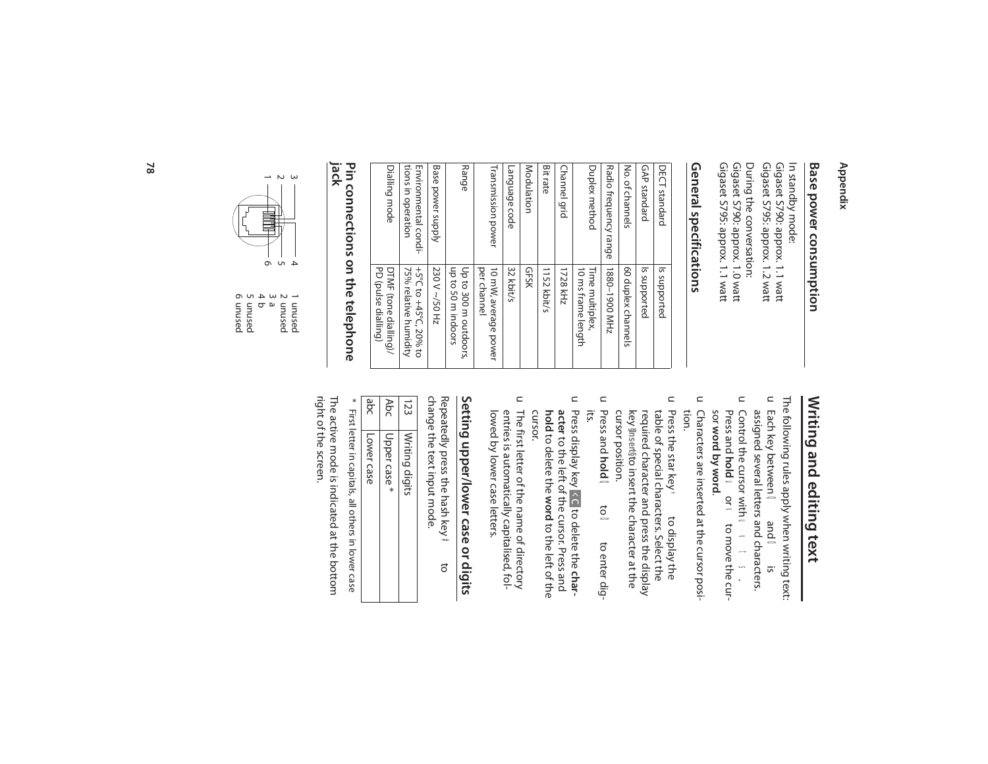### **Appendix**

## **Base power consumption Base power consumption**

Gigaset 5790: approx. 1.0 watt<br>Gigaset 5795: approx. 1.1 watt Gigaset S795: approx. 1.2 watt Gigaset S795: approx. 1.1 watt Gigaset S790: approx. 1.0 watt During the conversation: During the conversation: Gigaset S795: approx. 1.2 watt Gigaset S790: approx. 1.1 watt Gigaset S790: approx. 1.1 watt In standby mode: In standby mode:

### General specifications **General specifications**

| DECT standard                              | Is supported                                   |
|--------------------------------------------|------------------------------------------------|
| GAP standard                               | Is supported                                   |
| No. of channels                            | 60 duplex channels                             |
| Radio frequency range                      | ZHW 0061-0881                                  |
| Duplex method                              | Time multiplex,<br>10 ms frame length          |
| <b>Channel grid</b>                        | 1728 kHz                                       |
| <b>Bit rate</b>                            | 1152 kbit/s                                    |
| Modulation                                 | <b>GFSK</b>                                    |
| Language code                              | 32 kbit/s                                      |
| Transmission power                         | per channel<br>10 mW, average power            |
| Range                                      | up to 50 m indoors<br>Up to 300 m outdoors,    |
| Base power supply                          | 230 V ~/50 Hz                                  |
| tions in operation<br>Environmental condi- | 75% relative humidity<br>+5°C to +45°C, 20% to |
| Dialling mode                              | PD (pulse dialling)<br>DTMF (tone dialling)/   |
|                                            |                                                |

# **jack Pin connections on the telephone**



6 unused 5 unused 4 b 3 a 2 unused 1 unused

# Writing and editing text **Writing and editing text**

The following rules apply when writing text: The following rules apply when writing text:

- u Control the cursor with **u v** t u Each key between **a** and **o** is<br>assigned several letters and characters. Control the cursor with assigned several letters and characters. Each key between O and O is uvts. y
- sor word by word. Press and hold worw to move the cursor **word by word**. Press and **hold** u or v to move the cur-
- $\subset$ tion. Characters are inserted at the cursor posi-Characters are inserted at the cursor posi-
- u Press the star key \* cursor position. key required character and press the display table of special characters. Select the Press the star key \* to display the **§Insert§** to insert the character at the to display the
- $\subset$ its. Press and **hold** $\ddot{\tilde{\text{o}}}$ O to enter digto enter dig-
- $\subset$ cursor. hold to delete the word to the left of the acter to the left of the cursor. Press and **acter** to the left of the cursor. Press and Press display key to delete the  $\hat{c}$ **word** to the left of the to delete the **char-**
- $\subset$ The first letter of the name of directory<br>entries is automatically capitalised, fol-<br>lowed by lower case letters. lowed by lower case letters. entries is automatically capitalised, fol-The first letter of the name of directory

# Setting upper/lower case or digits **Setting upper/lower case or digits**

change the text input mode. Repeatedly press the hash key <del>≠</del> to change the text input mode. Repeatedly press the hash key

| 23  | Writing digits |
|-----|----------------|
| Abc | Upper case*    |
| abc | Lower case     |

right of the screen. The active mode is indicated at the bottom right of the screen. The active mode is indicated at the bottom \* First letter in capitals, all others in lower case First letter in capitals, all others in lower case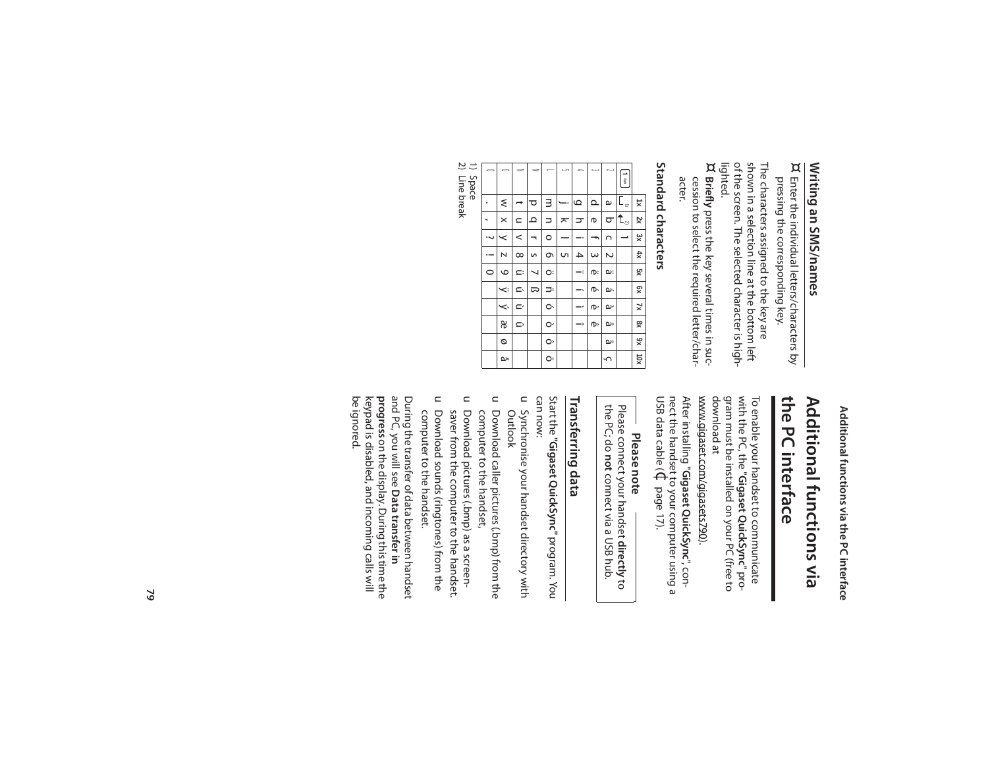# Writing an SMS/names

 $\boxtimes$ Enter the individual letters/characters by pressing the corresponding key.

lighted. shown in a selection line at the bottom left<br>of the screen. The selected character is high-The characters assigned to the key are

 $\boxtimes$ Briefly press the key several times in sucacter. cession to select the required letter/char-

# Standard characters

| Ø       | $\pmb{0}$ | <b>ZI3</b>   |                          | г  | Ű | 4                        | ω        | N  | $\frac{1}{6}$        |                         |
|---------|-----------|--------------|--------------------------|----|---|--------------------------|----------|----|----------------------|-------------------------|
|         | ₹         |              | ರ                        | з  |   | $\omega$                 | Q        | G  | $\mathfrak{l}_\circ$ | $\overline{\mathsf{x}}$ |
|         | $\times$  | $\mathbf{C}$ | ٩                        | コ  | ᅎ | ᠴ                        | ወ        | 9  | It.                  | xz                      |
|         | ≺         | <            | $\overline{\phantom{0}}$ | O  |   |                          | ħ        | റ  | →                    | پو<br>×                 |
|         | N         | $\infty$     | S                        | Q  | S | 4                        | $\omega$ | Z  |                      | 坎                       |
| $\circ$ | $\circ$   | E:           | ↘                        | O: |   | <sup>.</sup>             | ⁄ው፡      | ယ: |                      | χç                      |
|         | Ÿ         | c.           | ದ                        | ⊃  |   | -۰                       | ው        | ģ, |                      | χg                      |
|         | <         | ć            |                          | ó  |   | $\overline{\phantom{a}}$ | ው        | ىم |                      | $\overline{x}$          |
|         | æ         | Û            |                          | Ò  |   | ->                       | ው        | ç  |                      | œ                       |
|         | ø         |              |                          | Ô  |   |                          |          | ים |                      | х6                      |
|         | ەھ        |              |                          | ō  |   |                          |          | ۰  |                      | XQL                     |
|         |           |              |                          |    |   |                          |          |    |                      |                         |

 $\overline{\sim}$   $\overline{\sim}$ Space<br>Line break

Additional functions via the PC interface

# the PC interface Additional functions via

www.gigaset.com/gigasets790). download at gram must be installed on your PC (free to with the PC, the "Gigaset QuickSync" pro-To enable your handset to communicate

nect the handset to your computer using a<br>USB data cable ( $\bigoplus$  page 17). After installing "Gigaset QuickSync", con-

# Please note

the PC; do not connect via a USB hub. Please connect your handset directly to

# Transferring data

can now: Start the "Gigaset QuickSync" program. You

- u Synchronise your handset directory with Outlook
- u Download caller pictures (.bmp) from the computer to the handset,
- u Download pictures (.bmp) as a screensaver from the computer to the handset.
- u Download sounds (ringtones) from the computer to the handset.

and PC, you will see **Data transfer in**<br>**progress** on the display. During this time the<br>keypad is disabled, and incoming calls will be ignored. During the transfer of data between handset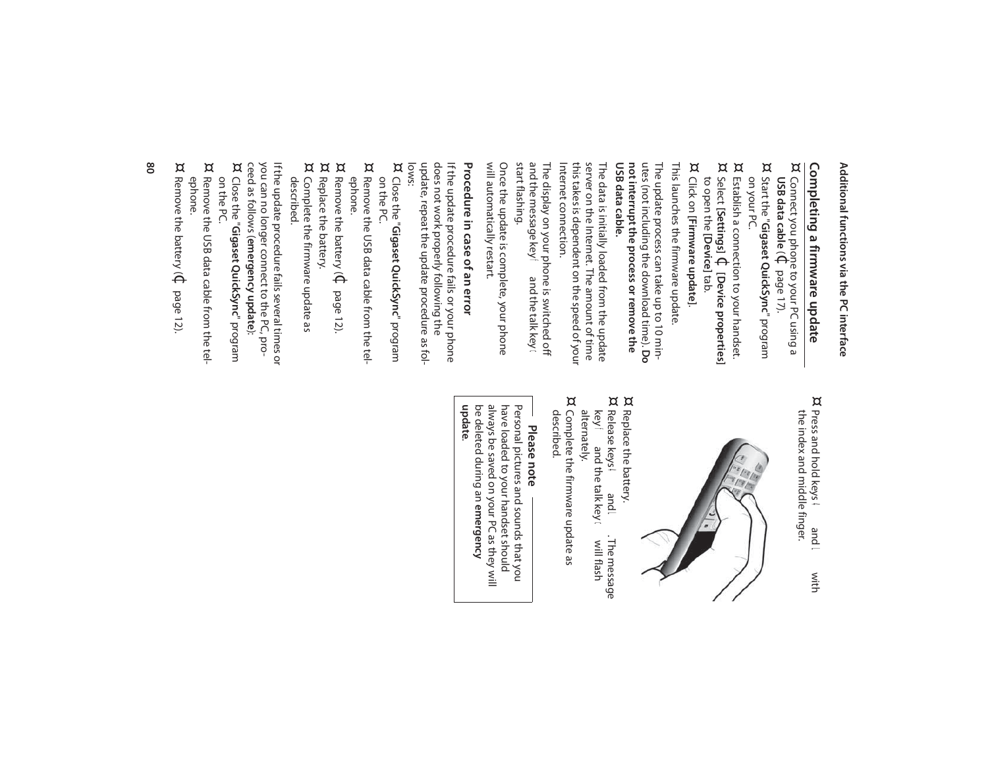# Additional functions via the PC interface **Additional functions via the PC interface**

# **Completing a firmware update**<br> $\overline{\text{a}}$  Connect vou phone to vour PC usinc **Completing a firmware update**

- **USB data cable** Connect you phone to your PC using a  $\widehat{\Theta}$ page 17).
- ¤ Start the "Gigaset QuickSync" program Start the "**Gigaset QuickSync**" program on your PC.
- ¤ Establish a connection to your handset. ¤ Select **[Settings]** $\Theta$ **[Device properties]**
- to open the [Device] tab. to open the **[Device]** tab.
- ¤ Click on **[Firmware update]**.

This launches the firmware update This launches the firmware update.

The update process can take up to 10 minutes (not including the download time). Do<br>utes (not including the download time). Do<br>**not interrupt the process or remove the** USB data cable. **USB data cable. not interrupt the process or remove the**  utes (not including the download time). The update process can take up to 10 min-

Internet connection. Internet connection. this takes is dependent on the speed of your this takes is dependent on the speed of your server on the Internet. The amount of time server on the Internet. The amount of time The data is initially loaded from the update The data is initially loaded from the update

The display on your phone is switched off<br>and the message key  $\mathbf{f}^*$  and the talk key  $\mathbf{c}$ start flashing. start flashing. and the message key The display on your phone is switched off f and the talk key

will automatically restart. will automatically restart. Once the update is complete, your phone Once the update is complete, your phone

## Procedure in case of an error **Procedure in case of an error**

update, repeat the update procedure as fol-<br>lows: update, repeat the update procedure as foldoes not work properly following the does not work properly following the If the update procedure fails or your phone If the update procedure fails or your phone

- ¤ Close the "Gigaset QuickSync" program Close the "**Gigaset QuickSync**" program on the PC.
- ¤ Remove the USB data cable from the tel-Remove the USB data cable from the tel-
- ephone. ¤ Remove the battery ( $\mathfrak \Phi$ Remove the battery ( $\Phi$  page 12).
- ¤ Replace the battery. Replace the battery.
- 

¤

described. Complete the firmware update as Complete the firmware update as

you can no longer connect to the PC, pro-<br>ceed as follows (**emergency update**):<br>¤ Close the "**Giaaset OuickSwnc"** progran ceed as follows ( you can no longer connect to the PC, pro-If the update procedure fails several times or If the update procedure fails several times or **emergency update**):

- Close the "**Gigaset QuickSync**" program Close the "**Gigaset QuickSync**" program<br>on the PC.
- ¤ Remove the USB data cable from the telephone. Remove the USB data cable from the tel-
- ¤ Remove the battery ( $\mathfrak \Phi$ Remove the battery ( $\mathbb Q$  page 12).

¤ the index and middle finger. Press and hold keys 4 and the index and middle finger. Press and hold keys  $\mathbf{a}$  and  $\mathbf{L}$ with



- ¤ ¤ Replace the battery. Replace the battery.
- alternately. Release keys 4 and L.<br>Key f and the talk key c Release keys 4 and L. The message f and the talk key or will flash T<sub>pue</sub> . The message will flash
- ¤ Complete the firmware update as described. Complete the firmware update as

## **Please note**

**update**.be deleted during an emergency be deleted during an always be saved on your PC as they will always be saved on your PC as they will have loaded to your handset should have loaded to your handset should Personal pictures and sounds that you Personal pictures and sounds that you **emergency**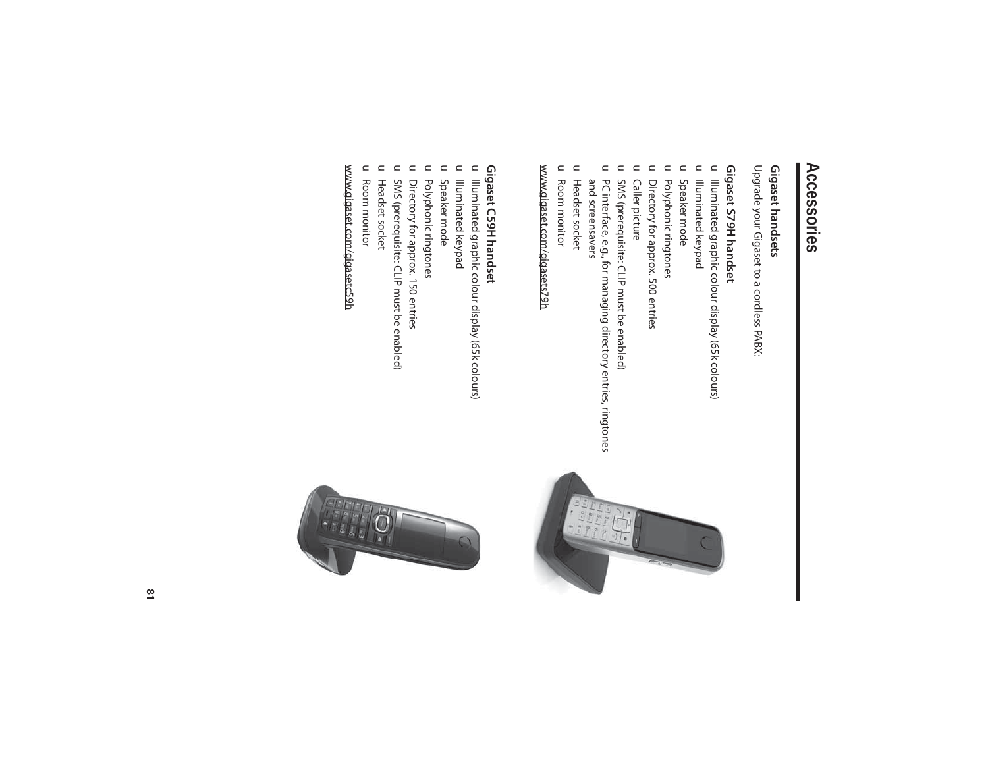# **Accessories**

### Gigaset handsets **Gigaset handsets**

Upgrade your Gigaset to a cordless PABX: Upgrade your Gigaset to a cordless PABX:

### Gigaset S79H handset **Gigaset S79H handset**

- u Illuminated graphic colour display (65k colours) Illuminated graphic colour display (65k colours)
- u Illuminated keypad Illuminated keypad
- u Speaker mode Speaker mode
- u Polyphonic ringtones Polyphonic ringtones
- $\mathsf C$ Directory for approx. 500 entries Directory for approx. 500 entries
- $\subset$ **Caller picture** Caller picture
- u SMS (prerequisite: CLIP must be enabled) SMS (prerequisite: CLIP must be enabled)
- $\subset$ PC interface, e.g., for managing directory entries, ringtones<br>and screensavers and screensavers PC interface, e.g., for managing directory entries, ringtones
- u Headset socket Headset socket
- u Room monitor Room monitor

www.gigaset.com/gigasets79h www.gigaset.com/gigasets79h

### Gigaset C59H handset **Gigaset C59H handset**

- u Illuminated graphic colour display (65k colours) Illuminated graphic colour display (65k colours)
- u Illuminated keypad Illuminated keypad
- u Speaker mode Speaker mode
- u Polyphonic ringtones Polyphonic ringtones
- u Directory for approx. 150 entries Directory for approx. 150 entries
- u SMS (prerequisite: CLIP must be enabled) SMS (prerequisite: CLIP must be enabled)
- u Headset socket Headset socket
- u Room monitor Room monitor

www.gigaset.com/gigasetc59h www.gigaset.com/gigasetc59h

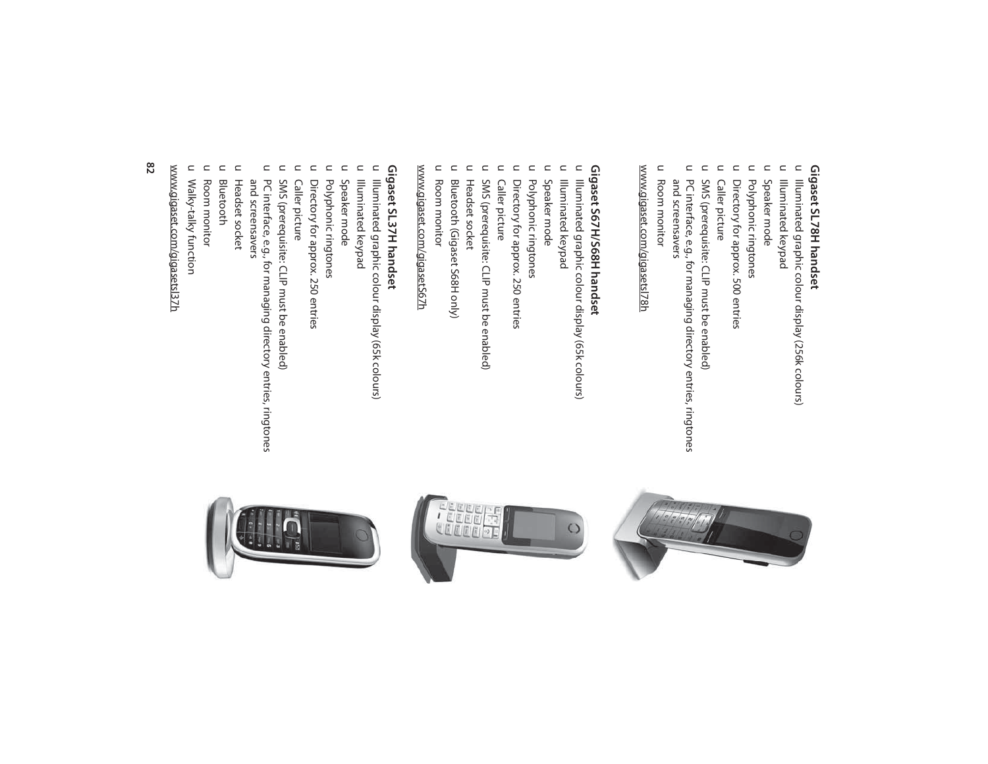### Gigaset SL78H handset **Gigaset SL78H handset**

- u Illuminated graphic colour display (256k colours) Illuminated graphic colour display (256k colours)
- $\mathsf C$ Illuminated keypad Illuminated keypad
- $\subset$ Speaker mode Speaker mode
- $\subset$ Polyphonic ringtones Polyphonic ringtones
- $\subset$ Directory for approx. 500 entries Directory for approx. 500 entries
- $\subset$ Caller picture Caller picture
- $\subset$ SMS (prerequisite: CLIP must be enabled) SMS (prerequisite: CLIP must be enabled)
- $\subset$ PC interface, e.g., for managing directory entries, ringtones and screensavers and screensavers PC interface, e.g., for managing directory entries, ringtones
- u Room monitor Room monitor

www.gigaset.com/gigasetsl78h www.gigaset.com/gigasetsl78h

## Gigaset S67H/S68H handset **Gigaset S67H/S68H handset**

- $\subset$ Illuminated graphic colour display (65k colours) Illuminated graphic colour display (65k colours)
- $\subset$ Illuminated keypad Illuminated keypad
- $\subset$ Speaker mode Speaker mode
- $\subset$ Polyphonic ringtones Polyphonic ringtones
- $\subset$ Directory for approx. 250 entries Directory for approx. 250 entries
- $\subset$ Caller picture Caller picture
- $\subset$ SMS (prerequisite: CLIP must be enabled) SMS (prerequisite: CLIP must be enabled)
- $\subset$ Headset socket Headset socket
- $\subset$ Bluetooth (Gigaset S68H only) Bluetooth (Gigaset S68H only)
- u Room monitor Room monitor

## www.gigaset.com/gigasetS67h www.gigaset.com/gigasetS67h

### Gigaset SL37H handset **Gigaset SL37H handset**

- u Illuminated graphic colour display (65k colours) Illuminated graphic colour display (65k colours)
- $\subset$ Illuminated keypad Illuminated keypad
- Speaker mode Speaker mode

 $\mathrel{\square}$ 

- $\subset$ Polyphonic ringtones Polyphonic ringtones
- $\subset$ Directory for approx. 250 entries Directory for approx. 250 entries
- $\subset$ Caller picture Caller picture
- SMS (prerequisite: CLIP must be enabled)
- $\subset$ SMS (prerequisite: CLIP must be enabled)
- u PC interface, e.g., for managing directory entries, ringtones and screensavers and screensavers PC interface, e.g., for managing directory entries, ringtones
- 
- $\subset$ Headset socket Headset socket
- Bluetooth

 $\subset$ 

- 
- Room monitor Room monitor
- $\subset$
- u Walky-talky function Walky-talky function

www.gigaset.com/gigasetsl37h www.gigaset.com/gigasetsl37h





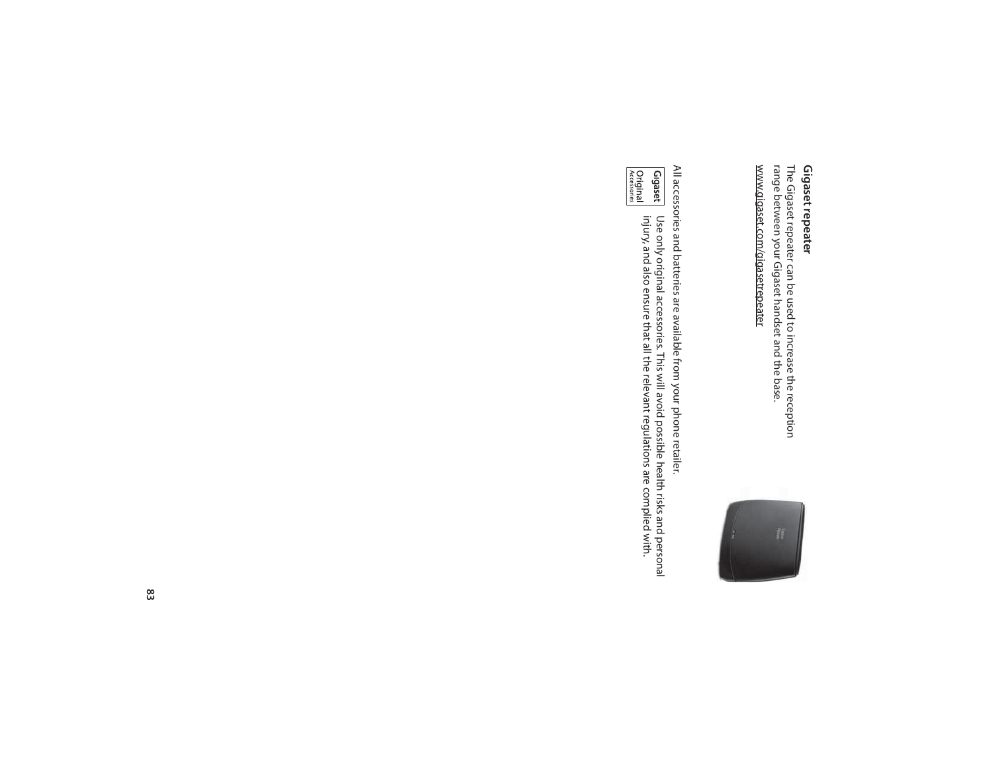# **Gigaset repeater**

**Gigaset repeater**<br>The Gigaset repeater can be used to increase the reception<br>range between your Gigaset handset and the base. www.gigaset.com/gigasetrepeater www.gigaset.com/gigasetrepeater range between your Gigaset handset and the base. The Gigaset repeater can be used to increase the reception



All accessories and batteries are available from your phone retailer. All accessories and batteries are available from your phone retailer.

Gigaset Original<br>Accessories Use only original accessories. This will avoid possible health risks and personal<br>injury, and also ensure that all the relevant regulations are complied with. injury, and also ensure that all the relevant regulations are complied with. Use only original accessories. This will avoid possible health risks and personal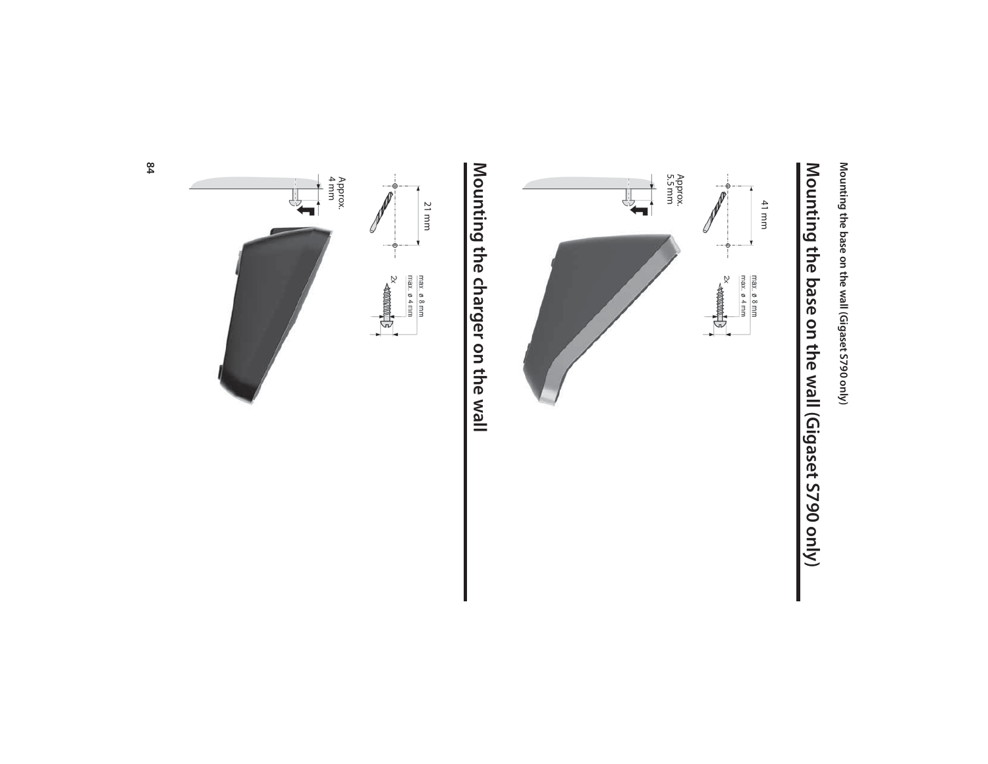Mounting the base on the wall (Gigaset S790 only) **Mounting the base on the wall (Gigaset S790 only)**





# Mounting the charger on the wall **Mounting the charger on the wall**

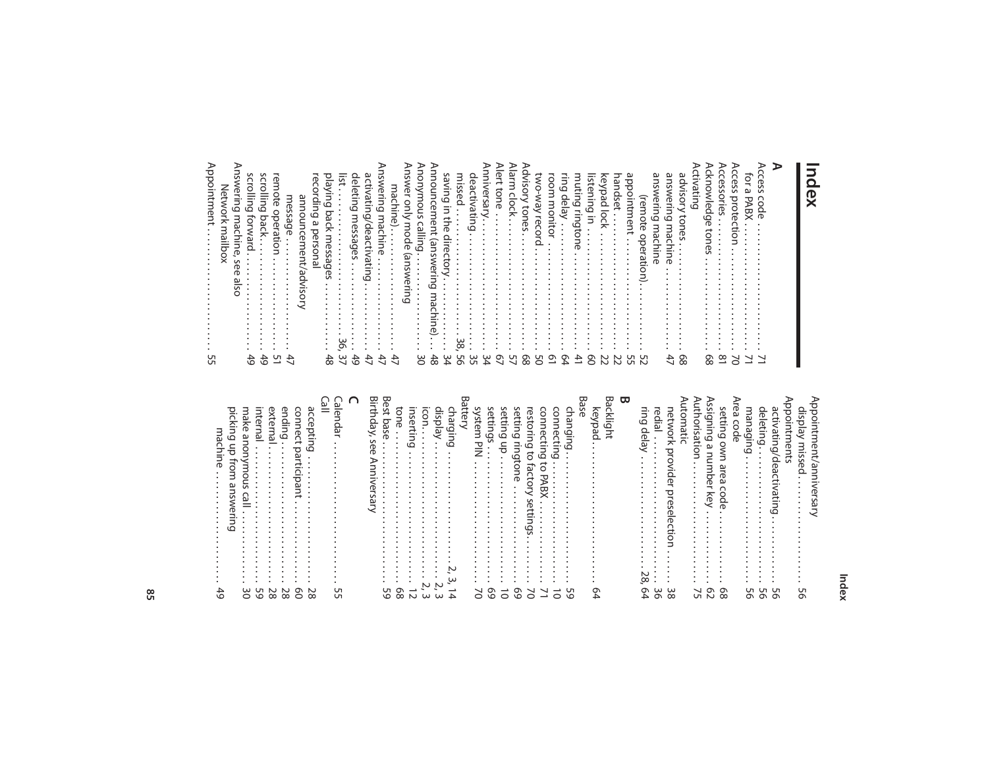**Index**

#### **A**

| Uл<br>Lл       | Appointmen                                                                                                       |
|----------------|------------------------------------------------------------------------------------------------------------------|
|                | swerin<br>읏<br>machi<br>mailbox<br>5g<br>S<br>≌<br>S<br>O                                                        |
| ↵<br><u>In</u> | scrollin<br>6<br>forwar<br>≏<br>$\cdot$                                                                          |
| <br>١n         | scrollin<br>6<br>ਰ<br>ack<br>٠                                                                                   |
| U              | en<br>B<br>ote<br>operatio<br>⋾                                                                                  |
| ↵              | message<br>$\bullet$<br>٠                                                                                        |
|                | announcement<br>adv<br>্                                                                                         |
|                | ecordin<br>6<br>$\omega$<br>persona                                                                              |
| △<br>ന         | jveld<br>వె<br>bac<br>≂<br>mes<br>Ü<br>ق<br>$\sigma$<br>n                                                        |
| ω              | ist<br>٠<br>ِي                                                                                                   |
| ↵<br><b>SC</b> | deleting<br>messages<br>$\ddot{\phantom{a}}$<br>$\ddot{\phantom{0}}$<br>$\bullet$<br>$\bullet$                   |
| 4              | activ.<br>atın<br>6<br>deactivating                                                                              |
| ↵              | S<br>wering<br>I machi<br>ine<br>S<br>٠                                                                          |
| ↵              | machine)<br>٠<br>$\bullet$<br>$\bullet$<br>$\bullet$<br>٠<br>$\ddot{\phantom{0}}$<br>$\bullet$                   |
|                | <b>SWer</b><br>only<br>mode<br>sue)<br>ଽ<br>ΦL.                                                                  |
| 0              | nomynous<br>calli<br>m<br>Q<br>$\cdot$<br>٠<br>٠<br>٠<br>$\bullet$<br>$\cdot$<br>$\cdot$<br>$\ddot{\phantom{0}}$ |
| ന              | unouu<br>cement<br>(answerin<br>٥<br>3<br>മ<br>⊇.<br>⊃                                                           |
|                | savin<br>6<br>$\equiv$<br>the<br>direc<br>$\circ$<br>$\overline{\phantom{a}}$<br>٠                               |
| U              | missed<br>$\bullet$<br>$^\infty$                                                                                 |
|                | deactivating                                                                                                     |
| ω              | Anniversar                                                                                                       |
| ᡡ              | ert<br>go<br>ወ<br>$\bullet$<br>$\ddot{\phantom{a}}$                                                              |
| Uп             | mis<br>cloc<br>ᅎ<br>٠<br>$\ddot{\phantom{0}}$<br>$\ddot{\phantom{0}}$                                            |
| ᡡ<br>m         | Visory<br>tones                                                                                                  |
| Uп<br>⌒        | <b>CWO</b><br><b>Kem</b><br>record                                                                               |
| ᡡ              | room<br>monitor<br>$\bullet$                                                                                     |
| െ<br>∼         | ring del<br>हैं।<br>٠<br>٠<br>٠<br>٠                                                                             |
| ↵              | muting<br>ringtoi<br>Ř                                                                                           |
| ᡡ<br>⌒         | istening<br>Ξ.<br>٠                                                                                              |
| N              | key<br>ped<br>1<br>$\overline{q}$                                                                                |
|                | nan<br>ldset<br>٠<br>٠                                                                                           |
| Uп             | ಕಿ<br>ᄒ<br>ointment<br>$\bullet$                                                                                 |
| ஶ              | (remote<br>0<br>perati                                                                                           |
|                | answering<br>machine                                                                                             |
| 4<br>↘         | answeri<br>۵J<br>machi<br>る<br>٠                                                                                 |
| ᡡ<br>$\infty$  | advisor<br>tones                                                                                                 |
|                | ⋗<br>tivating                                                                                                    |
| თ<br>ന         | λ<br>knowled<br>$\Omega$<br>ወ<br>gu<br>ወ                                                                         |
| $\infty$       | ces<br>Š<br>ミ<br>$\bullet$<br>٠<br>$\bullet$<br>$\bullet$                                                        |
| ◠              | ∩<br>cess<br>ರ<br>⇁<br>₫<br>0                                                                                    |
|                | ğ<br>ھ<br>᠊ᠣ<br>АB)                                                                                              |
|                | ₷<br>8                                                                                                           |
|                |                                                                                                                  |

#### **B** Call connecting Base Calendar **C** Birthday, see Anniversary Best base Battery Backlight Automatic Area code Appointments Appointment/anniversary Birthday, see Anniversary Authorisation Assigning a number key . . . . . . . . . . . . . . . 62 Appointments Appointment/anniversary display )<br>1991年11月11日(1月11日)<br>1991年11月11日(1月11日) nettip direction of the contract of the contract of the contract of the contract of the contract of  $\sim$ activating/deactivating............ ending external connect participant . . . . . . . . . . . . . . . . . 60 accepting . . . . . . . . . . . . . . . . . . . . . . . . . . 28 tone . . . . . . . . . . . . . . . . . . . . . . . . . . . . . . . 68 inserting . . . . . . . . . . . . . . . . . . . . . . . . . . . 12 icon. . . . . . . . . . . . . . . . . . . . . . . . . . . . . . . 2, 3 charging . . . . . . . . . . . . . . . . . . . . . . . 2, 3, 14 system PIN . . . . . . . . . . . . . . . . . . . . . . . . . 70 settings . . . . . . . . . . . . . . . . . . . . . . . . . . . . 69 setting up . . . . . . . . . . . . . . . . . . . . . . . . . . 10 setting ringtone . . . . . . . . . . . . . . . . . . . . 69 restoring to factory settings. . . . . . . . . . 70 connecting to PABX . . . . . . . . . . . . . . . . . 71 changing. . . . . . . . . . . . . . . . . . . . . . . . . . . 59 keypad. . . . . . . . . . . . . . . . . . . . . . . . . . . . . 64 ring delay . . . . . . . . . . . . . . . . . . . . . . . 28, 64 redial . . . . . . . . . . . . . . . . . . . . . . . . . . . . . . 36 network provider preselection . . . . . . . 38 setting own area code managing . . . . . . . . . . . . . . . . . . . . . . . . . . 56 deleting. . . . . . . . . . . . . . . . . . . . . . . . . . . . 56 activating/deactivating. . . . . . . . . . . . . . 56 display missed . . . . . . . . . . . . . . . . . . . . . . . . . . . . . 55 . . . . . . . . . . . . . . . . . . . . . . . . . . . . . 28 . . . . . . . . . . . . . . . . . . . . . . . . . . . . . 59 . . . . . . . . . . . . . . . . . . . . . . . . . . . . 2, 3 . . . . . . . . . . . . . . . . . . . . . . . . . . . . 28 . . . . . . . . . . . . . . . . . . . . . . . . . 10 . . . . . . . . . . . . . . . . . . . . . . . . . 75 . . . . . . . . . . . . . . . . . . . . . . 56 . . . . . . . . . . . . . . . 68 95 95 95

internal . . . . . . . . . . . . . . . . . . . . . . . . . . . . 59 make anonymous call . . . . . . . . . . . . . . . 30

8

picking up from answering

picking up from answering<br>machine .................

machine . . . . . . . . . . . . . . . . . . . . . . . 49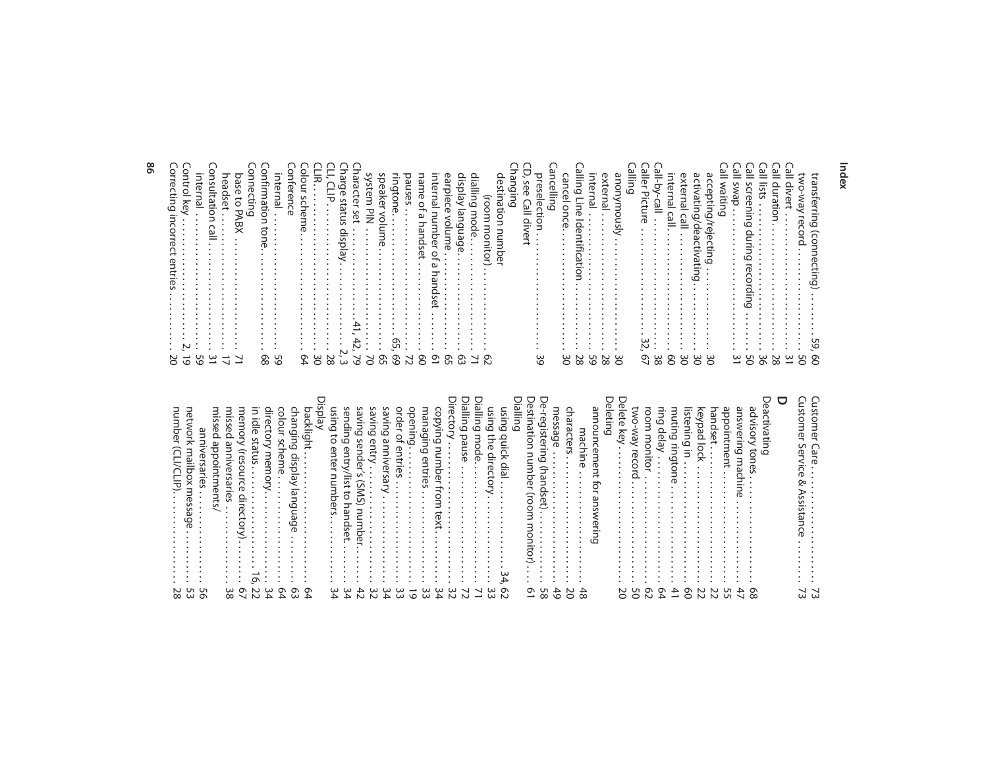| N U<br>$\infty$<br>ഄ          | number<br>net<br>ᅎ<br>Ë<br>aliism<br>0<br>᠊᠍                                           |  |
|-------------------------------|----------------------------------------------------------------------------------------|--|
| ஶ<br>െ                        | ⋍<br>Ü                                                                                 |  |
|                               | miss<br>∾<br>ರ<br><u>o</u><br>me<br>ದ                                                  |  |
| ယ<br>∞                        | miss<br>Ò<br>₹<br>S<br>$\ddot{\phantom{0}}$                                            |  |
| ᡡ                             | mem<br>a)<br>ū<br>0<br><b>-</b><br>ಸ<br>◠<br>⊣<br>ō<br>$\bullet$                       |  |
| N                             | コ<br>$\frac{1}{\overline{2}}$<br>status<br>ᡡ                                           |  |
| ω                             | director<br>mem<br>ō<br>$\bullet$<br>$\bullet$                                         |  |
| ᡡ                             | colour<br>న<br>heme                                                                    |  |
| ᡡ                             | changing<br>₽.<br>s<br>Ò<br>م<br>gπ<br>۵۹<br>ω                                         |  |
| ᡡ                             | backlight<br>yay                                                                       |  |
| ω<br>Á                        | ဌ<br>ات<br>đ<br>enter<br>⊃<br>umbers<br>$\bullet$<br>٠<br>$\cdot$<br>٠<br>٠            |  |
| ω<br>$\overline{ }$           | send<br>$\overline{\phantom{0}}$<br>ā<br>entr<br>$\overline{151}$<br>đ<br>hands<br>٩ŕ. |  |
|                               | divin<br>⊵<br>S<br>ena<br>VS)<br>$\Rightarrow$<br>З<br>ber.                            |  |
| ω<br>$\sim$                   | avin<br>6<br>entr                                                                      |  |
| ∼                             | ävin<br>6<br>gπ<br>ersan                                                               |  |
| ധ<br>ω                        | order<br>mtri<br>S<br>$\bullet$                                                        |  |
| $\circ$                       | ope<br>⊇<br>Ξ<br>٠<br>٠                                                                |  |
| ഄ<br>ω                        | managing entri<br>GS<br>$\ddot{\phantom{0}}$                                           |  |
| ഄ<br>▵                        | S<br>ğ<br>Vin<br>6<br>unu<br>ਰ<br>ወ<br>з<br>$\rightarrow$<br>$\rightarrow$             |  |
| ω<br>$\sim$                   | recto<br>$\bullet$<br>$\bullet$                                                        |  |
| N                             | <b>ialling</b><br>ō<br>മ<br>iuse                                                       |  |
|                               | jallin<br>6<br>mo<br>ōم<br>ه<br>٠                                                      |  |
| ഄ<br>ധ                        | 忘<br>Ξ.<br>6<br>з<br>으.<br>D<br>⊣<br>O<br>$\bullet$                                    |  |
| െ                             | Sn<br>Ξ.<br>6<br>ء<br>آ<br>슷<br>으.<br>۵<br>$\bullet$                                   |  |
|                               | $\stackrel{\omega}{=}$<br>$\overline{\phantom{a}}$<br>コ<br>$\circ$                     |  |
| ᡡ<br>$\rightarrow$            | ≘.<br>Ρñ<br>ā<br>∍<br>$\Rightarrow$<br>З<br>व्ह<br>⊸<br>ool)<br>з<br>∍                 |  |
| Uп<br>$\infty$                | ಸ<br>ଟି<br>డె<br>੩<br>S                                                                |  |
| ↵<br>Ó                        | me<br>മ<br>Ğ<br>$\bullet$                                                              |  |
| $\circ$                       | ਤਿ<br>⊣<br>$\ddot{\phantom{0}}$                                                        |  |
| ▵<br>$\infty$                 | mac<br>ᠴ<br>υe<br>٠<br>$\bullet$<br>$\cdot$<br>٠<br>$\ddot{\phantom{0}}$               |  |
|                               | ouue<br>$\mathbf{C}$<br>⊃<br>$\overline{\phantom{0}}$<br>コ                             |  |
|                               | eleti<br>⊾                                                                             |  |
| N<br>○                        | lete<br>$\delta$                                                                       |  |
| Uл<br>○                       | EXO<br>≳§<br>eco<br>⊸                                                                  |  |
| ᡡ<br>N                        | ā                                                                                      |  |
| െ<br>▵                        | ing<br>lelay<br>$\cdot$                                                                |  |
| ↵<br>$\overline{\phantom{0}}$ | Ē<br>៩                                                                                 |  |
| ᡡ<br>○                        | S<br>ಸ<br>⊇.<br>Ξ                                                                      |  |
| N<br>N                        | ଚି<br>٥Ď                                                                               |  |
| N<br>N                        | Jandse                                                                                 |  |
| ת<br>Lл                       | oddi<br>ወ<br>⊣                                                                         |  |
|                               | answer<br>コ<br>6<br>$\exists$<br>ه                                                     |  |
| ᡡ<br>$\infty$                 | advi<br>S<br>5<br>∍<br>ወ<br>S.                                                         |  |
|                               | U<br>۶<br>ξ.<br>نو<br>11<br>ဖ                                                          |  |
|                               | □                                                                                      |  |
| ω                             |                                                                                        |  |
|                               | 3<br>3<br>ಸ                                                                            |  |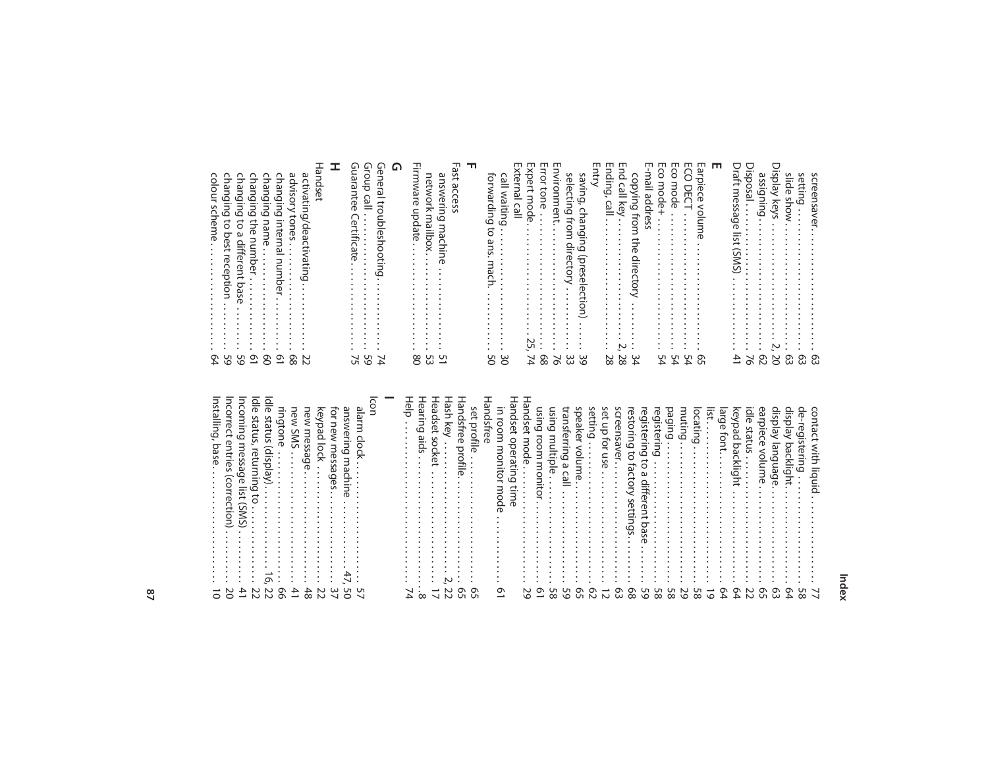| changing the number $\cdots$ .<br>activating/deactivating 22<br>andset |  |
|------------------------------------------------------------------------|--|
| changing internal number  61                                           |  |
|                                                                        |  |
|                                                                        |  |
| changing to a different base  59                                       |  |
|                                                                        |  |
|                                                                        |  |

#### **Index**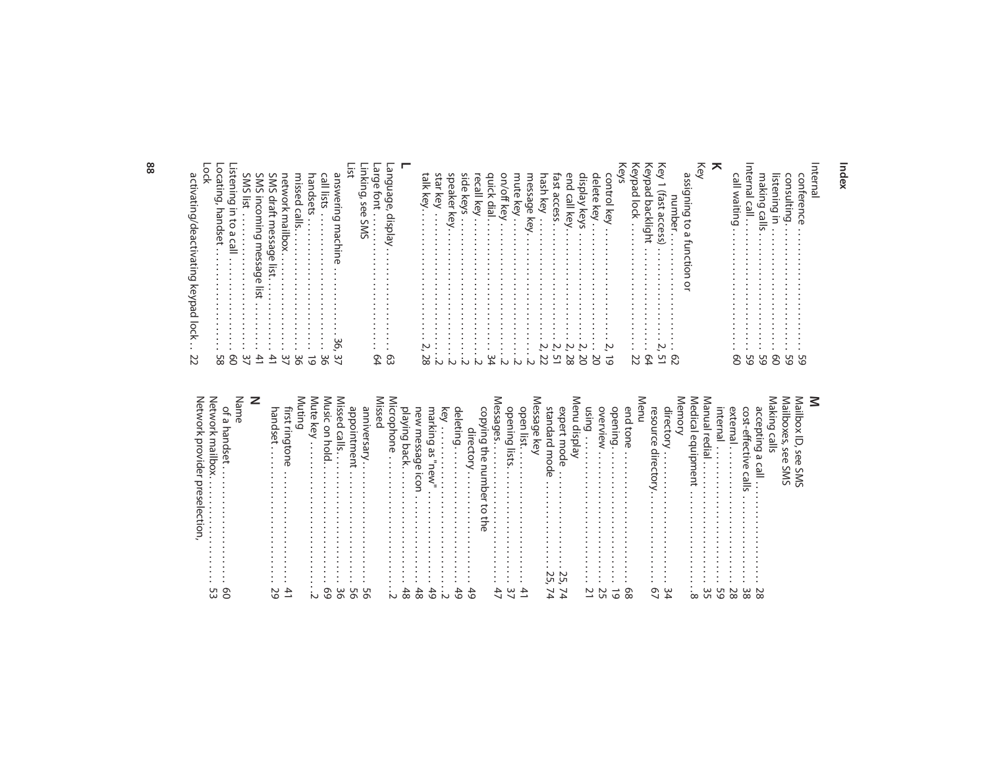| activating/deactivating keypad lock  22 | Lock | .<br>၉ | SMS incoming message list  41 |  |
|-----------------------------------------|------|--------|-------------------------------|--|
|                                         |      |        |                               |  |

| $\vdots$                                       |
|------------------------------------------------|
| זרוואפוווה/חבפרוואפוווה מבגלמה והריי<br>5<br>5 |
| ś                                              |
|                                                |
| ľ,                                             |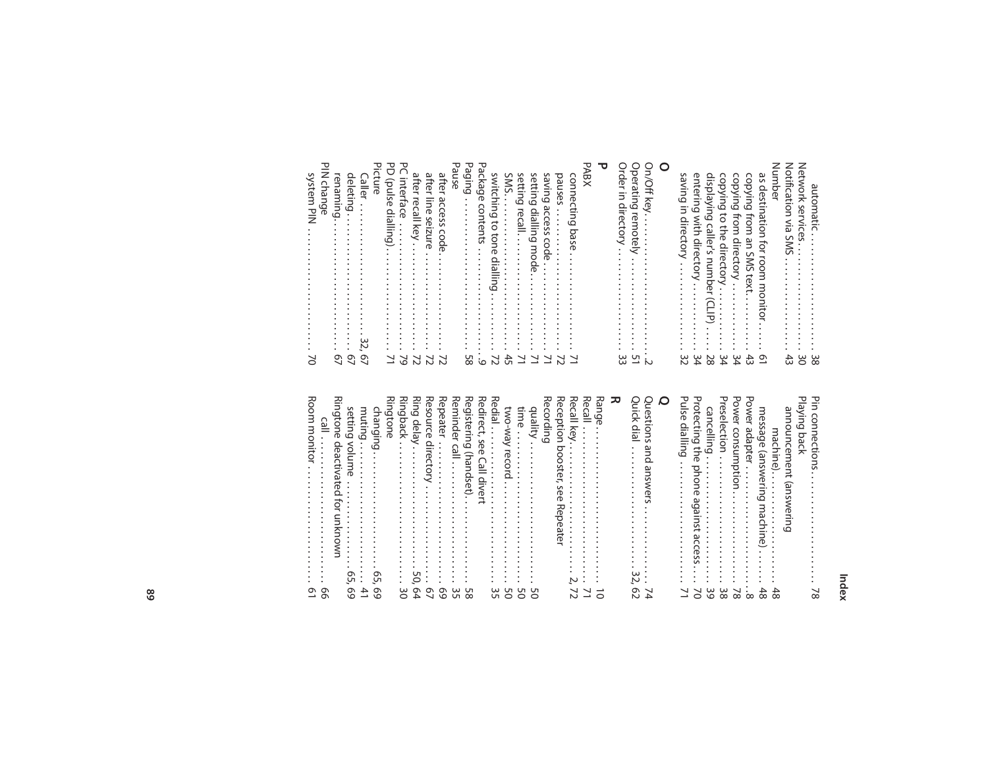| ೦ | saving in directory<br>32 | entering with directory<br>34 | displaying caller's number (CLIP) 28 | copying to the directory<br><br>ታር | copying from directory ………<br>.<br>ያ4 | as destination for room monitor 01 | Number | Notification via SMS<br>$\ddot{43}$ | Metwork services<br>:<br>0g | 88 |
|---|---------------------------|-------------------------------|--------------------------------------|------------------------------------|---------------------------------------|------------------------------------|--------|-------------------------------------|-----------------------------|----|
|   |                           |                               |                                      |                                    |                                       |                                    |        |                                     |                             |    |

|--|

Room monitor . . . . . . . . . . . . . . . . . . . . . . . . 61

| call<br>$\bullet$<br>$\ddot{\cdot}$<br>$\bullet$<br>$\frac{1}{2}$<br>٠<br>$\ddot{\phantom{0}}$<br>٠<br>$\bullet$<br>$\bullet$<br>$\bullet$<br>$\bullet$<br>٠<br>$\bullet$<br>$\bullet$<br>$\bullet$<br>$\bullet$<br>٠<br>$\bullet$<br>$\ddot{\cdot}$<br>$\bullet$<br>٠<br>$\ddot{\phantom{0}}$<br>$\bullet$<br>99 |  |
|-------------------------------------------------------------------------------------------------------------------------------------------------------------------------------------------------------------------------------------------------------------------------------------------------------------------|--|
| 꼰<br>ngtone<br>deactivate<br>d for un<br>$\bullet$<br>٠<br>$\bullet$<br>$\bullet$<br>$\bullet$<br>known<br>$\bullet$<br>$\bullet$<br>$\bullet$<br>$\bullet$<br>$\bullet$<br>٠                                                                                                                                     |  |
| etting<br>volume<br>$\bullet$<br>$\bullet$<br>$\ddot{\phantom{0}}$<br>$\bullet$<br>$\bullet$<br>$\cdot$<br>$\ddot{\phantom{0}}$<br>٠<br>$\ddot{\phantom{0}}$<br>٠<br>$\bullet$<br>$\circ$<br>$\ddot{\phantom{0}}$<br>ب.<br>Ō<br>۱Ō                                                                                |  |
| muting<br>4<br>د                                                                                                                                                                                                                                                                                                  |  |
| Ringtone<br>changing<br>$\bullet$<br>٠<br>$\cdot$<br>٠<br>٠<br>٠<br>$\sigma$<br>بَ<br>$\sigma$<br>$\circ$                                                                                                                                                                                                         |  |
| Ringback<br>$\ddot{\phantom{a}}$<br>٠<br>٠<br>٠<br>٠<br>٠<br>٠<br>٠<br>$\bullet$<br>$\ddot{\phantom{0}}$<br>ω<br>$\circ$                                                                                                                                                                                          |  |
| Ring delay<br>٠<br>$\ddot{\phantom{0}}$<br>$\ddot{\phantom{0}}$<br>$\ddot{\phantom{0}}$<br>$\ddot{\phantom{0}}$<br>$\ddot{\phantom{0}}$<br>50,<br>ᡡ<br>▲                                                                                                                                                          |  |
| Resource<br><i>directory</i><br>ᡡ<br>$\tilde{\mathbf{v}}$                                                                                                                                                                                                                                                         |  |
| Repeater<br>٠<br>٠<br>ᡡ<br>$\circ$                                                                                                                                                                                                                                                                                |  |
| Reminder<br>$\cap$<br><u>ٰ¤</u><br>$\ddot{\phantom{0}}$<br>٠<br>$\bullet$<br>$\ddot{\cdot}$<br>٠<br>$\omega$<br>Uп                                                                                                                                                                                                |  |
| Registeri<br>الما<br>(handset).<br>$\ddot{\phantom{a}}$<br>G<br>$\infty$                                                                                                                                                                                                                                          |  |
| ᇙ<br>edirect,<br>see<br>∩<br>≝<br>$\overline{a}$<br><b>Nert</b>                                                                                                                                                                                                                                                   |  |
| ᇙ<br>edial<br>$\bullet$<br>$\bullet$<br>$\bullet$<br>$\bullet$<br>$\ddot{\phantom{0}}$<br>٠<br>ω<br>U                                                                                                                                                                                                             |  |
| LWO-<br><b>KeM</b><br>$\overline{a}$<br>Õ<br>pio<br>Uп<br>$\circ$                                                                                                                                                                                                                                                 |  |
| time<br>$\ddot{\phantom{0}}$<br>٠<br>٠<br>$\ddot{\phantom{0}}$<br>U<br>$\circ$                                                                                                                                                                                                                                    |  |
| dilality<br>$\ddot{\phantom{a}}$<br>٠<br>$\cdot$<br>$\cdot$<br>٠<br>٠<br>G<br>$\circ$                                                                                                                                                                                                                             |  |
| RΘ<br>cording                                                                                                                                                                                                                                                                                                     |  |
| Reception<br>booster,<br>Se<br>Õ<br>ΡĞ<br>peate<br>≒                                                                                                                                                                                                                                                              |  |
| Recall<br>key<br>٠<br>$\bullet$<br>$\bullet$<br>$\bullet$<br>$\bullet$<br>$\bullet$<br>$\bullet$<br>٠<br>$\ddot{\phantom{0}}$<br>$\bullet$<br>$\bullet$<br>$\bullet$<br>$\bullet$<br>$\ddot{\phantom{0}}$<br>$\bullet$<br>$\bullet$<br>$\bullet$<br>'n,<br>↘<br>N                                                 |  |
| Recall<br>٠<br>٠<br>٠<br>$\ddot{\phantom{0}}$<br>$\bullet$<br>$\bullet$<br>$\bullet$<br>$\bullet$<br>٠<br>٠<br>$\ddot{\phantom{a}}$<br>٠<br>71                                                                                                                                                                    |  |
| Range<br>٠<br>٠<br>$\bullet$<br>٠<br>٠<br>$\bullet$<br>٠<br>٠<br>٠<br>$\cdot$<br>٠<br>٠<br>٠<br>٠<br>٠<br>٠<br>٠<br>٠<br>$\cdot$<br>$\rightarrow$<br>$\circ$                                                                                                                                                      |  |
| ᄀ                                                                                                                                                                                                                                                                                                                 |  |
| Quick dial<br>٠<br>$\bullet$<br>٠<br>$\ddot{\phantom{0}}$<br>٠<br>$\ddot{\phantom{0}}$<br>$\bullet$<br>٠<br>$\ddot{\phantom{0}}$<br>٠<br>٠<br>$\ddot{\phantom{a}}$<br>ω<br>Ņ<br>ᡡ<br>Ň                                                                                                                            |  |
| Questions<br>and<br>answers<br>↘<br>4                                                                                                                                                                                                                                                                             |  |
| O                                                                                                                                                                                                                                                                                                                 |  |
| Pulse<br>dialling<br>$\bullet$<br>٠<br>٠<br>$\ddot{\phantom{0}}$<br>٠<br>٠<br>٠<br>$\ddot{\phantom{a}}$<br>٠<br>٠<br>٠<br>٠<br>٠<br>→                                                                                                                                                                             |  |
| Protecting<br>the p<br>pon<br>$\sigma$<br>again:<br>S<br>it ac<br>$\overline{\phantom{0}}$<br>$\circ$                                                                                                                                                                                                             |  |
| cancelling<br>:<br>٠<br>$\bullet$<br>$\bullet$<br>$\ddot{\cdot}$<br>٠<br>٠<br>$\bullet$<br>$\bullet$<br>$\omega$<br>$\circ$                                                                                                                                                                                       |  |
| Presel<br>ection<br>٠<br>$\bullet$<br>٠<br>٠<br>$\bullet$<br>$\vdots$<br>$\ddot{\phantom{0}}$<br>ယ<br>$\infty$                                                                                                                                                                                                    |  |
| Power consumption<br>$\infty$                                                                                                                                                                                                                                                                                     |  |
| ᠊ᢦ<br><b>OWEL</b><br>adapter<br>$\cdot$<br>$\bullet$<br>$\bullet$<br>$\vdots$<br>٠<br>٠<br>$\infty$                                                                                                                                                                                                               |  |
| me<br>Ü<br><b>Sage</b><br>(answering mach<br>j<br>るつ<br>48                                                                                                                                                                                                                                                        |  |
| machine).<br>$\bullet$<br>$\bullet$<br>$\bullet$<br>٠<br>$\bullet$<br>$\bullet$<br>$\vdots$<br>$\bullet$<br>48                                                                                                                                                                                                    |  |
| announcement<br>(answeri<br>$\Rightarrow$<br>ه                                                                                                                                                                                                                                                                    |  |
| Playing back                                                                                                                                                                                                                                                                                                      |  |
| Pin connections<br>$\ddot{\phantom{0}}$<br>٠<br>$\approx$                                                                                                                                                                                                                                                         |  |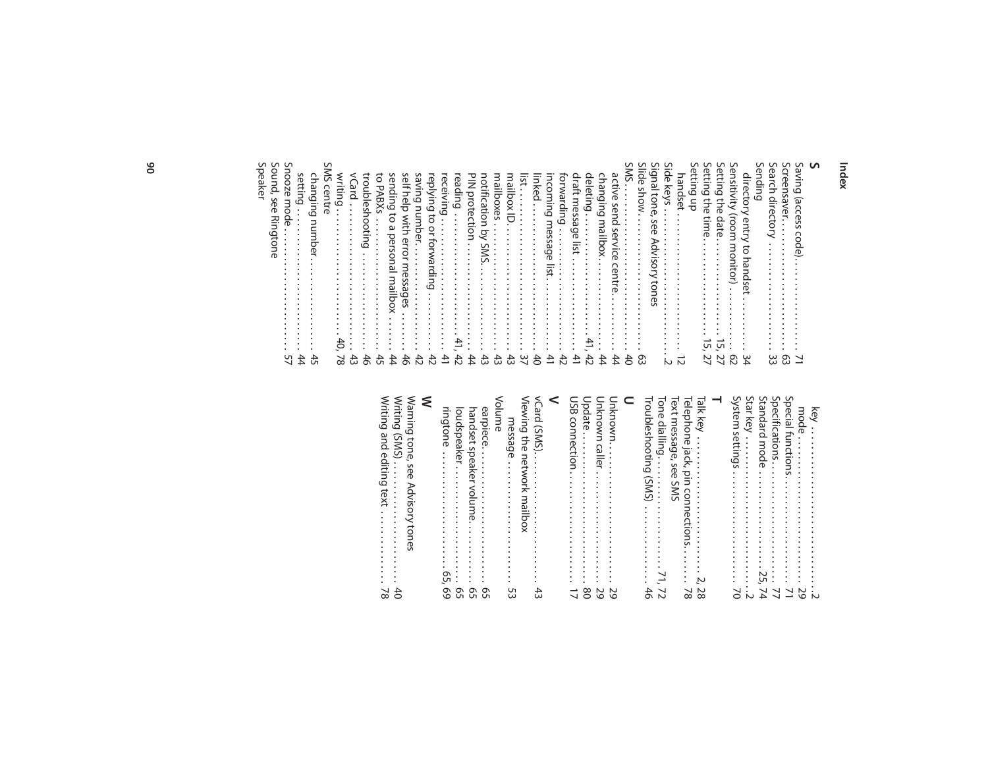| Sound,<br>S<br>peaker<br>see<br>Ringtone                                              |
|---------------------------------------------------------------------------------------|
| Snooze<br>mode<br>$\bullet$<br>$\ddot{\phantom{0}}$<br>57                             |
| setting<br>changing<br>number<br>44<br>45                                             |
| <b>SWS</b><br>centre                                                                  |
| writing<br>40'<br>↘<br>$\infty$                                                       |
| VCard<br>٠<br>٠<br>$\bullet$<br>43                                                    |
| troubleshooting<br>$\frac{4}{5}$                                                      |
| ā<br>ΡÁ<br>ᡂ<br>≿<br>$\bullet$<br>٠<br>$\bullet$<br>٠<br>45                           |
| sending<br>ਠ<br>a personal<br>mailbox<br>44                                           |
| self help<br>with<br>error<br>messages<br>46                                          |
| ing<br>Saving<br>ber<br>42                                                            |
| eplying<br>$\vec{c}$<br>or forwardin<br>42                                            |
| eceiving<br>٠<br>٠<br>٠<br>٠<br>41                                                    |
| eading<br>$\ddot{\phantom{0}}$<br>٠<br>42                                             |
| $\frac{1}{2}$<br>protection<br>٠<br>$\ddot{\phantom{0}}$<br>44                        |
| notificati<br>$\frac{1}{2}$<br>Ō<br>S<br>ŠN:<br>43                                    |
| mailboxes<br>٠<br>43                                                                  |
| nailbox ID.<br>$\ddot{3}$                                                             |
| ist<br>$\approx$                                                                      |
| linked<br>$\frac{4}{5}$                                                               |
| ncoming<br>mes<br>šä<br>ЭG<br>list.<br>신                                              |
| <b>DKWa</b><br>言<br>6<br>$\bullet$<br>٠<br>$\ddot{\phantom{0}}$<br>42                 |
| draft mes<br>š<br>ā<br>list<br>41                                                     |
| deleting<br>$\bullet$<br>$\bullet$<br>$\bullet$<br>42                                 |
| changing<br>mailbox<br>44                                                             |
| activ<br><b>D</b><br>send<br>9S<br>Š<br>ဥ<br>centre.<br>44                            |
| SWS<br>$\ddot{\phantom{0}}$<br>٠<br>٠<br>$\ddot{\phantom{0}}$<br>40                   |
| Slide<br>wous<br>$\bullet$<br>$\ddot{\phantom{a}}$<br>$\ddot{\phantom{0}}$<br>ස       |
| Signal<br>tone,<br>see<br>⋗<br>Ğ,                                                     |
| Side<br>keys<br>٠<br>٠<br>$\ddot{\phantom{0}}$<br>$\bullet$<br>$\sim$                 |
| handset<br>→<br>$\sim$                                                                |
| ഗ<br><b>etting</b><br>등                                                               |
| n<br>etti<br><b>Gu</b><br>the<br>time.<br>٠<br>U<br>N<br>↘                            |
| ∽<br>etti<br><b>Gu</b><br>the<br>date<br>٠<br>$\ddot{\phantom{0}}$<br>ςū<br>27        |
| ഗ<br>ensitivity<br>room<br>monitor)<br>$\bullet$<br>$\mathcal{L}^2$                   |
| direc<br>id<br>entry<br>bush ot<br>S<br>س<br>▵                                        |
| S<br>iending                                                                          |
| n<br>earch<br>directory<br>٠<br>٠<br>٠<br>ω<br>ω                                      |
| Screensav<br>٢Ď<br>٠<br>$\bullet$<br>$\bullet$<br>$\bullet$<br>٠<br>٠<br>$\circ$<br>ω |
| δč<br>దె<br>ত<br>റ<br>ode<br>↘<br>$\rightarrow$                                       |
| <b>S</b>                                                                              |